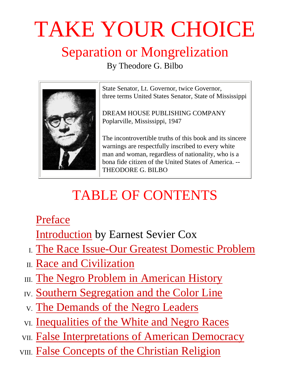# <span id="page-0-0"></span>TAKE YOUR CHOICE

# Separation or Mongrelization

By Theodore G. Bilbo



State Senator, Lt. Governor, twice Governor, three terms United States Senator, State of Mississippi

DREAM HOUSE PUBLISHING COMPANY Poplarville, Mississippi, 1947

The incontrovertible truths of this book and its sincere warnings are respectfully inscribed to every white man and woman, regardless of nationality, who is a bona fide citizen of the United States of America. -- THEODORE G. BILBO

# TABLE OF CONTENTS

## [Preface](#page-2-0)

[Introduction](#page-4-0) by Earnest Sevier Cox

- I. [The Race Issue-Our Greatest Domestic Problem](#page-7-0)
- II. [Race and Civilization](#page-11-0)
- III. [The Negro Problem in American History](#page-20-0)
- IV. [Southern Segregation and the Color Line](#page-42-0)
- V. [The Demands of the Negro Leaders](#page-51-0)
- VI. [Inequalities of the White and Negro Races](#page-68-0)
- VII. [False Interpretations of American Democracy](#page-78-0)
- VIII. [False Concepts of the Christian Religion](#page-87-0)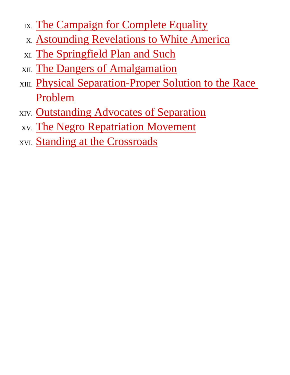- IX. [The Campaign for Complete Equality](#page-97-0)
- x. [Astounding Revelations to White America](#page-130-0)
- XI. [The Springfield Plan and Such](#page-148-0)
- XII. [The Dangers of Amalgamation](#page-159-0)
- XIII. [Physical Separation-Proper Solution to the Race](#page-177-0) [Problem](#page-177-0)
- XIV. [Outstanding Advocates of Separation](#page-190-0)
- XV. [The Negro Repatriation Movement](#page-199-0)
- XVI. [Standing at the Crossroads](#page-220-0)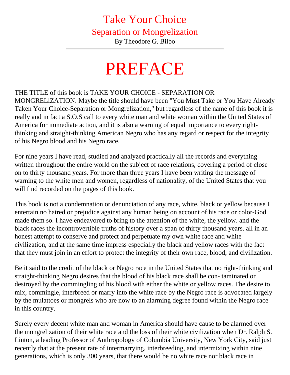### Take Your Choice Separation or Mongrelization

By Theodore G. Bilbo

# PREFACE

#### <span id="page-2-0"></span>THE TITLE of this book is TAKE YOUR CHOICE - SEPARATION OR

MONGRELlZATION. Maybe the title should have been "You Must Take or You Have Already Taken Your Choice-Separation or Mongrelization," but regardless of the name of this book it is really and in fact a S.O.S call to every white man and white woman within the United States of America for immediate action, and it is also a warning of equal importance to every rightthinking and straight-thinking American Negro who has any regard or respect for the integrity of his Negro blood and his Negro race.

For nine years I have read, studied and analyzed practically all the records and everything written throughout the entire world on the subject of race relations, covering a period of close on to thirty thousand years. For more than three years I have been writing the message of warning to the white men and women, regardless of nationality, of the United States that you will find recorded on the pages of this book.

This book is not a condemnation or denunciation of any race, white, black or yellow because I entertain no hatred or prejudice against any human being on account of his race or color-God made them so. I have endeavored to bring to the attention of the white, the yellow. and the black races the incontrovertible truths of history over a span of thirty thousand years. all in an honest attempt to conserve and protect and perpetuate my own white race and white civilization, and at the same time impress especially the black and yellow races with the fact that they must join in an effort to protect the integrity of their own race, blood, and civilization.

Be it said to the credit of the black or Negro race in the United States that no right-thinking and straight-thinking Negro desires that the blood of his black race shall be con- taminated or destroyed by the commingling of his blood with either the white or yellow races. The desire to mix, commingle, interbreed or marry into the white race by the Negro race is advocated largely by the mulattoes or mongrels who are now to an alarming degree found within the Negro race in this country.

Surely every decent white man and woman in America should have cause to be alarmed over the mongrelization of their white race and the loss of their white civilization when Dr. Ralph S. Linton, a leading Professor of Anthropology of Columbia University, New York City, said just recently that at the present rate of intermarrying, interbreeding, and intermixing within nine generations, which is only 300 years, that there would be no white race nor black race in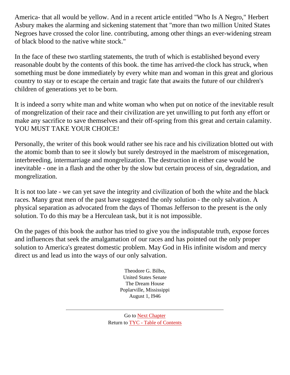America- that all would be yellow. And in a recent article entitled "Who Is A Negro," Herbert Asbury makes the alarming and sickening statement that "more than two million United States Negroes have crossed the color line. contributing, among other things an ever-widening stream of black blood to the native white stock."

In the face of these two startling statements, the truth of which is established beyond every reasonable doubt by the contents of this book. the time has arrived-the clock has struck, when something must be done immediately by every white man and woman in this great and glorious country to stay or to escape the certain and tragic fate that awaits the future of our children's children of generations yet to be born.

It is indeed a sorry white man and white woman who when put on notice of the inevitable result of mongrelization of their race and their civilization are yet unwilling to put forth any effort or make any sacrifice to save themselves and their off-spring from this great and certain calamity. YOU MUST TAKE YOUR CHOICE!

Personally, the writer of this book would rather see his race and his civilization blotted out with the atomic bomb than to see it slowly but surely destroyed in the maelstrom of miscegenation, interbreeding, intermarriage and mongrelization. The destruction in either case would be inevitable - one in a flash and the other by the slow but certain process of sin, degradation, and mongrelization.

It is not too late - we can yet save the integrity and civilization of both the white and the black races. Many great men of the past have suggested the only solution - the only salvation. A physical separation as advocated from the days of Thomas Jefferson to the present is the only solution. To do this may be a Herculean task, but it is not impossible.

On the pages of this book the author has tried to give you the indisputable truth, expose forces and influences that seek the amalgamation of our races and has pointed out the only proper solution to America's greatest domestic problem. May God in His infinite wisdom and mercy direct us and lead us into the ways of our only salvation.

> Theodore G. Bilbo, United States Senate The Dream House Poplarville, Mississippi August 1, I946

Go to [Next Chapter](#page-4-0) Return to [TYC - Table of Contents](#page-0-0)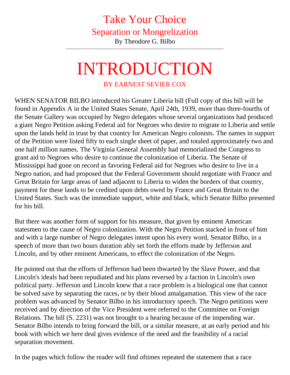#### <span id="page-4-0"></span>Take Your Choice Separation or Mongrelization By Theodore G. Bilbo

# INTRODUCTION

#### BY EARNEST SEVIER COX

WHEN SENATOR BILBO introduced his Greater Liberia bill (Full copy of this bill will be found in Appendix A in the United States Senate, April 24th, 1939, more than three-fourths of the Senate Gallery was occupied by Negro delegates whose several organizations had produced a giant Negro Petition asking Federal aid for Negroes who desire to migrate to Liberia and settle upon the lands held in trust by that country for American Negro colonists. The names in support of the Petition were listed fifty to each single sheet of paper, and totaled approximately two and one half million names. The Virginia General Assembly had memorialized the Congress to grant aid to Negroes who desire to continue the colonization of Liberia. The Senate of Mississippi had gone on record as favoring Federal aid for Negroes who desire to live in a Negro nation, and had proposed that the Federal Government should negotiate with France and Great Britain for large areas of land adjacent to Liberia to widen the borders of that country, payment for these lands to be credited upon debts owed by France and Great Britain to the United States. Such was the immediate support, white and black, which Senator Bilbo presented for his bill.

But there was another form of support for his measure, that given by eminent American statesmen to the cause of Negro colonization. With the Negro Petition stacked in front of him and with a large number of Negro delegates intent upon his every word, Senator Bilbo, in a speech of more than two hours duration ably set forth the efforts made by Jefferson and Lincoln, and by other eminent Americans, to effect the colonization of the Negro.

He pointed out that the efforts of Jefferson had been thwarted by the Slave Power, and that Lincoln's ideals had been repudiated and his plans reversed by a faction in Lincoln's own political party. Jefferson and Lincoln knew that a race problem is a biological one that cannot be solved save by separating the races, or by their blood amalgamation. This view of the race problem was advanced by Senator Bilbo in his introductory speech. The Negro petitions were received and by direction of the Vice President were referred to the Committee on Foreign Relations. The bill (S. 2231) was not brought to a hearing because of the impending war. Senator Bilbo intends to bring forward the bill, or a similar measure, at an early period and his book with which we here deal gives evidence of the need and the feasibility of a racial separation movement.

In the pages which follow the reader will find oftimes repeated the statement that a race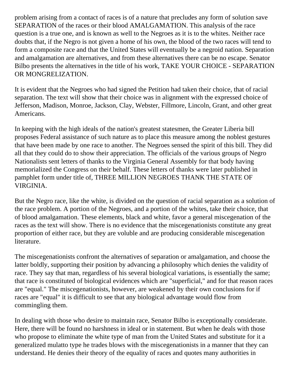problem arising from a contact of races is of a nature that precludes any form of solution save SEPARATION of the races or their blood AMALGAMATION. This analysis of the race question is a true one, and is known as well to the Negroes as it is to the whites. Neither race doubts that, if the Negro is not given a home of his own, the blood of the two races will tend to form a composite race and that the United States will eventually be a negroid nation. Separation and amalgamation are alternatives, and from these alternatives there can be no escape. Senator Bilbo presents the alternatives in the title of his work, TAKE YOUR CHOICE - SEPARATION OR MONGRELIZATION.

It is evident that the Negroes who had signed the Petition had taken their choice, that of racial separation. The text will show that their choice was in alignment with the expressed choice of Jefferson, Madison, Monroe, Jackson, Clay, Webster, Fillmore, Lincoln, Grant, and other great Americans.

In keeping with the high ideals of the nation's greatest statesmen, the Greater Liberia bill proposes Federal assistance of such nature as to place this measure among the noblest gestures that have been made by one race to another. The Negroes sensed the spirit of this bill. They did all that they could do to show their appreciation. The officials of the various groups of Negro Nationalists sent letters of thanks to the Virginia General Assembly for that body having memorialized the Congress on their behalf. These letters of thanks were later published in pamphlet form under title of, THREE MILLION NEGROES THANK THE STATE OF VIRGINIA.

But the Negro race, like the white, is divided on the question of racial separation as a solution of the race problem. A portion of the Negroes, and a portion of the whites, take their choice, that of blood amalgamation. These elements, black and white, favor a general miscegenation of the races as the text will show. There is no evidence that the miscegenationists constitute any great proportion of either race, but they are voluble and are producing considerable miscegenation literature.

The miscegenationists confront the alternatives of separation or amalgamation, and choose the latter boldly, supporting their position by advancing a philosophy which denies the validity of race. They say that man, regardless of his several biological variations, is essentially the same; that race is constituted of biological evidences which are "superficial," and for that reason races are "equal." The miscegenationists, however, are weakened by their own conclusions for if races are "equal" it is difficult to see that any biological advantage would flow from commingling them.

In dealing with those who desire to maintain race, Senator Bilbo is exceptionally considerate. Here, there will be found no harshness in ideal or in statement. But when he deals with those who propose to eliminate the white type of man from the United States and substitute for it a generalized mulatto type he trades blows with the miscegenationists in a manner that they can understand. He denies their theory of the equality of races and quotes many authorities in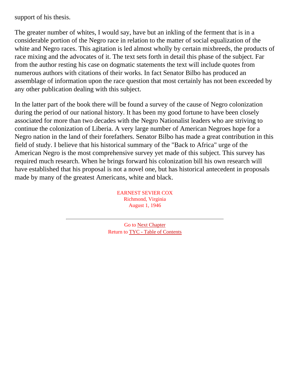support of his thesis.

The greater number of whites, I would say, have but an inkling of the ferment that is in a considerable portion of the Negro race in relation to the matter of social equalization of the white and Negro races. This agitation is led almost wholly by certain mixbreeds, the products of race mixing and the advocates of it. The text sets forth in detail this phase of the subject. Far from the author resting his case on dogmatic statements the text will include quotes from numerous authors with citations of their works. In fact Senator Bilbo has produced an assemblage of information upon the race question that most certainly has not been exceeded by any other publication dealing with this subject.

In the latter part of the book there will be found a survey of the cause of Negro colonization during the period of our national history. It has been my good fortune to have been closely associated for more than two decades with the Negro Nationalist leaders who are striving to continue the colonization of Liberia. A very large number of American Negroes hope for a Negro nation in the land of their forefathers. Senator Bilbo has made a great contribution in this field of study. I believe that his historical summary of the "Back to Africa" urge of the American Negro is the most comprehensive survey yet made of this subject. This survey has required much research. When he brings forward his colonization bill his own research will have established that his proposal is not a novel one, but has historical antecedent in proposals made by many of the greatest Americans, white and black.

> EARNEST SEVIER COX Richmond, Virginia August 1, 1946

Go to [Next Chapter](#page-7-0) Return to [TYC - Table of Contents](#page-0-0)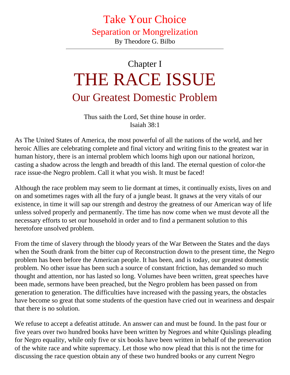## <span id="page-7-0"></span>Take Your Choice Separation or Mongrelization

By Theodore G. Bilbo

## Chapter I THE RACE ISSUE Our Greatest Domestic Problem

Thus saith the Lord, Set thine house in order. Isaiah 38:1

As The United States of America, the most powerful of all the nations of the world, and her heroic Allies are celebrating complete and final victory and writing finis to the greatest war in human history, there is an internal problem which looms high upon our national horizon, casting a shadow across the length and breadth of this land. The eternal question of color-the race issue-the Negro problem. Call it what you wish. It must be faced!

Although the race problem may seem to lie dormant at times, it continually exists, lives on and on and sometimes rages with all the fury of a jungle beast. It gnaws at the very vitals of our existence, in time it will sap our strength and destroy the greatness of our American way of life unless solved properly and permanently. The time has now come when we must devote all the necessary efforts to set our household in order and to find a permanent solution to this heretofore unsolved problem.

From the time of slavery through the bloody years of the War Between the States and the days when the South drank from the bitter cup of Reconstruction down to the present time, the Negro problem has been before the American people. It has been, and is today, our greatest domestic problem. No other issue has been such a source of constant friction, has demanded so much thought and attention, nor has lasted so long. Volumes have been written, great speeches have been made, sermons have been preached, but the Negro problem has been passed on from generation to generation. The difficulties have increased with the passing years, the obstacles have become so great that some students of the question have cried out in weariness and despair that there is no solution.

We refuse to accept a defeatist attitude. An answer can and must be found. In the past four or five years over two hundred books have been written by Negroes and white Quislings pleading for Negro equality, while only five or six books have been written in behalf of the preservation of the white race and white supremacy. Let those who now plead that this is not the time for discussing the race question obtain any of these two hundred books or any current Negro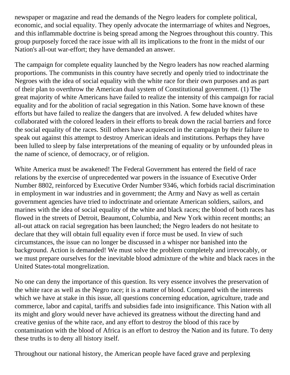newspaper or magazine and read the demands of the Negro leaders for complete political, economic, and social equality. They openly advocate the intermarriage of whites and Negroes, and this inflammable doctrine is being spread among the Negroes throughout this country. This group purposely forced the race issue with all its implications to the front in the midst of our Nation's all-out war-effort; they have demanded an answer.

The campaign for complete equality launched by the Negro leaders has now reached alarming proportions. The communists in this country have secretly and openly tried to indoctrinate the Negroes with the idea of social equality with the white race for their own purposes and as part of their plan to overthrow the American dual system of Constitutional government. (1) The great majority of white Americans have failed to realize the intensity of this campaign for racial equality and for the abolition of racial segregation in this Nation. Some have known of these efforts but have failed to realize the dangers that are involved. A few deluded whites have collaborated with the colored leaders in their efforts to break down the racial barriers and force the social equality of the races. Still others have acquiesced in the campaign by their failure to speak out against this attempt to destroy American ideals and institutions. Perhaps they have been lulled to sleep by false interpretations of the meaning of equality or by unfounded pleas in the name of science, of democracy, or of religion.

White America must be awakened! The Federal Government has entered the field of race relations by the exercise of unprecedented war powers in the issuance of Executive Order Number 8802, reinforced by Executive Order Number 9346, which forbids racial discrimination in employment in war industries and in government; the Army and Navy as well as certain government agencies have tried to indoctrinate and orientate American soldiers, sailors, and marines with the idea of social equality of the white and black races; the blood of both races has flowed in the streets of Detroit, Beaumont, Columbia, and New York within recent months; an all-out attack on racial segregation has been launched; the Negro leaders do not hesitate to declare that they will obtain full equality even if force must be used. In view of such circumstances, the issue can no longer be discussed in a whisper nor banished into the background. Action is demanded! We must solve the problem completely and irrevocably, or we must prepare ourselves for the inevitable blood admixture of the white and black races in the United States-total mongrelization.

No one can deny the importance of this question. Its very essence involves the preservation of the white race as well as the Negro race; it is a matter of blood. Compared with the interests which we have at stake in this issue, all questions concerning education, agriculture, trade and commerce, labor and capital, tariffs and subsidies fade into insignificance. This Nation with all its might and glory would never have achieved its greatness without the directing hand and creative genius of the white race, and any effort to destroy the blood of this race by contamination with the blood of Africa is an effort to destroy the Nation and its future. To deny these truths is to deny all history itself.

Throughout our national history, the American people have faced grave and perplexing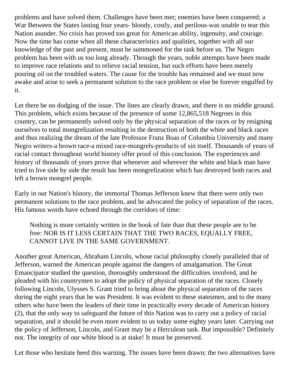problems and have solved them. Challenges have been met; enemies have been conquered; a War Between the States lasting four years- bloody, costly, and perilous-was unable to tear this Nation asunder. No crisis has proved too great for American ability, ingenuity, and courage. Now the time has come when all these characteristics and qualities, together with all our knowledge of the past and present, must be summoned for the task before us. The Negro problem has been with us too long already. Through the years, noble attempts have been made to improve race relations and to relieve racial tension, but such efforts have been merely pouring oil on the troubled waters. The cause for the trouble has remained and we must now awake and arise to seek a permanent solution to the race problem or else be forever engulfed by it.

Let there be no dodging of the issue. The lines are clearly drawn, and there is no middle ground. This problem, which exists because of the presence of some 12,865,518 Negroes in this country, can be permanently solved only by the physical separation of the races or by resigning ourselves to total mongrelization resulting in the destruction of both the white and black races and thus realizing the dream of the late Professor Franz Boas of Columbia University and many Negro writers-a brown race-a mixed race-mongrels-products of sin itself. Thousands of years of racial contact throughout world history offer proof of this conclusion. The experiences and history of thousands of years prove that whenever and wherever the white and black man have tried to live side by side the result has been mongrelization which has destroyed both races and left a brown mongrel people.

Early in our Nation's history, the immortal Thomas Jefferson knew that there were only two permanent solutions to the race problem, and he advocated the policy of separation of the races. His famous words have echoed through the corridors of time:

Nothing is more certainly written in the book of fate than that these people are to be free: NOR IS IT LESS CERTAIN THAT THE TWO RACES, EQUALLY FREE, CANNOT LIVE IN THE SAME GOVERNMENT.

Another great American, Abraham Lincoln, whose racial philosophy closely paralleled that of Jefferson, warned the American people against the dangers of amalgamation. The Great Emancipator studied the question, thoroughly understood the difficulties involved, and he pleaded with his countrymen to adopt the policy of physical separation of the races. Closely following Lincoln, Ulysses S. Grant tried to bring about the physical separation of the races during the eight years that he was President. It was evident to these statesmen, and to the many others who have been the leaders of their time in practically every decade of American history (2), that the only way to safeguard the future of this Nation was to carry out a policy of racial separation, and it should be even more evident to us today some eighty years later. Carrying out the policy of Jefferson, Lincoln, and Grant may be a Herculean task. But impossible? Definitely not. The integrity of our white blood is at stake! It must be preserved.

Let those who hesitate heed this warning. The issues have been drawn; the two alternatives have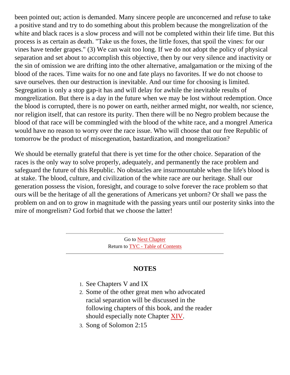been pointed out; action is demanded. Many sincere people are unconcerned and refuse to take a positive stand and try to do something about this problem because the mongrelization of the white and black races is a slow process and will not be completed within their life time. But this process is as certain as death. "Take us the foxes, the little foxes, that spoil the vines: for our vines have tender grapes." (3) We can wait too long. If we do not adopt the policy of physical separation and set about to accomplish this objective, then by our very silence and inactivity or the sin of omission we are drifting into the other alternative, amalgamation or the mixing of the blood of the races. Time waits for no one and fate plays no favorites. If we do not choose to save ourselves. then our destruction is inevitable. And our time for choosing is limited. Segregation is only a stop gap-it has and will delay for awhile the inevitable results of mongrelization. But there is a day in the future when we may be lost without redemption. Once the blood is corrupted, there is no power on earth, neither armed might, nor wealth, nor science, nor religion itself, that can restore its purity. Then there will be no Negro problem because the blood of that race will be commingled with the blood of the white race, and a mongrel America would have no reason to worry over the race issue. Who will choose that our free Republic of tomorrow be the product of miscegenation, bastardization, and mongrelization?

We should be eternally grateful that there is yet time for the other choice. Separation of the races is the only way to solve properly, adequately, and permanently the race problem and safeguard the future of this Republic. No obstacles are insurmountable when the life's blood is at stake. The blood, culture, and civilization of the white race are our heritage. Shall our generation possess the vision, foresight, and courage to solve forever the race problem so that ours will be the heritage of all the generations of Americans yet unborn? Or shall we pass the problem on and on to grow in magnitude with the passing years until our posterity sinks into the mire of mongrelism? God forbid that we choose the latter!

> Go to [Next Chapter](#page-11-0) Return to [TYC - Table of Contents](#page-0-0)

#### **NOTES**

- 1. See Chapters V and IX
- 2. Some of the other great men who advocated racial separation will be discussed in the following chapters of this book, and the reader should especially note Chapter [XIV](#page-190-0).
- 3. Song of Solomon 2:15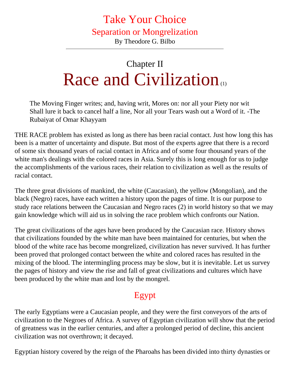## Take Your Choice Separation or Mongrelization

By Theodore G. Bilbo

## <span id="page-11-0"></span>Chapter II Race and Civilization

The Moving Finger writes; and, having writ, Mores on: nor all your Piety nor wit Shall lure it back to cancel half a line, Nor all your Tears wash out a Word of it. -The Rubaiyat of Omar Khayyam

THE RACE problem has existed as long as there has been racial contact. Just how long this has been is a matter of uncertainty and dispute. But most of the experts agree that there is a record of some six thousand years of racial contact in Africa and of some four thousand years of the white man's dealings with the colored races in Asia. Surely this is long enough for us to judge the accomplishments of the various races, their relation to civilization as well as the results of racial contact.

The three great divisions of mankind, the white (Caucasian), the yellow (Mongolian), and the black (Negro) races, have each written a history upon the pages of time. It is our purpose to study race relations between the Caucasian and Negro races (2) in world history so that we may gain knowledge which will aid us in solving the race problem which confronts our Nation.

The great civilizations of the ages have been produced by the Caucasian race. History shows that civilizations founded by the white man have been maintained for centuries, but when the blood of the white race has become mongrelized, civilization has never survived. It has further been proved that prolonged contact between the white and colored races has resulted in the mixing of the blood. The intermingling process may be slow, but it is inevitable. Let us survey the pages of history and view the rise and fall of great civilizations and cultures which have been produced by the white man and lost by the mongrel.

### Egypt

The early Egyptians were a Caucasian people, and they were the first conveyors of the arts of civilization to the Negroes of Africa. A survey of Egyptian civilization will show that the period of greatness was in the earlier centuries, and after a prolonged period of decline, this ancient civilization was not overthrown; it decayed.

Egyptian history covered by the reign of the Pharoahs has been divided into thirty dynasties or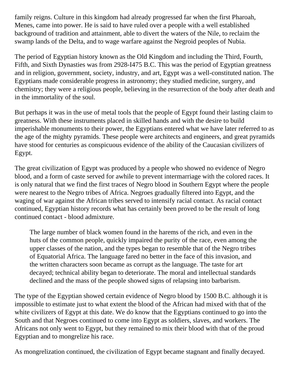family reigns. Culture in this kingdom had already progressed far when the first Pharoah, Menes, came into power. He is said to have ruled over a people with a well established background of tradition and attainment, able to divert the waters of the Nile, to reclaim the swamp lands of the Delta, and to wage warfare against the Negroid peoples of Nubia.

The period of Egyptian history known as the Old Kingdom and including the Third, Fourth, Fifth, and Sixth Dynasties was from 2928-I475 B.C. This was the period of Egyptian greatness and in religion, government, society, industry, and art, Egypt was a well-constituted nation. The Egyptians made considerable progress in astronomy; they studied medicine, surgery, and chemistry; they were a religious people, believing in the resurrection of the body after death and in the immortality of the soul.

But perhaps it was in the use of metal tools that the people of Egypt found their lasting claim to greatness. With these instruments placed in skilled hands and with the desire to build imperishable monuments to their power, the Egyptians entered what we have later referred to as the age of the mighty pyramids. These people were architects and engineers, and great pyramids have stood for centuries as conspicuous evidence of the ability of the Caucasian civilizers of Egypt.

The great civilization of Egypt was produced by a people who showed no evidence of Negro blood, and a form of caste served for awhile to prevent intermarriage with the colored races. It is only natural that we find the first traces of Negro blood in Southern Egypt where the people were nearest to the Negro tribes of Africa. Negroes gradually filtered into Egypt, and the waging of war against the African tribes served to intensify racial contact. As racial contact continued, Egyptian history records what has certainly been proved to be the result of long continued contact - blood admixture.

The large number of black women found in the harems of the rich, and even in the huts of the common people, quickly impaired the purity of the race, even among the upper classes of the nation, and the types began to resemble that of the Negro tribes of Equatorial Africa. The language fared no better in the face of this invasion, and the written characters soon became as corrupt as the language. The taste for art decayed; technical ability began to deteriorate. The moral and intellectual standards declined and the mass of the people showed signs of relapsing into barbarism.

The type of the Egyptian showed certain evidence of Negro blood by 1500 B.C. although it is impossible to estimate just to what extent the blood of the African had mixed with that of the white civilizers of Egypt at this date. We do know that the Egyptians continued to go into the South and that Negroes continued to come into Egypt as soldiers, slaves, and workers. The Africans not only went to Egypt, but they remained to mix their blood with that of the proud Egyptian and to mongrelize his race.

As mongrelization continued, the civilization of Egypt became stagnant and finally decayed.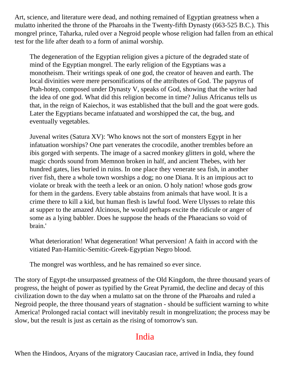Art, science, and literature were dead, and nothing remained of Egyptian greatness when a mulatto inherited the throne of the Pharoahs in the Twenty-fifth Dynasty (663-525 B.C.). This mongrel prince, Taharka, ruled over a Negroid people whose religion had fallen from an ethical test for the life after death to a form of animal worship.

The degeneration of the Egyptian religion gives a picture of the degraded state of mind of the Egyptian mongrel. The early religion of the Egyptians was a monotheism. Their writings speak of one god, the creator of heaven and earth. The local divinities were mere personifications of the attributes of God. The papyrus of Ptah-hotep, composed under Dynasty V, speaks of God, showing that the writer had the idea of one god. What did this religion become in time? Julius Africanus tells us that, in the reign of Kaiechos, it was established that the bull and the goat were gods. Later the Egyptians became infatuated and worshipped the cat, the bug, and eventually vegetables.

Juvenal writes (Satura XV): 'Who knows not the sort of monsters Egypt in her infatuation worships? One part venerates the crocodile, another trembles before an ibis gorged with serpents. The image of a sacred monkey glitters in gold, where the magic chords sound from Memnon broken in half, and ancient Thebes, with her hundred gates, lies buried in ruins. In one place they venerate sea fish, in another river fish, there a whole town worships a dog; no one Diana. It is an impious act to violate or break with the teeth a leek or an onion. O holy nation! whose gods grow for them in the gardens. Every table abstains from animals that have wool. It is a crime there to kill a kid, but human flesh is lawful food. Were Ulysses to relate this at supper to the amazed Alcinous, he would perhaps excite the ridicule or anger of some as a lying babbler. Does he suppose the heads of the Phaeacians so void of brain.'

What deterioration! What degeneration! What perversion! A faith in accord with the vitiated Pan-Hamitic-Semitic-Greek-Egyptian Negro blood.

The mongrel was worthless, and he has remained so ever since.

The story of Egypt-the unsurpassed greatness of the Old Kingdom, the three thousand years of progress, the height of power as typified by the Great Pyramid, the decline and decay of this civilization down to the day when a mulatto sat on the throne of the Pharoahs and ruled a Negroid people, the three thousand years of stagnation - should be sufficient warning to white America! Prolonged racial contact will inevitably result in mongrelization; the process may be slow, but the result is just as certain as the rising of tomorrow's sun.

#### India

When the Hindoos, Aryans of the migratory Caucasian race, arrived in India, they found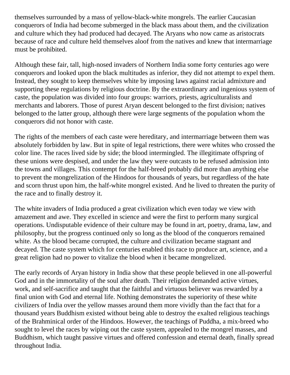themselves surrounded by a mass of yellow-black-white mongrels. The earlier Caucasian conquerors of India had become submerged in the black mass about them, and the civilization and culture which they had produced had decayed. The Aryans who now came as aristocrats because of race and culture held themselves aloof from the natives and knew that intermarriage must be prohibited.

Although these fair, tall, high-nosed invaders of Northern India some forty centuries ago were conquerors and looked upon the black multitudes as inferior, they did not attempt to expel them. Instead, they sought to keep themselves white by imposing laws against racial admixture and supporting these regulations by religious doctrine. By the extraordinary and ingenious system of caste, the population was divided into four groups: warriors, priests, agriculturalists and merchants and laborers. Those of purest Aryan descent belonged to the first division; natives belonged to the latter group, although there were large segments of the population whom the conquerors did not honor with caste.

The rights of the members of each caste were hereditary, and intermarriage between them was absolutely forbidden by law. But in spite of legal restrictions, there were whites who crossed the color line. The races lived side by side; the blood intermingled. The illegitimate offspring of these unions were despised, and under the law they were outcasts to be refused admission into the towns and villages. This contempt for the half-breed probably did more than anything else to prevent the mongrelization of the Hindoos for thousands of years, but regardless of the hate and scorn thrust upon him, the half-white mongrel existed. And he lived to threaten the purity of the race and to finally destroy it.

The white invaders of India produced a great civilization which even today we view with amazement and awe. They excelled in science and were the first to perform many surgical operations. Undisputable evidence of their culture may be found in art, poetry, drama, law, and philosophy, but the progress continued only so long as the blood of the conquerors remained white. As the blood became corrupted, the culture and civilization became stagnant and decayed. The caste system which for centuries enabled this race to produce art, science, and a great religion had no power to vitalize the blood when it became mongrelized.

The early records of Aryan history in India show that these people believed in one all-powerful God and in the immortality of the soul after death. Their religion demanded active virtues, work, and self-sacrifice and taught that the faithful and virtuous believer was rewarded by a final union with God and eternal life. Nothing demonstrates the superiority of these white civilizers of India over the yellow masses around them more vividly than the fact that for a thousand years Buddhism existed without being able to destroy the exalted religious teachings of the Brahminical order of the Hindoos. However, the teachings of Puddha, a mix-breed who sought to level the races by wiping out the caste system, appealed to the mongrel masses, and Buddhism, which taught passive virtues and offered confession and eternal death, finally spread throughout India.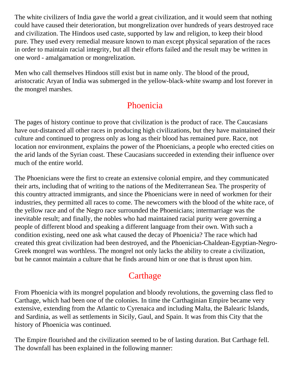The white civilizers of India gave the world a great civilization, and it would seem that nothing could have caused their deterioration, but mongrelization over hundreds of years destroyed race and civilization. The Hindoos used caste, supported by law and religion, to keep their blood pure. They used every remedial measure known to man except physical separation of the races in order to maintain racial integrity, but all their efforts failed and the result may be written in one word - amalgamation or mongrelization.

Men who call themselves Hindoos still exist but in name only. The blood of the proud, aristocratic Aryan of India was submerged in the yellow-black-white swamp and lost forever in the mongrel marshes.

#### Phoenicia

The pages of history continue to prove that civilization is the product of race. The Caucasians have out-distanced all other races in producing high civilizations, but they have maintained their culture and continued to progress only as long as their blood has remained pure. Race, not location nor environment, explains the power of the Phoenicians, a people who erected cities on the arid lands of the Syrian coast. These Caucasians succeeded in extending their influence over much of the entire world.

The Phoenicians were the first to create an extensive colonial empire, and they communicated their arts, including that of writing to the nations of the Mediterranean Sea. The prosperity of this country attracted immigrants, and since the Phoenicians were in need of workmen for their industries, they permitted all races to come. The newcomers with the blood of the white race, of the yellow race and of the Negro race surrounded the Phoenicians; intermarriage was the inevitable result; and finally, the nobles who had maintained racial purity were governing a people of different blood and speaking a different language from their own. With such a condition existing, need one ask what caused the decay of Phoenicia? The race which had created this great civilization had been destroyed, and the Phoenician-Chaldean-Egyptian-Negro-Greek mongrel was worthless. The mongrel not only lacks the ability to create a civilization, but he cannot maintain a culture that he finds around him or one that is thrust upon him.

### **Carthage**

From Phoenicia with its mongrel population and bloody revolutions, the governing class fled to Carthage, which had been one of the colonies. In time the Carthaginian Empire became very extensive, extending from the Atlantic to Cyrenaica and including Malta, the Balearic Islands, and Sardinia, as well as settlements in Sicily, Gaul, and Spain. It was from this City that the history of Phoenicia was continued.

The Empire flourished and the civilization seemed to be of lasting duration. But Carthage fell. The downfall has been explained in the following manner: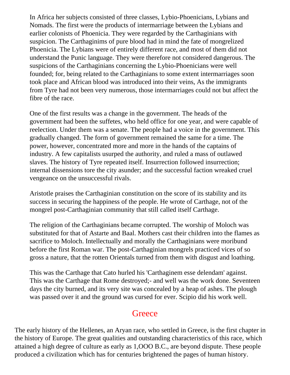In Africa her subjects consisted of three classes, Lybio-Phoenicians, Lybians and Nomads. The first were the products of intermarriage between the Lybians and earlier colonists of Phoenicia. They were regarded by the Carthaginians with suspicion. The Carthaginims of pure blood had in mind the fate of mongrelized Phoenicia. The Lybians were of entirely different race, and most of them did not understand the Punic language. They were therefore not considered dangerous. The suspicions of the Carthaginians concerning the Lybio-Phoenicians were well founded; for, being related to the Carthaginians to some extent intermarriages soon took place and African blood was introduced into their veins, As the immigrants from Tyre had not been very numerous, those intermarriages could not but affect the fibre of the race.

One of the first results was a change in the government. The heads of the government had been the suffetes, who held office for one year, and were capable of reelection. Under them was a senate. The people had a voice in the government. This gradually changed. The form of government remained the same for a time. The power, however, concentrated more and more in the hands of the captains of industry. A few capitalists usurped the authority, and ruled a mass of outlawed slaves. The history of Tyre repeated itself. Insurrection followed insurrection; internal dissensions tore the city asunder; and the successful faction wreaked cruel vengeance on the unsuccessful rivals.

Aristotle praises the Carthaginian constitution on the score of its stability and its success in securing the happiness of the people. He wrote of Carthage, not of the mongrel post-Carthaginian community that still called itself Carthage.

The religion of the Carthaginians became corrupted. The worship of Moloch was substituted for that of Astarte and Baal. Mothers cast their children into the flames as sacrifice to Moloch. Intellectually and morally the Carthaginians were moribund before the first Roman war. The post-Carthaginian mongrels practiced vices of so gross a nature, that the rotten Orientals turned from them with disgust and loathing.

This was the Carthage that Cato hurled his 'Carthaginem esse delendam' against. This was the Carthage that Rome destroyed;- and well was the work done. Seventeen days the city burned, and its very site was concealed by a heap of ashes. The plough was passed over it and the ground was cursed for ever. Scipio did his work well.

#### **Greece**

The early history of the Hellenes, an Aryan race, who settled in Greece, is the first chapter in the history of Europe. The great qualities and outstanding characteristics of this race, which attained a high degree of culture as early as 1,OOO B.C., are beyond dispute. These people produced a civilization which has for centuries brightened the pages of human history.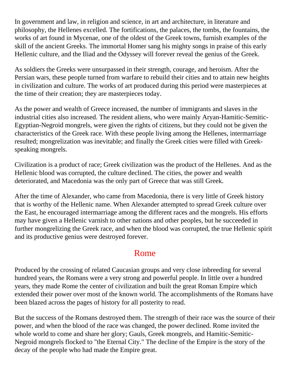In government and law, in religion and science, in art and architecture, in literature and philosophy, the Hellenes excelled. The fortifications, the palaces, the tombs, the fountains, the works of art found in Mycenae, one of the oldest of the Greek towns, furnish examples of the skill of the ancient Greeks. The immortal Homer sang his mighty songs in praise of this early Hellenic culture, and the Iliad and the Odyssey will forever reveal the genius of the Greek.

As soldiers the Greeks were unsurpassed in their strength, courage, and heroism. After the Persian wars, these people turned from warfare to rebuild their cities and to attain new heights in civilization and culture. The works of art produced during this period were masterpieces at the time of their creation; they are masterpieces today.

As the power and wealth of Greece increased, the number of immigrants and slaves in the industrial cities also increased. The resident aliens, who were mainly Aryan-Hamitic-Semitic-Egyptian-Negroid mongrels, were given the rights of citizens, but they could not be given the characteristics of the Greek race. With these people living among the Hellenes, intermarriage resulted; mongrelization was inevitable; and finally the Greek cities were filled with Greekspeaking mongrels.

Civilization is a product of race; Greek civilization was the product of the Hellenes. And as the Hellenic blood was corrupted, the culture declined. The cities, the power and wealth deteriorated, and Macedonia was the only part of Greece that was still Greek.

After the time of Alexander, who came from Macedonia, there is very little of Greek history that is worthy of the Hellenic name. When Alexander attempted to spread Greek culture over the East, he encouraged intermarriage among the different races and the mongrels. His efforts may have given a Hellenic varnish to other nations and other peoples, but he succeeded in further mongrelizing the Greek race, and when the blood was corrupted, the true Hellenic spirit and its productive genius were destroyed forever.

#### Rome

Produced by the crossing of related Caucasian groups and very close inbreeding for several hundred years, the Romans were a very strong and powerful people. In little over a hundred years, they made Rome the center of civilization and built the great Roman Empire which extended their power over most of the known world. The accomplishments of the Romans have been blazed across the pages of history for all posterity to read.

But the success of the Romans destroyed them. The strength of their race was the source of their power, and when the blood of the race was changed, the power declined. Rome invited the whole world to come and share her glory; Gauls, Greek mongrels, and Hamitic-Semitic-Negroid mongrels flocked to "the Eternal City." The decline of the Empire is the story of the decay of the people who had made the Empire great.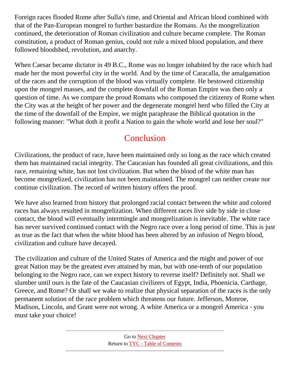Foreign races flooded Rome after Sulla's time, and Oriental and African blood combined with that of the Pan-European mongrel to further bastardize the Romans. As the mongrelization continued, the deterioration of Roman civilization and culture became complete. The Roman constitution, a product of Roman genius, could not rule a mixed blood population, and there followed bloodshed, revolution, and anarchy.

When Caesar became dictator in 49 B.C., Rome was no longer inhabited by the race which had made her the most powerful city in the world. And by the time of Caracalla, the amalgamation of the races and the corruption of the blood was virtually complete. He bestowed citizenship upon the mongrel masses, and the complete downfall of the Roman Empire was then only a question of time. As we compare the proud Romans who composed the citizenry of Rome when the City was at the height of her power and the degenerate mongrel herd who filled the City at the time of the downfall of the Empire, we might paraphrase the Biblical quotation in the following manner: "What doth it profit a Nation to gain the whole world and lose her soul?"

### **Conclusion**

Civilizations, the product of race, have been maintained only so long as the race which created them has maintained racial integrity. The Caucasian has founded all great civilizations, and this race, remaining white, has not lost civilization. But when the blood of the white man has become mongrelized, civilization has not been maintained. The mongrel can neither create nor continue civilization. The record of written history offers the proof.

We have also learned from history that prolonged racial contact between the white and colored races has always resulted in mongrelization. When different races live side by side in close contact, the blood will eventually intermingle and mongrelization is inevitable. The white race has never survived continued contact with the Negro race over a long period of time. This is just as true as the fact that when the white blood has been altered by an infusion of Negro blood, civilization and culture have decayed.

The civilization and culture of the United States of America and the might and power of our great Nation may be the greatest ever attained by man, but with one-tenth of our population belonging to the Negro race, can we expect history to reverse itself? Definitely not. Shall we slumber until ours is the fate of the Caucasian civilizers of Egypt, India, Phoenicia, Carthage, Greece, and Rome? Or shall we wake to realize that physical separation of the races is the only permanent solution of the race problem which threatens our future. Jefferson, Monroe, Madison, Lincoln, and Grant were not wrong. A white America or a mongrel America - you must take your choice!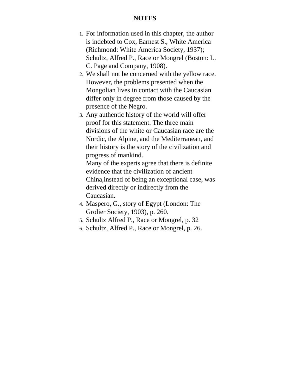#### **NOTES**

- 1. For information used in this chapter, the author is indebted to Cox, Earnest S., White America (Richmond: White America Society, 1937); Schultz, Alfred P., Race or Mongrel (Boston: L. C. Page and Company, 1908).
- 2. We shall not be concerned with the yellow race. However, the problems presented when the Mongolian lives in contact with the Caucasian differ only in degree from those caused by the presence of the Negro.
- 3. Any authentic history of the world will offer proof for this statement. The three main divisions of the white or Caucasian race are the Nordic, the Alpine, and the Mediterranean, and their history is the story of the civilization and progress of mankind.

Many of the experts agree that there is definite evidence that the civilization of ancient China,instead of being an exceptional case, was derived directly or indirectly from the Caucasian.

- 4. Maspero, G., story of Egypt (London: The Grolier Society, 1903), p. 260.
- 5. Schultz Alfred P., Race or Mongrel, p. 32
- 6. Schultz, Alfred P., Race or Mongrel, p. 26.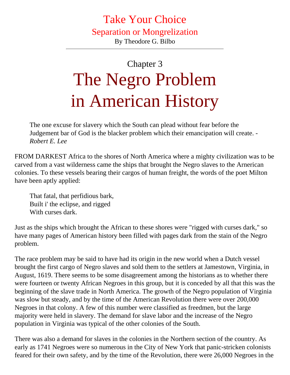## <span id="page-20-0"></span>Take Your Choice Separation or Mongrelization

By Theodore G. Bilbo

Chapter 3

# The Negro Problem in American History

The one excuse for slavery which the South can plead without fear before the Judgement bar of God is the blacker problem which their emancipation will create. *- Robert E. Lee*

FROM DARKEST Africa to the shores of North America where a mighty civilization was to be carved from a vast wilderness came the ships that brought the Negro slaves to the Arnerican colonies. To these vessels bearing their cargos of human freight, the words of the poet Milton have been aptly applied:

That fatal, that perfidious bark, Built i' the eclipse, and rigged With curses dark.

Just as the ships which brought the African to these shores were "rigged with curses dark," so have many pages of American history been filled with pages dark from the stain of the Negro problem.

The race problem may be said to have had its origin in the new world when a Dutch vessel brought the first cargo of Negro slaves and sold them to the settlers at Jamestown, Virginia, in August, 1619. There seems to be some disagreement among the historians as to whether there were fourteen or twenty African Negroes in this group, but it is conceded by all that this was the beginning of the slave trade in North America. The growth of the Negro population of Virginia was slow but steady, and by the time of the American Revolution there were over 200,000 Negroes in that colony. A few of this number were classified as freedmen, but the large majority were held in slavery. The demand for slave labor and the increase of the Negro population in Virginia was typical of the other colonies of the South.

There was also a demand for slaves in the colonies in the Northern section of the country. As early as 1741 Negroes were so numerous in the City of New York that panic-stricken colonists feared for their own safety, and by the time of the Revolution, there were 26,000 Negroes in the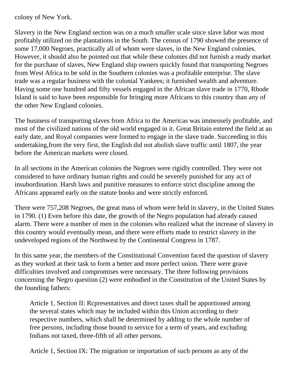colony of New York.

Slavery in the New England section was on a much smaller scale since slave labor was most profitably utilized on the plantations in the South. The census of 1790 showed the presence of some 17,000 Negroes, practically all of whom were slaves, in the New England colonies. However, it should also be pointed out that while these colonies did not furnish a ready market for the purchase of slaves, New England ship owners quickly found that transporting Negroes from West Africa to be sold in the Southern colonies was a profitable enterprise. The slave trade was a regular business with the colonial Yankees; it furnished wealth and adventure. Having some one hundred and fifty vessels engaged in the African slave trade in 1770, Rhode Island is said to have been responsible for bringing more Africans to this country than any of the other New England colonies.

The business of transporting slaves from Africa to the Americas was immensely profitable, and most of the civilized nations of the old world engaged in it. Great Britain entered the field at an early date, and Royal companies were formed to engage in the slave trade. Succeeding in this undertaking,from the very first, the English did not abolish slave traffic until 1807, the year before the American markets were closed.

In all sections in the American colonies the Negroes were rigidly controlled. They were not considered to have ordinary human rights and could be severely punished for any act of insubordination. Harsh laws and punitive measures to enforce strict discipline among the Africans appeared early on the statute books and were strictly enforced.

There were 757,208 Negroes, the great mass of whom were held in slavery, in the United States in 1790. (1) Even before this date, the growth of the Negro population had already caused alarm. There were a number of men in the colonies who realized what the increase of slavery in this country would eventually mean, and there were efforts made to restrict slavery in the undeveloped regions of the Northwest by the Continental Congress in 1787.

In this same year, the members of the Constitutional Convention faced the question of slavery as they worked at their task to form a better and more perfect union. There were grave difficulties involved and compromises were necessary. The three following provisions concerning the Negro question (2) were embodied in the Constitution of the United States by the founding fathers:

Article 1, Section II: Rcpresentatives and direct taxes shall be apportioned among the several states which may be included within this Union according to their respective numbers, which shall be determined by adding to the whole number of free persons, including those bound to service for a term of years, and excluding Indians not taxed, three-fifth of all other persons.

Article 1, Section IX: The migration or importation of such persons as any of the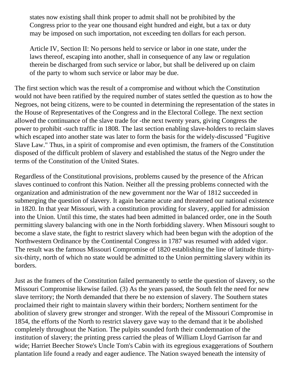states now existing shall think proper to admit shall not be prohibited by the Congress prior to the year one thousand eight hundred and eight, but a tax or duty may be imposed on such importation, not exceeding ten dollars for each person.

Article IV, Section II: No persons held to service or labor in one state, under the laws thereof, escaping into another, shall in consequence of any law or regulation therein be discharged from such service or labor, but shall be delivered up on claim of the party to whom such service or labor may be due.

The first section which was the result of a compromise and without which the Constitution would not have been ratified by the required number of states settled the question as to how the Negroes, not being citizens, were to be counted in determining the representation of the states in the House of Representatives of the Congress and in the Electoral College. The next section allowed the continuance of the slave trade for -the next twenty years, giving Congress the power to prohibit -such traffic in 1808. The last section enabling slave-holders to reclaim slaves which escaped into another state was later to form the basis for the widely-discussed "Fugitive Slave Law." Thus, in a spirit of compromise and even optimism, the framers of the Constitution disposed of the difficult problem of slavery and established the status of the Negro under the terms of the Constitution of the United States.

Regardless of the Constitutional provisions, problems caused by the presence of the African slaves continued to confront this Nation. Neither all the pressing problems connected with the organization and administration of the new government nor the War of 1812 succeeded in submerging the question of slavery. It again became acute and threatened our national existence in 1820. In that year Missouri, with a constitution providing for slavery, applied for admission into the Union. Until this time, the states had been admitted in balanced order, one in the South permitting slavery balancing with one in the North forbidding slavery. When Missouri sought to become a slave state, the fight to restrict slavery which had been begun with the adoption of the Northwestern Ordinance by the Continental Congress in 1787 was resumed with added vigor. The result was the famous Missouri Compromise of 1820 establishing the line of latitude thirtysix-thirty, north of which no state would be admitted to the Union permitting slavery within its borders.

Just as the framers of the Constitution failed permanently to settle the question of slavery, so the Missouri Compromise likewise failed. (3) As the years passed, the South felt the need for new slave territory; the North demanded that there be no extension of slavery. The Southern states proclaimed their right to maintain slavery within their borders; Northern sentiment for the abolition of slavery grew stronger and stronger. With the repeal of the Missouri Compromise in 1854, the efforts of the North to restrict slavery gave way to the demand that it be abolished completely throughout the Nation. The pulpits sounded forth their condemnation of the institution of slavery; the printing press carried the pleas of William Lloyd Garrison far and wide; Harriet Beecher Stowe's Uncle Tom's Cabin with its egregious exaggerations of Southern plantation life found a ready and eager audience. The Nation swayed beneath the intensity of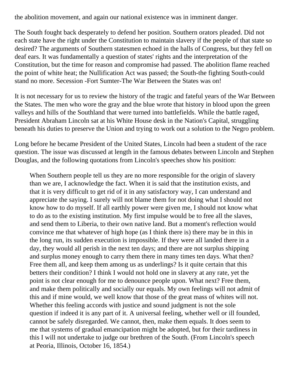the abolition movement, and again our national existence was in imminent danger.

The South fought back desperately to defend her position. Southern orators pleaded. Did not each state have the right under the Constitution to maintain slavery if the people of that state so desired? The arguments of Southern statesmen echoed in the halls of Congress, but they fell on deaf ears. It was fundamentally a question of states' rights and the interpretation of the Constitution, but the time for reason and compromise had passed. The abolition flame reached the point of white heat; the Nullification Act was passed; the South-the fighting South-could stand no more. Secession -Fort Sumter-The War Between the States was on!

It is not necessary for us to review the history of the tragic and fateful years of the War Between the States. The men who wore the gray and the blue wrote that history in blood upon the green valleys and hills of the Southland that were turned into battlefields. While the battle raged, President Abraham Lincoln sat at his White House desk in the Nation's Capital, struggling beneath his duties to preserve the Union and trying to work out a solution to the Negro problem.

Long before he became President of the United States, Lincoln had been a student of the race question. The issue was discussed at length in the famous debates between Lincoln and Stephen Douglas, and the following quotations from Lincoln's speeches show his position:

When Southern people tell us they are no more responsible for the origin of slavery than we are, I acknowledge the fact. When it is said that the institution exists, and that it is very difficult to get rid of it in any satisfactory way, I can understand and appreciate the saying. I surely will not blame them for not doing what I should not know how to do myself. If all earthly power were given me, I should not know what to do as to the existing institution. My first impulse would be to free all the slaves, and send them to Liberia, to their own native land. But a moment's reflection would convince me that whatever of high hope (as I think there is) there may be in this in the long run, its sudden execution is impossible. If they were all landed there in a day, they would all perish in the next ten days; and there are not surplus shipping and surplus money enough to carry them there in many times ten days. What then? Free them all, and keep them among us as underlings? Is it quite certain that this betters their condition? I think I would not hold one in slavery at any rate, yet the point is not clear enough for me to denounce people upon. What next? Free them, and make them politically and socially our equals. My own feelings will not admit of this and if mine would, we well know that those of the great mass of whites will not. Whether this feeling accords with justice and sound judgment is not the sole question if indeed it is any part of it. A universal feeling, whether well or ill founded, cannot be safely disregarded. We cannot, then, make them equals. It does seem to me that systems of gradual emancipation might be adopted, but for their tardiness in this I will not undertake to judge our brethren of the South. (From Lincoln's speech at Peoria, Illinois, October 16, 1854.)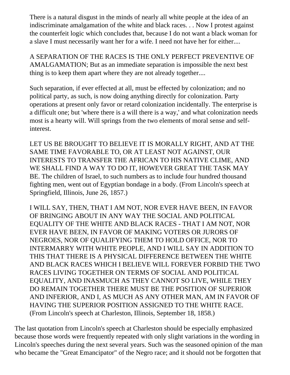There is a natural disgust in the minds of nearly all white people at the idea of an indiscriminate amalgamation of the white and black races. . . Now I protest against the counterfeit logic which concludes that, because I do not want a black woman for a slave I must necessarily want her for a wife. I need not have her for either....

A SEPARATION OF THE RACES IS THE ONLY PERFECT PREVENTIVE OF AMALGAMATION; But as an immediate separation is impossible the next best thing is to keep them apart where they are not already together....

Such separation, if ever effected at all, must be effected by colonization; and no political party, as such, is now doing anything directly for colonization. Party operations at present only favor or retard colonization incidentally. The enterprise is a difficult one; but 'where there is a will there is a way,' and what colonization needs most is a hearty will. Will springs from the two elements of moral sense and selfinterest.

LET US BE BROUGHT TO BELIEVE IT IS MORALLY RIGHT, AND AT THE SAME TIME FAVORABLE TO, OR AT LEAST NOT AGAINST, OUR INTERESTS TO TRANSFER THE AFRICAN TO HIS NATIVE CLIME, AND WE SHALL FIND A WAY TO DO IT, HOWEVER GREAT THE TASK MAY BE. The children of Israel, to such numbers as to include four hundred thousand fighting men, went out of Egyptian bondage in a body. (From Lincoln's speech at Springfield, Illinois, June 26, 1857.)

I WILL SAY, THEN, THAT I AM NOT, NOR EVER HAVE BEEN, IN FAVOR OF BRINGING ABOUT IN ANY WAY THE SOCIAL AND POLITICAL EQUALITY OF THE WHITE AND BLACK RACES - THAT I AM NOT, NOR EVER HAVE BEEN, IN FAVOR OF MAKING VOTERS OR JURORS OF NEGROES, NOR OF QUALIFYING THEM TO HOLD OFFICE, NOR TO INTERMARRY WITH WHITE PEOPLE, AND I WILL SAY IN ADDITION TO THIS THAT THERE IS A PHYSICAL DIFFERENCE BETWEEN THE WHITE AND BLACK RACES WHICH I BELIEVE WILL FOREVER FORBID THE TWO RACES LIVING TOGETHER ON TERMS OF SOCIAL AND POLITICAL EQUALITY, AND INASMUCH AS THEY CANNOT SO LIVE, WHILE THEY DO REMAIN TOGETHER THERE MUST BE THE POSITION OF SUPERIOR AND INFERIOR, AND I, AS MUCH AS ANY OTHER MAN, AM IN FAVOR OF HAVING THE SUPERIOR POSITION ASSIGNED TO THE WHITE RACE. (From Lincoln's speech at Charleston, Illinois, September 18, 1858.)

The last quotation from Lincoln's speech at Charleston should be especially emphasized because those words were frequently repeated with only slight variations in the wording in Lincoln's speeches during the next several years. Such was the seasoned opinion of the man who became the "Great Emancipator" of the Negro race; and it should not be forgotten that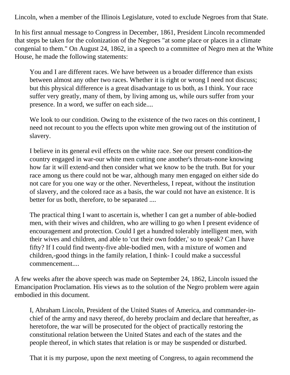Lincoln, when a member of the Illinois Legislature, voted to exclude Negroes from that State.

In his first annual message to Congress in December, 1861, President Lincoln recommended that steps be taken for the colonization of the Negroes "at some place or places in a climate congenial to them." On August 24, 1862, in a speech to a committee of Negro men at the White House, he made the following statements:

You and I are different races. We have between us a broader difference than exists between almost any other two races. Whether it is right or wrong I need not discuss; but this physical difference is a great disadvantage to us both, as I think. Your race suffer very greatly, many of them, by living among us, while ours suffer from your presence. In a word, we suffer on each side....

We look to our condition. Owing to the existence of the two races on this continent, I need not recount to you the effects upon white men growing out of the institution of slavery.

I believe in its general evil effects on the white race. See our present condition-the country engaged in war-our white men cutting one another's throats-none knowing how far it will extend-and then consider what we know to be the truth. But for your race among us there could not be war, although many men engaged on either side do not care for you one way or the other. Nevertheless, I repeat, without the institution of slavery, and the colored race as a basis, the war could not have an existence. It is better for us both, therefore, to be separated ....

The practical thing I want to ascertain is, whether I can get a number of able-bodied men, with their wives and children, who are willing to go when I present evidence of encouragement and protection. Could I get a hundred tolerably intelligent men, with their wives and children, and able to 'cut their own fodder,' so to speak? Can I have fifty? If I could find twenty-five able-bodied men, with a mixture of women and children,-good things in the family relation, I think- I could make a successful commencement....

A few weeks after the above speech was made on September 24, 1862, Lincoln issued the Emancipation Proclamation. His views as to the solution of the Negro problem were again embodied in this document.

I, Abraham Lincoln, President of the United States of America, and commander-inchief of the army and navy thereof, do hereby proclaim and declare that hereafter, as heretofore, the war will be prosecuted for the object of practically restoring the constitutional relation between the United States and each of the states and the people thereof, in which states that relation is or may be suspended or disturbed.

That it is my purpose, upon the next meeting of Congress, to again recommend the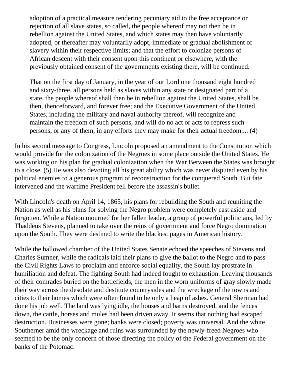adoption of a practical measure tendering pecuniary aid to the free acceptance or rejection of all slave states, so called, the people whereof may not then be in rebellion against the United States, and which states may then have voluntarily adopted, or thereafter may voluntarily adopt, immediate or gradual abolishment of slavery within their respective limits; and that the effort to colonize persons of African descent with their consent upon this continent or elsewhere, with the previously obtained consent of the governments existing there, will be continued.

That on the first day of January, in the year of our Lord one thousand eight hundred and sixty-three, all persons held as slaves within any state or designated part of a state, the people whereof shall then be in rebellion against the United States, shall be then, thenceforward, and forever free; and the Executive Government of the United States, including the military and naval authority thereof, will recognize and maintain the freedom of such persons, and will do no act or acts to repress such persons, or any of them, in any efforts they may make for their actual freedom.... (4)

In his second message to Congress, Lincoln proposed an amendment to the Constitution which would provide for the colonization of the Negroes in some place outside the United States. He was working on his plan for gradual colonization when the War Between the States was brought to a close. (5) He was also devoting all his great ability which was never disputed even by his political enemies to a generous program of reconstruction for the conquered South. But fate intervened and the wartime President fell before the assassin's bullet.

With Lincoln's death on April 14, 1865, his plans for rebuilding the South and reuniting the Nation as well as his plans for solving the Negro problem were completely cast aside and forgotten. While a Nation mourned for her fallen leader, a group of powerful politicians, led by Thaddeus Stevens, planned to take over the reins of government and force Negro domination upon the South. They were destined to write the blackest pages in American history.

While the hallowed chamber of the United States Senate echoed the speeches of Stevens and Charles Sumner, while the radicals laid their plans to give the ballot to the Negro and to pass the Civil Rights Laws to proclaim and enforce social equality, the South lay prostrate in humiliation and defeat. The fighting South had indeed fought to exhaustion. Leaving thousands of their comrades buried on the battlefields, the men in the worn uniforms of gray slowly made their way across the desolate and destitute countrysides and the wreckage of the towns and cities to their homes which were often found to be only a heap of ashes. General Sherman had done his job well. The land was lying idle, the houses and barns destroyed, and the fences down, the cattle, horses and mules had been driven away. It seems that nothing had escaped destruction. Businesses were gone; banks were closed; poverty was universal. And the white Southerner amid the wreckage and ruins was surrounded by the newly-freed Negroes who seemed to be the only concern of those directing the policy of the Federal government on the banks of the Potomac.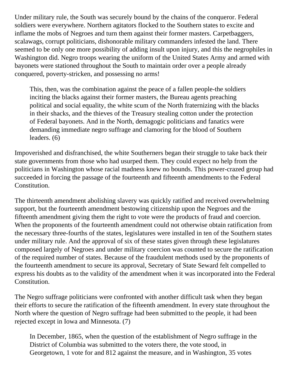Under military rule, the South was securely bound by the chains of the conqueror. Federal soldiers were everywhere. Northern agitators flocked to the Southern states to excite and inflame the mobs of Negroes and turn them against their former masters. Carpetbaggers, scalawags, corrupt politicians, dishonorable military commanders infested the land. There seemed to be only one more possibility of adding insult upon injury, and this the negrophiles in Washington did. Negro troops wearing the uniform of the United States Army and armed with bayonets were stationed throughout the South to maintain order over a people already conquered, poverty-stricken, and possessing no arms!

This, then, was the combination against the peace of a fallen people-the soldiers inciting the blacks against their former masters, the Bureau agents preaching political and social equality, the white scum of the North fraternizing with the blacks in their shacks, and the thieves of the Treasury stealing cotton under the protection of Federal bayonets. And in the North, demagogic politicians and fanatics were demanding immediate negro suffrage and clamoring for the blood of Southern leaders. (6)

Impoverished and disfranchised, the white Southerners began their struggle to take back their state governments from those who had usurped them. They could expect no help from the politicians in Washington whose racial madness knew no bounds. This power-crazed group had succeeded in forcing the passage of the fourteenth and fifteenth amendments to the Federal Constitution.

The thirteenth amendment abolishing slavery was quickly ratified and received overwhelming support, but the fourteenth amendment bestowing citizenship upon the Negroes and the fifteenth amendment giving them the right to vote were the products of fraud and coercion. When the proponents of the fourteenth amendment could not otherwise obtain ratification from the necessary three-fourths of the states, legislatures were installed in ten of the Southern states under military rule. And the approval of six of these states given through these legislatures composed largely of Negroes and under military coercion was counted to secure the ratification of the required number of states. Because of the fraudulent methods used by the proponents of the fourteenth amendment to secure its approval, Secretary of State Seward felt compelled to express his doubts as to the validity of the amendment when it was incorporated into the Federal Constitution.

The Negro suffrage politicians were confronted with another difficult task when they began their efforts to secure the ratification of the fifteenth amendment. In every state throughout the North where the question of Negro suffrage had been submitted to the people, it had been rejected except in Iowa and Minnesota. (7)

In December, 1865, when the question of the establishment of Negro suffrage in the District of Columbia was submitted to the voters there, the vote stood, in Georgetown, 1 vote for and 812 against the measure, and in Washington, 35 votes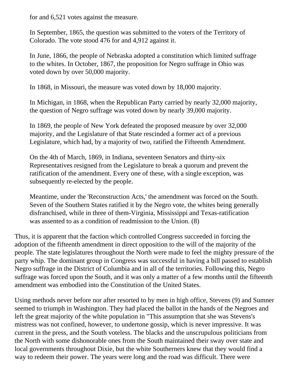for and 6,521 votes against the measure.

In September, 1865, the question was submitted to the voters of the Territory of Colorado. The vote stood 476 for and 4,912 against it.

In June, 1866, the people of Nebraska adopted a constitution which limited suffrage to the whites. In October, 1867, the proposition for Negro suffrage in Ohio was voted down by over 50,000 majority.

In 1868, in Missouri, the measure was voted down by 18,000 majority.

In Michigan, in 1868, when the Republican Party carried by nearly 32,000 majority, the question of Negro suffrage was voted down by nearly 39,000 majority.

In 1869, the people of New York defeated the proposed measure by over 32,000 majority, and the Legislature of that State rescinded a former act of a previous Legislature, which had, by a majority of two, ratified the Fifteenth Amendment.

On the 4th of March, 1869, in Indiana, seventeen Senators and thirty-six Representatives resigned from the Legislature to break a quorum and prevent the ratification of the amendment. Every one of these, with a single exception, was subsequently re-elected by the people.

Meantime, under the 'Reconstruction Acts,' the amendment was forced on the South. Seven of the Southern States ratified it by the Negro vote, the whites being generally disfranchised, while in three of them-Virginia, Mississippi and Texas-ratification was assented to as a condition of readmission to the Union. (8)

Thus, it is apparent that the faction which controlled Congress succeeded in forcing the adoption of the fifteenth amendment in direct opposition to the will of the majority of the people. The state legislatures throughout the North were made to feel the mighty pressure of the party whip. The dominant group in Congress was successful in having a bill passed to establish Negro suffrage in the District of Columbia and in all of the territories. Following this, Negro suffrage was forced upon the South, and it was only a matter of a few months until the fifteenth amendment was embodied into the Constitution of the United States.

Using methods never before nor after resorted to by men in high office, Stevens (9) and Sumner seemed to triumph in Washington. They had placed the ballot in the hands of the Negroes and left the great majority of the white population in "This assumption that she was Stevens's mistress was not confined, however, to undertone gossip, which is never impressive. It was current in the press, and the South voteless. The blacks and the unscrupulous politicians from the North with some dishonorable ones from the South maintained their sway over state and local governments throughout Dixie, but the white Southerners knew that they would find a way to redeem their power. The years were long and the road was difficult. There were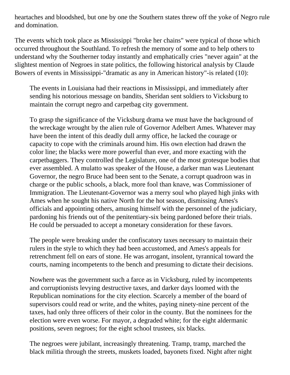heartaches and bloodshed, but one by one the Southern states threw off the yoke of Negro rule and domination.

The events which took place as Mississippi "broke her chains" were typical of those which occurred throughout the Southland. To refresh the memory of some and to help others to understand why the Southerner today instantly and emphatically cries "never again" at the slightest mention of Negroes in state politics, the following historical analysis by Claude Bowers of events in Mississippi-"dramatic as any in American history"-is related (10):

The events in Louisiana had their reactions in Mississippi, and immediately after sending his notorious message on bandits, Sheridan sent soldiers to Vicksburg to maintain the corrupt negro and carpetbag city government.

To grasp the significance of the Vicksburg drama we must have the background of the wreckage wrought by the alien rule of Governor Adelbert Ames. Whatever may have been the intent of this deadly dull army office, he lacked the courage or capacity to cope with the criminals around him. His own election had drawn the color line; the blacks were more powerful than ever, and more exacting with the carpetbaggers. They controlled the Legislature, one of the most grotesque bodies that ever assembled. A mulatto was speaker of the House, a darker man was Lieutenant Governor, the negro Bruce had been sent to the Senate, a corrupt quadroon was in charge or the public schools, a black, more fool than knave, was Commissioner of Immigration. The Lieutenant-Governor was a merry soul who played high jinks with Ames when he sought his native North for the hot season, dismissing Ames's officials and appointing others, amusing himself with the personnel of the judiciary, pardoning his friends out of the penitentiary-six being pardoned before their trials. He could be persuaded to accept a monetary consideration for these favors.

The people were breaking under the confiscatory taxes necessary to maintain their rulers in the style to which they had been accustomed, and Ames's appeals for retrenchment fell on ears of stone. He was arrogant, insolent, tyrannical toward the courts, naming incompetents to the bench and presuming to dictate their decisions.

Nowhere was the government such a farce as in Vicksburg, ruled by incompetents and corruptionists levying destructive taxes, and darker days loomed with the Republican nominations for the city election. Scarcely a member of the board of supervisors could read or write, and the whites, paying ninety-nine percent of the taxes, had only three officers of their color in the county. But the nominees for the election were even worse. For mayor, a degraded white; for the eight aldermanic positions, seven negroes; for the eight school trustees, six blacks.

The negroes were jubilant, increasingly threatening. Tramp, tramp, marched the black militia through the streets, muskets loaded, bayonets fixed. Night after night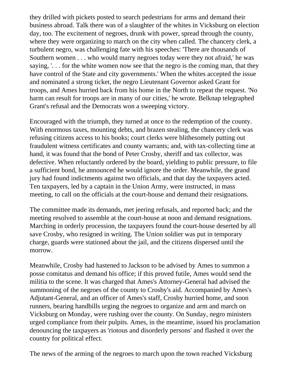they drilled with pickets posted to search pedestrians for arms and demand their business abroad. Talk there was of a slaughter of the whites in Vicksburg on election day, too. The excitement of negroes, drunk with power, spread through the county, where they were organizing to march on the city when called. The chancery clerk, a turbulent negro, was challenging fate with his speeches: 'There are thousands of Southern women . . . who would marry negroes today were they not afraid,' he was saying, '... for the white women now see that the negro is the coming man, that they have control of the State and city governments.' When the whites accepted the issue and nominated a strong ticket, the negro Lieutenant Governor asked Grant for troops, and Ames hurried back from his home in the North to repeat the request. 'No harm can result for troops are in many of our cities,' he wrote. Belknap telegraphed Grant's refusal and the Democrats won a sweeping victory.

Encouraged with the triumph, they turned at once to the redemption of the county. With enormous taxes, mounting debts, and brazen stealing, the chancery clerk was refusing citizens access to his books; court clerks were blithesomely putting out fraudulent witness certificates and county warrants; and, with tax-collecting time at hand, it was found that the bond of Peter Crosby, sheriff and tax collector, was defective. When reluctantly ordered by the board, yielding to public pressure, to file a sufficient bond, he announced he would ignore the order. Meanwhile, the grand jury had found indictments against two officials, and that day the taxpayers acted. Ten taxpayers, led by a captain in the Union Army, were instructed, in mass meeting, to call on the officials at the court-house and demand their resignations.

The committee made its demands, met jeering refusals, and reported back; and the meeting resolved to assemble at the court-house at noon and demand resignations. Marching in orderly procession, the taxpayers found the court-house deserted by all save Crosby, who resigned in writing. The Union soldier was put in temporary charge, guards were stationed about the jail, and the citizens dispersed until the morrow.

Meanwhile, Crosby had hastened to Jackson to be advised by Ames to summon a posse comitatus and demand his office; if this proved futile, Ames would send the militia to the scene. It was charged that Ames's Attorney-General had advised the summoning of the negroes of the county to Crosby's aid. Accompanied by Ames's Adjutant-General, and an officer of Ames's staff, Crosby hurried home, and soon runners, bearing handbills urging the negroes to organize and arm and march on Vicksburg on Monday, were rushing over the county. On Sunday, negro ministers urged compliance from their pulpits. Ames, in the meantime, issued his proclamation denouncing the taxpayers as 'riotous and disorderly persons' and flashed it over the country for political effect.

The news of the arming of the negroes to march upon the town reached Vicksburg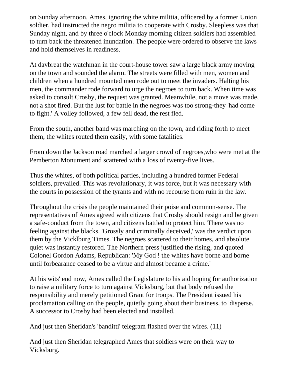on Sunday afternoon. Ames, ignoring the white militia, officered by a former Union soldier, had instructed the negro militia to cooperate with Crosby. Sleepless was that Sunday night, and by three o'clock Monday morning citizen soldiers had assembled to turn back the threatened inundation. The people were ordered to observe the laws and hold themselves in readiness.

At davbreat the watchman in the court-house tower saw a large black army moving on the town and sounded the alarm. The streets were filled with men, women and children when a hundred mounted men rode out to meet the invaders. Halting his men, the commander rode forward to urge the negroes to turn back. When time was asked to consult Crosby, the request was granted. Meanwhile, not a move was made, not a shot fired. But the lust for battle in the negroes was too strong-they 'had come to fight.' A volley followed, a few fell dead, the rest fled.

From the south, another band was marching on the town, and riding forth to meet them, the whites routed them easily, with some fatalities.

From down the Jackson road marched a larger crowd of negroes,who were met at the Pemberton Monument and scattered with a loss of twenty-five lives.

Thus the whites, of both political parties, including a hundred former Federal soldiers, prevailed. This was revolutionary, it was force, but it was necessary with the courts in possession of the tyrants and with no recourse from ruin in the law.

Throughout the crisis the people maintained their poise and common-sense. The representatives of Ames agreed with citizens that Crosby should resign and be given a safe-conduct from the town, and citizens battled to protect him. There was no feeling against the blacks. 'Grossly and criminally deceived,' was the verdict upon them by the Vicklburg Times. The negroes scattered to their homes, and absolute quiet was instantly restored. The Northern press justified the rising, and quoted Colonel Gordon Adams, Republican: 'My God ! the whites have borne and borne until forbearance ceased to be a virtue and almost became a crime.'

At his wits' end now, Ames called the Legislature to his aid hoping for authorization to raise a military force to turn against Vicksburg, but that body refused the responsibility and merely petitioned Grant for troops. The President issued his proclamation calling on the people, quietly going about their business, to 'disperse.' A successor to Crosby had been elected and installed.

And just then Sheridan's 'banditti' telegram flashed over the wires. (11)

And just then Sheridan telegraphed Ames that soldiers were on their way to Vicksburg.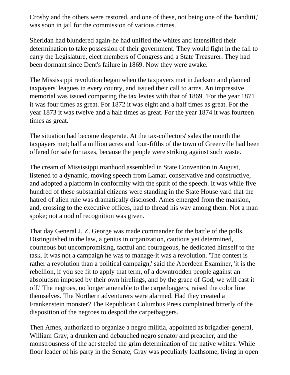Crosby and the others were restored, and one of these, not being one of the 'banditti,' was soon in jail for the commission of various crimes.

Sheridan had blundered again-he had unified the whites and intensified their determination to take possession of their government. They would fight in the fall to carry the Legislature, elect members of Congress and a State Treasurer. They had been dormant since Dent's failure in 1869. Now they were awake.

The Mississippi revolution began when the taxpayers met in Jackson and planned taxpayers' leagues in every county, and issued their call to arms. An impressive memorial was issued comparing the tax levies with that of 1869. 'For the year 1871 it was four times as great. For 1872 it was eight and a half times as great. For the year 1873 it was twelve and a half times as great. For the year 1874 it was fourteen times as great.'

The situation had become desperate. At the tax-collectors' sales the month the taxpayers met; half a million acres and four-fifths of the town of Greenville had been offered for sale for taxes, because the people were striking against such waste.

The cream of Mississippi manhood assembled in State Convention in August, listened to a dynamic, moving speech from Lamar, conservative and constructive, and adopted a platform in conformity with the spirit of the speech. It was while five hundred of these substantial citizens were standing in the State House yard that the hatred of alien rule was dramatically disclosed. Ames emerged from the mansion, and, crossing to the executive offices, had to thread his way among them. Not a man spoke; not a nod of recognition was given.

That day General J. Z. George was made commander for the battle of the polls. Distinguished in the law, a genius in organization, cautious yet determined, courteous but uncompromising, tactful and courageous, he dedicated himself to the task. It was not a campaign he was to manage-it was a revolution. 'The contest is rather a revolution than a political campaign,' said the Aberdeen Examiner, 'it is the rebellion, if you see fit to apply that term, of a downtrodden people against an absolutism imposed by their own hirelings, and by the grace of God, we will cast it off.' The negroes, no longer amenable to the carpetbaggers, raised the color line themselves. The Northern adventurers were alarmed. Had they created a Frankenstein monster? The Republican Columbus Press complained bitterly of the disposition of the negroes to despoil the carpetbaggers.

Then Ames, authorized to organize a negro militia, appointed as brigadier-general, William Gray, a drunken and debauched negro senator and preacher, and the monstrousness of the act steeled the grim determination of the native whites. While floor leader of his party in the Senate, Gray was peculiarly loathsome, living in open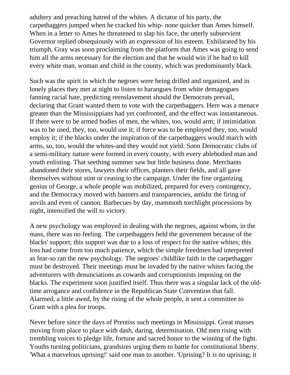adultery and preaching hatred of the whites. A dictator of his party, the carpetbaggers jumped when he cracked his whip- none quicker than Ames himself. When in a letter to Ames he threatened to slap his face, the utterly subservient Governor replied obsequiously with an expression of his esteem. Exhilarated by his triumph, Gray was soon proclaiming from the platform that Ames was going to send him all the arms necessary for the election and that he would win if he had to kill every white man, woman and child in the county, which was predominantly black.

Such was the spirit in which the negroes were being drilled and organized, and in lonely places they met at night to listen to harangues from white demagogues fanning racial hate, predicting reenslavement should the Democrats prevail, declaring that Grant wanted them to vote with the carpetbaggers. Here was a menace greater than the Mississippians had yet confronted, and the effect was instantaneous. If there were to be armed bodies of men, the whites, too, would arm; if intimidation was to be used, they, too, would use it; if force was to be employed they, too, would employ it; if the blacks under the inspiration of the carpetbaggers would march with arms, so, too, would the whites-and they would not yield. Soon Democratic clubs of a semi-military nature were formed in every county, with every ablebodied man and youth enlisting. That seething summer saw but little business done. Merchants abandoned their stores, lawyers their offices, planters their fields, and all gave themselves without stint or ceasing to the campaign. Under the fine organizing genius of George, a whole people was mobilized, prepared for every contingency, and the Democracy moved with banners and transparencies, amidst the firing of anvils and even of cannon. Barbecues by day, mammoth torchlight processions by night, intensified the will to victory.

A new psychology was employed in dealing with the negroes, against whom, in the mass, there was no feeling. The carpetbaggers held the government because of the blacks' support; this support was due to a loss of respect for the native whites; this loss had come from too much patience, which the simple freedmen had interpreted as fear-so ran the new psychology. The negroes' childlike faith in the carpetbagger must be destroyed. Their meetings must be invaded by the native whites facing the adventurers with denunciations as cowards and corruptionists imposing on the blacks. The experiment soon justified itself. Thus there was a singular lack of the oldtime arrogance and confidence in the Republican State Convention that fall. Alarmed, a little awed, by the rising of the whole people, it sent a committee to Grant with a plea for troops.

Never before since the days of Prentiss such meetings in Mississippi. Great masses moving from place to place with dash, daring, determination. Old men rising with trembling voices to pledge life, fortune and sacred honor to the winning of the fight. Youths turning politicians, grandsires urging them to battle for constitutional liberty. 'What a marvelous uprising!' said one man to another. 'Uprising? It is no uprising; it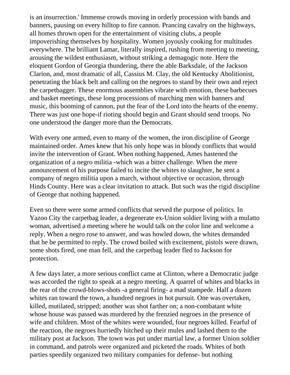is an insurrection.' Immense crowds moving in orderly procession with bands and banners, pausing on every hilltop to fire cannon. Prancing cavalry on the highways, all homes thrown open for the entertainment of visiting clubs, a people impoverishing themselves by hospitality. Women joyously cooking for multitudes everywhere. The brilliant Lamar, literally inspired, rushing from meeting to meeting, arousing the wildest enthusiasm, without striking a demagogic note. Here the eloquent Gordon of Georgia thundering, there the able Barksdale, of the Jackson Clarion, and, most dramatic of all, Cassius M. Clay, the old Kentucky Abolitionist, penetrating the black belt and calling on the negroes to stand by their own and reject the carpetbagger. These enormous assemblies vibrate with emotion, these barbecues and basket meetings, these long processions of marching men with banners and music, this booming of cannon, put the fear of the Lord into the hearts of the enemy. There was just one hope-if rioting should begin and Grant should send troops. No one understood the danger more than the Democrats.

With every one armed, even to many of the women, the iron discipline of George maintained order. Ames knew that his only hope was in bloody conflicts that would invite the intervention of Grant. When nothing happened, Ames hastened the organization of a negro militia -which was a bitter challenge. When the mere announcement of his purpose failed to incite the whites to slaughter, he sent a company of negro militia upon a march, without objective or occasion, through Hinds County. Here was a clear invitation to attack. But such was the rigid discipline of George that nothing happened.

Even so there were some armed conflicts that served the purpose of politics. In Yazoo City the carpetbag leader, a degenerate ex-Union soldier living with a mulatto woman, advertised a meeting where he would talk on the color line and welcome a reply. When a negro rose to answer, and was howled down, the whites demanded that he be permitted to reply. The crowd boiled with excitement, pistols were drawn, some shots fired, one man fell, and the carpetbag leader fled to Jackson for protection.

A few days later, a more serious conflict came at Clinton, where a Democratic judge was accorded the right to speak at a negro meeting. A quarrel of whites and blacks in the rear of the crowd-blows-shots -a general firing- a mad stampede. Half a dozen whites ran toward the town, a hundred negroes in hot pursuit. One was overtaken, killed, mutilated, stripped; another was shot farther on; a non-combatant white whose house was passed was murdered by the frenzied negroes in the presence of wife and children. Most of the whites were wounded, four negroes killed. Fearful of the reaction, the negroes hurriedly hitched up their mules and lashed them to the military post at Jackson. The town was put under martial law, a former Union soldier in command, and patrols were organized and picketed the roads. Whites of both parties speedily organized two military companies for defense- but nothing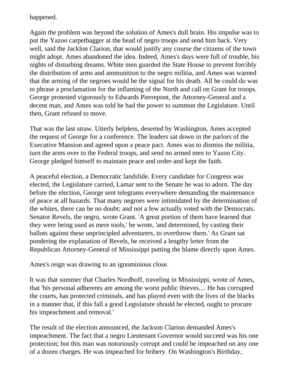happened.

Again the problem was beyond the solution of Ames's dull brain. His impulse was to put the Yazoo carpetbagger at the head of negro troops and send him back. Very well, said the Jacklon Clarion, that would justify any course the citizens of the town might adopt. Ames abandoned the idea. Indeed, Ames's days were full of trouble, his nights of disturbing dreams. White men guarded the State House to prevent forcibly the distribution of arms and ammunition to the negro militia, and Ames was warned that the arming of the negroes would be the signal for his death. All he could do was to phrase a proclamation for the inflaming of the North and call on Grant for troops. George protested vigorously to Edwards Pierrepont, the Attorney-General and a decent man, and Ames was told he had the power to summon the Legislature. Until then, Grant refused to move.

That was the last straw. Utterly helpless, deserted by Washington, Ames accepted the request of George for a conference. The leaders sat down in the parlors of the Executive Mansion and agreed upon a peace pact. Ames was to dismiss the militia, turn the arms over to the Federal troops, and send no armed men to Yazoo City. George pledged himself to maintain peace and order-and kept the faith.

A peaceful election, a Democratic landslide. Every candidate for Congress was elected, the Legislature carried, Lamar sent to the Senate he was to adorn. The day before the election, George sent telegrams everywhere demanding the maintenance of peace at all hazards. That many negroes were intimidated by the determination of the whites, there can be no doubt; and not a few actually voted with the Democrats. Senator Revels, the negro, wrote Grant. 'A great portion of them have learned that they were being used as mere tools,' he wrote, 'and determined, by casting their ballots against these unprincipled adventurers, to overthrow them.' As Grant sat pondering the explanation of Revels, he received a lengthy letter from the Republican Attorney-General of Mississippi putting the blame directly upon Ames.

Ames's reign was drawing to an ignominious close.

It was that summer that Charles Nordhoff, traveling in Mississippi, wrote of Ames, that 'his personal adherents are among the worst public thieves.... He has corrupted the courts, has protected criminals, and has played even with the lives of the blacks in a manner that, if this fall a good Legislature should be elected, ought to procure his impeachment and removal.'

The result of the election announced, the Jackson Clarion demanded Ames's impeachment. The fact that a negro Lieutenant Governor would succeed was his one protection; but this man was notoriously corrupt and could be impeached on any one of a dozen charges. He was impeached for bribery. On Washington's Birthday,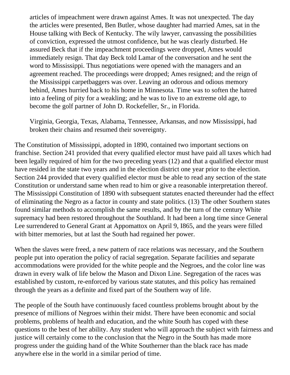articles of impeachment were drawn against Ames. It was not unexpected. The day the articles were presented, Ben Butler, whose daughter had married Ames, sat in the House talking with Beck of Kentucky. The wily lawyer, canvassing the possibilities of conviction, expressed the utmost confidence, but he was clearly disturbed. He assured Beck that if the impeachment proceedings were dropped, Ames would immediately resign. That day Beck told Lamar of the conversation and he sent the word to Mississippi. Thus negotiations were opened with the managers and an agreement reached. The proceedings were dropped; Ames resigned; and the reign of the Mississippi carpetbaggers was over. Leaving an odorous and odious memory behind, Ames hurried back to his home in Minnesota. Time was to soften the hatred into a feeling of pity for a weakling; and he was to live to an extreme old age, to become the golf partner of John D. Rockefeller, Sr., in Florida.

Virginia, Georgia, Texas, Alabama, Tennessee, Arkansas, and now Mississippi, had broken their chains and resumed their sovereignty.

The Constitution of Mississippi, adopted in 1890, contained two important sections on franchise. Section 241 provided that every qualified elector must have paid all taxes which had been legally required of him for the two preceding years (12) and that a qualified elector must have resided in the state two years and in the election district one year prior to the election. Section 244 provided that every qualified elector must be able to read any section of the state Constitution or understand same when read to him or give a reasonable interpretation thereof. The Mississippi Constitution of 1890 with subsequent statutes enacted thereunder had the effect of eliminating the Negro as a factor in county and state politics. (13) The other Southern states found similar methods to accomplish the same results, and by the turn of the century White supremacy had been restored throughout the Southland. It had been a long time since General Lee surrendered to General Grant at Appomattox on April 9, I865, and the years were filled with bitter memories, but at last the South had regained her power.

When the slaves were freed, a new pattern of race relations was necessary, and the Southern people put into operation the policy of racial segregation. Separate facilities and separate accommodations were provided for the white people and the Negroes, and the color line was drawn in every walk of life below the Mason and Dixon Line. Segregation of the races was established by custom, re-enforced by various state statutes, and this policy has remained through the years as a definite and fixed part of the Southern way of life.

The people of the South have continuously faced countless problems brought about by the presence of millions of Negroes within their midst. There have been economic and social problems, problems of health and education, and the white South has coped with these questions to the best of her ability. Any student who will approach the subject with fairness and justice will certainly come to the conclusion that the Negro in the South has made more progress under the guiding hand of the White Southerner than the black race has made anywhere else in the world in a similar period of time.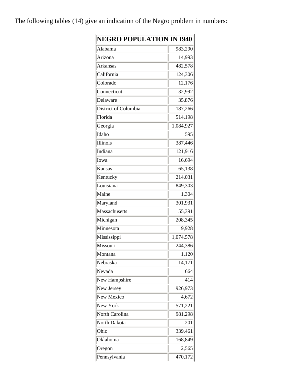The following tables (14) give an indication of the Negro problem in numbers:

| <b>NEGRO POPULATION IN 1940</b> |           |
|---------------------------------|-----------|
| Alabama                         | 983,290   |
| Arizona                         | 14,993    |
| <b>Arkansas</b>                 | 482,578   |
| California                      | 124,306   |
| Colorado                        | 12,176    |
| Connecticut                     | 32,992    |
| Delaware                        | 35,876    |
| District of Columbia            | 187,266   |
| Florida                         | 514,198   |
| Georgia                         | 1,084,927 |
| Idaho                           | 595       |
| Illinois                        | 387,446   |
| Indiana                         | 121,916   |
| Iowa                            | 16,694    |
| Kansas                          | 65,138    |
| Kentucky                        | 214,031   |
| Louisiana                       | 849,303   |
| Maine                           | 1,304     |
| Maryland                        | 301,931   |
| Massachusetts                   | 55,391    |
| Michigan                        | 208,345   |
| Minnesota                       | 9,928     |
| Mississippi                     | 1,074,578 |
| Missouri                        | 244,386   |
| Montana                         | 1,120     |
| Nebraska                        | 14,171    |
| Nevada                          | 664       |
| New Hampshire                   | 414       |
| New Jersey                      | 926,973   |
| New Mexico                      | 4,672     |
| New York                        | 571,221   |
| North Carolina                  | 981,298   |
| North Dakota                    | 201       |
| Ohio                            | 339,461   |
| Oklahoma                        | 168,849   |
| Oregon                          | 2,565     |
| Pennsylvania                    | 470,172   |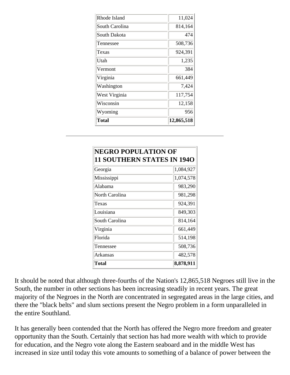| Rhode Island   | 11,024     |
|----------------|------------|
| South Carolina | 814,164    |
| South Dakota   | 474        |
| Tennessee      | 508,736    |
| Texas          | 924,391    |
| Utah           | 1,235      |
| Vermont        | 384        |
| Virginia       | 661,449    |
| Washington     | 7,424      |
| West Virginia  | 117,754    |
| Wisconsin      | 12,158     |
| Wyoming        | 956        |
| Total          | 12,865,518 |

| NEGRO POPULATION OF<br><b>11 SOUTHERN STATES IN 1940</b> |           |  |
|----------------------------------------------------------|-----------|--|
| Georgia                                                  | 1,084,927 |  |
| Mississippi                                              | 1,074,578 |  |
| Alabama                                                  | 983,290   |  |
| North Carolina                                           | 981,298   |  |
| Texas                                                    | 924,391   |  |
| Louisiana                                                | 849,303   |  |
| South Carolina                                           | 814,164   |  |
| Virginia                                                 | 661,449   |  |
| Florida                                                  | 514,198   |  |
| Tennessee                                                | 508,736   |  |
| Arkansas                                                 | 482,578   |  |
| Total                                                    | 8,878,911 |  |

It should be noted that although three-fourths of the Nation's 12,865,518 Negroes still live in the South, the number in other sections has been increasing steadily in recent years. The great majority of the Negroes in the North are concentrated in segregated areas in the large cities, and there the "black belts" and slum sections present the Negro problem in a form unparalleled in the entire Southland.

It has generally been contended that the North has offered the Negro more freedom and greater opportunity than the South. Certainly that section has had more wealth with which to provide for education, and the Negro vote along the Eastern seaboard and in the middle West has increased in size until today this vote amounts to something of a balance of power between the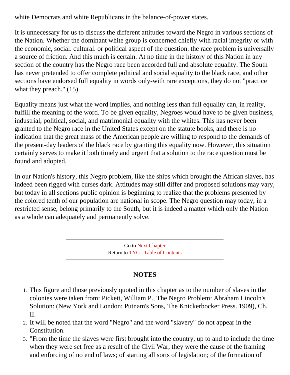white Democrats and white Republicans in the balance-of-power states.

It is unnecessary for us to discuss the different attitudes toward the Negro in various sections of the Nation. Whether the dominant white group is concerned chiefly with racial integrity or with the economic, social. cultural. or political aspect of the question. the race problem is universally a source of friction. And this much is certain. At no time in the history of this Nation in any section of the country has the Negro race been accorded full and absolute equality. The South has never pretended to offer complete political and social equality to the black race, and other sections have endorsed full equality in words only-with rare exceptions, they do not "practice what they preach." (15)

Equality means just what the word implies, and nothing less than full equality can, in reality, fulfill the meaning of the word. To be given equality, Negroes would have to be given business, industrial, political, social, and matrimonial equality with the whites. This has never been granted to the Negro race in the United States except on the statute books, and there is no indication that the great mass of the American people are willing to respond to the demands of the present-day leaders of the black race by granting this equality now. However, this situation certainly serves to make it both timely and urgent that a solution to the race question must be found and adopted.

In our Nation's history, this Negro problem, like the ships which brought the African slaves, has indeed been rigged with curses dark. Attitudes may still differ and proposed solutions may vary, but today in all sections public opinion is beginning to realize that the problems presented by the colored tenth of our population are national in scope. The Negro question may today, in a restricted sense, belong primarily to the South, but it is indeed a matter which only the Nation as a whole can adequately and permanently solve.

> Go to [Next Chapter](#page-42-0) Return to [TYC - Table of Contents](#page-0-0)

#### **NOTES**

- 1. This figure and those previously quoted in this chapter as to the number of slaves in the colonies were taken from: Pickett, William P., The Negro Problem: Abraham Lincoln's Solution: (New York and London: Putnam's Sons, The Knickerbocker Press. 1909), Ch. II.
- 2. It will be noted that the word "Negro" and the word "slavery" do not appear in the Constitution.
- 3. "From the time the slaves were first brought into the country, up to and to include the time when they were set free as a result of the Civil War, they were the cause of the framing and enforcing of no end of laws; of starting all sorts of legislation; of the formation of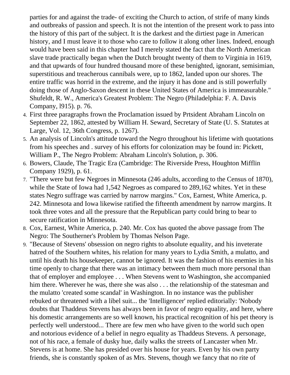parties for and against the trade- of exciting the Church to action, of strife of many kinds and outbreaks of passion and speech. It is not the intention of the present work to pass into the history of this part of the subject. It is the darkest and the dirtiest page in American history, and I must leave it to those who care to follow it along other lines. Indeed, enough would have been said in this chapter had I merely stated the fact that the North American slave trade practically began when the Dutch brought twenty of them to Virginia in 1619, and that upwards of four hundred thousand more of these benighted, ignorant, semisimian, superstitious and treacherous cannibals were, up to 1862, landed upon our shores. The entire traffic was horrid in the extreme, and the injury it has done and is still powerfully doing those of Anglo-Saxon descent in these United States of America is immeasurable." Shufeldt, R. W., America's Greatest Problem: The Negro (Philadelphia: F. A. Davis Company, l915). p. 76.

- 4. First three paragraphs frown the Proclamation issued by Prtsident Abraham Lincoln on September 22, 1862, attested by William H. Seward, Secretary of State (U. S. Statutes at Large, Vol. 12, 36th Congress, p. 1267).
- 5. An analysis of Lincoln's attitude toward the Negro throughout his lifetime with quotations from his speeches and . survey of his efforts for colonization may be found in: Pickett, William P., The Negro Problem: Abraham Lincoln's Solution, p. 306.
- 6. Bowers, Claude, The Tragic Era (Cambridge: The Riverside Press, Houghton Mifflin Company 1929), p. 61.
- 7. "There were but few Negroes in Minnesota (246 adults, according to the Census of 1870), while the State of Iowa had 1,542 Negroes as compared to 289,162 whites. Yet in these states Negro suffrage was carried by narrow margins." Cox, Earnest, White America, p. 242. Minnesota and Iowa likewise ratified the fifteenth amendment by narrow margins. It took three votes and all the pressure that the Republican party could bring to bear to secure ratification in Minnesota.
- 8. Cox, Earnest, White America, p. 240. Mr. Cox has quoted the above passage from The Negro: The Southerner's Problem by Thomas Nelson Page.
- 9. "Because of Stevens' obsession on negro rights to absolute equality, and his inveterate hatred of the Southern whites, his relation for many years to Lydia Smith, a mulatto, and until his death his housekeeper, cannot be ignored. It was the fashion of his enemies in his time openly to charge that there was an intimacy between them much more personal than that of employer and employee . . . When Stevens went to Washington, she accompanied him there. Wherever he was, there she was also . . . the relationship of the statesman and the mulatto 'created some scandal' in Washington. In no instance was the publisher rebuked or threatened with a libel suit... the 'Intelligencer' replied editorially: 'Nobody doubts that Thaddeus Stevens has always been in favor of negro equality, and here, where his domestic arrangements are so well known, his practical recognition of his pet theory is perfectly well understood... There are few men who have given to the world such open and notorious evidence of a belief in negro equality as Thaddeus Stevens. A personage, not of his race, a female of dusky hue, daily walks the streets of Lancaster when Mr. Stevens is at home. She has presided over his house for years. Even by his own party friends, she is constantly spoken of as Mrs. Stevens, though we fancy that no rite of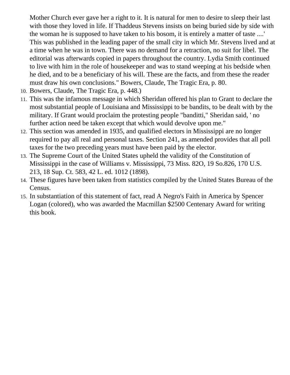Mother Church ever gave her a right to it. It is natural for men to desire to sleep their last with those they loved in life. If Thaddeus Stevens insists on being buried side by side with the woman he is supposed to have taken to his bosom, it is entirely a matter of taste ....' This was published in the leading paper of the small city in which Mr. Stevens lived and at a time when he was in town. There was no demand for a retraction, no suit for libel. The editorial was afterwards copied in papers throughout the country. Lydia Smith continued to live with him in the role of housekeeper and was to stand weeping at his bedside when he died, and to be a beneficiary of his will. These are the facts, and from these the reader must draw his own conclusions." Bowers, Claude, The Tragic Era, p. 80.

- 10. Bowers, Claude, The Tragic Era, p. 448.)
- 11. This was the infamous message in which Sheridan offered his plan to Grant to declare the most substantial people of Louisiana and Mississippi to be bandits, to be dealt with by the military. If Grant would proclaim the protesting people "banditti," Sheridan said, ' no further action need be taken except that which would devolve upon me."
- 12. This section was amended in 1935, and qualified electors in Mississippi are no longer required to pay all real and personal taxes. Section 241, as amended provides that all poll taxes for the two preceding years must have been paid by the elector.
- 13. The Supreme Court of the United States upheld the validity of the Constitution of Mississippi in the case of Williams v. Mississippi, 73 Miss. 82O, 19 So.826, 170 U.S. 213, 18 Sup. Ct. 583, 42 L. ed. 1012 (1898).
- 14. These figures have been taken from statistics compiled by the United States Bureau of the Census.
- 15. In substantiation of this statement of fact, read A Negro's Faith in America by Spencer Logan (colored), who was awarded the Macmillan \$2500 Centenary Award for writing this book.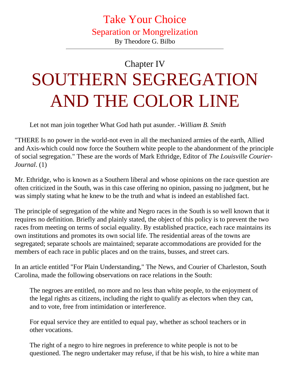## Take Your Choice Separation or Mongrelization

By Theodore G. Bilbo

### Chapter IV

# <span id="page-42-0"></span>SOUTHERN SEGREGATION AND THE COLOR LINE

Let not man join together What God hath put asunder. *-William B. Smith*

"THERE Is no power in the world-not even in all the mechanized armies of the earth, Allied and Axis-which could now force the Southern white people to the abandonment of the principle of social segregation." These are the words of Mark Ethridge, Editor of *The Louisville Courier-Journal*. (1)

Mr. Ethridge, who is known as a Southern liberal and whose opinions on the race question are often criticized in the South, was in this case offering no opinion, passing no judgment, but he was simply stating what he knew to be the truth and what is indeed an established fact.

The principle of segregation of the white and Negro races in the South is so well known that it requires no definition. Briefly and plainly stated, the object of this policy is to prevent the two races from meeting on terms of social equality. By established practice, each race maintains its own institutions and promotes its own social life. The residential areas of the towns are segregated; separate schools are maintained; separate accommodations are provided for the members of each race in public places and on the trains, busses, and street cars.

In an article entitled "For Plain Understanding," The News, and Courier of Charleston, South Carolina, made the following observations on race relations in the South:

The negroes are entitled, no more and no less than white people, to the enjoyment of the legal rights as citizens, including the right to qualify as electors when they can, and to vote, free from intimidation or interference.

For equal service they are entitled to equal pay, whether as school teachers or in other vocations.

The right of a negro to hire negroes in preference to white people is not to be questioned. The negro undertaker may refuse, if that be his wish, to hire a white man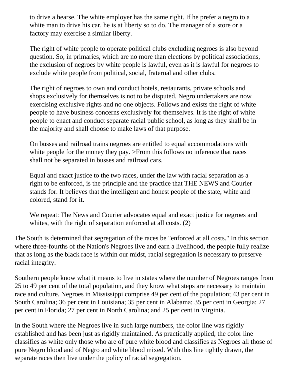to drive a hearse. The white employer has the same right. If he prefer a negro to a white man to drive his car, he is at liberty so to do. The manager of a store or a factory may exercise a similar liberty.

The right of white people to operate political clubs excluding negroes is also beyond question. So, in primaries, which are no more than elections by political associations, the exclusion of negroes bv white people is lawful, even as it is lawful for negroes to exclude white people from political, social, fraternal and other clubs.

The right of negroes to own and conduct hotels, restaurants, private schools and shops exclusively for themselves is not to be disputed. Negro undertakers are now exercising exclusive rights and no one objects. Follows and exists the right of white people to have business concerns exclusively for themselves. It is the right of white people to enact and conduct separate racial public school, as long as they shall be in the majority and shall choose to make laws of that purpose.

On busses and railroad trains negroes are entitled to equal accommodations with white people for the money they pay. >From this follows no inference that races shall not be separated in busses and railroad cars.

Equal and exact justice to the two races, under the law with racial separation as a right to be enforced, is the principle and the practice that THE NEWS and Courier stands for. It believes that the intelligent and honest people of the state, white and colored, stand for it.

We repeat: The News and Courier advocates equal and exact justice for negroes and whites, with the right of separation enforced at all costs. (2)

The South is determined that segregation of the races be "enforced at all costs." In this section where three-fourths of the Nation's Negroes live and earn a livelihood, the people fully realize that as long as the black race is within our midst, racial segregation is necessary to preserve racial integrity.

Southern people know what it means to live in states where the number of Negroes ranges from 25 to 49 per cent of the total population, and they know what steps are necessary to maintain race and culture. Negroes in Mississippi comprise 49 per cent of the population; 43 per cent in South Carolina; 36 per cent in Louisiana; 35 per cent in Alabama; 35 per cent in Georgia: 27 per cent in Florida; 27 per cent in North Carolina; and 25 per cent in Virginia.

In the South where the Negroes live in such large numbers, the color line was rigidly established and has been just as rigidly maintained. As practically applied, the color line classifies as white only those who are of pure white blood and classifies as Negroes all those of pure Negro blood and of Negro and white blood mixed. With this line tightly drawn, the separate races then live under the policy of racial segregation.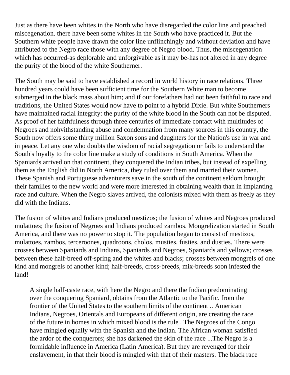Just as there have been whites in the North who have disregarded the color line and preached miscegenation. there have been some whites in the South who have practiced it. But the Southern white people have drawn the color line unflinchingly and without deviation and have attributed to the Negro race those with any degree of Negro blood. Thus, the miscegenation which has occurred-as deplorable and unforgivable as it may be-has not altered in any degree the purity of the blood of the white Southerner.

The South may be said to have established a record in world history in race relations. Three hundred years could have been sufficient time for the Southern White man to become submerged in the black mass about him; and if our forefathers had not been faithful to race and traditions, the United States would now have to point to a hybrid Dixie. But white Southerners have maintained racial integrity: the purity of the white blood in the South can not be disputed. As proof of her faithfulness through three centuries of immediate contact with multitudes of Negroes and nohvithstanding abuse and condemnation from many sources in this country, the South now offers some thirty million Saxon sons and daughters for the Nation's use in war and in peace. Let any one who doubts the wisdom of racial segregation or fails to understand the South's loyalty to the color line make a study of conditions in South America. When the Spaniards arrived on that continent, they conquered the Indian tribes, but instead of expelling them as the English did in North America, they ruled over them and married their women. These Spanish and Portuguese adventurers save in the south of the continent seldom brought their families to the new world and were more interested in obtaining wealth than in implanting race and culture. When the Negro slaves arrived, the colonists mixed with them as freely as they did with the Indians.

The fusion of whites and Indians produced mestizos; the fusion of whites and Negroes produced mulattoes; the fusion of Negroes and Indians produced zambos. Mongrelization started in South America, and there was no power to stop it. The population began to consist of mestizos, mulattoes, zambos, terceroones, quadroons, cholos, musties, fusties, and dusties. There were crosses between Spaniards and Indians, Spaniards and Negroes, Spaniards and yellows; crosses between these half-breed off-spring and the whites and blacks; crosses between mongrels of one kind and mongrels of another kind; half-breeds, cross-breeds, mix-breeds soon infested the land!

A single half-caste race, with here the Negro and there the Indian predominating over the conquering Spaniard, obtains from the Atlantic to the Pacific. from the frontier of the United States to the southern limits of the continent .. American Indians, Negroes, Orientals and Europeans of different origin, are creating the race of the future in homes in which mixed blood is the rule . The Negroes of the Congo have mingled equally with the Spanish and the Indian. The African woman satisfied the ardor of the conquerors; she has darkened the skin of the race ...The Negro is a formidable influence in America (Latin America). But they are revenged for their enslavement, in that their blood is mingled with that of their masters. The black race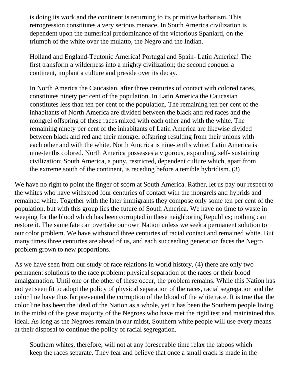is doing its work and the continent is returning to its primitive barbarism. This retrogression constitutes a very serious menace. In South America civilization is dependent upon the numerical predominance of the victorious Spaniard, on the triumph of the white over the mulatto, the Negro and the Indian.

Holland and England-Teutonic America! Portugal and Spain- Latin America! The first transform a wilderness into a mighty civilization; the second conquer a continent, implant a culture and preside over its decay.

In North America the Caucasian, after three centuries of contact with colored races, constitutes ninety per cent of the population. In Latin America the Caucasian constitutes less than ten per cent of the population. The remaining ten per cent of the inhabitants of North America are divided between the black and red races and the mongrel offspring of these races mixed with each other and with the white. The remaining ninety per cent of the inhabitants of Latin America are likewise divided between black and red and their mongrel offspring resulting from their unions with each other and with the white. North Amcrica is nine-tenths white; Latin America is nine-tenths colored. North America possesses a vigorous, expanding, self- sustaining civilization; South America, a puny, restricted, dependent culture which, apart from the extreme south of the continent, is receding before a terrible hybridism. (3)

We have no right to point the finger of scorn at South America. Rather, let us pay our respect to the whites who have withstood four centuries of contact with the mongrels and hybrids and remained white. Together with the later immigrants they compose only some ten per cent of the population. but with this group lies the future of South America. We have no time to waste in weeping for the blood which has been corrupted in these neighboring Republics; nothing can restore it. The same fate can overtake our own Nation unless we seek a permanent solution to our color problem. We have withstood three centuries of racial contact and remained white. But many times three centuries are ahead of us, and each succeeding generation faces the Negro problem grown to new proportions.

As we have seen from our study of race relations in world history, (4) there are only two permanent solutions to the race problem: physical separation of the races or their blood amalgamation. Until one or the other of these occur, the problem remains. While this Nation has not yet seen fit to adopt the policy of physical separation of the races, racial segregation and the color line have thus far prevented the corruption of the blood of the white race. It is true that the color line has been the ideal of the Nation as a whole, yet it has been the Southern people living in the midst of the great majority of the Negroes who have met the rigid test and maintained this ideal. As long as the Negroes remain in our midst, Southern white people will use every means at their disposal to continue the policy of racial segregation.

Southern whites, therefore, will not at any foreseeable time relax the taboos which keep the races separate. They fear and believe that once a small crack is made in the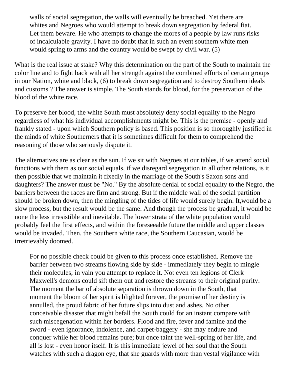walls of social segregation, the walls will eventually be breached. Yet there are whites and Negroes who would attempt to break down segregation by federal fiat. Let them beware. He who attempts to change the mores of a people by law runs risks of incalculable gravity. I have no doubt that in such an event southern white men would spring to arms and the country would be swept by civil war. (5)

What is the real issue at stake? Why this determination on the part of the South to maintain the color line and to fight back with all her strength against the combined efforts of certain groups in our Nation, white and black, (6) to break down segregation and to destroy Southern ideals and customs ? The answer is simple. The South stands for blood, for the preservation of the blood of the white race.

To preserve her blood, the white South must absolutely deny social equality to the Negro regardless of what his individual accomplishments might be. This is the premise - openly and frankly stated - upon which Southern policy is based. This position is so thoroughly justified in the minds of white Southerners that it is sometimes difficult for them to comprehend the reasoning of those who seriously dispute it.

The alternatives are as clear as the sun. If we sit with Negroes at our tables, if we attend social functions with them as our social equals, if we disregard segregation in all other relations, is it then possible that we maintain it fixedly in the marriage of the South's Saxon sons and daughters? The answer must be "No." By the absolute denial of social equality to the Negro, the barriers between the races are firm and strong. But if the middle wall of the social partition should be broken down, then the mingling of the tides of life would surely begin. It,would be a slow process, but the result would be the same. And though the process be gradual, it would be none the less irresistible and inevitable. The lower strata of the white population would probably feel the first effects, and within the foreseeable future the middle and upper classes would be invaded. Then, the Southern white race, the Southern Caucasian, would be irretrievably doomed.

For no possible check could be given to this process once established. Remove the barrier between two streams flowing side by side - immediately they begin to mingle their molecules; in vain you attempt to replace it. Not even ten legions of Clerk Maxwell's demons could sift them out and restore the streams to their original purity. The moment the bar of absolute separation is thrown down in the South, that moment the bloom of her spirit is blighted forever, the promise of her destiny is annulled, the proud fabric of her future slips into dust and ashes. No other conceivable disaster that might befall the South could for an instant compare with such miscegenation within her borders. Flood and fire, fever and famine and the sword - even ignorance, indolence, and carpet-baggery - she may endure and conquer while her blood remains pure; but once taint the well-spring of her life, and all is lost - even honor itself. It is this immediate jewel of her soul that the South watches with such a dragon eye, that she guards with more than vestal vigilance with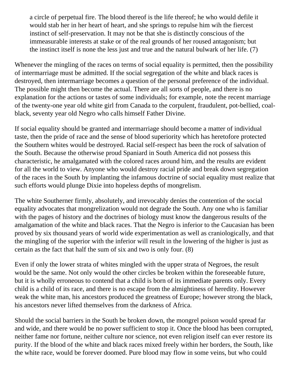a circle of perpetual fire. The blood thereof is the life thereof; he who would defile it would stab her in her heart of heart, and she springs to repulse him wih the fiercest instinct of self-preservation. It may not be that she is distinctly conscious of the immeasurable interests at stake or of the real grounds of her roused antagonism; but the instinct itself is none the less just and true and the natural bulwark of her life. (7)

Whenever the mingling of the races on terms of social equality is permitted, then the possibility of intermarriage must be admitted. If the social segregation of the white and black races is destroyed, then intermarriage becomes a question of the personal preference of the individual. The possible might then become the actual. There are all sorts of people, and there is no explanation for the actions or tastes of some individuals; for example, note the recent marriage of the twenty-one year old white girl from Canada to the corpulent, fraudulent, pot-bellied, coalblack, seventy year old Negro who calls himself Father Divine.

If social equality should be granted and intermarriage should become a matter of individual taste, then the pride of race and the sense of blood superiority which has heretofore protected the Southern whites would be destroyed. Racial self-respect has been the rock of salvation of the South. Because the otherwise proud Spaniard in South America did not possess this characteristic, he amalgamated with the colored races around him, and the results are evident for all the world to view. Anyone who would destroy racial pride and break down segregation of the races in the South by implanting the infamous doctrine of social equality must realize that such efforts would plunge Dixie into hopeless depths of mongrelism.

The white Southerner firmly, absolutely, and irrevocably denies the contention of the social equality advocates that mongrelization would not degrade the South. Any one who is familiar with the pages of history and the doctrines of biology must know the dangerous results of the amalgamation of the white and black races. That the Negro is inferior to the Caucasian has been proved by six thousand years of world wide experimentation as well as craniologically, and that the mingling of the superior with the inferior will result in the lowering of the higher is just as certain as the fact that half the sum of six and two is only four. (8)

Even if only the lower strata of whites mingled with the upper strata of Negroes, the result would be the same. Not only would the other circles be broken within the foreseeable future, but it is wholly erroneous to contend that a child is born of its immediate parents only. Every child is a child of its race, and there is no escape from the almightiness of heredity. However weak the white man, his ancestors produced the greatness of Europe; however strong the black, his ancestors never lifted themselves from the darkness of Africa.

Should the social barriers in the South be broken down, the mongrel poison would spread far and wide, and there would be no power sufficient to stop it. Once the blood has been corrupted, neither fame nor fortune, neither culture nor science, not even religion itself can ever restore its purity. If the blood of the white and black races mixed freely within her borders, the South, like the white race, would be forever doomed. Pure blood may flow in some veins, but who could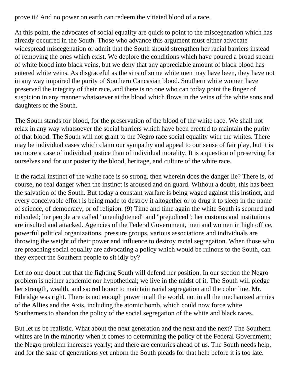prove it? And no power on earth can redeem the vitiated blood of a race.

At this point, the advocates of social equality are quick to point to the miscegenation which has already occurred in the South. Those who advance this argument must either advocate widespread miscegenation or admit that the South should strengthen her racial barriers instead of removing the ones which exist. We deplore the conditions which have poured a broad stream of white blood into black veins, but we deny that any appreciable amount of black blood has entered white veins. As disgraceful as the sins of some white men may have been, they have not in any way impaired the purity of Southern Cancasian blood. Southern white women have preserved the integrity of their race, and there is no one who can today point the finger of suspicion in any manner whatsoever at the blood which flows in the veins of the white sons and daughters of the South.

The South stands for blood, for the preservation of the blood of the white race. We shall not relax in any way whatsoever the social barriers which have been erected to maintain the purity of that blood. The South will not grant to the Negro race social equality with the whites. There may be individual cases which claim our sympathy and appeal to our sense of fair play, but it is no more a case of individual justice than of individual morality. It is a question of preserving for ourselves and for our posterity the blood, heritage, and culture of the white race.

If the racial instinct of the white race is so strong, then wherein does the danger lie? There is, of course, no real danger when the instinct is aroused and on guard. Without a doubt, this has been the salvation of the South. But today a constant warfare is being waged against this instinct, and every conceivable effort is being made to destroy it altogether or to drug it to sleep in the name of science, of democracy, or of religion. (9) Time and time again the white South is scorned and ridiculed; her people are called "unenlightened" and "prejudiced"; her customs and institutions are insulted and attacked. Agencies of the Federal Government, men and women in high office, powerful political organizations, pressure groups, various associations and individuals are throwing the weight of their power and influence to destroy racial segregation. When those who are preaching social equality are advocating a policy which would be ruinous to the South, can they expect the Southern people to sit idly by?

Let no one doubt but that the fighting South will defend her position. In our section the Negro problem is neither academic nor hypothetical; we live in the midst of it. The South will pledge her strength, wealth, and sacred honor to maintain racial segregation and the color line. Mr. Ethridge was right. There is not enough power in all the world, not in all the mechanized armies of the Allies and the Axis, including the atomic bomb, which could now force white Southerners to abandon the policy of the social segregation of the white and black races.

But let us be realistic. What about the next generation and the next and the next? The Southern whites are in the minority when it comes to determining the policy of the Federal Government; the Negro problem increases yearly; and there are centuries ahead of us. The South needs help, and for the sake of generations yet unborn the South pleads for that help before it is too late.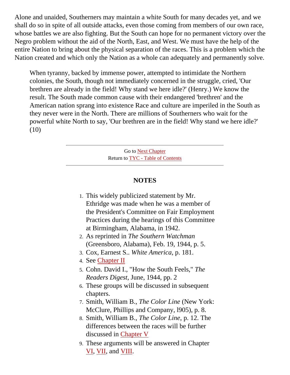Alone and unaided, Southerners may maintain a white South for many decades yet, and we shall do so in spite of all outside attacks, even those coming from members of our own race, whose battles we are also fighting. But the South can hope for no permanent victory over the Negro problem without the aid of the North, East, and West. We must have the help of the entire Nation to bring about the physical separation of the races. This is a problem which the Nation created and which only the Nation as a whole can adequately and permanently solve.

When tyranny, backed by immense power, attempted to intimidate the Northern colonies, the South, though not immediately concerned in the struggle, cried, 'Our brethren are already in the field! Why stand we here idle?' (Henry.) We know the result. The South made common cause with their endangered 'brethren' and the American nation sprang into existence Race and culture are imperiled in the South as they never were in the North. There are millions of Southerners who wait for the powerful white North to say, 'Our brethren are in the field! Why stand we here idle?' (10)

> Go to [Next Chapter](#page-51-0) Return to [TYC - Table of Contents](#page-0-0)

#### **NOTES**

- 1. This widely publicized statement by Mr. Ethridge was made when he was a member of the President's Committee on Fair Employment Practices during the hearings of this Committee at Birmingham, Alabama, in 1942.
- 2. As reprinted in *The Southern Watchman* (Greensboro, Alabama), Feb. 19, 1944, p. 5.
- 3. Cox, Earnest S.. *White America*, p. 181.
- 4. See [Chapter II](#page-11-0)
- 5. Cohn. David I., "How the South Feels," *The Readers Digest*, June, 1944, pp. 2
- 6. These groups will be discussed in subsequent chapters.
- 7. Smith, William B., *The Color Line* (New York: McClure, Phillips and Company, l905), p. 8.
- 8. Smith, William B., *The Color Line*, p. 12. The differences between the races will be further discussed in [Chapter V](#page-68-0)
- 9. These arguments will be answered in Chapter [VI,](#page-68-0) [VII,](#page-78-0) and [VIII](#page-87-0).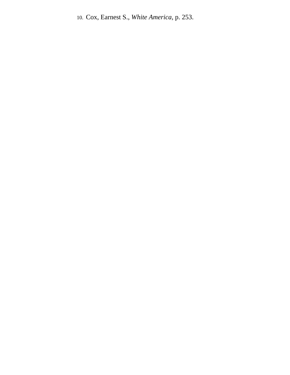10. Cox, Earnest S., *White America*, p. 253.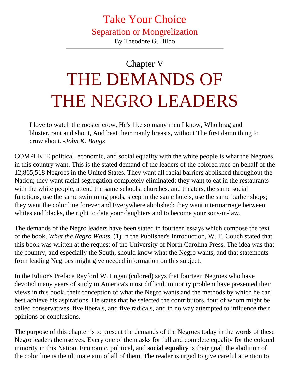## Take Your Choice Separation or Mongrelization

By Theodore G. Bilbo

### Chapter V

## <span id="page-51-0"></span>THE DEMANDS OF THE NEGRO LEADERS

I love to watch the rooster crow, He's like so many men I know, Who brag and bluster, rant and shout, And beat their manly breasts, without The first damn thing to crow about. *-John K. Bangs*

COMPLETE political, economic, and social equality with the white people is what the Negroes in this country want. This is the stated demand of the leaders of the colored race on behalf of the 12,865,518 Negroes in the United States. They want all racial barriers abolished throughout the Nation; they want racial segregation completely eliminated; they want to eat in the restaurants with the white people, attend the same schools, churches, and theaters, the same social functions, use the same swimming pools, sleep in the same hotels, use the same barber shops; they want the color line forever and Everywhere abolished; they want intermarriage between whites and blacks, the right to date your daughters and to become your sons-in-law.

The demands of the Negro leaders have been stated in fourteen essays which compose the text of the book, *What the Negro Wants*. (1) In the Publisher's Introduction, W. T. Couch stated that this book was written at the request of the University of North Carolina Press. The idea was that the country, and especially the South, should know what the Negro wants, and that statements from leading Negroes might give needed information on this subject.

In the Editor's Preface Rayford W. Logan (colored) says that fourteen Negroes who have devoted many years of study to America's most difficult minority problem have presented their views in this book, their conception of what the Negro wants and the methods by which he can best achieve his aspirations. He states that he selected the contributors, four of whom might be called conservatives, five liberals, and five radicals, and in no way attempted to influence their opinions or conclusions.

The purpose of this chapter is to present the demands of the Negroes today in the words of these Negro leaders themselves. Every one of them asks for full and complete equality for the colored minority in this Nation. Economic, political, and **social equality** is their goal; the abolition of the color line is the ultimate aim of all of them. The reader is urged to give careful attention to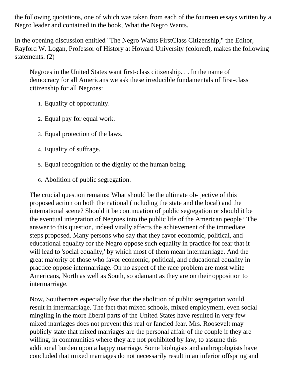the following quotations, one of which was taken from each of the fourteen essays written by a Negro leader and contained in the book, What the Negro Wants.

In the opening discussion entitled "The Negro Wants FirstClass Citizenship," the Editor, Rayford W. Logan, Professor of History at Howard University (colored), makes the following statements: (2)

Negroes in the United States want first-class citizenship. . . In the name of democracy for all Americans we ask these irreducible fundamentals of first-class citizenship for all Negroes:

- 1. Equality of opportunity.
- 2. Equal pay for equal work.
- 3. Equal protection of the laws.
- 4. Equality of suffrage.
- 5. Equal recognition of the dignity of the human being.
- 6. Abolition of public segregation.

The crucial question remains: What should be the ultimate ob- jective of this proposed action on both the national (including the state and the local) and the international scene? Should it be continuation of public segregation or should it be the eventual integration of Negroes into the public life of the American people? The answer to this question, indeed vitally affects the achievement of the immediate steps proposed. Many persons who say that they favor economic, political, and educational equality for the Negro oppose such equality in practice for fear that it will lead to 'social equality,' by which most of them mean intermarriage. And the great majority of those who favor economic, political, and educational equality in practice oppose intermarriage. On no aspect of the race problem are most white Americans, North as well as South, so adamant as they are on their opposition to intermarriage.

Now, Southerners especially fear that the abolition of public segregation would result in intermarriage. The fact that mixed schools, mixed employment, even social mingling in the more liberal parts of the United States have resulted in very few mixed marriages does not prevent this real or fancied fear. Mrs. Roosevelt may publicly state that mixed marriages are the personal affair of the couple if they are willing, in communities where they are not prohibited by law, to assume this additional burden upon a happy marriage. Some biologists and anthropologists have concluded that mixed marriages do not necessarily result in an inferior offspring and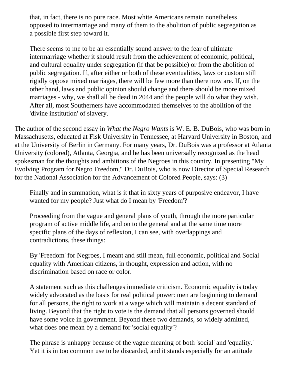that, in fact, there is no pure race. Most white Americans remain nonetheless opposed to intermarriage and many of them to the abolition of public segregation as a possible first step toward it.

There seems to me to be an essentially sound answer to the fear of ultimate intermarriage whether it should result from the achievement of economic, political, and cultural equality under segregation (if that be possible) or from the abolition of public segregation. If, after either or both of these eventualities, laws or custom still rigidly oppose mixed marriages, there will be few more than there now are. If, on the other hand, laws and public opinion should change and there should be more mixed marriages - why, we shall all be dead in 2044 and the people will do what they wish. After all, most Southerners have accommodated themselves to the abolition of the 'divine institution' of slavery.

The author of the second essay in *What the Negro Wants* is W. E. B. DuBois, who was born in Massachusetts, educated at Fisk University in Tennessee, at Harvard University in Boston, and at the University of Berlin in Germany. For many years, Dr. DuBois was a professor at Atlanta University (colored), Atlanta, Georgia, and he has been universally recognized as the head spokesman for the thoughts and ambitions of the Negroes in this country. In presenting "My Evolving Program for Negro Freedom," Dr. DuBois, who is now Director of Special Research for the National Association for the Advancement of Colored People, says: (3)

Finally and in summation, what is it that in sixty years of purposive endeavor, I have wanted for my people? Just what do I mean by 'Freedom'?

Proceeding from the vague and general plans of youth, through the more particular program of active middle life, and on to the general and at the same time more specific plans of the days of reflexion, I can see, with overlappings and contradictions, these things:

By 'Freedom' for Negroes, I meant and still mean, full economic, political and Social equality with American citizens, in thought, expression and action, with no discrimination based on race or color.

A statement such as this challenges immediate criticism. Economic equality is today widely advocated as the basis for real political power: men are beginning to demand for all persons, the right to work at a wage which will maintain a decent standard of living. Beyond that the right to vote is the demand that all persons governed should have some voice in government. Beyond these two demands, so widely admitted, what does one mean by a demand for 'social equality'?

The phrase is unhappy because of the vague meaning of both 'social' and 'equality.' Yet it is in too common use to be discarded, and it stands especially for an attitude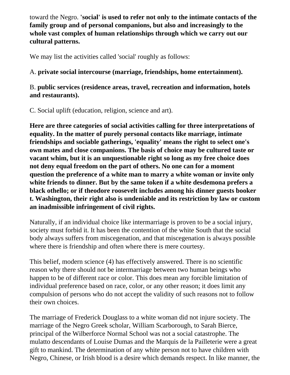toward the Negro. **'social' is used to refer not only to the intimate contacts of the family group and of personal companions, but also and increasingly to the whole vast complex of human relationships through which we carry out our cultural patterns.**

We may list the activities called 'social' roughly as follows:

#### A. **private social intercourse (marriage, friendships, home entertainment).**

B. **public services (residence areas, travel, recreation and information, hotels and restaurants).**

C. Social uplift (education, religion, science and art).

**Here are three categories of social activities calling for three interpretations of equality. In the matter of purely personal contacts like marriage, intimate friendships and sociable gatherings, 'equality' means the right to select one's own mates and close companions. The basis of choice may be cultured taste or vacant whim, but it is an unquestionable right so long as my free choice does not deny equal freedom on the part of others. No one can for a moment question the preference of a white man to marry a white woman or invite only white friends to dinner. But by the same token if a white desdemona prefers a black othello; or if theodore roosevelt includes among his dinner guests booker t. Washington, their right also is undeniable and its restriction by law or custom an inadmissible infringement of civil rights.**

Naturally, if an individual choice like intermarriage is proven to be a social injury, society must forbid it. It has been the contention of the white South that the social body always suffers from miscegenation, and that miscegenation is always possible where there is friendship and often where there is mere courtesy.

This belief, modern science (4) has effectively answered. There is no scientific reason why there should not be intermarriage between two human beings who happen to be of different race or color. This does mean any forcible limitation of individual preference based on race, color, or any other reason; it does limit any compulsion of persons who do not accept the validity of such reasons not to follow their own choices.

The marriage of Frederick Douglass to a white woman did not injure society. The marriage of the Negro Greek scholar, William Scarborough, to Sarah Bierce, principal of the Wilberforce Normal School was not a social catastrophe. The mulatto descendants of Louise Dumas and the Marquis de la Pailleterie were a great gift to mankind. The determination of any white person not to have children with Negro, Chinese, or Irish blood is a desire which demands respect. In like manner, the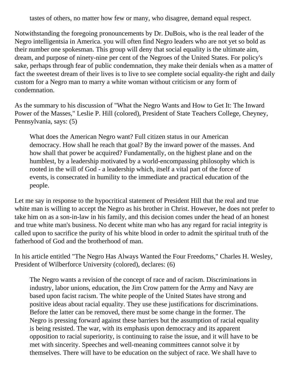tastes of others, no matter how few or many, who disagree, demand equal respect.

Notwithstanding the foregoing pronouncements by Dr. DuBois, who is the real leader of the Negro intelligentsia in America. you will often find Negro leaders who are not yet so bold as their number one spokesman. This group will deny that social equality is the ultimate aim, dream, and purpose of ninety-nine per cent of the Negroes of the United States. For policy's sake, perhaps through fear of public condemnation, they make their denials when as a matter of fact the sweetest dream of their lives is to live to see complete social equality-the right and daily custom for a Negro man to marry a white woman without criticism or any form of condemnation.

As the summary to his discussion of "What the Negro Wants and How to Get It: The Inward Power of the Masses," Leslie P. Hill (colored), President of State Teachers College, Cheyney, Pennsylvania, says: (5)

What does the American Negro want? Full citizen status in our American democracy. How shall he reach that goal? By the inward power of the masses. And how shall that power be acquired? Fundamentally, on the highest plane and on the humblest, by a leadership motivated by a world-encompassing philosophy which is rooted in the will of God - a leadership which, itself a vital part of the force of events, is consecrated in humility to the immediate and practical education of the people.

Let me say in response to the hypocritical statement of President Hill that the real and true white man is willing to accept the Negro as his brother in Christ. However, he does not prefer to take him on as a son-in-law in his family, and this decision comes under the head of an honest and true white man's business. No decent white man who has any regard for racial integrity is called upon to sacrifice the purity of his white blood in order to admit the spiritual truth of the fatherhood of God and the brotherhood of man.

In his article entitled "The Negro Has Always Wanted the Four Freedoms," Charles H. Wesley, President of Wilberforce University (colored), declares: (6)

The Negro wants a revision of the concept of race and of racism. Discriminations in industry, labor unions, education, the Jim Crow pattern for the Army and Navy are based upon facist racism. The white people of the United States have strong and positive ideas about racial equality. They use these justifications for discriminations. Before the latter can be removed, there must be some change in the former. The Negro is pressing forward against these barriers but the assumption of racial equality is being resisted. The war, with its emphasis upon democracy and its apparent opposition to racial superiority, is continuing to raise the issue, and it will have to be met with sincerity. Speeches and well-meaning committees cannot solve it by themselves. There will have to be education on the subject of race. We shall have to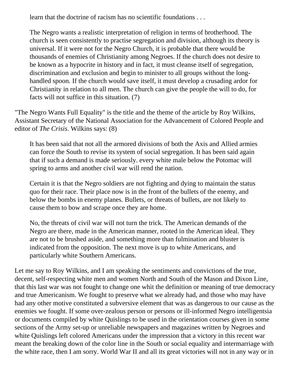learn that the doctrine of racism has no scientific foundations . . .

The Negro wants a realistic interpretation of religion in terms of brotherhood. The church is seen consistently to practise segregation and division, although its theory is universal. If it were not for the Negro Church, it is probable that there would be thousands of enemies of Christianity among Negroes. If the church does not desire to be known as a hypocrite in history and in fact, it must cleanse itself of segregation, discrimination and exclusion and begin to minister to all groups without the longhandled spoon. If the church would save itself, it must develop a crusading ardor for Christianity in relation to all men. The church can give the people the will to do, for facts will not suffice in this situation. (7)

"The Negro Wants Full Equality" is the title and the theme of the article by Roy Wilkins, Assistant Secretary of the National Association for the Advancement of Colored People and editor of *The Crisis*. Wilkins says: (8)

It has been said that not all the armored divisions of both the Axis and Allied armies can force the South to revise its system of social segregation. It has been said again that if such a demand is made seriously. every white male below the Potomac will spring to arms and another civil war will rend the nation.

Certain it is that the Negro soldiers are not fighting and dying to maintain the status quo for their race. Their place now is in the front of the bullets of the enemy, and below the bombs in enemy planes. Bullets, or threats of bullets, are not likely to cause them to bow and scrape once they are home.

No, the threats of civil war will not turn the trick. The American demands of the Negro are there, made in the American manner, rooted in the American ideal. They are not to be brushed aside, and something more than fulmination and bluster is indicated from the opposition. The next move is up to white Americans, and particularly white Southern Americans.

Let me say to Roy Wilkins, and I am speaking the sentiments and convictions of the true, decent, self-respecting white men and women North and South of the Mason and Dixon Line, that this last war was not fought to change one whit the definition or meaning of true democracy and true Americanism. We fought to preserve what we already had, and those who may have had any other motive constituted a subversive element that was as dangerous to our cause as the enemies we fought. If some over-zealous person or persons or ill-informed Negro intelligentsia or documents compiled by white Quislings to be used in the orientation courses given in some sections of the Army set-up or unreliable newspapers and magazines written by Negroes and white Quislings left colored Americans under the impression that a victory in this recent war meant the breaking down of the color line in the South or social equality and intermarriage with the white race, then I am sorry. World War II and all its great victories will not in any way or in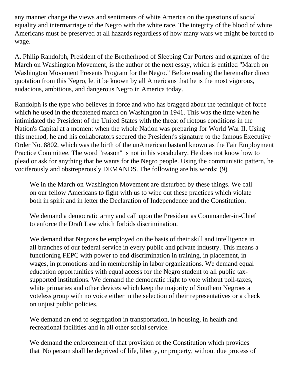any manner change the views and sentiments of white America on the questions of social equality and intermarriage of the Negro with the white race. The integrity of the blood of white Americans must be preserved at all hazards regardless of how many wars we might be forced to wage.

A. Philip Randolph, President of the Brotherhood of Sleeping Car Porters and organizer of the March on Washington Movement, is the author of the next essay, which is entitled "March on Washington Movement Presents Program for the Negro." Before reading the hereinafter direct quotation from this Negro, let it be known by all Americans that he is the most vigorous, audacious, ambitious, and dangerous Negro in America today.

Randolph is the type who believes in force and who has bragged about the technique of force which he used in the threatened march on Washington in 1941. This was the time when he intimidated the President of the United States with the threat of riotous conditions in the Nation's Capital at a moment when the whole Nation was preparing for World War II. Using this method, he and his collaborators secured the President's signature to the famous Executive Order No. 8802, which was the birth of the unAmerican bastard known as the Fair Employment Practice Committee. The word "reason" is not in his vocabulary. He does not know how to plead or ask for anything that he wants for the Negro people. Using the communistic pattern, he vociferously and obstreperously DEMANDS. The following are his words: (9)

We in the March on Washington Movement are disturbed by these things. We call on our fellow Americans to fight with us to wipe out these practices which violate both in spirit and in letter the Declaration of Independence and the Constitution.

We demand a democratic army and call upon the President as Commander-in-Chief to enforce the Draft Law which forbids discrimination.

We demand that Negroes be employed on the basis of their skill and intelligence in all branches of our federal service in every public and private industry. This means a functioning FEPC with power to end discrimination in training, in placement, in wages, in promotions and in membership in labor organizations. We demand equal education opportunities with equal access for the Negro student to all public taxsupported institutions. We demand the democratic right to vote without poll-taxes, white primaries and other devices which keep the majority of Southern Negroes a voteless group with no voice either in the selection of their representatives or a check on unjust public policies.

We demand an end to segregation in transportation, in housing, in health and recreational facilities and in all other social service.

We demand the enforcement of that provision of the Constitution which provides that 'No person shall be deprived of life, liberty, or property, without due process of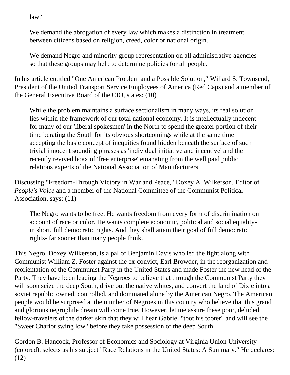law.'

We demand the abrogation of every law which makes a distinction in treatment between citizens based on religion, creed, color or national origin.

We demand Negro and minority group representation on all administrative agencies so that these groups may help to determine policies for all people.

In his article entitled "One American Problem and a Possible Solution," Willard S. Townsend, President of the United Transport Service Employees of America (Red Caps) and a member of the General Executive Board of the CIO, states: (10)

While the problem maintains a surface sectionalism in many ways, its real solution lies within the framework of our total national economy. It is intellectually indecent for many of our 'liberal spokesmen' in the North to spend the greater portion of their time berating the South for its obvious shortcomings while at the same time accepting the basic concept of inequities found hidden beneath the surface of such trivial innocent sounding phrases as 'individual initiative and incentive' and the recently revived hoax of 'free enterprise' emanating from the well paid public relations experts of the National Association of Manufacturers.

Discussing "Freedom-Through Victory in War and Peace," Doxey A. Wilkerson, Editor of *People's Voice* and a member of the National Committee of the Communist Political Association, says: (11)

The Negro wants to be free. He wants freedom from every form of discrimination on account of race or color. He wants complete economic, political and social equalityin short, full democratic rights. And they shall attain their goal of full democratic rights- far sooner than many people think.

This Negro, Doxey Wilkerson, is a pal of Benjamin Davis who led the fight along with Communist William Z. Foster against the ex-convict, Earl Browder, in the reorganization and reorientation of the Communist Party in the United States and made Foster the new head of the Party. They have been leading the Negroes to believe that through the Communist Party they will soon seize the deep South, drive out the native whites, and convert the land of Dixie into a soviet republic owned, controlled, and dominated alone by the American Negro. The American people would be surprised at the number of Negroes in this country who believe that this grand and glorious negrophile dream will come true. However, let me assure these poor, deluded fellow-travelers of the darker skin that they will hear Gabriel "toot his tooter" and will see the "Sweet Chariot swing low" before they take possession of the deep South.

Gordon B. Hancock, Professor of Economics and Sociology at Virginia Union University (colored), selects as his subject "Race Relations in the United States: A Summary." He declares: (12)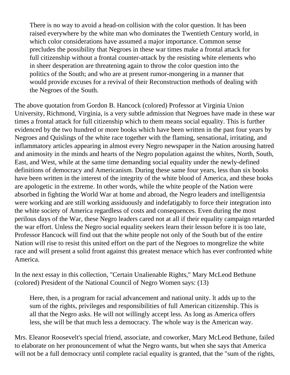There is no way to avoid a head-on collision with the color question. It has been raised everywhere by the white man who dominates the Twentieth Century world, in which color considerations have assumed a major importance. Common sense precludes the possibility that Negroes in these war times make a frontal attack for full citizenship without a frontal counter-attack by the resisting white elements who in sheer desperation are threatening again to throw the color question into the politics of the South; and who are at present rumor-mongering in a manner that would provide excuses for a revival of their Reconstruction methods of dealing with the Negroes of the South.

The above quotation from Gordon B. Hancock (colored) Professor at Virginia Union University, Richmond, Virginia, is a very subtle admission that Negroes have made in these war times a frontal attack for full citizenship which to them means social equality. This is further evidenced by the two hundred or more books which have been written in the past four years by Negroes and Quislings of the white race together with the flaming, sensational, irritating, and inflammatory articles appearing in almost every Negro newspaper in the Nation arousing hatred and animosity in the minds and hearts of the Negro population against the whites, North, South, East, and West, while at the same time demanding social equality under the newly-defined definitions of democracy and Americanism. During these same four years, less than six books have been written in the interest of the integrity of the white blood of America, and these books are apologetic in the extreme. In other words, while the white people of the Nation were absorbed in fighting the World War at home and abroad, the Negro leaders and intelligentsia were working and are still working assiduously and indefatigably to force their integration into the white society of America regardless of costs and consequences. Even during the most perilous days of the War, these Negro leaders cared not at all if their equality campaign retarded the war effort. Unless the Negro social equality seekers learn their lesson before it is too late, Professor Hancock will find out that the white people not only of the South but of the entire Nation will rise to resist this united effort on the part of the Negroes to mongrelize the white race and will present a solid front against this greatest menace which has ever confronted white America.

In the next essay in this collection, "Certain Unalienable Rights," Mary McLeod Bethune (colored) President of the National Council of Negro Women says: (13)

Here, then, is a program for racial advancement and national unity. lt adds up to the sum of the rights, privileges and responsibilities of full American citizenship. This is all that the Negro asks. He will not willingly accept less. As long as America offers less, she will be that much less a democracy. The whole way is the American way.

Mrs. Eleanor Roosevelt's special friend, associate, and coworker, Mary McLeod Bethune, failed to elaborate on her pronouncement of what the Negro wants, but when she says that America will not be a full democracy until complete racial equality is granted, that the "sum of the rights,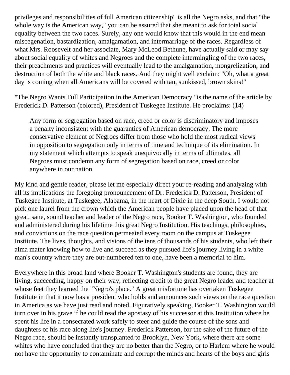privileges and responsibilities of full American citizenship" is all the Negro asks, and that "the whole way is the American way," you can be assured that she meant to ask for total social equality between the two races. Surely, any one would know that this would in the end mean miscegenation, bastardization, amalgamation, and intermarriage of the races. Regardless of what Mrs. Roosevelt and her associate, Mary McLeod Bethune, have actually said or may say about social equality of whites and Negroes and the complete intermingling of the two races, their preachments and practices will eventually lead to the amalgamation, mongrelization, and destruction of both the white and black races. And they might well exclaim: "Oh, what a great day is coming when all Americans will be covered with tan, sunkissed, brown skins!"

"The Negro Wants Full Participation in the American Democracy" is the name of the article by Frederick D. Patterson (colored), President of Tuskegee Institute. He proclaims: (14)

Any form or segregation based on race, creed or color is discriminatory and imposes a penalty inconsistent with the guaranties of American democracy. The more conservative element of Negroes differ from those who hold the most radical views in opposition to segregation only in terms of time and technique of its elimination. In my statement which attempts to speak unequivocally in terms of ultimates, all Negroes must condemn any form of segregation based on race, creed or color anywhere in our nation.

My kind and gentle reader, please let me especially direct your re-reading and analyzing with all its implications the foregoing pronouncement of Dr. Frederick D. Patterson, President of Tuskegee Institute, at Tuskegee, Alabama, in the heart of Dixie in the deep South. I would not pick one laurel from the crown which the American people have placed upon the head of that great, sane, sound teacher and leader of the Negro race, Booker T. Washington, who founded and administered during his lifetime this great Negro Institution. His teachings, philosophies, and convictions on the race question permeated every room on the campus at Tuskegee Institute. The lives, thoughts, and visions of the tens of thousands of his students, who left their alma mater knowing how to live and succeed as they pursued life's journey living in a white man's country where they are out-numbered ten to one, have been a memorial to him.

Everywhere in this broad land where Booker T. Washington's students are found, they are living, succeeding, happy on their way, reflecting credit to the great Negro leader and teacher at whose feet they learned the "Negro's place." A great misfortune has overtaken Tuskegee Institute in that it now has a president who holds and announces such views on the race question in America as we have just read and noted. Figuratively speaking, Booker T. Washington would turn over in his grave if he could read the apostasy of his successor at this Institution where he spent his life in a consecrated work safely to steer and guide the course of the sons and daughters of his race along life's journey. Frederick Patterson, for the sake of the future of the Negro race, should be instantly transplanted to Brooklyn, New York, where there are some whites who have concluded that they are no better than the Negro, or to Harlem where he would not have the opportunity to contaminate and corrupt the minds and hearts of the boys and girls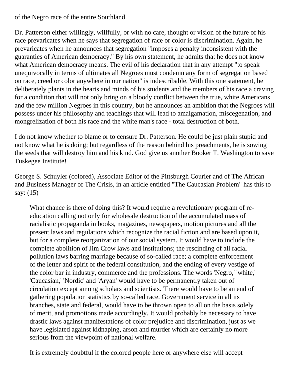of the Negro race of the entire Southland.

Dr. Patterson either willingly, willfully, or with no care, thought or vision of the future of his race prevaricates when he says that segregation of race or color is discrimination. Again, he prevaricates when he announces that segregation "imposes a penalty inconsistent with the guaranties of American democracy." By his own statement, he admits that he does not know what American democracy means. The evil of his declaration that in any attempt "to speak unequivocally in terms of ultimates all Negroes must condemn any form of segregation based on race, creed or color anywhere in our nation" is indescribable. With this one statement, he deliberately plants in the hearts and minds of his students and the members of his race a craving for a condition that will not only bring on a bloody conflict between the true, white Americans and the few million Negroes in this country, but he announces an ambition that the Negroes will possess under his philosophy and teachings that will lead to amalgamation, miscegenation, and mongrelization of both his race and the white man's race - total destruction of both.

I do not know whether to blame or to censure Dr. Patterson. He could be just plain stupid and not know what he is doing; but regardless of the reason behind his preachments, he is sowing the seeds that will destroy him and his kind. God give us another Booker T. Washington to save Tuskegee Institute!

George S. Schuyler (colored), Associate Editor of the Pittsburgh Courier and of The African and Business Manager of The Crisis, in an article entitled "The Caucasian Problem" has this to say: (15)

What chance is there of doing this? It would require a revolutionary program of reeducation calling not only for wholesale destruction of the accumulated mass of racialistic propaganda in books, magazines, newspapers, motion pictures and all the present laws and regulations which recognize the racial fiction and are based upon it, but for a complete reorganization of our social system. It would have to include the complete abolition of Jim Crow laws and institutions; the rescinding of all racial pollution laws barring marriage because of so-called race; a complete enforcement of the letter and spirit of the federal constitution, and the ending of every vestige of the color bar in industry, commerce and the professions. The words 'Negro,' 'white,' 'Caucasian,' 'Nordic' and 'Aryan' would have to be permanently taken out of circulation except among scholars and scientists. There would have to be an end of gathering population statistics by so-called race. Government service in all its branches, state and federal, would have to be thrown open to all on the basis solely of merit, and promotions made accordingly. It would probably be necessary to have drastic laws against manifestations of color prejudice and discrimination, just as we have legislated against kidnaping, arson and murder which are certainly no more serious from the viewpoint of national welfare.

It is extremely doubtful if the colored people here or anywhere else will accept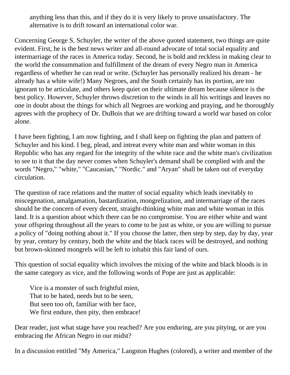anything less than this, and if they do it is very likely to prove unsatisfactory. The alternative is to drift toward an international color war.

Concerning George S. Schuyler, the writer of the above quoted statement, two things are quite evident. First, he is the best news writer and all-round advocate of total social equality and intermarriage of the races in America today. Second, he is bold and reckless in making clear to the world the consummation and fulfillment of the dream of every Negro man in America regardless of whether he can read or write. (Schuyler has personally realized his dream - he already has a white wife!) Many Negroes, and the South certainly has its portion, are too ignorant to be articulate, and others keep quiet on their ultimate dream because silence is the best policy. However, Schuyler throws discretion to the winds in all his writings and leaves no one in doubt about the things for which all Negroes are working and praying, and he thoroughly agrees with the prophecy of Dr. DuBois that we are drifting toward a world war based on color alone.

I have been fighting, I am now fighting, and I shall keep on fighting the plan and pattern of Schuyler and his kind. I beg, plead, and intreat every white man and white woman in this Republic who has any regard for the integrity of the white race and the white man's civilization to see to it that the day never comes when Schuyler's demand shall be complied with and the words "Negro," "white," "Caucasian," "Nordic." and "Aryan" shall be taken out of everyday circulation.

The question of race relations and the matter of social equality which leads inevitably to miscegenation, amalgamation, bastardization, mongrelization, and intermarriage of the races should be the concern of every decent, straight-thinking white man and white woman in this land. It is a question about which there can be no compromise. You are either white and want your offspring throughout all the years to come to be just as white, or you are willing to pursue a policy of "doing nothing about it." If you choose the latter, then step by step, day by day, year by year, century by century, both the white and the black races will be destroyed, and nothing but brown-skinned mongrels will be left to inhabit this fair land of ours.

This question of social equality which involves the mixing of the white and black bloods is in the same category as vice, and the following words of Pope are just as applicable:

Vice is a monster of such frightful mien, That to be hated, needs but to be seen, But seen too oft, familiar with her face, We first endure, then pity, then embrace!

Dear reader, just what stage have you reached? Are you enduring, are you pitying, or are you embracing the African Negro in our midst?

In a discussion entitled "My America," Langston Hughes (colored), a writer and member of the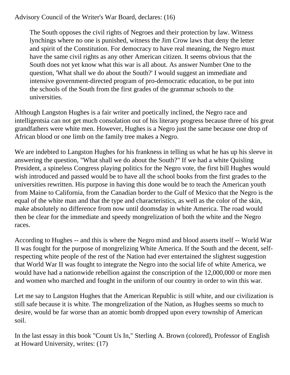Advisory Council of the Writer's War Board, declares: (16)

The South opposes the civil rights of Negroes and their protection by law. Witness lynchings where no one is punished, witness the Jim Crow laws that deny the letter and spirit of the Constitution. For democracy to have real meaning, the Negro must have the same civil rights as any other American citizen. It seems obvious that the South does not yet know what this war is all about. As answer Number One to the question, 'What shall we do about the South?' I would suggest an immediate and intensive government-directed program of pro-democratic education, to be put into the schools of the South from the first grades of the grammar schools to the universities.

Although Langston Hughes is a fair writer and poetically inclined, the Negro race and intelligentsia can not get much consolation out of his literary progress because three of his great grandfathers were white men. However, Hughes is a Negro just the same because one drop of African blood or one limb on the family tree makes a Negro.

We are indebted to Langston Hughes for his frankness in telling us what he has up his sleeve in answering the question, "What shall we do about the South?" If we had a white Quisling President, a spineless Congress playing politics for the Negro vote, the first bill Hughes would wish introduced and passed would be to have all the school books from the first grades to the universities rewritten. His purpose in having this done would be to teach the American youth from Maine to California, from the Canadian border to the Gulf of Mexico that the Negro is the equal of the white man and that the type and characteristics, as well as the color of the skin, make absolutely no difference from now until doomsday in white America. The road would then be clear for the immediate and speedy mongrelization of both the white and the Negro races.

According to Hughes -- and this is where the Negro mind and blood asserts itself -- World War II was fought for the purpose of mongrelizing White America. If the South and the decent, selfrespecting white people of the rest of the Nation had ever entertained the slightest suggestion that World War II was fought to integrate the Negro into the social life of white America, we would have had a nationwide rebellion against the conscription of the 12,000,000 or more men and women who marched and fought in the uniform of our country in order to win this war.

Let me say to Langston Hughes that the American Republic is still white, and our civilization is still safe because it is white. The mongrelization of the Nation, as Hughes seems so much to desire, would be far worse than an atomic bomb dropped upon every township of American soil.

In the last essay in this book "Count Us In," Sterling A. Brown (colored), Professor of English at Howard University, writes: (17)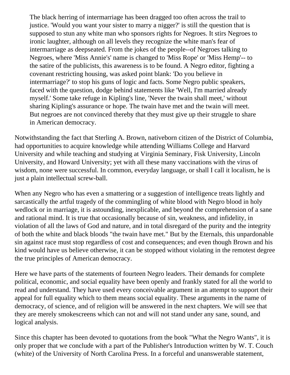The black herring of intermarriage has been dragged too often across the trail to justice. 'Would you want your sister to marry a nigger?' is still the question that is supposed to stun any white man who sponsors rights for Negroes. It stirs Negroes to ironic laughter, although on all levels they recognize the white man's fear of intermarriage as deepseated. From the jokes of the people--of Negroes talking to Negroes, where 'Miss Annie's' name is changed to 'Miss Rope' or 'Miss Hemp'-- to the satire of the publicists, this awareness is to be found. A Negro editor, fighting a covenant restricting housing, was asked point blank: 'Do you believe in intermarriage?' to stop his guns of logic and facts. Some Negro public speakers, faced with the question, dodge behind statements like 'Well, I'm married already myself.' Some take refuge in Kipling's line, 'Never the twain shall meet,' without sharing Kipling's assurance or hope. The twain have met and the twain will meet. But negroes are not convinced thereby that they must give up their struggle to share in American democracy.

Notwithstanding the fact that Sterling A. Brown, nativeborn citizen of the District of Columbia, had opportunities to acquire knowledge while attending Williams College and Harvard University and while teaching and studying at Virginia Seminary, Fisk University, Lincoln University, and Howard University; yet with all these many vaccinations with the virus of wisdom, none were successful. In common, everyday language, or shall I call it localism, he is just a plain intellectual screw-ball.

When any Negro who has even a smattering or a suggestion of intelligence treats lightly and sarcastically the artful tragedy of the commingling of white blood with Negro blood in holy wedlock or in marriage, it is astounding, inexplicable, and beyond the comprehension of a sane and rational mind. It is true that occasionally because of sin, weakness, and infidelity, in violation of all the laws of God and nature, and in total disregard of the purity and the integrity of both the white and black bloods "the twain have met." But by the Eternals, this unpardonable sin against race must stop regardless of cost and consequences; and even though Brown and his kind would have us believe otherwise, it can be stopped without violating in the remotest degree the true principles of American democracy.

Here we have parts of the statements of fourteen Negro leaders. Their demands for complete political, economic, and social equality have been openly and frankly stated for all the world to read and understand. They have used every conceivable argument in an attempt to support their appeal for full equality which to them means social equality. These arguments in the name of democracy, of science, and of religion will be answered in the next chapters. We will see that they are merely smokescreens which can not and will not stand under any sane, sound, and logical analysis.

Since this chapter has been devoted to quotations from the book "What the Negro Wants", it is only proper that we conclude with a part of the Publisher's Introduction written by W. T. Couch (white) of the University of North Carolina Press. In a forceful and unanswerable statement,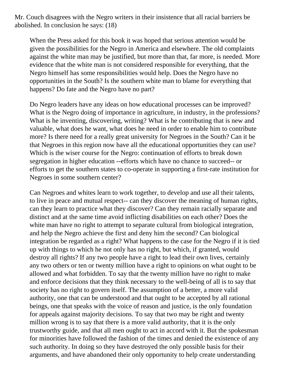Mr. Couch disagrees with the Negro writers in their insistence that all racial barriers be abolished. In conclusion he says: (18)

When the Press asked for this book it was hoped that serious attention would be given the possibilities for the Negro in America and elsewhere. The old complaints against the white man may be justified, but more than that, far more, is needed. More evidence that the white man is not considered responsible for everything, that the Negro himself has some responsibilities would help. Does the Negro have no opportunities in the South? Is the southern white man to blame for everything that happens? Do fate and the Negro have no part?

Do Negro leaders have any ideas on how educational processes can be improved? What is the Negro doing of importance in agriculture, in industry, in the professions? What is he inventing, discovering, writing? What is he contributing that is new and valuable, what does he want, what does he need in order to enable him to contribute more? Is there need for a really great university for Negroes in the South? Can it be that Negroes in this region now have all the educational opportunities they can use? Which is the wiser course for the Negro: continuation of efforts to break down segregation in higher education --efforts which have no chance to succeed-- or efforts to get the southern states to co-operate in supporting a first-rate institution for Negroes in some southern center?

Can Negroes and whites learn to work together, to develop and use all their talents, to live in peace and mutual respect-- can they discover the meaning of human rights, can they learn to practice what they discover? Can they remain racially separate and distinct and at the same time avoid inflicting disabilities on each other? Does the white man have no right to attempt to separate cultural from biological integration, and help the Negro achieve the first and deny him the second? Can biological integration be regarded as a right? What happens to the case for the Negro if it is tied up with things to which he not only has no right, but which, if granted, would destroy all rights? If any two people have a right to lead their own lives, certainly any two others or ten or twenty million have a right to opinions on what ought to be allowed and what forbidden. To say that the twenty million have no right to make and enforce decisions that they think necessary to the well-being of all is to say that society has no right to govern itself. The assumption of a better, a more valid authority, one that can be understood and that ought to be accepted by all rational beings, one that speaks with the voice of reason and justice, is the only foundation for appeals against majority decisions. To say that two may be right and twenty million wrong is to say that there is a more valid authority, that it is the only trustworthy guide, and that all men ought to act in accord with it. But the spokesman for minorities have followed the fashion of the times and denied the existence of any such authority. In doing so they have destroyed the only possible basis for their arguments, and have abandoned their only opportunity to help create understanding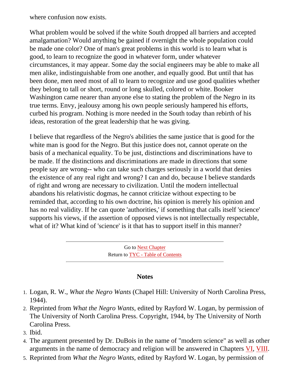where confusion now exists.

What problem would be solved if the white South dropped all barriers and accepted amalgamation? Would anything be gained if overnight the whole population could be made one color? One of man's great problems in this world is to learn what is good, to learn to recognize the good in whatever form, under whatever circumstances, it may appear. Some day the social engineers may be able to make all men alike, indistinguishable from one another, and equally good. But until that has been done, men need most of all to learn to recognize and use good qualities whether they belong to tall or short, round or long skulled, colored or white. Booker Washington came nearer than anyone else to stating the problem of the Negro in its true terms. Envy, jealousy among his own people seriously hampered his efforts, curbed his program. Nothing is more needed in the South today than rebirth of his ideas, restoration of the great leadership that he was giving.

I believe that regardless of the Negro's abilities the same justice that is good for the white man is good for the Negro. But this justice does not, cannot operate on the basis of a mechanical equality. To be just, distinctions and discriminations have to be made. If the distinctions and discriminations are made in directions that some people say are wrong-- who can take such charges seriously in a world that denies the existence of any real right and wrong? I can and do, because I believe standards of right and wrong are necessary to civilization. Until the modern intellectual abandons his relativistic dogmas, he cannot criticize without expecting to be reminded that, according to his own doctrine, his opinion is merely his opinion and has no real validity. If he can quote 'authorities,' if something that calls itself 'science' supports his views, if the assertion of opposed views is not intellectually respectable, what of it? What kind of 'science' is it that has to support itself in this manner?

> Go to [Next Chapter](#page-68-0) Return to [TYC - Table of Contents](#page-0-0)

#### **Notes**

- 1. Logan, R. W., *What the Negro Wants* (Chapel Hill: University of North Carolina Press, 1944).
- 2. Reprinted from *What the Negro Wants*, edited by Rayford W. Logan, by permission of The University of North Carolina Press. Copyright, 1944, by The University of North Carolina Press.
- 3. Ibid.
- 4. The argument presented by Dr. DuBois in the name of "modern science" as well as other arguments in the name of democracy and religion will be answered in Chapters [VI,](#page-68-0) [VIII.](http://www.churchoftrueisrael.com/tyc/tyc-07.html>VII</A>, 
and <A HREF=)
- 5. Reprinted from *What the Negro Wants*, edited by Rayford W. Logan, by permission of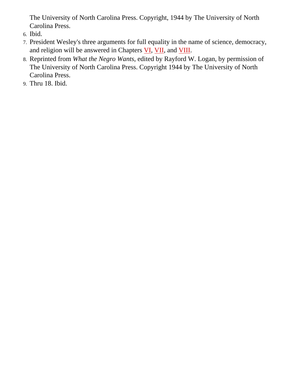The University of North Carolina Press. Copyright, 1944 by The University of North Carolina Press.

- 6. Ibid.
- 7. President Wesley's three arguments for full equality in the name of science, democracy, and religion will be answered in Chapters [VI](#page-68-0), [VII,](#page-78-0) and [VIII.](#page-87-0)
- 8. Reprinted from *What the Negro Wants*, edited by Rayford W. Logan, by permission of The University of North Carolina Press. Copyright 1944 by The University of North Carolina Press.
- 9. Thru 18. Ibid.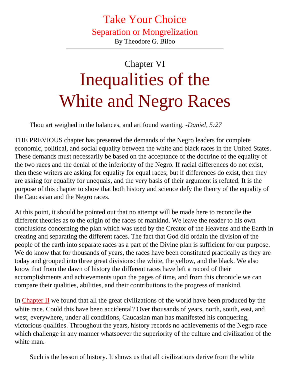### Take Your Choice Separation or Mongrelization By Theodore G. Bilbo

## <span id="page-68-0"></span>Chapter VI Inequalities of the White and Negro Races

Thou art weighed in the balances, and art found wanting. *-Daniel, 5:27*

THE PREVIOUS chapter has presented the demands of the Negro leaders for complete economic, political, and social equality between the white and black races in the United States. These demands must necessarily be based on the acceptance of the doctrine of the equality of the two races and the denial of the inferiority of the Negro. If racial differences do not exist, then these writers are asking for equality for equal races; but if differences do exist, then they are asking for equality for unequals, and the very basis of their argument is refuted. It is the purpose of this chapter to show that both history and science defy the theory of the equality of the Caucasian and the Negro races.

At this point, it should be pointed out that no attempt will be made here to reconcile the different theories as to the origin of the races of mankind. We leave the reader to his own conclusions concerning the plan which was used by the Creator of the Heavens and the Earth in creating and separating the different races. The fact that God did ordain the division of the people of the earth into separate races as a part of the Divine plan is sufficient for our purpose. We do know that for thousands of years, the races have been constituted practically as they are today and grouped into three great divisions: the white, the yellow, and the black. We also know that from the dawn of history the different races have left a record of their accomplishments and achievements upon the pages of time, and from this chronicle we can compare their qualities, abilities, and their contributions to the progress of mankind.

In [Chapter II](#page-11-0) we found that all the great civilizations of the world have been produced by the white race. Could this have been accidental? Over thousands of years, north, south, east, and west, everywhere, under all conditions, Caucasian man has manifested his conquering, victorious qualities. Throughout the years, history records no achievements of the Negro race which challenge in any manner whatsoever the superiority of the culture and civilization of the white man.

Such is the lesson of history. It shows us that all civilizations derive from the white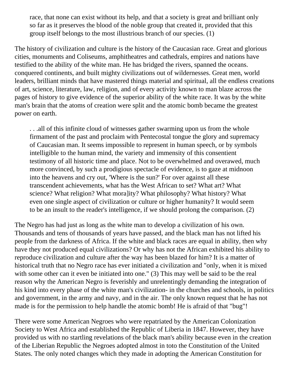race, that none can exist without its help, and that a society is great and brilliant only so far as it preserves the blood of the noble group that created it, provided that this group itself belongs to the most illustrious branch of our species. (1)

The history of civilization and culture is the history of the Caucasian race. Great and glorious cities, monuments and Coliseums, amphitheatres and cathedrals, empires and nations have testified to the ability of the white man. He has bridged the rivers, spanned the oceans. conquered continents, and built mighty civilizations out of wildernesses. Great men, world leaders, brilliant minds that have mastered things material and spiritual, all the endless creations of art, science, literature, law, religion, and of every activity known to man blaze across the pages of history to give evidence of the superior ability of the white race. It was by the white man's brain that the atoms of creation were split and the atomic bomb became the greatest power on earth.

. . .all of this infinite cloud of witnesses gather swarming upon us from the whole firmament of the past and proclaim with Pentecostal tongue the glory and supremacy of Caucasian man. It seems impossible to represent in human speech, or by symbols intelligible to the human mind, the variety and immensity of this consentient testimony of all historic time and place. Not to be overwhelmed and overawed, much more convinced, by such a prodigious spectacle of evidence, is to gaze at midnoon into the heavens and cry out, 'Where is the sun?' For over against all these transcendent achievements, what has the West African to set? What art? What science? What religion? What mora]ity? What philosophy? What history? What even one single aspect of civilization or culture or higher humanity? It would seem to be an insult to the reader's intelligence, if we should prolong the comparison. (2)

The Negro has had just as long as the white man to develop a civilization of his own. Thousands and tens of thousands of years have passed, and the black man has not lifted his people from the darkness of Africa. If the white and black races are equal in ability, then why have they not produced equal civilizations? Or why has not the African exhibited his ability to reproduce civilization and culture after the way has been blazed for him? It is a matter of historical truth that no Negro race has ever initiated a civilization and "only, when it is mixed with some other can it even be initiated into one." (3) This may well be said to be the real reason why the American Negro is feverishly and unrelentingly demanding the integration of his kind into every phase of the white man's civilization- in the churches and schools, in politics and government, in the army and navy, and in the air. The only known request that he has not made is for the permission to help handle the atomic bomb! He is afraid of that "bug"!

There were some American Negroes who were repatriated by the American Colonization Society to West Africa and established the Republic of Liberia in 1847. However, they have provided us with no startling revelations of the black man's ability because even in the creation of the Liberian Republic the Negroes adopted almost in toto the Constitution of the United States. The only noted changes which they made in adopting the American Constitution for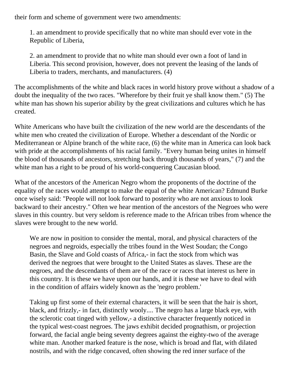their form and scheme of government were two amendments:

1. an amendment to provide specifically that no white man should ever vote in the Republic of Liberia,

2. an amendment to provide that no white man should ever own a foot of land in Liberia. This second provision, however, does not prevent the leasing of the lands of Liberia to traders, merchants, and manufacturers. (4)

The accomplishments of the white and black races in world history prove without a shadow of a doubt the inequality of the two races. "Wherefore by their fruit ye shall know them." (5) The white man has shown his superior ability by the great civilizations and cultures which he has created.

White Americans who have built the civilization of the new world are the descendants of the white men who created the civilization of Europe. Whether a descendant of the Nordic or Mediterranean or Alpine branch of the white race, (6) the white man in America can look back with pride at the accomplishments of his racial family. "Every human being unites in himself the blood of thousands of ancestors, stretching back through thousands of years," (7) and the white man has a right to be proud of his world-conquering Caucasian blood.

What of the ancestors of the American Negro whom the proponents of the doctrine of the equality of the races would attempt to make the equal of the white American? Edmund Burke once wisely said: "People will not look forward to posterity who are not anxious to look backward to their ancestry." Often we hear mention of the ancestors of the Negroes who were slaves in this country. but very seldom is reference made to the African tribes from whence the slaves were brought to the new world.

We are now in position to consider the mental, moral, and physical characters of the negroes and negroids, especially the tribes found in the West Soudan; the Congo Basin, the Slave and Gold coasts of Africa,- in fact the stock from which was derived the negroes that were brought to the United States as slaves. These are the negroes, and the descendants of them are of the race or races that interest us here in this country. It is these we have upon our hands, and it is these we have to deal with in the condition of affairs widely known as the 'negro problem.'

Taking up first some of their external characters, it will be seen that the hair is short, black, and frizzly,- in fact, distinctly wooly.... The negro has a large black eye, with the sclerotic coat tinged with yellow,- a distinctive character frequently noticed in the typical west-coast negroes. The jaws exhibit decided prognathism, or projection forward, the facial angle being seventy degrees against the eighty-two of the average white man. Another marked feature is the nose, which is broad and flat, with dilated nostrils, and with the ridge concaved, often showing the red inner surface of the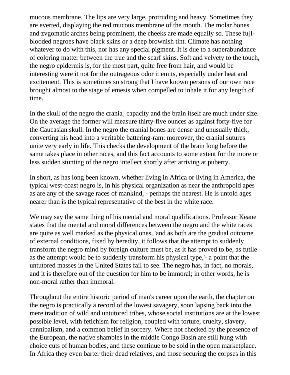mucous membrane. The lips are very large, protruding and heavy. Sometimes they are everted, displaying the red mucous membrane of the mouth. The molar bones and zvgomatic arches being prominent, the cheeks are made equally so. These fu]lblooded negroes have black skins or a deep brownish tint. Climate has nothing whatever to do with this, nor has any special pigment. It is due to a superabundance of coloring matter between the true and the scarf skins. Soft and velvety to the touch, the negro epidermis is, for the most part, quite free from hair, and would be interesting were it not for the outrageous odor it emits, especially under heat and excitement. This is sometimes so strong that I have known persons of our own race brought almost to the stage of emesis when compelled to inhale it for any length of time.

In the skull of the negro the crania] capacity and the brain itself are much under size. On the average the former will measure thirty-five ounces as against forty-five for the Caucasian skull. In the negro the cranial bones are dense and unusually thick, converting his head into a veritable battering-ram: moreover, the cranial sutures unite very early in life. This checks the development of the brain long before the same takes place in other races, and this fact accounts to some extent for the more or less sudden stunting of the negro intellect shortly after arriving at puberty.

In short, as has long been known, whether living in Africa or living in America, the typical west-coast negro is, in his physical organization as near the anthropoid apes as are any of the savage races of mankind, - perhaps the nearest. He is untold ages nearer than is the typical representative of the best in the white race.

We may say the same thing of his mental and moral qualifications. Professor Keane states that the mental and moral differences between the negro and the white races are quite as well marked as the physical ones, 'and as both are the gradual outcome of external conditions, fixed by heredity, it follows that the attempt to suddenly transform the negro mind by foreign culture must be, as it has proved to be, as futile as the attempt would be to suddenly transform his physical type,'- a point that the untutored masses in the United States fail to see. The negro has, in fact, no morals, and it is therefore out of the question for him to be immoral; in other words, he is non-moral rather than immoral.

Throughout the entire historic period of man's career upon the earth, the chapter on the negro is practically a record of the lowest savagery, soon lapsing back into the mere tradition of wild and untutored tribes, whose social institutions are at the lowest possible level, with fetichism for religion, coupled with torture, cruelty, slavery, cannibalism, and a common belief in sorcery. Where not checked by the presence of the European, the native shambles ln the middle Congo Basin are still hung with choice cuts of human bodies, and these continue to be sold in the open marketplace. In Africa they even barter their dead relatives, and those securing the corpses in this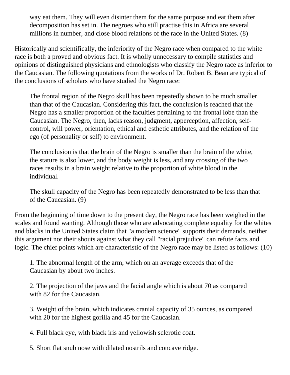way eat them. They will even disinter them for the same purpose and eat them after decomposition has set in. The negroes who still practise this in Africa are several millions in number, and close blood relations of the race in the United States. (8)

Historically and scientifically, the inferiority of the Negro race when compared to the white race is both a proved and obvious fact. It is wholly unnecessary to compile statistics and opinions of distinguished physicians and ethnologists who classify the Negro race as inferior to the Caucasian. The following quotations from the works of Dr. Robert B. Bean are typical of the conclusions of scholars who have studied the Negro race:

The frontal region of the Negro skull has been repeatedly shown to be much smaller than that of the Caucasian. Considering this fact, the conclusion is reached that the Negro has a smaller proportion of the faculties pertaining to the frontal lobe than the Caucasian. The Negro, then, lacks reason, judgment, apperception, affection, selfcontrol, will power, orientation, ethical and esthetic attributes, and the relation of the ego (of personality or self) to environment.

The conclusion is that the brain of the Negro is smaller than the brain of the white, the stature is also lower, and the body weight is less, and any crossing of the two races results in a brain weight relative to the proportion of white blood in the individual.

The skull capacity of the Negro has been repeatedly demonstrated to be less than that of the Caucasian. (9)

From the beginning of time down to the present day, the Negro race has been weighed in the scales and found wanting. Although those who are advocating complete equality for the whites and blacks in the United States claim that "a modern science" supports their demands, neither this argument nor their shouts against what they call "racial prejudice" can refute facts and logic. The chief points which are characteristic of the Negro race may be listed as follows: (10)

1. The abnormal length of the arm, which on an average exceeds that of the Caucasian by about two inches.

2. The projection of the jaws and the facial angle which is about 70 as compared with 82 for the Caucasian.

3. Weight of the brain, which indicates cranial capacity of 35 ounces, as compared with 20 for the highest gorilla and 45 for the Caucasian.

4. Full black eye, with black iris and yellowish sclerotic coat.

5. Short flat snub nose with dilated nostrils and concave ridge.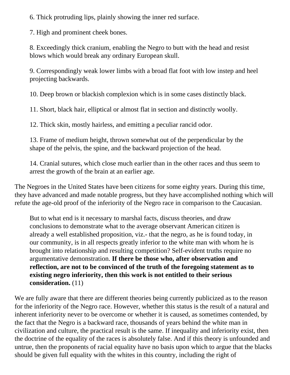6. Thick protruding lips, plainly showing the inner red surface.

7. High and prominent cheek bones.

8. Exceedingly thick cranium, enabling the Negro to butt with the head and resist blows which would break any ordinary European skull.

9. Correspondingly weak lower limbs with a broad flat foot with low instep and heel projecting backwards.

10. Deep brown or blackish complexion which is in some cases distinctly black.

11. Short, black hair, elliptical or almost flat in section and distinctly woolly.

12. Thick skin, mostly hairless, and emitting a peculiar rancid odor.

13. Frame of medium height, thrown somewhat out of the perpendicular by the shape of the pelvis, the spine, and the backward projection of the head.

14. Cranial sutures, which close much earlier than in the other races and thus seem to arrest the growth of the brain at an earlier age.

The Negroes in the United States have been citizens for some eighty years. During this time, they have advanced and made notable progress, but they have accomplished nothing which will refute the age-old proof of the inferiority of the Negro race in comparison to the Caucasian.

But to what end is it necessary to marshal facts, discuss theories, and draw conclusions to demonstrate what to the average observant American citizen is already a well established proposition, viz.- that the negro, as he is found today, in our community, is in all respects greatly inferior to the white man with whom he is brought into relationship and resulting competition? Self-evident truths require no argumentative demonstration. **If there be those who, after observation and reflection, are not to be convinced of the truth of the foregoing statement as to existing negro inferiority, then this work is not entitled to their serious consideration.** (11)

We are fully aware that there are different theories being currently publicized as to the reason for the inferiority of the Negro race. However, whether this status is the result of a natural and inherent inferiority never to be overcome or whether it is caused, as sometimes contended, by the fact that the Negro is a backward race, thousands of years behind the white man in civilization and culture, the practical result is the same. If inequality and inferiority exist, then the doctrine of the equality of the races is absolutely false. And if this theory is unfounded and untrue, then the proponents of racial equality have no basis upon which to argue that the blacks should be given full equality with the whites in this country, including the right of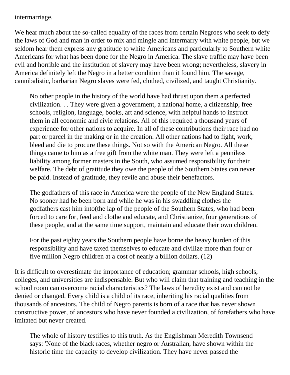intermarriage.

We hear much about the so-called equality of the races from certain Negroes who seek to defy the laws of God and man in order to mix and mingle and intermarry with white people, but we seldom hear them express any gratitude to white Americans and particularly to Southern white Americans for what has been done for the Negro in America. The slave traffic may have been evil and horrible and the institution of slavery may have been wrong; nevertheless, slavery in America definitely left the Negro in a better condition than it found him. The savage, cannibalistic, barbarian Negro slaves were fed, clothed, civilized, and taught Christianity.

No other people in the history of the world have had thrust upon them a perfected civilization. . . They were given a government, a national home, a citizenship, free schools, religion, language, books, art and science, with helpful hands to instruct them in all economic and civic relations. All of this required a thousand years of experience for other nations to acquire. In all of these contributions their race had no part or parcel in the making or in the creation. All other nations had to fight, work, bleed and die to procure these things. Not so with the American Negro. All these things came to him as a free gift from the white man. They were left a penniless liability among former masters in the South, who assumed responsibility for their welfare. The debt of gratitude they owe the people of the Southern States can never be paid. Instead of gratitude, they revile and abuse their benefactors.

The godfathers of this race in America were the people of the New England States. No sooner had he been born and while he was in his swaddling clothes the godfathers cast him into(the lap of the people of the Southern States, who had been forced to care for, feed and clothe and educate, and Christianize, four generations of these people, and at the same time support, maintain and educate their own children.

For the past eighty years the Southern people have borne the heavy burden of this responsibility and have taxed themselves to educate and civilize more than four or five million Negro children at a cost of nearly a billion dollars. (12)

It is difficult to overestimate the importance of education; grammar schools, high schools, colleges, and universities are indispensable. But who will claim that training and teaching in the school room can overcome racial characteristics? The laws of heredity exist and can not be denied or changed. Every child is a child of its race, inheriting his racial qualities from thousands of ancestors. The child of Negro parents is born of a race that has never shown constructive power, of ancestors who have never founded a civilization, of forefathers who have imitated but never created.

The whole of history testifies to this truth. As the Englishman Meredith Townsend says: 'None of the black races, whether negro or Australian, have shown within the historic time the capacity to develop civilization. They have never passed the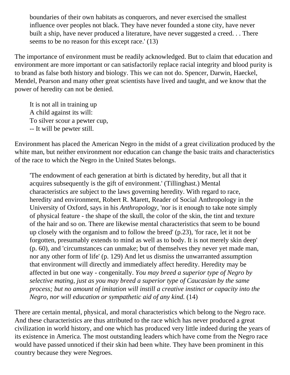boundaries of their own habitats as conquerors, and never exercised the smallest influence over peoples not black. They have never founded a stone city, have never built a ship, have never produced a literature, have never suggested a creed. . . There seems to be no reason for this except race.' (13)

The importance of environment must be readily acknowledged. But to claim that education and environment are more important or can satisfactorily replace racial integrity and blood purity is to brand as false both history and biology. This we can not do. Spencer, Darwin, Haeckel, Mendel, Pearson and many other great scientists have lived and taught, and we know that the power of heredity can not be denied.

It is not all in training up A child against its will: To silver scour a pewter cup, -- It will be pewter still.

Environment has placed the American Negro in the midst of a great civilization produced by the white man, but neither environment nor education can change the basic traits and characteristics of the race to which the Negro in the United States belongs.

'The endowment of each generation at birth is dictated by heredity, but all that it acquires subsequently is the gift of environment.' (Tillinghast.) Mental characteristics are subject to the laws governing heredity. With regard to race, heredity and environment, Robert R. Marett, Reader of Social Anthropology in the University of Oxford, says in his *Anthropology*, 'nor is it enough to take note simply of physical feature - the shape of the skull, the color of the skin, the tint and texture of the hair and so on. There are likewise mental characteristics that seem to be bound up closely with the organism and to follow the breed' (p.23), 'for race, let it not be forgotten, presumably extends to mind as well as to body. It is not merely skin deep' (p. 60), and 'circumstances can unmake; but of themselves they never yet made man, nor any other form of life' (p. 129) And let us dismiss the unwarranted assumption that environment will directly and immediately affect heredity. Heredity may be affected in but one way - congenitally. *You may breed a superior type of Negro by selective mating, just as you may breed a superior type of Caucasian by the same process; but no amount of imitation will instill a creative instinct or capacity into the Negro, nor will education or sympathetic aid of any kind.* (14)

There are certain mental, physical, and moral characteristics which belong to the Negro race. And these characteristics are thus attributed to the race which has never produced a great civilization in world history, and one which has produced very little indeed during the years of its existence in America. The most outstanding leaders which have come from the Negro race would have passed unnoticed if their skin had been white. They have been prominent in this country because they were Negroes.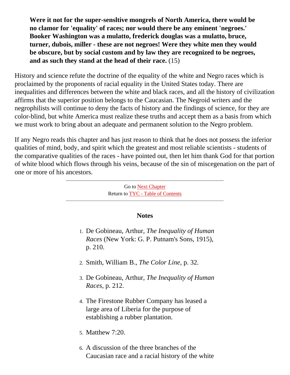**Were it not for the super-sensltive mongrels of North America, there would be no clamor for 'equality' of races; nor would there be any eminent 'negroes.' Booker Washington was a mulatto, frederick douglas was a mulatto, bruce, turner, dubois, miller - these are not negroes! Were they white men they would be obscure, but by social custom and by law they are recognized to be negroes, and as such they stand at the head of their race.** (15)

History and science refute the doctrine of the equality of the white and Negro races which is proclaimed by the proponents of racial equality in the United States today. There are inequalities and differences between the white and black races, and all the history of civilization affirms that the superior position belongs to the Caucasian. The Negroid writers and the negrophilists will continue to deny the facts of history and the findings of science, for they are color-blind, but white America must realize these truths and accept them as a basis from which we must work to bring about an adequate and permanent solution to the Negro problem.

If any Negro reads this chapter and has just reason to think that he does not possess the inferior qualities of mind, body, and spirit which the greatest and most reliable scientists - students of the comparative qualities of the races - have pointed out, then let him thank God for that portion of white blood which flows through his veins, because of the sin of miscegenation on the part of one or more of his ancestors.

> Go to [Next Chapter](#page-78-0) Return to [TYC - Table of Contents](#page-0-0)

#### **Notes**

- 1. De Gobineau, Arthur, *The Inequality of Human Races* (New York: G. P. Putnam's Sons, 1915), p. 210.
- 2. Smith, William B., *The Color Line*, p. 32.
- 3. De Gobineau, Arthur, *The Inequality of Human Races*, p. 212.
- 4. The Firestone Rubber Company has leased a large area of Liberia for the purpose of establishing a rubber plantation.
- 5. Matthew 7:20.
- 6. A discussion of the three branches of the Caucasian race and a racial history of the white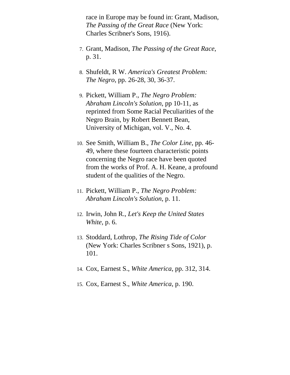race in Europe may be found in: Grant, Madison, *The Passing of the Great Race* (New York: Charles Scribner's Sons, 1916).

- 7. Grant, Madison, *The Passing of the Great Race*, p. 31.
- 8. Shufeldt, R W. *America's Greatest Problem: The Negro*, pp. 26-28, 30, 36-37.
- 9. Pickett, William P., *The Negro Problem: Abraham Lincoln's Solution*, pp 10-11, as reprinted from Some Racial Peculiarities of the Negro Brain, by Robert Bennett Bean, University of Michigan, vol. V., No. 4.
- 10. See Smith, William B., *The Color Line*, pp. 46- 49, where these fourteen characteristic points concerning the Negro race have been quoted from the works of Prof. A. H. Keane, a profound student of the qualities of the Negro.
- 11. Pickett, William P., *The Negro Problem: Abraham Lincoln's Solution*, p. 11.
- 12. Irwin, John R., *Let's Keep the United States White*, p. 6.
- 13. Stoddard, Lothrop, *The Rising Tide of Color* (New York: Charles Scribner s Sons, 1921), p. 101.
- 14. Cox, Earnest S., *White America*, pp. 312, 314.
- 15. Cox, Earnest S., *White America*, p. 190.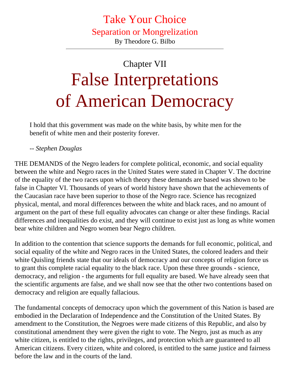### Take Your Choice Separation or Mongrelization

By Theodore G. Bilbo

### Chapter VII

## <span id="page-78-0"></span>False Interpretations of American Democracy

I hold that this government was made on the white basis, by white men for the benefit of white men and their posterity forever.

-- *Stephen Douglas*

THE DEMANDS of the Negro leaders for complete political, economic, and social equality between the white and Negro races in the United States were stated in Chapter V. The doctrine of the equality of the two races upon which theory these demands are based was shown to be false in Chapter VI. Thousands of years of world history have shown that the achievements of the Caucasian race have been superior to those of the Negro race. Science has recognized physical, mental, and moral differences between the white and black races, and no amount of argument on the part of these full equality advocates can change or alter these findings. Racial differences and inequalities do exist, and they will continue to exist just as long as white women bear white children and Negro women bear Negro children.

In addition to the contention that science supports the demands for full economic, political, and social equality of the white and Negro races in the United States, the colored leaders and their white Quisling friends state that our ideals of democracy and our concepts of religion force us to grant this complete racial equality to the black race. Upon these three grounds - science, democracy, and religion - the arguments for full equality are based. We have already seen that the scientific arguments are false, and we shall now see that the other two contentions based on democracy and religion are equally fallacious.

The fundamental concepts of democracy upon which the government of this Nation is based are embodied in the Declaration of Independence and the Constitution of the United States. By amendment to the Constitution, the Negroes were made citizens of this Republic, and also by constitutional amendment they were given the right to vote. The Negro, just as much as any white citizen, is entitled to the rights, privileges, and protection which are guaranteed to all American citizens. Every citizen, white and colored, is entitled to the same justice and fairness before the law and in the courts of the land.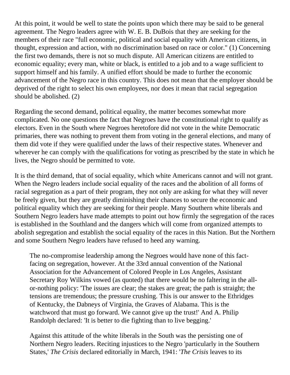At this point, it would be well to state the points upon which there may be said to be general agreement. The Negro leaders agree with W. E. B. DuBois that they are seeking for the members of their race "full economic, political and social equality with American citizens, in thought, expression and action, with no discrimination based on race or color." (1) Concerning the first two demands, there is not so much dispute. All American citizens are entitled to economic equality; every man, white or black, is entitled to a job and to a wage sufficient to support himself and his family. A unified effort should be made to further the economic advancement of the Negro race in this country. This does not mean that the employer should be deprived of the right to select his own employees, nor does it mean that racial segregation should be abolished. (2)

Regarding the second demand, political equality, the matter becomes somewhat more complicated. No one questions the fact that Negroes have the constitutional right to qualify as electors. Even in the South where Negroes heretofore did not vote in the white Democratic primaries, there was nothing to prevent them from voting in the general elections, and many of them did vote if they were qualified under the laws of their respective states. Whenever and wherever he can comply with the qualifications for voting as prescribed by the state in which he lives, the Negro should be permitted to vote.

It is the third demand, that of social equality, which white Americans cannot and will not grant. When the Negro leaders include social equality of the races and the abolition of all forms of racial segregation as a part of their program, they not only are asking for what they will never be freely given, but they are greatly diminishing their chances to secure the economic and political equality which they are seeking for their people. Many Southern white liberals and Southern Negro leaders have made attempts to point out how firmly the segregation of the races is established in the Southland and the dangers which will come from organized attempts to abolish segregation and establish the social equality of the races in this Nation. But the Northern and some Southern Negro leaders have refused to heed any warning.

The no-compromise leadership among the Negroes would have none of this factfacing on segregation, however. At the 33rd annual convention of the National Association for the Advancement of Colored People in Los Angeles, Assistant Secretary Roy Wilkins vowed (as quoted) that there would be no faltering in the allor-nothing policy: 'The issues are clear; the stakes are great; the path is straight; the tensions are tremendous; the pressure crushing. This is our answer to the Ethridges of Kentucky, the Dabneys of Virginia, the Graves of Alabama. This is the watchword that must go forward. We cannot give up the trust!' And A. Philip Randolph declared: 'It is better to die fighting than to live begging.'

Against this attitude of the white liberals in the South was the persisting one of Northern Negro leaders. Reciting injustices to the Negro 'particularly in the Southern States,' *The Crisis* declared editorially in March, 1941: '*The Crisis* leaves to its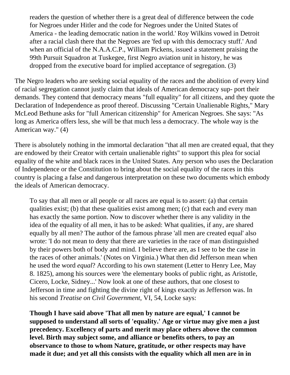readers the question of whether there is a great deal of difference between the code for Negroes under Hitler and the code for Negroes under the United States of America - the leading democratic nation in the world.' Roy Wilkins vowed in Detroit after a racial clash there that the Negroes are 'fed up with this democracy stuff.' And when an official of the N.A.A.C.P., William Pickens, issued a statement praising the 99th Pursuit Squadron at Tuskegee, first Negro aviation unit in history, he was dropped from the executive board for implied acceptance of segregation. (3)

The Negro leaders who are seeking social equality of the races and the abolition of every kind of racial segregation cannot justly claim that ideals of American democracy sup- port their demands. They contend that democracy means "full equality" for all citizens, and they quote the Declaration of Independence as proof thereof. Discussing "Certain Unalienable Rights," Mary McLeod Bethune asks for "full American citizenship" for American Negroes. She says: "As long as America offers less, she will be that much less a democracy. The whole way is the American way." (4)

There is absolutely nothing in the immortal declaration "that all men are created equal, that they are endowed by their Creator with certain unalienable rights" to support this plea for social equality of the white and black races in the United States. Any person who uses the Declaration of Independence or the Constitution to bring about the social equality of the races in this country is placing a false and dangerous interpretation on these two documents which embody the ideals of American democracy.

To say that all men or all people or all races are equal is to assert: (a) that certain qualities exist; (b) that these qualities exist among men; (c) that each and every man has exactly the same portion. Now to discover whether there is any validity in the idea of the equality of all men, it has to be asked: What qualities, if any, are shared equally by all men? The author of the famous phrase 'all men are created equal' also wrote: 'I do not mean to deny that there are varieties in the race of man distinguished by their powers both of body and mind. I believe there are, as I see to be the case in the races of other animals.' (Notes on Virginia.) What then did Jefferson mean when he used the word *equal*? According to his own statement (Letter to Henry Lee, May 8. 1825), among his sources were 'the elementary books of public right, as Aristotle, Cicero, Locke, Sidney...' Now look at one of these authors, that one closest to Jefferson in time and fighting the divine right of kings exactly as Jefferson was. In his second *Treatise on Civil Government*, VI, 54, Locke says:

**Though I have said above 'That all men by nature are equal,' I cannot be supposed to understand all sorts of 'equality.' Age or virtue may give men a just precedency. Excellency of parts and merit may place others above the common level. Birth may subject some, and alliance or benefits others, to pay an observance to those to whom Nature, gratitude, or other respects may have made it due; and yet all this consists with the equality which all men are in in**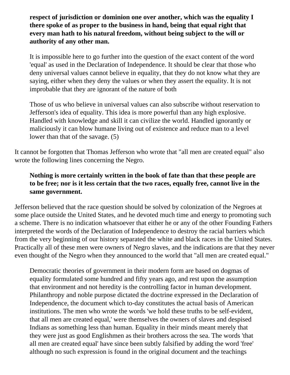**respect of jurisdiction or dominion one over another, which was the equality I there spoke of as proper to the business in hand, being that equal right that every man hath to his natural freedom, without being subject to the will or authority of any other man.**

It is impossible here to go further into the question of the exact content of the word 'equal' as used in the Declaration of Independence. It should be clear that those who deny universal values cannot believe in equality, that they do not know what they are saying, either when they deny the values or when they assert the equality. It is not improbable that they are ignorant of the nature of both

Those of us who believe in universal values can also subscribe without reservation to Jefferson's idea of equality. This idea is more powerful than any high explosive. Handled with knowledge and skill it can civilize the world. Handled ignorantly or maliciously it can blow humane living out of existence and reduce man to a level lower than that of the savage. (5)

It cannot be forgotten that Thomas Jefferson who wrote that "all men are created equal" also wrote the following lines concerning the Negro.

### **Nothing is more certainly written in the book of fate than that these people are to be free; nor is it less certain that the two races, equally free, cannot live in the same government.**

Jefferson believed that the race question should be solved by colonization of the Negroes at some place outside the United States, and he devoted much time and energy to promoting such a scheme. There is no indication whatsoever that either he or any of the other Founding Fathers interpreted the words of the Declaration of Independence to destroy the racial barriers which from the very beginning of our history separated the white and black races in the United States. Practically all of these men were owners of Negro slaves, and the indications are that they never even thought of the Negro when they announced to the world that "all men are created equal."

Democratic theories of government in their modern form are based on dogmas of equality formulated some hundred and fifty years ago, and rest upon the assumption that environment and not heredity is the controlling factor in human development. Philanthropy and noble purpose dictated the doctrine expressed in the Declaration of Independence, the document which to-day constitutes the actual basis of American institutions. The men who wrote the words 'we hold these truths to be self-evident, that all men are created equal,' were themselves the owners of slaves and despised Indians as something less than human. Equality in their minds meant merely that they were just as good Englishmen as their brothers across the sea. The words 'that all men are created equal' have since been subtly falsified by adding the word 'free' although no such expression is found in the original document and the teachings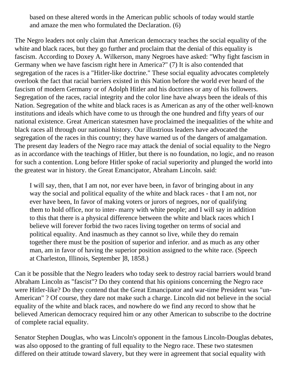based on these altered words in the American public schools of today would startle and amaze the men who formulated the Declaration. (6)

The Negro leaders not only claim that American democracy teaches the social equality of the white and black races, but they go further and proclaim that the denial of this equality is fascism. According to Doxey A. Wilkerson, many Negroes have asked: "Why fight fascism in Germany when we have fascism right here in America?" (7) It is also contended that segregation of the races is a "Hitler-like doctrine." These social equality advocates completely overlook the fact that racial barriers existed in this Nation before the world ever heard of the fascism of modern Germany or of Adolph Hitler and his doctrines or any of his followers. Segregation of the races, racial integrity and the color line have always been the ideals of this Nation. Segregation of the white and black races is as American as any of the other well-known institutions and ideals which have come to us through the one hundred and fifty years of our national existence. Great American statesmen have proclaimed the inequalities of the white and black races all through our national history. Our illustrious leaders have advocated the segregation of the races in this country; they have warned us of the dangers of amalgamation. The present day leaders of the Negro race may attack the denial of social equality to the Negro as in accordance with the teachings of Hitler, but there is no foundation, no logic, and no reason for such a contention. Long before Hitler spoke of racial superiority and plunged the world into the greatest war in history. the Great Emancipator, Abraham Lincoln. said:

I will say, then, that I am not, nor ever have been, in favor of bringing about in any way the social and political equality of the white and black races - that I am not, nor ever have been, In favor of making voters or jurors of negroes, nor of qualifying them to hold office, nor to inter- marry with white people; and I will say in addition to this that there is a physical difference between the white and black races which I believe will forever forbid the two races living together on terms of social and political equality. And inasmuch as they cannot so live, while they do remain together there must be the position of superior and inferior. and as much as any other man, am in favor of having the superior position assigned to the white race. (Speech at Charleston, Illinois, September ]8, 1858.)

Can it be possible that the Negro leaders who today seek to destroy racial barriers would brand Abraham Lincoln as "fascist"? Do they contend that his opinions concerning the Negro race were Hitler-like? Do they contend that the Great Emancipator and war-time President was "un-American" ? Of course, they dare not make such a charge. Lincoln did not believe in the social equality of the white and black races, and nowhere do we find any record to show that he believed American democracy required him or any other American to subscribe to the doctrine of complete racial equality.

Senator Stephen Douglas, who was Lincoln's opponent in the famous Lincoln-Douglas debates, was also opposed to the granting of full equality to the Negro race. These two statesmen differed on their attitude toward slavery, but they were in agreement that social equality with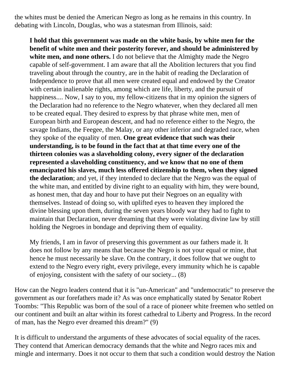the whites must be denied the American Negro as long as he remains in this country. In debating with Lincoln, Douglas, who was a statesman from Illinois, said:

**I hold that this government was made on the white basis, by white men for the benefit of white men and their posterity forever, and should be administered by white men, and none others.** I do not believe that the Almighty made the Negro capable of self-government. I am aware that all the Abolition lecturers that you find traveling about through the country, are in the habit of reading the Declaration of Independence to prove that all men were created equal and endowed by the Creator with certain inalienable rights, among which are life, liberty, and the pursuit of happiness.... Now, I say to you, my fellow-citizens that in my opinion the signers of the Declaration had no reference to the Negro whatever, when they declared all men to be created equal. They desired to express by that phrase white men, men of European birth and European descent, and had no reference either to the Negro, the savage Indians, the Feegee, the Malay, or any other inferior and degraded race, when they spoke of the equality of men. **One great evidence that such was their understanding, is to be found in the fact that at that time every one of the thirteen colonies was a slaveholding colony, every signer of the declaration represented a slaveholding constituency, and we know that no one of them emancipated his slaves, much less offered citizenship to them, when they signed the declaration**; and yet, if they intended to declare that the Negro was the equal of the white man, and entitled by divine right to an equality with him, they were bound, as honest men, that day and hour to have put their Negroes on an equality with themselves. Instead of doing so, with uplifted eyes to heaven they implored the divine blessing upon them, during the seven years bloody war they had to fight to maintain that Declaration, never dreaming that they were violating divine law by still holding the Negroes in bondage and depriving them of equality.

My friends, I am in favor of preserving this government as our fathers made it. It does not follow by any means that because the Negro is not your equal or mine, that hence he must necessarily be slave. On the contrary, it does follow that we ought to extend to the Negro every right, every privilege, every immunity which he is capable of enjoying, consistent with the safety of our society... (8)

How can the Negro leaders contend that it is "un-American" and "undemocratic" to preserve the government as our forefathers made it? As was once emphatically stated by Senator Robert Toombs: "This Republic was born of the soul of a race of pioneer white freemen who settled on our continent and built an altar within its forest cathedral to Liberty and Progress. In the record of man, has the Negro ever dreamed this dream?" (9)

It is difficult to understand the arguments of these advocates of social equality of the races. They contend that American democracy demands that the white and Negro races mix and mingle and intermarry. Does it not occur to them that such a condition would destroy the Nation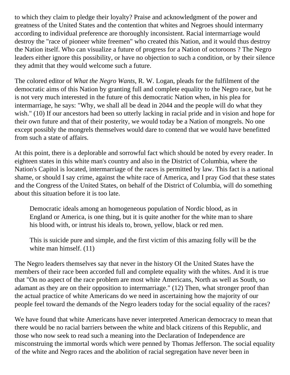to which they claim to pledge their loyalty? Praise and acknowledgment of the power and greatness of the United States and the contention that whites and Negroes should intermarry according to individual preference are thoroughly inconsistent. Racial intermarriage would destroy the "race of pioneer white freemen" who created this Nation, and it would thus destroy the Nation itself. Who can visualize a future of progress for a Nation of octoroons ? The Negro leaders either ignore this possibility, or have no objection to such a condition, or by their silence they admit that they would welcome such a future.

The colored editor of *What the Negro Wants*, R. W. Logan, pleads for the fulfilment of the democratic aims of this Nation by granting full and complete equality to the Negro race, but he is not very much interested in the future of this democratic Nation when, in his plea for intermarriage, he says: "Why, we shall all be dead in 2044 and the people will do what they wish." (10) If our ancestors had been so utterly lacking in racial pride and in vision and hope for their own future and that of their posterity, we would today be a Nation of mongrels. No one except possibly the mongrels themselves would dare to contend that we would have benefitted from such a state of affairs.

At this point, there is a deplorable and sorrowful fact which should be noted by every reader. In eighteen states in this white man's country and also in the District of Columbia, where the Nation's Capitol is located, intermarriage of the races is permitted by law. This fact is a national shame, or should I say crime, against the white race of America, and I pray God that these states and the Congress of the United States, on behalf of the District of Columbia, will do something about this situation before it is too late.

Democratic ideals among an homogeneous population of Nordic blood, as in England or America, is one thing, but it is quite another for the white man to share his blood with, or intrust his ideals to, brown, yellow, black or red men.

This is suicide pure and simple, and the first victim of this amazing folly will be the white man himself.  $(11)$ 

The Negro leaders themselves say that never in the history OI the United States have the members of their race been accorded full and complete equality with the whites. And it is true that "On no aspect of the race problem are most white Americans, North as well as South, so adamant as they are on their opposition to intermarriage." (12) Then, what stronger proof than the actual practice of white Americans do we need in ascertaining how the majority of our people feel toward the demands of the Negro leaders today for the social equality of the races?

We have found that white Americans have never interpreted American democracy to mean that there would be no racial barriers between the white and black citizens of this Republic, and those who now seek to read such a meaning into the Declaration of Independence are misconstruing the immortal words which were penned by Thomas Jefferson. The social equality of the white and Negro races and the abolition of racial segregation have never been in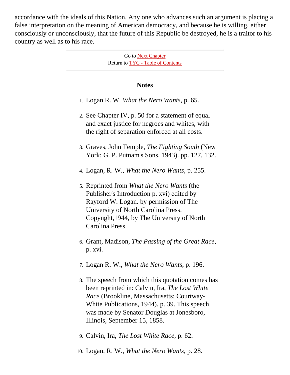accordance with the ideals of this Nation. Any one who advances such an argument is placing a false interpretation on the meaning of American democracy, and because he is willing, either consciously or unconsciously, that the future of this Republic be destroyed, he is a traitor to his country as well as to his race.

> Go to [Next Chapter](#page-87-0) Return to [TYC - Table of Contents](#page-0-0)

#### **Notes**

- 1. Logan R. W. *What the Nero Wants*, p. 65.
- 2. See Chapter IV, p. 50 for a statement of equal and exact justice for negroes and whites, with the right of separation enforced at all costs.
- 3. Graves, John Temple, *The Fighting South* (New York: G. P. Putnam's Sons, 1943). pp. 127, 132.
- 4. Logan, R. W., *What the Nero Wants*, p. 255.
- 5. Reprinted from *What the Nero Wants* (the Publisher's Introduction p. xvi) edited by Rayford W. Logan. by permission of The University of North Carolina Press. Copynght,1944, by The University of North Carolina Press.
- 6. Grant, Madison, *The Passing of the Great Race*, p. xvi.
- 7. Logan R. W., *What the Nero Wants*, p. 196.
- 8. The speech from which this quotation comes has been reprinted in: Calvin, Ira, *The Lost White Race* (Brookline, Massachusetts: Courtway-White Publications, 1944). p. 39. This speech was made by Senator Douglas at Jonesboro, Illinois, September 15, 1858.
- 9. Calvin, Ira, *The Lost White Race*, p. 62.
- 10. Logan, R. W., *What the Nero Wants*, p. 28.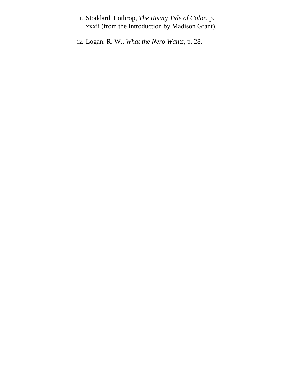- 11. Stoddard, Lothrop, *The Rising Tide of Color*, p. xxxii (from the Introduction by Madison Grant).
- 12. Logan. R. W., *What the Nero Wants*, p. 28.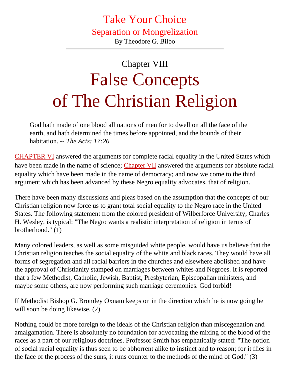### Take Your Choice Separation or Mongrelization

By Theodore G. Bilbo

Chapter VIII

# <span id="page-87-0"></span>False Concepts of The Christian Religion

God hath made of one blood all nations of men for to dwell on all the face of the earth, and hath determined the times before appointed, and the bounds of their habitation. -- *The Acts: 17:26*

[CHAPTER VI](#page-68-0) answered the arguments for complete racial equality in the United States which have been made in the name of science; [Chapter VII](#page-78-0) answered the arguments for absolute racial equality which have been made in the name of democracy; and now we come to the third argument which has been advanced by these Negro equality advocates, that of religion.

There have been many discussions and pleas based on the assumption that the concepts of our Christian religion now force us to grant total social equality to the Negro race in the United States. The following statement from the colored president of Wilberforce University, Charles H. Wesley, is typical: "The Negro wants a realistic interpretation of religion in terms of brotherhood." (1)

Many colored leaders, as well as some misguided white people, would have us believe that the Christian religion teaches the social equality of the white and black races. They would have all forms of segregation and all racial barriers in the churches and elsewhere abolished and have the approval of Christianity stamped on marriages between whites and Negroes. It is reported that a few Methodist, Catholic, Jewish, Baptist, Presbyterian, Episcopalian ministers, and maybe some others, are now performing such marriage ceremonies. God forbid!

If Methodist Bishop G. Bromley Oxnam keeps on in the direction which he is now going he will soon be doing likewise. (2)

Nothing could be more foreign to the ideals of the Christian religion than miscegenation and amalgamation. There is absolutely no foundation for advocating the mixing of the blood of the races as a part of our religious doctrines. Professor Smith has emphatically stated: "The notion of social racial equality is thus seen to be abhorrent alike to instinct and to reason; for it flies in the face of the process of the suns, it runs counter to the methods of the mind of God." (3)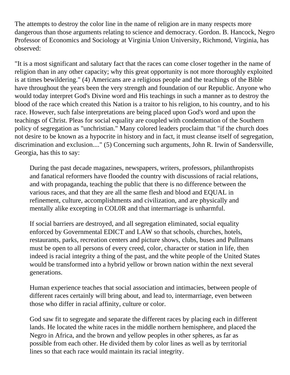The attempts to destroy the color line in the name of religion are in many respects more dangerous than those arguments relating to science and democracy. Gordon. B. Hancock, Negro Professor of Economics and Sociology at Virginia Union University, Richmond, Virginia, has observed:

"It is a most significant and salutary fact that the races can come closer together in the name of religion than in any other capacity; why this great opportunity is not more thoroughly exploited is at times bewildering." (4) Americans are a religious people and the teachings of the Bible have throughout the years been the very strength and foundation of our Republic. Anyone who would today interpret God's Divine word and His teachings in such a manner as to destroy the blood of the race which created this Nation is a traitor to his religion, to his country, and to his race. However, such false interpretations are being placed upon God's word and upon the teachings of Christ. Pleas for social equality are coupled with condemnation of the Southern policy of segregation as "unchristian." Many colored leaders proclaim that "if the church does not desire to be known as a hypocrite in history and in fact, it must cleanse itself of segregation, discrimination and exclusion...." (5) Concerning such arguments, John R. Irwin of Sandersville, Georgia, has this to say:

During the past decade magazines, newspapers, writers, professors, philanthropists and fanatical reformers have flooded the country with discussions of racial relations, and with propaganda, teaching the public that there is no difference between the various races, and that they are all the same flesh and blood and EQUAL in refinement, culture, accomplishments and civilization, and are physically and mentally alike excepting in COL0R and that intermarriage is unharmful.

If social barriers are destroyed, and all segregation eliminated, social equality enforced by Governmental EDICT and LAW so that schools, churches, hotels, restaurants, parks, recreation centers and picture shows, clubs, buses and Pullmans must be open to all persons of every creed, color, character or station in life, then indeed is racial integrity a thing of the past, and the white people of the United States would be transformed into a hybrid yellow or brown nation within the next several generations.

Human experience teaches that social association and intimacies, between people of different races certainly will bring about, and lead to, intermarriage, even between those who differ in racial affinity, culture or color.

God saw fit to segregate and separate the different races by placing each in different lands. He located the white races in the middle northern hemisphere, and placed the Negro in Africa, and the brown and yellow peoples in other spheres, as far as possible from each other. He divided them by color lines as well as by territorial lines so that each race would maintain its racial integrity.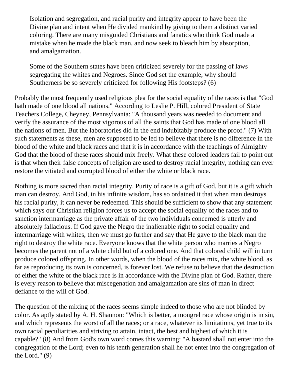Isolation and segregation, and racial purity and integrity appear to have been the Divine plan and intent when He divided mankind by giving to them a distinct varied coloring. There are many misguided Christians and fanatics who think God made a mistake when he made the black man, and now seek to bleach him by absorption, and amalgamation.

Some of the Southern states have been criticized severely for the passing of laws segregating the whites and Negroes. Since God set the example, why should Southerners be so severely criticized for following His footsteps? (6)

Probably the most frequently used religious plea for the social equality of the races is that "God hath made of one blood all nations." According to Leslie P. Hill, colored President of State Teachers College, Cheyney, Pennsylvania: "A thousand years was needed to document and verify the assurance of the most vigorous of all the saints that God has made of one blood all the nations of men. But the laboratories did in the end indubitably produce the proof." (7) With such statements as these, men are supposed to be led to believe that there is no difference in the blood of the white and black races and that it is in accordance with the teachings of Almighty God that the blood of these races should mix freely. What these colored leaders fail to point out is that when their false concepts of religion are used to destroy racial integrity, nothing can ever restore the vitiated and corrupted blood of either the white or black race.

Nothing is more sacred than racial integrity. Purity of race is a gift of God. but it is a gift which man can destroy. And God, in his infinite wisdom, has so ordained it that when man destroys his racial purity, it can never be redeemed. This should be sufficient to show that any statement which says our Christian religion forces us to accept the social equality of the races and to sanction intermarriage as the private affair of the two individuals concerned is utterly and absolutely fallacious. If God gave the Negro the inalienable right to social equality and intermarriage with whites, then we must go further and say that He gave to the black man the right to destroy the white race. Everyone knows that the white person who marries a Negro becomes the parent not of a white child but of a colored one. And that colored child will in turn produce colored offspring. In other words, when the blood of the races mix, the white blood, as far as reproducing its own is concerned, is forever lost. We refuse to believe that the destruction of either the white or the black race is in accordance with the Divine plan of God. Rather, there is every reason to believe that miscegenation and amalgamation are sins of man in direct defiance to the will of God.

The question of the mixing of the races seems simple indeed to those who are not blinded by color. As aptly stated by A. H. Shannon: "Which is better, a mongrel race whose origin is in sin, and which represents the worst of all the races; or a race, whatever its limitations, yet true to its own racial peculiarities and striving to attain, intact, the best and highest of which it is capable?" (8) And from God's own word comes this warning: "A bastard shall not enter into the congregation of the Lord; even to his tenth generation shall he not enter into the congregation of the Lord." $(9)$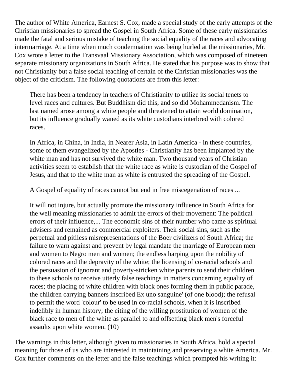The author of White America, Earnest S. Cox, made a special study of the early attempts of the Christian missionaries to spread the Gospel in South Africa. Some of these early missionaries made the fatal and serious mistake of teaching the social equality of the races and advocating intermarriage. At a time when much condemnation was being hurled at the missionaries, Mr. Cox wrote a letter to the Transvaal Missionary Association, which was composed of nineteen separate missionary organizations in South Africa. He stated that his purpose was to show that not Christianity but a false social teaching of certain of the Christian missionaries was the object of the criticism. The following quotations are from this letter:

There has been a tendency in teachers of Christianity to utilize its social tenets to level races and cultures. But Buddhism did this, and so did Mohammedanism. The last named arose among a white people and threatened to attain world domination, but its influence gradually waned as its white custodians interbred with colored races.

In Africa, in China, in India, in Nearer Asia, in Latin America - in these countries, some of them evangelized by the Apostles - Christianity has been implanted by the white man and has not survived the white man. Two thousand years of Christian activities seem to establish that the white race as white is custodian of the Gospel of Jesus, and that to the white man as white is entrusted the spreading of the Gospel.

A Gospel of equality of races cannot but end in free miscegenation of races ...

It will not injure, but actually promote the missionary influence in South Africa for the well meaning missionaries to admit the errors of their movement: The political errors of their influence,... The economic sins of their number who came as spiritual advisers and remained as commercial exploiters. Their social sins, such as the perpetual and pitiless misrepresentations of the Boer civilizers of South Africa; the failure to warn against and prevent by legal mandate the marriage of European men and women to Negro men and women; the endless harping upon the nobility of colored races and the depravity of the white; the licensing of co-racial schools and the persuasion of ignorant and poverty-stricken white parents to send their children to these schools to receive utterly false teachings in matters concerning equality of races; the placing of white children with black ones forming them in public parade, the children carrying banners inscribed Ex uno sanguine' (of one blood); the refusal to permit the word 'colour' to be used in co-racial schools, when it is inscribed indelibly in human history; the citing of the willing prostitution of women of the black race to men of the white as parallel to and offsetting black men's forceful assaults upon white women. (10)

The warnings in this letter, although given to missionaries in South Africa, hold a special meaning for those of us who are interested in maintaining and preserving a white America. Mr. Cox further comments on the letter and the false teachings which prompted his writing it: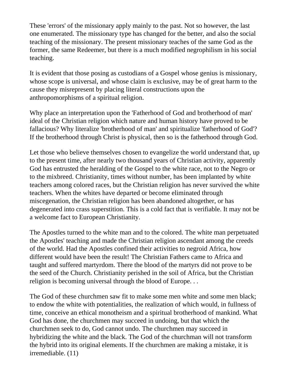These 'errors' of the missionary apply mainly to the past. Not so however, the last one enumerated. The missionary type has changed for the better, and also the social teaching of the missionary. The present missionary teaches of the same God as the former, the same Redeemer, but there is a much modified negrophilism in his social teaching.

It is evident that those posing as custodians of a Gospel whose genius is missionary, whose scope is universal, and whose claim is exclusive, may be of great harm to the cause they misrepresent by placing literal constructions upon the anthropomorphisms of a spiritual religion.

Why place an interpretation upon the 'Fatherhood of God and brotherhood of man' ideal of the Christian religion which nature and human history have proved to be fallacious? Why literalize 'brotherhood of man' and spiritualize 'fatherhood of God'? If the brotherhood through Christ is physical, then so is the fatherhood through God.

Let those who believe themselves chosen to evangelize the world understand that, up to the present time, after nearly two thousand years of Christian activity, apparently God has entrusted the heralding of the Gospel to the white race, not to the Negro or to the mixbreed. Christianity, times without number, has been implanted by white teachers among colored races, but the Christian religion has never survived the white teachers. When the whites have departed or become eliminated through miscegenation, the Christian religion has been abandoned altogether, or has degenerated into crass superstition. This is a cold fact that is verifiable. It may not be a welcome fact to European Christianity.

The Apostles turned to the white man and to the colored. The white man perpetuated the Apostles' teaching and made the Christian religion ascendant among the creeds of the world. Had the Apostles confined their activities to negroid Africa, how different would have been the result! The Christian Fathers came to Africa and taught and suffered martyrdom. There the blood of the martyrs did not prove to be the seed of the Church. Christianity perished in the soil of Africa, but the Christian religion is becoming universal through the blood of Europe. . .

The God of these churchmen saw fit to make some men white and some men black; to endow the white with potentialities, the realization of which would, in fullness of time, conceive an ethical monotheism and a spiritual brotherhood of mankind. What God has done, the churchmen may succeed in undoing, but that which the churchmen seek to do, God cannot undo. The churchmen may succeed in hybridizing the white and the black. The God of the churchman will not transform the hybrid into its original elements. If the churchmen are making a mistake, it is irremediable. (11)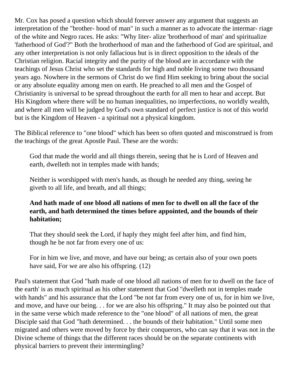Mr. Cox has posed a question which should forever answer any argument that suggests an interpretation of the "brother- hood of man" in such a manner as to advocate the intermar- riage of the white and Negro races. He asks: "Why liter- alize 'brotherhood of man' and spiritualize 'fatherhood of God'?" Both the brotherhood of man and the fatherhood of God are spiritual, and any other interpretation is not only fallacious but is in direct opposition to the ideals of the Christian religion. Racial integrity and the purity of the blood are in accordance with the teachings of Jesus Christ who set the standards for high and noble living some two thousand years ago. Nowhere in the sermons of Christ do we find Him seeking to bring about the social or any absolute equality among men on earth. He preached to all men and the Gospel of Christianity is universal to be spread throughout the earth for all men to hear and accept. But His Kingdom where there will be no human inequalities, no imperfections, no worldly wealth, and where all men will be judged by God's own standard of perfect justice is not of this world but is the Kingdom of Heaven - a spiritual not a physical kingdom.

The Biblical reference to "one blood" which has been so often quoted and misconstrued is from the teachings of the great Apostle Paul. These are the words:

God that made the world and all things therein, seeing that he is Lord of Heaven and earth, dwelleth not in temples made with hands;

Neither is worshipped with men's hands, as though he needed any thing, seeing he giveth to all life, and breath, and all things;

### **And hath made of one blood all nations of men for to dwell on all the face of the earth, and hath determined the times before appointed, and the bounds of their habitation;**

That they should seek the Lord, if haply they might feel after him, and find him, though he be not far from every one of us:

For in him we live, and move, and have our being; as certain also of your own poets have said, For we are also his offspring.  $(12)$ 

Paul's statement that God "hath made of one blood all nations of men for to dwell on the face of the earth' is as much spiritual as his other statement that God ''dwelleth not in temples made with hands" and his assurance that the Lord "be not far from every one of us, for in him we live, and move, and have our being. . . for we are also his offspring." It may also be pointed out that in the same verse which made reference to the "one blood" of all nations of men, the great Disciple said that God "hath determined. . . the bounds of their habitation." Until some men migrated and others were moved by force by their conquerors, who can say that it was not in the Divine scheme of things that the different races should be on the separate continents with physical barriers to prevent their intermingling?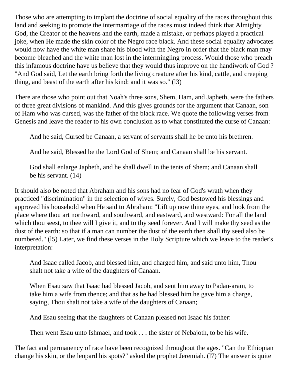Those who are attempting to implant the doctrine of social equality of the races throughout this land and seeking to promote the intermarriage of the races must indeed think that Almighty God, the Creator of the heavens and the earth, made a mistake, or perhaps played a practical joke, when He made the skin color of the Negro race black. And these social equality advocates would now have the white man share his blood with the Negro in order that the black man may become bleached and the white man lost in the intermingling process. Would those who preach this infamous doctrine have us believe that they would thus improve on the handiwork of God ? "And God said, Let the earth bring forth the living creature after his kind, cattle, and creeping thing, and beast of the earth after his kind: and it was so." (l3)

There are those who point out that Noah's three sons, Shem, Ham, and Japheth, were the fathers of three great divisions of mankind. And this gives grounds for the argument that Canaan, son of Ham who was cursed, was the father of the black race. We quote the following verses from Genesis and leave the reader to his own conclusion as to what constituted the curse of Canaan:

And he said, Cursed be Canaan, a servant of servants shall he be unto his brethren.

And he said, Blessed be the Lord God of Shem; and Canaan shall be his servant.

God shall enlarge Japheth, and he shall dwell in the tents of Shem; and Canaan shall be his servant. (14)

It should also be noted that Abraham and his sons had no fear of God's wrath when they practiced "discrimination" in the selection of wives. Surely, God bestowed his blessings and approved his household when He said to Abraham: "Lift up now thine eyes, and look from the place where thou art northward, and southward, and eastward, and westward: For all the land which thou seest, to thee will I give it, and to thy seed forever. And I will make thy seed as the dust of the earth: so that if a man can number the dust of the earth then shall thy seed also be numbered." (15) Later, we find these verses in the Holy Scripture which we leave to the reader's interpretation:

And Isaac called Jacob, and blessed him, and charged him, and said unto him, Thou shalt not take a wife of the daughters of Canaan.

When Esau saw that Isaac had blessed Jacob, and sent him away to Padan-aram, to take him a wife from thence; and that as he had blessed him he gave him a charge, saying, Thou shalt not take a wife of the daughters of Canaan;

And Esau seeing that the daughters of Canaan pleased not Isaac his father:

Then went Esau unto Ishmael, and took . . . the sister of Nebajoth, to be his wife.

The fact and permanency of race have been recognized throughout the ages. "Can the Ethiopian change his skin, or the leopard his spots?" asked the prophet Jeremiah. (l7) The answer is quite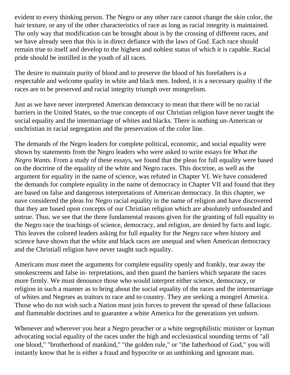evident to every thinking person. The Negro or any other race cannot change the skin color, the hair texture, or any of the other characteristics of race as long as racial integrity is maintained. The only way that modification can be brought about is by the crossing of different races, and we have already seen that this is in direct defiance with the laws of God. Each race should remain true to itself and develop to the highest and noblest status of which it is capable. Racial pride should be instilled in the youth of all races.

The desire to maintain purity of blood and to preserve the blood of his forefathers is a respectable and welcome quality in white and black men. Indeed, it is a necessary quality if the races are to be preserved and racial integrity triumph over mongrelism.

Just as we have never interpreted American democracy to mean that there will be no racial barriers in the United States, so the true concepts of our Christian religion have never taught the social equality and the intermarriage of whites and blacks. There is nothing un-American or unchristian in racial segregation and the preservation of the color line.

The demands of the Negro leaders for complete political, economic, and social equality were shown by statements from the Negro leaders who were asked to write essays for *What the Negro Wants*. From a study of these essays, we found that the pleas for full equality were based on the doctrine of the equality of the white and Negro races. This doctrine, as well as the argument for equality in the name of science, was refuted in Chapter VI. We have considered the demands for complete equality in the name of democracy in Chapter VII and found that they are based on false and dangerous interpretations of American democracy. In this chapter, we nave considered the pleas for Negro racial equality in the name of religion and have discovered that they are based upon concepts of our Christian religion which are absolutely unfounded and untrue. Thus. we see that the three fundamental reasons given for the granting of full equality to the Negro race the teachings of science, democracy, and religion, are denied by facts and logic. This leaves the colored leaders asking for full equality for the Negro race when history and science have shown that the white and black races are unequal and when American democracy and the Christiall religion have never taught such equality.

Americans must meet the arguments for complete equality openly and frankly, tear away the smokescreens and false in- terpretations, and then guard the barriers which separate the races more firmly. We must denounce those who would interpret either science, democracy, or religion in such a manner as to bring about the social equality of the races and the intermarriage of whites and Negroes as traitors to race and to country. They are seeking a mongrel America. Those who do not wish such a Nation must join forces to prevent the spread of these fallacious and flammable doctrines and to guarantee a white America for the generations yet unborn.

Whenever and wherever you hear a Negro preacher or a white negrophilistic minister or layman advocating social equality of the races under the high and ecclesiastical sounding terms of "all one blood," "brotherhood of mankind," "the golden rule," or "the fatherhood of God," you will instantly know that he is either a fraud and hypocrite or an unthinking and ignorant man.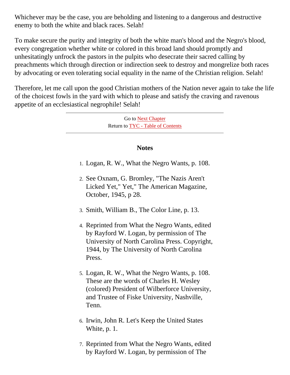Whichever may be the case, you are beholding and listening to a dangerous and destructive enemy to both the white and black races. Selah!

To make secure the purity and integrity of both the white man's blood and the Negro's blood, every congregation whether white or colored in this broad land should promptly and unhesitatingly unfrock the pastors in the pulpits who desecrate their sacred calling by preachments which through direction or indirection seek to destroy and mongrelize both races by advocating or even tolerating social equality in the name of the Christian religion. Selah!

Therefore, let me call upon the good Christian mothers of the Nation never again to take the life of the choicest fowls in the yard with which to please and satisfy the craving and ravenous appetite of an ecclesiastical negrophile! Selah!

> Go to [Next Chapter](#page-97-0) Return to [TYC - Table of Contents](#page-0-0)

#### **Notes**

- 1. Logan, R. W., What the Negro Wants, p. 108.
- 2. See Oxnam, G. Bromley, "The Nazis Aren't Licked Yet," Yet," The American Magazine, October, 1945, p 28.
- 3. Smith, William B., The Color Line, p. 13.
- 4. Reprinted from What the Negro Wants, edited by Rayford W. Logan, by permission of The University of North Carolina Press. Copyright, 1944, by The University of North Carolina Press.
- 5. Logan, R. W., What the Negro Wants, p. 108. These are the words of Charles H. Wesley (colored) President of Wilberforce University, and Trustee of Fiske University, Nashville, Tenn.
- 6. Irwin, John R. Let's Keep the United States White, p. 1.
- 7. Reprinted from What the Negro Wants, edited by Rayford W. Logan, by permission of The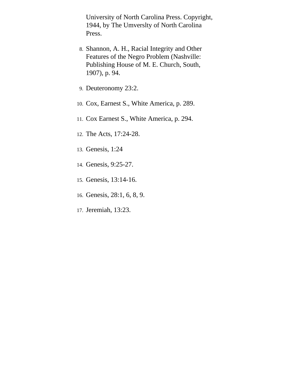University of North Carolina Press. Copyright, 1944, by The Umverslty of North Carolina Press.

- 8. Shannon, A. H., Racial Integrity and Other Features of the Negro Problem (Nashville: Publishing House of M. E. Church, South, 1907), p. 94.
- 9. Deuteronomy 23:2.
- 10. Cox, Earnest S., White America, p. 289.
- 11. Cox Earnest S., White America, p. 294.
- 12. The Acts, 17:24-28.
- 13. Genesis, 1:24
- 14. Genesis, 9:25-27.
- 15. Genesis, 13:14-16.
- 16. Genesis, 28:1, 6, 8, 9.
- 17. Jeremiah, 13:23.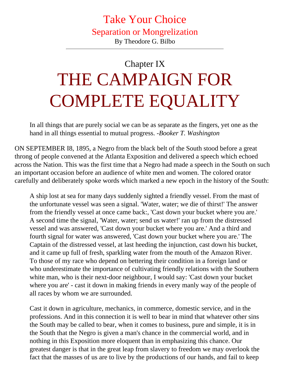### Take Your Choice Separation or Mongrelization

By Theodore G. Bilbo

## <span id="page-97-0"></span>Chapter IX THE CAMPAIGN FOR COMPLETE EQUALITY

In all things that are purely social we can be as separate as the fingers, yet one as the hand in all things essential to mutual progress. -*Booker T. Washington*

ON SEPTEMBER I8, 1895, a Negro from the black belt of the South stood before a great throng of people convened at the Atlanta Exposition and delivered a speech which echoed across the Nation. This was the first time that a Negro had made a speech in the South on such an important occasion before an audience of white men and women. The colored orator carefully and deliberately spoke words which marked a new epoch in the history of the South:

A ship lost at sea for many days suddenly sighted a friendly vessel. From the mast of the unfortunate vessel was seen a signal. 'Water, water; we die of thirst!' The answer from the friendly vessel at once came back:, 'Cast down your bucket where you are.' A second time the signal, 'Water, water; send us water!' ran up from the distressed vessel and was answered, 'Cast down your bucket where you are.' And a third and fourth signal for water was answered, 'Cast down your bucket where you are.' The Captain of the distressed vessel, at last heeding the injunction, cast down his bucket, and it came up full of fresh, sparkling water from the mouth of the Amazon River. To those of my race who depend on bettering their condition in a foreign land or who underestimate the importance of cultivating friendly relations with the Southern white man, who is their next-door neighbour, I would say: 'Cast down your bucket where you are' - cast it down in making friends in every manly way of the people of all races by whom we are surrounded.

Cast it down in agriculture, mechanics, in commerce, domestic service, and in the professions. And in this connection it is well to bear in mind that whatever other sins the South may be called to bear, when it comes to business, pure and simple, it is in the South that the Negro is given a man's chance in the commercial world, and in nothing in this Exposition more eloquent than in emphasizing this chance. Our greatest danger is that in the great leap from slavery to freedom we may overlook the fact that the masses of us are to live by the productions of our hands, and fail to keep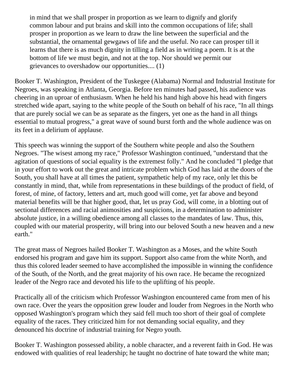in mind that we shall prosper in proportion as we learn to dignify and glorify common labour and put brains and skill into the common occupations of life; shall prosper in proportion as we learn to draw the line between the superficial and the substantial, the ornamental gewgaws of life and the useful. No race can prosper till it learns that there is as much dignity in tilling a field as in writing a poem. It is at the bottom of life we must begin, and not at the top. Nor should we permit our grievances to overshadow our opportunities.... (1)

Booker T. Washington, President of the Tuskegee (Alabama) Normal and Industrial Institute for Negroes, was speaking in Atlanta, Georgia. Before ten minutes had passed, his audience was cheering in an uproar of enthusiasm. When he held his hand high above his head with fingers stretched wide apart, saying to the white people of the South on behalf of his race, "In all things that are purely social we can be as separate as the fingers, yet one as the hand in all things essential to mutual progress," a great wave of sound burst forth and the whole audience was on its feet in a delirium of applause.

This speech was winning the support of the Southern white people and also the Southern Negroes. "The wisest among my race," Professor Washington continued, "understand that the agitation of questions of social equality is the extremest folly." And he concluded "I pledge that in your effort to work out the great and intricate problem which God has laid at the doors of the South, you shall have at all times the patient, sympathetic help of my race, only let this be constantly in mind, that, while from representations in these buildings of the product of field, of forest, of mine, of factory, letters and art, much good will come, yet far above and beyond material benefits will be that higher good, that, let us pray God, will come, in a blotting out of sectional differences and racial animosities and suspicions, in a determination to administer absolute justice, in a willing obedience among all classes to the mandates of law. Thus, this, coupled with our material prosperity, will bring into our beloved South a new heaven and a new earth."

The great mass of Negroes hailed Booker T. Washington as a Moses, and the white South endorsed his program and gave him its support. Support also came from the white North, and thus this colored leader seemed to have accomplished the impossible in winning the confidence of the South, of the North, and the great majority of his own race. He became the recognized leader of the Negro race and devoted his life to the uplifting of his people.

Practically all of the criticism which Professor Washington encountered came from men of his own race. Over the years the opposition grew louder and louder from Negroes in the North who opposed Washington's program which they said fell much too short of their goal of complete equality of the races. They criticized him for not demanding social equality, and they denounced his doctrine of industrial training for Negro youth.

Booker T. Washington possessed ability, a noble character, and a reverent faith in God. He was endowed with qualities of real leadership; he taught no doctrine of hate toward the white man;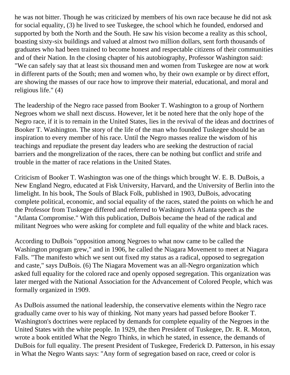he was not bitter. Though he was criticized by members of his own race because he did not ask for social equality, (3) he lived to see Tuskegee, the school which he founded, endorsed and supported by both the North and the South. He saw his vision become a reality as this school, boasting sixty-six buildings and valued at almost two million dollars, sent forth thousands of graduates who had been trained to become honest and respectable citizens of their communities and of their Nation. In the closing chapter of his autobiography, Professor Washington said: "We can safely say that at least six thousand men and women from Tuskegee are now at work in different parts of the South; men and women who, by their own example or by direct effort, are showing the masses of our race how to improve their material, educational, and moral and religious life." (4)

The leadership of the Negro race passed from Booker T. Washington to a group of Northern Negroes whom we shall next discuss. However, let it be noted here that the only hope of the Negro race, if it is to remain in the United States, lies in the revival of the ideas and doctrines of Booker T. Washington. The story of the life of the man who founded Tuskegee should be an inspiration to every member of his race. Until the Negro masses realize the wisdom of his teachings and repudiate the present day leaders who are seeking the destruction of racial barriers and the mongrelization of the races, there can be nothing but conflict and strife and trouble in the matter of race relations in the United States.

Criticism of Booker T. Washington was one of the things which brought W. E. B. DuBois, a New England Negro, educated at Fisk University, Harvard, and the University of Berlin into the limelight. In his book, The Souls of Black Folk, published in 1903, DuBois, advocating complete political, economic, and social equality of the races, stated the points on which he and the Professor from Tuskegee differed and referred to Washington's Atlanta speech as the "Atlanta Compromise." With this publication, DuBois became the head of the radical and militant Negroes who were asking for complete and full equality of the white and black races.

According to DuBois "opposition among Negroes to what now came to be called the Washington program grew," and in 1906, he called the Niagara Movement to meet at Niagara Falls. "The manifesto which we sent out fixed my status as a radical, opposed to segregation and caste," says DuBois. (6) The Niagara Movement was an all-Negro organization which asked full equality for the colored race and openly opposed segregation. This organization was later merged with the National Association for the Advancement of Colored People, which was formally organized in 1909.

As DuBois assumed the national leadership, the conservative elements within the Negro race gradually came over to his way of thinking. Not many years had passed before Booker T. Washington's doctrines were replaced by demands for complete equality of the Negroes in the United States with the white people. In 1929, the then President of Tuskegee, Dr. R. R. Moton, wrote a book entitled What the Negro Thinks, in which he stated, in essence, the demands of DuBois for full equality. The present President of Tuskegee, Frederick D. Patterson, in his essay in What the Negro Wants says: "Any form of segregation based on race, creed or color is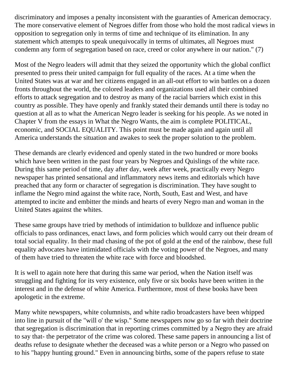discriminatory and imposes a penalty inconsistent with the guaranties of American democracy. The more conservative element of Negroes differ from those who hold the most radical views in opposition to segregation only in terms of time and technique of its elimination. In any statement which attempts to speak unequivocally in terms of ultimates, all Negroes must condemn any form of segregation based on race, creed or color anywhere in our nation." (7)

Most of the Negro leaders will admit that they seized the opportunity which the global conflict presented to press their united campaign for full equality of the races. At a time when the United States was at war and her citizens engaged in an all-out effort to win battles on a dozen fronts throughout the world, the colored leaders and organizations used all their combined efforts to attack segregation and to destroy as many of the racial barriers which exist in this country as possible. They have openly and frankly stated their demands until there is today no question at all as to what the American Negro leader is seeking for his people. As we noted in Chapter V from the essays in What the Negro Wants, the aim is complete POLITICAL, economic, and SOCIAL EQUALITY. This point must be made again and again until all America understands the situation and awakes to seek the proper solution to the problem.

These demands are clearly evidenced and openly stated in the two hundred or more books which have been written in the past four years by Negroes and Quislings of the white race. During this same period of time, day after day, week after week, practically every Negro newspaper has printed sensational and inflammatory news items and editorials which have preached that any form or character of segregation is discrimination. They have sought to inflame the Negro mind against the white race, North, South, East and West, and have attempted to incite and embitter the minds and hearts of every Negro man and woman in the United States against the whites.

These same groups have tried by methods of intimidation to bulldoze and influence public officials to pass ordinances, enact laws, and form policies which would carry out their dream of total social equality. In their mad chasing of the pot of gold at the end of the rainbow, these full equality advocates have intimidated officials with the voting power of the Negroes, and many of them have tried to threaten the white race with force and bloodshed.

It is well to again note here that during this same war period, when the Nation itself was struggling and fighting for its very existence, only five or six books have been written in the interest and in the defense of white America. Furthermore, most of these books have been apologetic in the extreme.

Many white newspapers, white columnists, and white radio broadcasters have been whipped into line in pursuit of the "will o' the wisp." Some newspapers now go so far with their doctrine that segregation is discrimination that in reporting crimes committed by a Negro they are afraid to say that- the perpetrator of the crime was colored. These same papers in announcing a list of deaths refuse to designate whether the deceased was a white person or a Negro who passed on to his "happy hunting ground." Even in announcing births, some of the papers refuse to state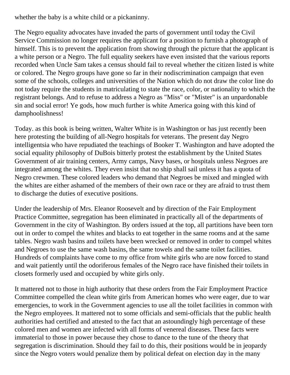whether the baby is a white child or a pickaninny.

The Negro equality advocates have invaded the parts of government until today the Civil Service Commission no longer requires the applicant for a position to furnish a photograph of himself. This is to prevent the application from showing through the picture that the applicant is a white person or a Negro. The full equality seekers have even insisted that the various reports recorded when Uncle Sam takes a census should fail to reveal whether the citizen listed is white or colored. The Negro groups have gone so far in their nodiscrimination campaign that even some of the schools, colleges and universities of the Nation which do not draw the color line do not today require the students in matriculating to state the race, color, or nationality to which the registrant belongs. And to refuse to address a Negro as "Miss" or "Mister" is an unpardonable sin and social error! Ye gods, how much further is white America going with this kind of damphoolishness!

Today. as this book is being written, Walter White is in Washington or has just recently been here protesting the building of all-Negro hospitals for veterans. The present day Negro intelligentsia who have repudiated the teachings of Booker T. Washington and have adopted the social equality philosophy of DuBois bitterly protest the establishment by the United States Government of air training centers, Army camps, Navy bases, or hospitals unless Negroes are integrated among the whites. They even insist that no ship shall sail unless it has a quota of Negro crewmen. These colored leaders who demand that Negroes be mixed and mingled with the whites are either ashamed of the members of their own race or they are afraid to trust them to discharge the duties of executive positions.

Under the leadership of Mrs. Eleanor Roosevelt and by direction of the Fair Employment Practice Committee, segregation has been eliminated in practically all of the departments of Government in the city of Washington. By orders issued at the top, all partitions have been torn out in order to compel the whites and blacks to eat together in the same rooms and at the same tables. Negro wash basins and toilets have been wrecked or removed in order to compel whites and Negroes to use the same wash basins, the same towels and the same toilet facilities. Hundreds of complaints have come to my office from white girls who are now forced to stand and wait patiently until the odoriferous females of the Negro race have finished their toilets in closets formerly used and occupied by white girls only.

It mattered not to those in high authority that these orders from the Fair Employment Practice Committee compelled the clean white girls from American homes who were eager, due to war emergencies, to work in the Government agencies to use all the toilet facilities in common with the Negro employees. It mattered not to some officials and semi-officials that the public health authorities had certified and attested to the fact that an astoundingly high percentage of these colored men and women are infected with all forms of venereal diseases. These facts were immaterial to those in power because they chose to dance to the tune of the theory that segregation is discrimination. Should they fail to do this, their positions would be in jeopardy since the Negro voters would penalize them by political defeat on election day in the many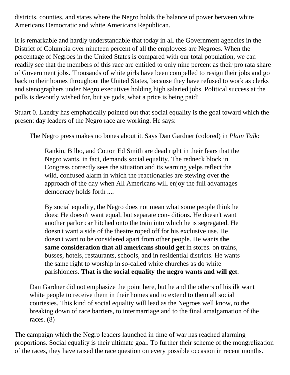districts, counties, and states where the Negro holds the balance of power between white Americans Democratic and white Americans Republican.

It is remarkable and hardly understandable that today in all the Government agencies in the District of Columbia over nineteen percent of all the employees are Negroes. When the percentage of Negroes in the United States is compared with our total population, we can readily see that the members of this race are entitled to only nine percent as their pro rata share of Government jobs. Thousands of white girls have been compelled to resign their jobs and go back to their homes throughout the United States, because they have refused to work as clerks and stenographers under Negro executives holding high salaried jobs. Political success at the polls is devoutly wished for, but ye gods, what a price is being paid!

Stuart 0. Landry has emphatically pointed out that social equality is the goal toward which the present day leaders of the Negro race are working. He says:

The Negro press makes no bones about it. Says Dan Gardner (colored) in *Plain Talk*:

Rankin, Bilbo, and Cotton Ed Smith are dead right in their fears that the Negro wants, in fact, demands social equality. The redneck block in Congress correctly sees the situation and its warning yelps reflect the wild, confused alarm in which the reactionaries are stewing over the approach of the day when All Americans will enjoy the full advantages democracy holds forth ....

By social equality, the Negro does not mean what some people think he does: He doesn't want equal, but separate con- ditions. He doesn't want another parlor car hitched onto the train into which he is segregated. He doesn't want a side of the theatre roped off for his exclusive use. He doesn't want to be considered apart from other people. He wants **the same consideration that all americans should get** in stores. on trains, busses, hotels, restaurants, schools, and in residential districts. He wants the same right to worship in so-called white churches as do white parishioners. **That is the social equality the negro wants and will get**.

Dan Gardner did not emphasize the point here, but he and the others of his ilk want white people to receive them in their homes and to extend to them all social courtesies. This kind of social equality will lead as the Negroes well know, to the breaking down of race barriers, to intermarriage and to the final amalgamation of the races. (8)

The campaign which the Negro leaders launched in time of war has reached alarming proportions. Social equality is their ultimate goal. To further their scheme of the mongrelization of the races, they have raised the race question on every possible occasion in recent months.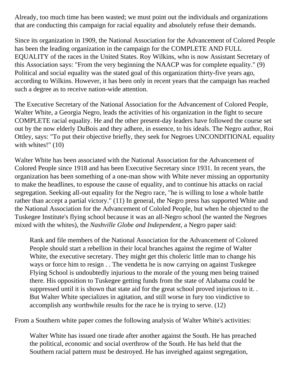Already, too much time has been wasted; we must point out the individuals and organizations that are conducting this campaign for racial equality and absolutely refuse their demands.

Since its organization in 1909, the National Association for the Advancement of Colored People has been the leading organization in the campaign for the COMPLETE AND FULL EQUALITY of the races in the United States. Roy Wilkins, who is now Assistant Secretary of this Association says: "From the very beginning the NAACP was for complete equality." (9) Political and social equality was the stated goal of this organization thirty-five years ago, according to Wilkins. However, it has been only in recent years that the campaign has reached such a degree as to receive nation-wide attention.

The Executive Secretary of the National Association for the Advancement of Colored People, Walter White, a Georgia Negro, leads the activities of his organization in the fight to secure COMPLETE racial equality. He and the other present-day leaders have followed the course set out by the now elderly DuBois and they adhere, in essence, to his ideals. The Negro author, Roi Ottley, says: "To put their objective briefly, they seek for Negroes UNCONDITIONAL equality with whites!" (10)

Walter White has been associated with the National Association for the Advancement of Colored People since 1918 and has been Executive Secretary since 1931. In recent years, the organization has been something of a one-man show with White never missing an opportunity to make the headlines, to espouse the cause of equality, and to continue his attacks on racial segregation. Seeking all-out equality for the Negro race, "he is willing to lose a whole battle rather than accept a partial victory." (11) In general, the Negro press has supported White and the National Association for the Advancement of Cololed People, but when he objected to the Tuskegee Institute's flying school because it was an all-Negro school (he wanted the Negroes mixed with the whites), the *Nashville Globe and Independent*, a Negro paper said:

Rank and file members of the National Association for the Advancement of Colored People should start a rebellion in their local branches against the regime of Walter White, the executive secretary. They might get this choleric little man to change his ways or force him to resign . . The vendetta he is now carrying on against Tuskegee Flying School is undoubtedly injurious to the morale of the young men being trained there. His opposition to Tuskegee getting funds from the state of Alabama could be suppressed until it is shown that state aid for the great school proved injurious to it. . But Walter White specializes in agitation, and still worse in fury too vindictive to accomplish any worthwhile results for the race he is trying to serve. (12)

From a Southern white paper comes the following analysis of Walter White's activities:

Walter White has issued one tirade after another against the South. He has preached the political, economic and social overthrow of the South. He has held that the Southern racial pattern must be destroyed. He has inveighed against segregation,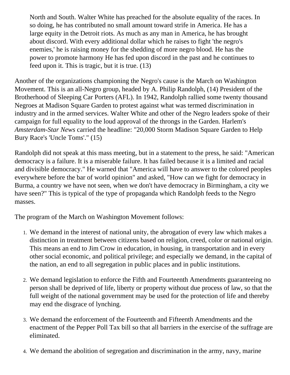North and South. Walter White has preached for the absolute equality of the races. In so doing, he has contributed no small amount toward strife in America. He has a large equity in the Detroit riots. As much as any man in America, he has brought about discord. With every additional dollar which he raises to fight 'the negro's enemies,' he is raising money for the shedding of more negro blood. He has the power to promote harmony He has fed upon discord in the past and he continues to feed upon it. This is tragic, but it is true. (13)

Another of the organizations championing the Negro's cause is the March on Washington Movement. This is an all-Negro group, headed by A. Philip Randolph, (14) President of the Brotherhood of Sleeping Car Porters (AFL). In 1942, Randolph rallied some twenty thousand Negroes at Madison Square Garden to protest against what was termed discrimination in industry and in the armed services. Walter White and other of the Negro leaders spoke of their campaign for full equality to the loud approval of the throngs in the Garden. Harlem's *Amsterdam-Star News* carried the headline: "20,000 Storm Madison Square Garden to Help Bury Race's 'Uncle Toms'." (15)

Randolph did not speak at this mass meeting, but in a statement to the press, he said: "American democracy is a failure. It is a miserable failure. It has failed because it is a limited and racial and divisible democracy." He warned that "America will have to answer to the colored peoples everywhere before the bar of world opinion" and asked, "How can we fight for democracy in Burma, a country we have not seen, when we don't have democracy in Birmingham, a city we have seen?" This is typical of the type of propaganda which Randolph feeds to the Negro masses.

The program of the March on Washington Movement follows:

- 1. We demand in the interest of national unity, the abrogation of every law which makes a distinction in treatment between citizens based on religion, creed, color or national origin. This means an end to Jim Crow in education, in housing, in transportation and in every other social economic, and political privilege; and especially we demand, in the capital of the nation, an end to all segregation in public places and in public institutions.
- 2. We demand legislation to enforce the Fifth and Fourteenth Amendments guaranteeing no person shall be deprived of life, liberty or property without due process of law, so that the full weight of the national government may be used for the protection of life and thereby may end the disgrace of lynching.
- 3. We demand the enforcement of the Fourteenth and Fifteenth Amendments and the enactment of the Pepper Poll Tax bill so that all barriers in the exercise of the suffrage are eliminated.
- 4. We demand the abolition of segregation and discrimination in the army, navy, marine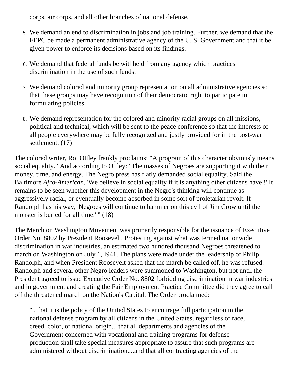corps, air corps, and all other branches of national defense.

- 5. We demand an end to discrimination in jobs and job training. Further, we demand that the FEPC be made a permanent administrative agency of the U. S. Government and that it be given power to enforce its decisions based on its findings.
- 6. We demand that federal funds be withheld from any agency which practices discrimination in the use of such funds.
- 7. We demand colored and minority group representation on all administrative agencies so that these groups may have recognition of their democratic right to participate in formulating policies.
- 8. We demand representation for the colored and minority racial groups on all missions, political and technical, which will be sent to the peace conference so that the interests of all people everywhere may be fully recognized and justly provided for in the post-war settlement. (17)

The colored writer, Roi Ottley frankly proclaims: "A program of this character obviously means social equality." And according to Ottley: "The masses of Negroes are supporting it with their money, time, and energy. The Negro press has flatly demanded social equality. Said the Baltimore *Afro-American*, 'We believe in social equality if it is anything other citizens have !' It remains to be seen whether this development in the Negro's thinking will continue as aggressively racial, or eventually become absorbed in some sort of proletarian revolt. If Randolph has his way, 'Negroes will continue to hammer on this evil of Jim Crow until the monster is buried for all time.' " (18)

The March on Washington Movement was primarily responsible for the issuance of Executive Order No. 8802 by President Roosevelt. Protesting against what was termed nationwide discrimination in war industries, an estimated two hundred thousand Negroes threatened to march on Washington on July 1, I941. The plans were made under the leadership of Philip Randolph, and when President Roosevelt asked that the march be called off, he was refused. Randolph and several other Negro leaders were summoned to Washington, but not until the President agreed to issue Executive Order No. 8802 forbidding discrimination in war industries and in government and creating the Fair Employment Practice Committee did they agree to call off the threatened march on the Nation's Capital. The Order proclaimed:

" . that it is the policy of the United States to encourage full participation in the national defense program by all citizens in the United States, regardless of race, creed, color, or national origin... that all departments and agencies of the Government concerned with vocational and training programs for defense production shall take special measures appropriate to assure that such programs are administered without discrimination....and that all contracting agencies of the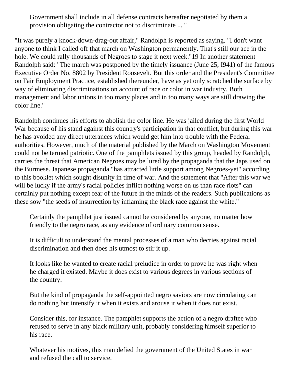Government shall include in all defense contracts hereafter negotiated by them a provision obligating the contractor not to discriminate ... "

"It was purely a knock-down-drag-out affair," Randolph is reported as saying. "I don't want anyone to think I called off that march on Washington permanently. That's still our ace in the hole. We could rally thousands of Negroes to stage it next week."19 In another statement Randolph said: "The march was postponed by the timely issuance (June 25, I941) of the famous Executive Order No. 8802 by President Roosevelt. But this order and the President's Committee on Fair Employment Practice, established thereunder, have as yet only scratched the surface by way of eliminating discriminations on account of race or color in war industry. Both management and labor unions in too many places and in too many ways are still drawing the color line."

Randolph continues his efforts to abolish the color line. He was jailed during the first World War because of his stand against this country's participation in that conflict, but during this war he has avoided any direct utterances which would get him into trouble with the Federal authorities. However, much of the material published by the March on Washington Movement could not be termed patriotic. One of the pamphlets issued by this group, headed by Randolph, carries the threat that American Negroes may be lured by the propaganda that the Japs used on the Burmese. Japanese propaganda "has attracted little support among Negroes-yet" according to this booklet which sought disunity in time of war. And the statement that "After this war we will be lucky if the army's racial policies inflict nothing worse on us than race riots" can certainly put nothing except fear of the future in the minds of the readers. Such publications as these sow "the seeds of insurrection by inflaming the black race against the white."

Certainly the pamphlet just issued cannot be considered by anyone, no matter how friendly to the negro race, as any evidence of ordinary common sense.

It is difficult to understand the mental processes of a man who decries against racial discrimination and then does his utmost to stir it up.

It looks like he wanted to create racial preiudice in order to prove he was right when he charged it existed. Maybe it does exist to various degrees in various sections of the country.

But the kind of propaganda the self-appointed negro saviors are now circulating can do nothing but intensify it when it exists and arouse it when it does not exist.

Consider this, for instance. The pamphlet supports the action of a negro draftee who refused to serve in any black military unit, probably considering himself superior to his race.

Whatever his motives, this man defied the government of the United States in war and refused the call to service.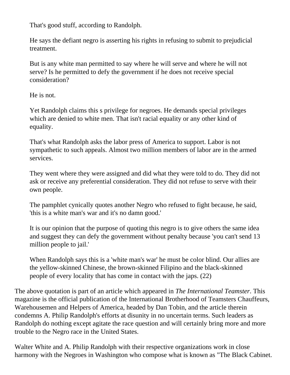That's good stuff, according to Randolph.

He says the defiant negro is asserting his rights in refusing to submit to prejudicial treatment.

But is any white man permitted to say where he will serve and where he will not serve? Is he permitted to defy the government if he does not receive special consideration?

He is not.

Yet Randolph claims this s privilege for negroes. He demands special privileges which are denied to white men. That isn't racial equality or any other kind of equality.

That's what Randolph asks the labor press of America to support. Labor is not sympathetic to such appeals. Almost two million members of labor are in the armed services.

They went where they were assigned and did what they were told to do. They did not ask or receive any preferential consideration. They did not refuse to serve with their own people.

The pamphlet cynically quotes another Negro who refused to fight because, he said, 'this is a white man's war and it's no damn good.'

It is our opinion that the purpose of quoting this negro is to give others the same idea and suggest they can defy the government without penalty because 'you can't send 13 million people to jail.'

When Randolph says this is a 'white man's war' he must be color blind. Our allies are the yellow-skinned Chinese, the brown-skinned Filipino and the black-skinned people of every locality that has come in contact with the japs. (22)

The above quotation is part of an article which appeared in *The International Teamster*. This magazine is the official publication of the International Brotherhood of Teamsters Chauffeurs, Warehousemen and Helpers of America, headed by Dan Tobin, and the article therein condemns A. Philip Randolph's efforts at disunity in no uncertain terms. Such leaders as Randolph do nothing except agitate the race question and will certainly bring more and more trouble to the Negro race in the United States.

Walter White and A. Philip Randolph with their respective organizations work in close harmony with the Negroes in Washington who compose what is known as "The Black Cabinet.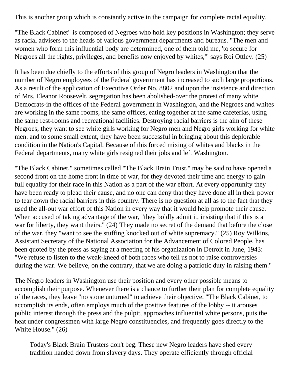This is another group which is constantly active in the campaign for complete racial equality.

"The Black Cabinet" is composed of Negroes who hold key positions in Washington; they serve as racial advisers to the heads of various government departments and bureaus. "The men and women who form this influential body are determined, one of them told me, 'to secure for Negroes all the rights, privileges, and benefits now enjoyed by whites,'" says Roi Ottley. (25)

It has been due chiefly to the efforts of this group of Negro leaders in Washington that the number of Negro employees of the Federal government has increased to such large proportions. As a result of the application of Executive Order No. 8802 and upon the insistence and direction of Mrs. Eleanor Roosevelt, segregation has been abolished-over the protest of many white Democrats-in the offices of the Federal government in Washington, and the Negroes and whites are working in the same rooms, the same offices, eating together at the same cafeterias, using the same rest-rooms and recreational facilities. Destroying racial barriers is the aim of these Negroes; they want to see white girls working for Negro men and Negro girls working for white men. and to some small extent, they have been successful in bringing about this deplorable condition in the Nation's Capital. Because of this forced mixing of whites and blacks in the Federal departments, many white girls resigned their jobs and left Washington.

"The Black Cabinet," sometimes called "The Black Brain Trust," may be said to have opened a second front on the home front in time of war, for they devoted their time and energy to gain full equality for their race in this Nation as a part of the war effort. At every opportunity they have been ready to plead their cause, and no one can deny that they have done all in their power to tear down the racial barriers in this country. There is no question at all as to the fact that they used the all-out war effort of this Nation in every way that it would help promote their cause. When accused of taking advantage of the war, "they boldly admit it, insisting that if this is a war for liberty, they want theirs." (24) They made no secret of the demand that before the close of the war, they "want to see the stuffing knocked out of white supremacy." (25) Roy Wilkins, Assistant Secretary of the National Association for the Advancement of Colored People, has been quoted by the press as saying at a meeting of his organization in Detroit in June, 1943: "We refuse to listen to the weak-kneed of both races who tell us not to raise controversies during the war. We believe, on the contrary, that we are doing a patriotic duty in raising them."

The Negro leaders in Washington use their position and every other possible means to accomplish their purpose. Whenever there is a chance to further their plan for complete equality of the races, they leave "no stone unturned" to achieve their objective. "The Black Cabinet, to accomplish its ends, often employs much of the positive features of the lobby -- it arouses public interest through the press and the pulpit, approaches influential white persons, puts the heat under congressmen with large Negro constituencies, and frequently goes directly to the White House." (26)

Today's Black Brain Trusters don't beg. These new Negro leaders have shed every tradition handed down from slavery days. They operate efficiently through official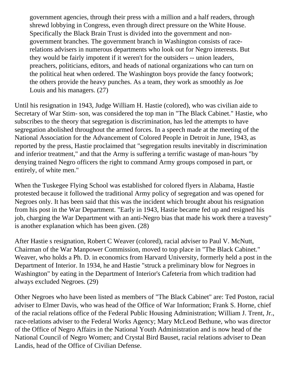government agencies, through their press with a million and a half readers, through shrewd lobbying in Congress, even through direct pressure on the White House. Specifically the Black Brain Trust is divided into the government and nongovernment branches. The government branch in Washington consists of racerelations advisers in numerous departments who look out for Negro interests. But they would be fairly impotent if it weren't for the outsiders -- union leaders, preachers, politicians, editors, and heads of national organizations who can turn on the political heat when ordered. The Washington boys provide the fancy footwork; the others provide the heavy punches. As a team, they work as smoothly as Joe Louis and his managers. (27)

Until his resignation in 1943, Judge William H. Hastie (colored), who was civilian aide to Secretary of War Stim- son, was considered the top man in "The Black Cabinet." Hastie, who subscribes to the theory that segregation is discrimination, has led the attempts to have segregation abolished throughout the armed forces. In a speech made at the meeting of the National Association for the Advancement of Colored People in Detroit in June, 1943, as reported by the press, Hastie proclaimed that "segregation results inevitably in discrimination and inferior treatment," and that the Army is suffering a terrific wastage of man-hours "by denying trained Negro officers the right to command Army groups composed in part, or entirely, of white men."

When the Tuskegee Flying School was established for colored flyers in Alabama, Hastie protested because it followed the traditional Army policy of segregation and was opened for Negroes only. It has been said that this was the incident which brought about his resignation from his post in the War Department. "Early in 1943, Hastie became fed up and resigned his job, charging the War Department with an anti-Negro bias that made his work there a travesty" is another explanation which has been given. (28)

After Hastie s resignation, Robert C Weaver (colored), racial adviser to Paul V. McNutt, Chairman of the War Manpower Commission, moved to top place in "The Black Cabinet." Weaver, who holds a Ph. D. in economics from Harvard University, formerly held a post in the Department of Interior. In 1934, he and Hastie "struck a preliminary blow for Negroes in Washington" by eating in the Department of Interior's Cafeteria from which tradition had always excluded Negroes. (29)

Other Negroes who have been listed as members of "The Black Cabinet" are: Ted Poston, racial adviser to Elmer Davis, who was head of the Office of War Information; Frank S. Horne, chief of the racial relations office of the Federal Public Housing Administration; William J. Trent, Jr., race-relations adviser to the Federal Works Agency; Mary McLeod Bethune, who was director of the Office of Negro Affairs in the National Youth Administration and is now head of the National Council of Negro Women; and Crystal Bird Bauset, racial relations adviser to Dean Landis, head of the Office of Civilian Defense.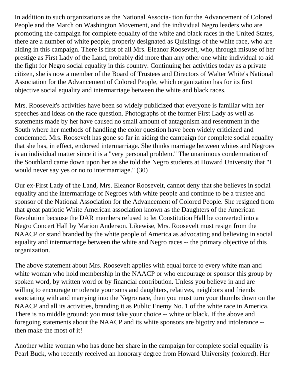In addition to such organizations as the National Associa- tion for the Advancement of Colored People and the March on Washington Movement, and the individual Negro leaders who are promoting the campaign for complete equality of the white and black races in the United States, there are a number of white people, properly designated as Quislings of the white race, who are aiding in this campaign. There is first of all Mrs. Eleanor Roosevelt, who, through misuse of her prestige as First Lady of the Land, probably did more than any other one white individual to aid the fight for Negro social equality in this country. Continuing her activities today as a private citizen, she is now a member of the Board of Trustees and Directors of Walter White's National Association for the Advancement of Colored People, which organization has for its first objective social equality and intermarriage between the white and black races.

Mrs. Roosevelt's activities have been so widely publicized that everyone is familiar with her speeches and ideas on the race question. Photographs of the former First Lady as well as statements made by her have caused no small amount of antagonism and resentment in the South where her methods of handling the color question have been widely criticized and condemned. Mrs. Roosevelt has gone so far in aiding the campaign for complete social equality that she has, in effect, endorsed intermarriage. She thinks marriage between whites and Negroes is an individual matter since it is a "very personal problem." The unanimous condemnation of the Southland came down upon her as she told the Negro students at Howard University that "I would never say yes or no to intermarriage." (30)

Our ex-First Lady of the Land, Mrs. Eleanor Roosevelt, cannot deny that she believes in social equality and the intermarriage of Negroes with white people and continue to be a trustee and sponsor of the National Association for the Advancement of Colored People. She resigned from that great patriotic White American association known as the Daughters of the American Revolution because the DAR members refused to let Constitution Hall be converted into a Negro Concert Hall by Marion Anderson. Likewise, Mrs. Roosevelt must resign from the NAACP or stand branded by the white people of America as advocating and believing in social equality and intermarriage between the white and Negro races -- the primary objective of this organization.

The above statement about Mrs. Roosevelt applies with equal force to every white man and white woman who hold membership in the NAACP or who encourage or sponsor this group by spoken word, by written word or by financial contribution. Unless you believe in and are willing to encourage or tolerate your sons and daughters, relatives, neighbors and friends associating with and marrying into the Negro race, then you must turn your thumbs down on the NAACP and all its activities, branding it as Public Enemy No. 1 of the white race in America. There is no middle ground: you must take your choice -- white or black. If the above and foregoing statements about the NAACP and its white sponsors are bigotry and intolerance - then make the most of it!

Another white woman who has done her share in the campaign for complete social equality is Pearl Buck, who recently received an honorary degree from Howard University (colored). Her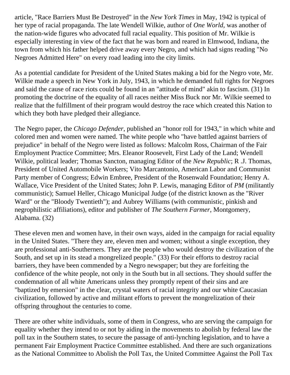article, "Race Barriers Must Be Destroyed" in the *New York Times* in May, 1942 is typical of her type of racial propaganda. The late Wendell Wilkie, author of *One World*, was another of the nation-wide figures who advocated full racial equality. This position of Mr. Wilkie is especially interesting in view of the fact that he was born and reared in Elmwood, Indiana, the town from which his father helped drive away every Negro, and which had signs reading "No Negroes Admitted Here" on every road leading into the city limits.

As a potential candidate for President of the United States making a bid for the Negro vote, Mr. Wilkie made a speech in New York in July, 1943, in which he demanded full rights for Negroes and said the cause of race riots could be found in an "attitude of mind" akin to fascism. (31) In promoting the doctrine of the equality of all races neither Miss Buck nor Mr. Wilkie seemed to realize that the fulfillment of their program would destroy the race which created this Nation to which they both have pledged their allegiance.

The Negro paper, the *Chicago Defender*, published an "honor roll for 1943," in which white and colored men and women were named. The white people who "have battled against barriers of prejudice" in behalf of the Negro were listed as follows: Malcolm Ross, Chairman of the Fair Employment Practice Committee; Mrs. Eleanor Roosevelt, First Lady of the Land; Wendell Wilkie, political leader; Thomas Sancton, managing Editor of the *New Republic*; R .J. Thomas, President of United Automobile Workers; Vito Marcantonio, American Labor and Communist Party member of Congress; Edwin Embree, President of the Rosenwald Foundation; Henry A. Wallace, Vice President of the United States; John P. Lewis, managing Editor of *PM* (militantly communistic); Samuel Heller, Chicago Municipal Judge (of the district known as the "River Ward" or the "Bloody Twentieth"); and Aubrey Williams (with communistic, pinkish and negrophilistic affiliations), editor and publisher of *The Southern Farmer*, Montgomery, Alabama. (32)

These eleven men and women have, in their own ways, aided in the campaign for racial equality in the United States. "There they are, eleven men and women; without a single exception, they are professional anti-Southerners. They are the people who would destroy the civilization of the South, and set up in its stead a mongrelized people." (33) For their efforts to destroy racial barriers, they have been commended by a Negro newspaper; but they are forfeiting the confidence of the white people, not only in the South but in all sections. They should suffer the condemnation of all white Americans unless they promptly repent of their sins and are "baptized by emersion" in the clear, crystal waters of racial integrity and our white Caucasian civilization, followed by active and militant efforts to prevent the mongrelization of their offspring throughout the centuries to come.

There are other white individuals, some of them in Congress, who are serving the campaign for equality whether they intend to or not by aiding in the movements to abolish by federal law the poll tax in the Southern states, to secure the passage of anti-lynching legislation, and to have a permanent Fair Employment Practice Committee established. And there are such organizations as the National Committee to Abolish the Poll Tax, the United Committee Against the Poll Tax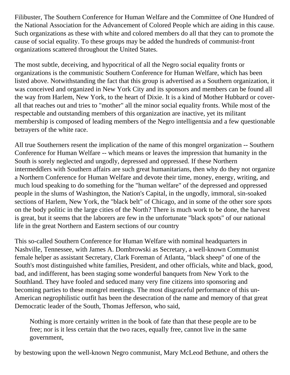Filibuster, The Southern Conference for Human Welfare and the Committee of One Hundred of the National Association for the Advancement of Colored People which are aiding in this cause. Such organizations as these with white and colored members do all that they can to promote the cause of social equality. To these groups may be added the hundreds of communist-front organizations scattered throughout the United States.

The most subtle, deceiving, and hypocritical of all the Negro social equality fronts or organizations is the communistic Southern Conference for Human Welfare, which has been listed above. Notwithstanding the fact that this group is advertised as a Southern organization, it was conceived and organized in New York City and its sponsors and members can be found all the way from Harlem, New York, to the heart of Dixie. It is a kind of Mother Hubbard or coverall that reaches out and tries to "mother" all the minor social equality fronts. While most of the respectable and outstanding members of this organization are inactive, yet its militant membership is composed of leading members of the Negro intelligentsia and a few questionable betrayers of the white race.

All true Southerners resent the implication of the name of this mongrel organization -- Southern Conference for Human Welfare -- which means or leaves the impression that humanity in the South is sorely neglected and ungodly, depressed and oppressed. If these Northern intermeddlers with Southern affairs are such great humanitarians, then why do they not organize a Northern Conference for Human Welfare and devote their time, money, energy, writing, and much loud speaking to do something for the "human welfare" of the depressed and oppressed people in the slums of Washington, the Nation's Capital, in the ungodly, immoral, sin-soaked sections of Harlem, New York, the "black belt" of Chicago, and in some of the other sore spots on the body politic in the large cities of the North? There is much work to be done, the harvest is great, but it seems that the laborers are few in the unfortunate "black spots" of our national life in the great Northern and Eastern sections of our country

This so-called Southern Conference for Human Welfare with nominal headquarters in Nashville, Tennessee, with James A. Dombrowski as Secretary, a well-known Communist female helper as assistant Secretary, Clark Foreman of Atlanta, "black sheep" of one of the South's most distinguished white families, President, and other officials, white and black, good, bad, and indifferent, has been staging some wonderful banquets from New York to the Southland. They have fooled and seduced many very fine citizens into sponsoring and becoming parties to these mongrel meetings. The most disgraceful performance of this un-American negrophilistic outfit has been the desecration of the name and memory of that great Democratic leader of the South, Thomas Jefferson, who said,

Nothing is more certainly written in the book of fate than that these people are to be free; nor is it less certain that the two races, equally free, cannot live in the same government,

by bestowing upon the well-known Negro communist, Mary McLeod Bethune, and others the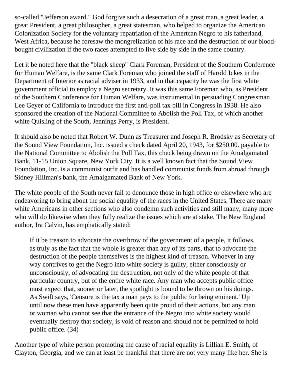so-called "Jefferson award." God forgive such a desecration of a great man, a great leader, a great President, a great philosopher, a great statesman, who helped to organize the American Colonization Society for the voluntary repatriation of the Amertcan Negro to his fatherland, West Africa, because he foresaw the mongrelization of his race and the destruction of our bloodbought civilization if the two races attempted to live side by side in the same country.

Let it be noted here that the "black sheep" Clark Foreman, President of the Southern Conference for Human Welfare, is the same Clark Foreman who joined the staff of Harold Ickes in the Department of Interior as racial adviser in 1933, and in that capacity he was the first white government official to employ a Negro secretary. It was this same Foreman who, as President of the Southern Conference for Human Welfare, was instrumental in persuading Congressman Lee Geyer of California to introduce the first anti-poll tax bill in Congress in 1938. He also sponsored the creation of the National Committee to Abolish the Poll Tax, of which another white Quisling of the South, Jennings Perry, is President.

It should also be noted that Robert W. Dunn as Treasurer and Joseph R. Brodsky as Secretary of the Sound View Foundation, Inc. issued a check dated April 20, 1943, for \$250.00. payable to the National Committee to Abolish the Poll Tax, this check being drawn on the Amalgamated Bank, 11-15 Union Square, New York City. It is a well known fact that the Sound View Foundation, Inc. is a communist outfit and has handled communist funds from abroad through Sidney Hillman's bank, the Amalgamated Bank of New York.

The white people of the South never fail to denounce those in high office or elsewhere who are endeavoring to bring about the social equality of the races in the United States. There are many white Americans in other sections who also condemn such activities and still many, many more who will do likewise when they fully realize the issues which are at stake. The New England author, Ira Calvin, has emphatically stated:

If it be treason to advocate the overthrow of the government of a people, it follows, as truly as the fact that the whole is greater than any of its parts, that to advocate the destruction of the people themselves is the highest kind of treason. Whoever in any way contrives to get the Negro into white society is guilty, either consciously or unconsciously, of advocating the destruction, not only of the white people of that particular country, but of the entire white race. Any man who accepts public office must expect that, sooner or later, the spotlight is bound to be thrown on his doings. As Swift says, 'Censure is the tax a man pays to the public for being eminent.' Up until now these men have apparently been quite proud of their actions, but any man or woman who cannot see that the entrance of the Negro into white society would eventually destroy that society, is void of reason and should not be permitted to hold public office. (34)

Another type of white person promoting the cause of racial equality is Lillian E. Smith, of Clayton, Georgia, and we can at least be thankful that there are not very many like her. She is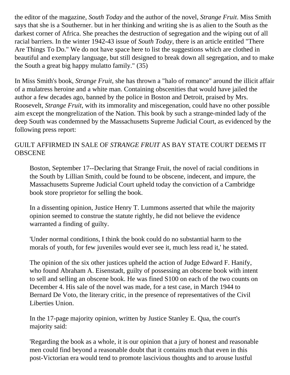the editor of the magazine, *South Today* and the author of the novel, *Strange Fruit*. Miss Smith says that she is a Southerner. but in her thinking and writing she is as alien to the South as the darkest corner of Africa. She preaches the destruction of segregation and the wiping out of all racial barriers. In the winter 1942-43 issue of *South Today*, there is an article entitled "There Are Things To Do." We do not have space here to list the suggestions which are clothed in beautiful and exemplary language, but still designed to break down all segregation, and to make the South a great big happy mulatto family." (35)

In Miss Smith's book, *Strange Fruit*, she has thrown a "halo of romance" around the illicit affair of a mulatress heroine and a white man. Containing obscenities that would have jailed the author a few decades ago, banned by the police in Boston and Detroit, praised by Mrs. Roosevelt, *Strange Fruit*, with its immorality and miscegenation, could have no other possible aim except the mongrelization of the Nation. This book by such a strange-minded lady of the deep South was condemned by the Massachusetts Supreme Judicial Court, as evidenced by the following press report:

## GUILT AFFIRMED IN SALE OF *STRANGE FRUIT* AS BAY STATE COURT DEEMS IT **OBSCENE**

Boston, September 17--Declaring that Strange Fruit, the novel of racial conditions in the South by Lillian Smith, could be found to be obscene, indecent, and impure, the Massachusetts Supreme Judicial Court upheld today the conviction of a Cambridge book store proprietor for selling the book.

In a dissenting opinion, Justice Henry T. Lummons asserted that while the majority opinion seemed to construe the statute rightly, he did not believe the evidence warranted a finding of guilty.

'Under normal conditions, I think the book could do no substantial harm to the morals of youth, for few juveniles would ever see it, much less read it,' he stated.

The opinion of the six other justices upheld the action of Judge Edward F. Hanify, who found Abraham A. Eisenstadt, guilty of possessing an obscene book with intent to sell and selling an obscene book. He was fined S100 on each of the two counts on December 4. His sale of the novel was made, for a test case, in March 1944 to Bernard De Voto, the literary critic, in the presence of representatives of the Civil Liberties Union.

In the 17-page majority opinion, written by Justice Stanley E. Qua, the court's majority said:

'Regarding the book as a whole, it is our opinion that a jury of honest and reasonable men could find beyond a reasonable doubt that it contains much that even in this post-Victorian era would tend to promote lascivious thoughts and to arouse lustful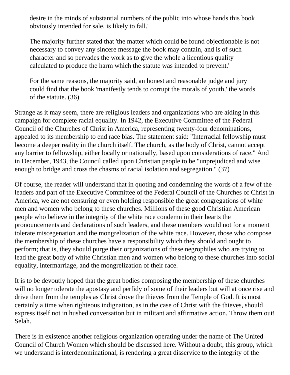desire in the minds of substantial numbers of the public into whose hands this book obviously intended for sale, is likely to fall.'

The majority further stated that 'the matter which could be found objectionable is not necessary to convey any sincere message the book may contain, and is of such character and so pervades the work as to give the whole a licentious quality calculated to produce the harm which the statute was intended to prevent.'

For the same reasons, the majority said, an honest and reasonable judge and jury could find that the book 'manifestly tends to corrupt the morals of youth,' the words of the statute. (36)

Strange as it may seem, there are religious leaders and organizations who are aiding in this campaign for complete racial equality. In 1942, the Executive Committee of the Federal Council of the Churches of Christ in America, representing twenty-four denominations, appealed to its membership to end race bias. The statement said: "Interracial fellowship must become a deeper reality in the church itself. The church, as the body of Christ, cannot accept any barrier to fellowship, either locally or nationally, based upon considerations of race." And in December, 1943, the Council called upon Christian people to be "unprejudiced and wise enough to bridge and cross the chasms of racial isolation and segregation." (37)

Of course, the reader will understand that in quoting and condemning the words of a few of the leaders and part of the Executive Committee of the Federal Council of the Churches of Christ in America, we are not censuring or even holding responsible the great congregations of white men and women who belong to these churches. Millions of these good Christian American people who believe in the integrity of the white race condemn in their hearts the pronouncements and declarations of such leaders, and these members would not for a moment tolerate miscegenation and the mongrelization of the white race. However, those who compose the membership of these churches have a responsibility which they should and ought to perform; that is, they should purge their organizations of these negrophiles who are trying to lead the great body of white Christian men and women who belong to these churches into social equality, intermarriage, and the mongrelization of their race.

It is to be devoutly hoped that the great bodies composing the membership of these churches will no longer tolerate the apostasy and perfidy of some of their leaders but will at once rise and drive them from the temples as Christ drove the thieves from the Temple of God. It is most certainly a time when righteous indignation, as in the case of Christ with the thieves, should express itself not in hushed conversation but in militant and affirmative action. Throw them out! Selah.

There is in existence another religious organization operating under the name of The United Council of Church Women which should be discussed here. Without a doubt, this group, which we understand is interdenominational, is rendering a great disservice to the integrity of the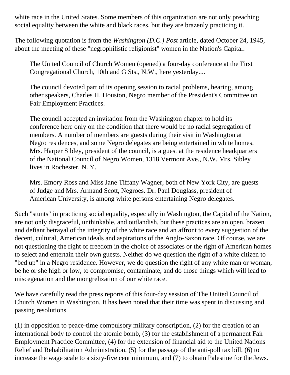white race in the United States. Some members of this organization are not only preaching social equality between the white and black races, but they are brazenly practicing it.

The following quotation is from the *Washington (D.C.) Post* article, dated October 24, 1945, about the meeting of these "negrophilistic religionist" women in the Nation's Capital:

The United Council of Church Women (opened) a four-day conference at the First Congregational Church, 10th and G Sts., N.W., here yesterday....

The council devoted part of its opening session to racial problems, hearing, among other speakers, Charles H. Houston, Negro member of the President's Committee on Fair Employment Practices.

The council accepted an invitation from the Washington chapter to hold its conference here only on the condition that there would be no racial segregation of members. A number of members are guests during their visit in Washington at Negro residences, and some Negro delegates are being entertained in white homes. Mrs. Harper Sibley, president of the council, is a guest at the residence headquarters of the National Council of Negro Women, 1318 Vermont Ave., N.W. Mrs. Sibley lives in Rochester, N. Y.

Mrs. Emory Ross and Miss Jane Tiffany Wagner, both of New York City, are guests of Judge and Mrs. Armand Scott, Negroes. Dr. Paul Douglass, president of American University, is among white persons entertaining Negro delegates.

Such "stunts" in practicing social equality, especially in Washington, the Capital of the Nation, are not only disgraceful, unthinkable, and outlandish, but these practices are an open, brazen and defiant betrayal of the integrity of the white race and an affront to every suggestion of the decent, cultural, American ideals and aspirations of the Anglo-Saxon race. Of course, we are not questioning the right of freedom in the choice of associates or the right of American homes to select and entertain their own guests. Neither do we question the right of a white citizen to "bed up" in a Negro residence. However, we do question the right of any white man or woman, be he or she high or low, to compromise, contaminate, and do those things which will lead to miscegenation and the mongrelization of our white race.

We have carefully read the press reports of this four-day session of The United Council of Church Women in Washington. It has been noted that their time was spent in discussing and passing resolutions

(1) in opposition to peace-time compulsory military conscription, (2) for the creation of an international body to control the atomic bomb, (3) for the establishment of a permanent Fair Employment Practice Committee, (4) for the extension of financial aid to the United Nations Relief and Rehabilitation Administration, (5) for the passage of the anti-poll tax bill, (6) to increase the wage scale to a sixty-five cent minimum, and (7) to obtain Palestine for the Jews.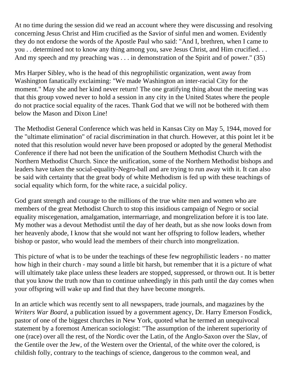At no time during the session did we read an account where they were discussing and resolving concerning Jesus Christ and Him crucified as the Savior of sinful men and women. Evidently they do not endorse the words of the Apostle Paul who said: "And I, brethren, when I came to you . . determined not to know any thing among you, save Jesus Christ, and Him crucified. . . And my speech and my preaching was . . . in demonstration of the Spirit and of power." (35)

Mrs Harper Sibley, who is the head of this negrophilistic organization, went away from Washington fanatically exclaiming: "We made Washington an inter-racial City for the moment." May she and her kind never return! The one gratifying thing about the meeting was that this group vowed never to hold a session in any city in the United States where the people do not practice social equality of the races. Thank God that we will not be bothered with them below the Mason and Dixon Line!

The Methodist General Conference which was held in Kansas City on May 5, 1944, moved for the "ultimate elimination" of racial discrimination in that church. However, at this point let it be noted that this resolution would never have been proposed or adopted by the general Methodist Conference if there had not been the unification of the Southern Methodist Church with the Northern Methodist Church. Since the unification, some of the Northern Methodist bishops and leaders have taken the social-equality-Negro-ball and are trying to run away with it. It can also be said with certainty that the great body of white Methodism is fed up with these teachings of social equality which form, for the white race, a suicidal policy.

God grant strength and courage to the millions of the true white men and women who are members of the great Methodist Church to stop this insidious campaign of Negro or social equality miscegenation, amalgamation, intermarriage, and mongrelization before it is too late. My mother was a devout Methodist until the day of her death, but as she now looks down from her heavenly abode, I know that she would not want her offspring to follow leaders, whether bishop or pastor, who would lead the members of their church into mongrelization.

This picture of what is to be under the teachings of these few negrophilistic leaders - no matter how high in their church - may sound a little bit harsh, but remember that it is a picture of what will ultimately take place unless these leaders are stopped, suppressed, or thrown out. It is better that you know the truth now than to continue unheedingly in this path until the day comes when your offspring will wake up and find that they have become mongrels.

In an article which was recently sent to all newspapers, trade journals, and magazines by the *Writers War Board*, a publication issued by a government agency, Dr. Harry Emerson Fosdick, pastor of one of the biggest churches in New York, quoted what he termed an unequivocal statement by a foremost American sociologist: "The assumption of the inherent superiority of one (race) over all the rest, of the Nordic over the Latin, of the Anglo-Saxon over the Slav, of the Gentile over the Jew, of the Western over the Oriental, of the white over the colored, is childish folly, contrary to the teachings of science, dangerous to the common weal, and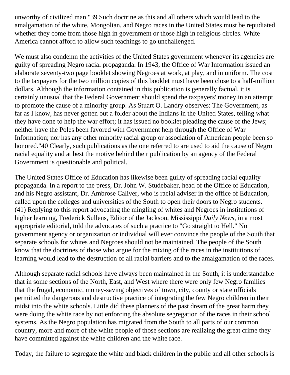unworthy of civilized man."39 Such doctrine as this and all others which would lead to the amalgamation of the white, Mongolian, and Negro races in the United States must be repudiated whether they come from those high in government or those high in religious circles. White America cannot afford to allow such teachings to go unchallenged.

We must also condemn the activities of the United States government whenever its agencies are guilty of spreading Negro racial propaganda. In 1943, the Office of War Information issued an elaborate seventy-two page booklet showing Negroes at work, at play, and in uniform. The cost to the taxpayers for the two million copies of this booklet must have been close to a half-million dollars. Although the information contained in this publication is generally factual, it is certainly unusual that the Federal Government should spend the taxpayers' money in an attempt to promote the cause of a minority group. As Stuart O. Landry observes: The Government, as far as I know, has never gotten out a folder about the Indians in the United States, telling what they have done to help the war effort; it has issued no booklet pleading the cause of the Jews; neither have the Poles been favored with Government help through the Office of War Information; nor has any other minority racial group or association of American people been so honored."40 Clearly, such publications as the one referred to are used to aid the cause of Negro racial equality and at best the motive behind their publication by an agency of the Federal Government is questionable and political.

The United States Office of Education has likewise been guilty of spreading racial equality propaganda. In a report to the press, Dr. John W. Studebaker, head of the Office of Education, and his Negro assistant, Dr. Ambrose Caliver, who is racial adviser in the office of Education, called upon the colleges and universities of the South to open their doors to Negro students. (41) Replying to this report advocating the mingling of whites and Negroes in institutions of higher learning, Frederick Sullens, Editor of the Jackson, Mississippi *Daily News*, in a most appropriate editorial, told the advocates of such a practice to "Go straight to Hell." No government agency or organization or individual will ever convince the people of the South that separate schools for whites and Negroes should not be maintained. The people of the South know that the doctrines of those who argue for the mixing of the races in the institutions of learning would lead to the destruction of all racial barriers and to the amalgamation of the races.

Although separate racial schools have always been maintained in the South, it is understandable that in some sections of the North, East, and West where there were only few Negro families that the frugal, economic, money-saving objectives of town, city, county or state officials permitted the dangerous and destructive practice of integrating the few Negro children in their midst into the white schools. Little did these planners of the past dream of the great harm they were doing the white race by not enforcing the absolute segregation of the races in their school systems. As the Negro population has migrated from the South to all parts of our common country, more and more of the white people of those sections are realizing the great crime they have committed against the white children and the white race.

Today, the failure to segregate the white and black children in the public and all other schools is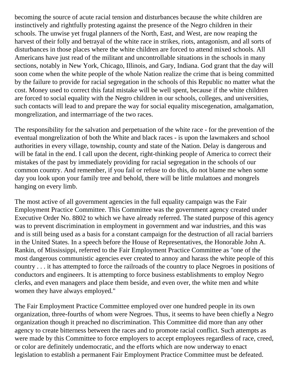becoming the source of acute racial tension and disturbances because the white children are instinctively and rightfully protesting against the presence of the Negro children in their schools. The unwise yet frugal planners of the North, East, and West, are now reaping the harvest of their folly and betrayal of the white race in strikes, riots, antagonism, and all sorts of disturbances in those places where the white children are forced to attend mixed schools. All Americans have just read of the militant and uncontrollable situations in the schools in many sections, notably in New York, Chicago, Illinois, and Gary, Indiana. God grant that the day will soon come when the white people of the whole Nation realize the crime that is being committed by the failure to provide for racial segregation in the schools of this Republic no matter what the cost. Money used to correct this fatal mistake will be well spent, because if the white children are forced to social equality with the Negro children in our schools, colleges, and universities, such contacts will lead to and prepare the way for social equality miscegenation, amalgamation, mongrelization, and intermarriage of the two races.

The responsibility for the salvation and perpetuation of the white race - for the prevention of the eventual mongrelization of both the White and black races - is upon the lawmakers and school authorities in every village, township, county and state of the Nation. Delay is dangerous and will be fatal in the end. I call upon the decent, right-thinking people of America to correct their mistakes of the past by immediately providing for racial segregation in the schools of our common country. And remember, if you fail or refuse to do this, do not blame me when some day you look upon your family tree and behold, there will be little mulattoes and mongrels hanging on every limb.

The most active of all government agencies in the full equality campaign was the Fair Employment Practice Committee. This Committee was the government agency created under Executive Order No. 8802 to which we have already referred. The stated purpose of this agency was to prevent discrimination in employment in government and war industries, and this was and is still being used as a basis for a constant campaign for the destruction of all racial barriers in the United States. In a speech before the House of Representatives, the Honorable John A. Rankin, of Mississippi, referred to the Fair Employment Practice Committee as "one of the most dangerous communistic agencies ever created to annoy and harass the white people of this country . . . it has attempted to force the railroads of the country to place Negroes in positions of conductors and engineers. It is attempting to force business establishments to employ Negro clerks, and even managers and place them beside, and even over, the white men and white women they have always employed."

The Fair Employment Practice Committee employed over one hundred people in its own organization, three-fourths of whom were Negroes. Thus, it seems to have been chiefly a Negro organization though it preached no discrimination. This Committee did more than any other agency to create bitterness between the races and to promote racial conflict. Such attempts as were made by this Committee to force employers to accept employees regardless of race, creed, or color are definitely undemocratic, and the efforts which are now underway to enact legislation to establish a permanent Fair Employment Practice Committee must be defeated.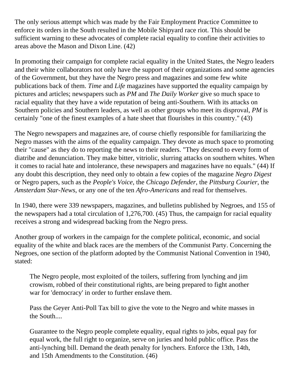The only serious attempt which was made by the Fair Employment Practice Committee to enforce its orders in the South resulted in the Mobile Shipyard race riot. This should be sufficient warning to these advocates of complete racial equality to confine their activities to areas above the Mason and Dixon Line. (42)

In promoting their campaign for complete racial equality in the United States, the Negro leaders and their white collaborators not only have the support of their organizations and some agencies of the Government, but they have the Negro press and magazines and some few white publications back of them. *Time* and *Life* magazines have supported the equality campaign by pictures and articles; newspapers such as *PM* and *The Daily Worker* give so much space to racial equality that they have a wide reputation of being anti-Southern. With its attacks on Southern policies and Southern leaders, as well as other groups who meet its disproval, *PM* is certainly "one of the finest examples of a hate sheet that flourishes in this country." (43)

The Negro newspapers and magazines are, of course chiefly responsible for familiarizing the Negro masses with the aims of the equality campaign. They devote as much space to promoting their "cause" as they do to reporting the news to their readers. "They descend to every form of diatribe and denunciation. They make bitter, vitriolic, slurring attacks on southern whites. When it comes to racial hate and intolerance, these newspapers and magazines have no equals." (44) If any doubt this description, they need only to obtain a few copies of the magazine *Negro Digest* or Negro papers, such as the *People's Voice*, the *Chicago Defender*, the *Pittsburg Courier*, the *Amsterdam Star-News*, or any one of the ten *Afro-Americans* and read for themselves.

In 1940, there were 339 newspapers, magazines, and bulletins published by Negroes, and 155 of the newspapers had a total circulation of 1,276,700. (45) Thus, the campaign for racial equality receives a strong and widespread backing from the Negro press.

Another group of workers in the campaign for the complete political, economic, and social equality of the white and black races are the members of the Communist Party. Concerning the Negroes, one section of the platform adopted by the Communist National Convention in 1940, stated:

The Negro people, most exploited of the toilers, suffering from lynching and jim crowism, robbed of their constitutional rights, are being prepared to fight another war for 'democracy' in order to further enslave them.

Pass the Geyer Anti-Poll Tax bill to give the vote to the Negro and white masses in the South....

Guarantee to the Negro people complete equality, equal rights to jobs, equal pay for equal work, the full right to organize, serve on juries and hold public office. Pass the anti-lynching bill. Demand the death penalty for lynchers. Enforce the 13th, 14th, and 15th Amendments to the Constitution. (46)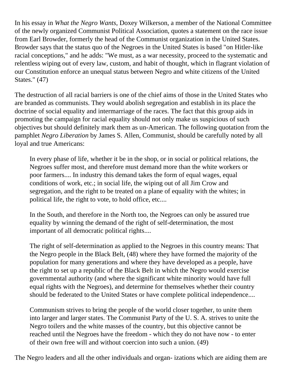In his essay in *What the Negro Wants*, Doxey Wilkerson, a member of the National Committee of the newly organized Communist Political Association, quotes a statement on the race issue from Earl Browder, formerly the head of the Communist organization in the United States. Browder says that the status quo of the Negroes in the United States is based "on Hitler-like racial conceptions," and he adds: "We must, as a war necessity, proceed to the systematic and relentless wiping out of every law, custom, and habit of thought, which in flagrant violation of our Constitution enforce an unequal status between Negro and white citizens of the United States." (47)

The destruction of all racial barriers is one of the chief aims of those in the United States who are branded as communists. They would abolish segregation and establish in its place the doctrine of social equality and intermarriage of the races. The fact that this group aids in promoting the campaign for racial equality should not only make us suspicious of such objectives but should definitely mark them as un-American. The following quotation from the pamphlet *Negro Liberation* by James S. Allen, Communist, should be carefully noted by all loyal and true Americans:

In every phase of life, whether it be in the shop, or in social or political relations, the Negroes suffer most, and therefore must demand more than the white workers or poor farmers.... In industry this demand takes the form of equal wages, equal conditions of work, etc.; in social life, the wiping out of all Jim Crow and segregation, and the right to be treated on a plane of equality with the whites; in political life, the right to vote, to hold office, etc....

In the South, and therefore in the North too, the Negroes can only be assured true equality by winning the demand of the right of self-determination, the most important of all democratic political rights....

The right of self-determination as applied to the Negroes in this country means: That the Negro people in the Black Belt, (48) where they have formed the majority of the population for many generations and where they have developed as a people, have the right to set up a republic of the Black Belt in which the Negro would exercise governmental authority (and where the significant white minority would have full equal rights with the Negroes), and determine for themselves whether their country should be federated to the United States or have complete political independence....

Communism strives to bring the people of the world closer together, to unite them into larger and larger states. The Communist Party of the U. S. A. strives to unite the Negro toilers and the white masses of the country, but this objective cannot be reached until the Negroes have the freedom - which they do not have now - to enter of their own free will and without coercion into such a union. (49)

The Negro leaders and all the other individuals and organ- izations which are aiding them are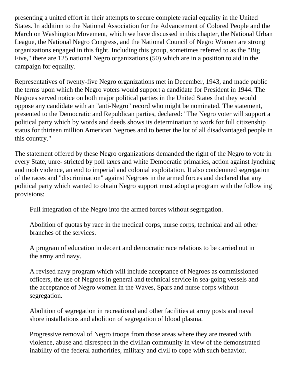presenting a united effort in their attempts to secure complete racial equality in the United States. In addition to the National Association for the Advancement of Colored People and the March on Washington Movement, which we have discussed in this chapter, the National Urban League, the National Negro Congress, and the National Council of Negro Women are strong organizations engaged in this fight. Including this group, sometimes referred to as the "Big Five," there are 125 national Negro organizations (50) which are in a position to aid in the campaign for equality.

Representatives of twenty-five Negro organizations met in December, 1943, and made public the terms upon which the Negro voters would support a candidate for President in 1944. The Negroes served notice on both major political parties in the United States that they would oppose any candidate with an "anti-Negro" record who might be nominated. The statement, presented to the Democratic and Republican parties, declared: "The Negro voter will support a political party which by words and deeds shows its determination to work for full citizenship status for thirteen million American Negroes and to better the lot of all disadvantaged people in this country."

The statement offered by these Negro organizations demanded the right of the Negro to vote in every State, unre- stricted by poll taxes and white Democratic primaries, action against lynching and mob violence, an end to imperial and colonial exploitation. It also condemned segregation of the races and "discrimination" against Negroes in the armed forces and declared that any political party which wanted to obtain Negro support must adopt a program with the follow ing provisions:

Full integration of the Negro into the armed forces without segregation.

Abolition of quotas by race in the medical corps, nurse corps, technical and all other branches of the services.

A program of education in decent and democratic race relations to be carried out in the army and navy.

A revised navy program which will include acceptance of Negroes as commissioned officers, the use of Negroes in general and technical service in sea-going vessels and the acceptance of Negro women in the Waves, Spars and nurse corps without segregation.

Abolition of segregation in recreational and other facilities at army posts and naval shore installations and abolition of segregation of blood plasma.

Progressive removal of Negro troops from those areas where they are treated with violence, abuse and disrespect in the civilian community in view of the demonstrated inability of the federal authorities, military and civil to cope with such behavior.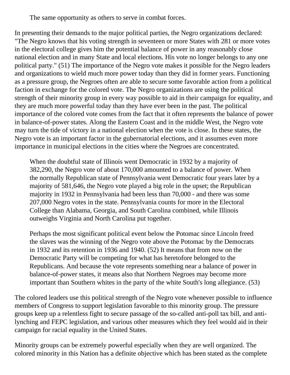The same opportunity as others to serve in combat forces.

In presenting their demands to the major political parties, the Negro organizations declared: "The Negro knows that his voting strength in seventeen or more States with 281 or more votes in the electoral college gives him the potential balance of power in any reasonably close national election and in many State and local elections. His vote no longer belongs to any one political party." (51) The importance of the Negro vote makes it possible for the Negro leaders and organizations to wield much more power today than they did in former years. Functioning as a pressure group, the Negroes often are able to secure some favorable action from a political faction in exchange for the colored vote. The Negro organizations are using the political strength of their minority group in every way possible to aid in their campaign for equality, and they are much more powerful today than they have ever been in the past. The political importance of the colored vote comes from the fact that it often represents the balance of power in balance-of-power states. Along the Eastern Coast and in the middle West, the Negro vote may turn the tide of victory in a national election when the vote is close. In these states, the Negro vote is an important factor in the gubernatorial elections, and it assumes even more importance in municipal elections in the cities where the Negroes are concentrated.

When the doubtful state of Illinois went Democratic in 1932 by a majority of 382,290, the Negro vote of about 170,000 amounted to a balance of power. When the normally Republican state of Pennsylvania went Democratic four years later by a majority of 581,646, the Negro vote played a big role in the upset; the Republican majority in 1932 in Pennsylvania had been less than 70,000 - and there was some 207,000 Negro votes in the state. Pennsylvania counts for more in the Electoral College than Alabama, Georgia, and South Carolina combined, while Illinois outweighs Virginia and North Carolina put together.

Perhaps the most significant political event below the Potomac since Lincoln freed the slaves was the winning of the Negro vote above the Potomac by the Democrats in 1932 and its retention in 1936 and 1940. (52) It means that from now on the Democratic Party will be competing for what has heretofore belonged to the Republicans. And because the vote represents something near a balance of power in balance-of-power states, it means also that Northern Negroes may become more important than Southern whites in the party of the white South's long allegiance. (53)

The colored leaders use this political strength of the Negro vote whenever possible to influence members of Congress to support legislation favorable to this minority group. The pressure groups keep up a relentless fight to secure passage of the so-called anti-poll tax bill, and antilynching and FEPC legislation, and various other measures which they feel would aid in their campaign for racial equality in the United States.

Minority groups can be extremely powerful especially when they are well organized. The colored minority in this Nation has a definite objective which has been stated as the complete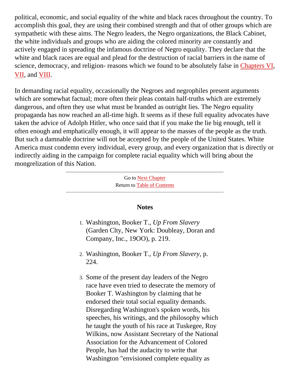political, economic, and social equality of the white and black races throughout the country. To accomplish this goal, they are using their combined strength and that of other groups which are sympathetic with these aims. The Negro leaders, the Negro organizations, the Black Cabinet, the white individuals and groups who are aiding the colored minority are constantly and actively engaged in spreading the infamous doctrine of Negro equality. They declare that the white and black races are equal and plead for the destruction of racial barriers in the name of science, democracy, and religion- reasons which we found to be absolutely false in [Chapters VI,](#page-68-0) [VII,](#page-78-0) and [VIII.](#page-87-0)

In demanding racial equality, occasionally the Negroes and negrophiles present arguments which are somewhat factual; more often their pleas contain half-truths which are extremely dangerous, and often they use what must be branded as outright lies. The Negro equality propaganda has now reached an all-time high. It seems as if these full equality advocates have taken the advice of Adolph Hitler, who once said that if you make the lie big enough, tell it often enough and emphatically enough, it will appear to the masses of the people as the truth. But such a damnable doctrine will not be accepted by the people of the United States. White America must condemn every individual, every group, and every organization that is directly or indirectly aiding in the campaign for complete racial equality which will bring about the mongrelization of this Nation.

> Go to [Next Chapter](#page-130-0) Return to [Table of Contents](#page-0-0)

## **Notes**

- 1. Washington, Booker T., *Up From Slavery* (Garden Clty, New York: Doubleay, Doran and Company, Inc., 19OO), p. 219.
- 2. Washington, Booker T., *Up From Slavery*, p. 224.
- 3. Some of the present day leaders of the Negro race have even tried to desecrate the memory of Booker T. Washington by claiming that he endorsed their total social equality demands. Disregarding Washington's spoken words, his speeches, his writings, and the philosophy which he taught the youth of his race at Tuskegee, Roy Wilkins, now Assistant Secretary of the National Association for the Advancement of Colored People, has had the audacity to write that Washington "envisioned complete equality as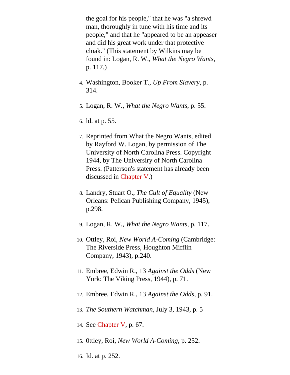the goal for his people," that he was "a shrewd man, thoroughly in tune with his time and its people," and that he "appeared to be an appeaser and did his great work under that protective cloak." (This statement by Wilkins may be found in: Logan, R. W., *What the Negro Wants*, p. 117.)

- 4. Washington, Booker T., *Up From Slavery*, p. 314.
- 5. Logan, R. W., *What the Negro Wants*, p. 55.
- 6. ld. at p. 55.
- 7. Reprinted from What the Negro Wants, edited by Rayford W. Logan, by permission of The University of North Carolina Press. Copyright 1944, by The Universiry of North Carolina Press. (Patterson's statement has already been discussed in [Chapter V.](#page-51-0))
- 8. Landry, Stuart O., *The Cult of Equality* (New Orleans: Pelican Publishing Company, 1945), p.298.
- 9. Logan, R. W., *What the Negro Wants*, p. 117.
- 10. Ottley, Roi, *New World A-Coming* (Cambridge: The Riverside Press, Houghton Mifflin Company, 1943), p.240.
- 11. Embree, Edwin R., 13 *Against the Odds* (New York: The Viking Press, 1944), p. 71.
- 12. Embree, Edwin R., 13 *Against the Odds*, p. 91.
- 13. *The Southern Watchman*, July 3, 1943, p. 5
- 14. See [Chapter V,](#page-51-0) p. 67.
- 15. 0ttley, Roi, *New World A-Coming*, p. 252.
- 16. Id. at p. 252.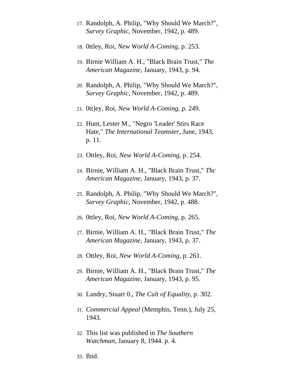- 17. Randolph, A. Philip, "Why Should We March?", *Survey Graphic*, November, 1942, p. 489.
- 18. 0ttley, Roi, *New World A-Coming*, p. 253.
- 19. Birnie William A. H., "Black Brain Trust," *The American Magazine*, January, 1943, p. 94.
- 20. Randolph, A. Philip, "Why Should We March?", *Survey Graphic*, November, 1942, p. 489.
- 21. 0tt]ey, Roi, *New World A-Coming*, p. 249.
- 22. Hunt, Lester M., "Negro 'Leader' Stirs Race Hate," *The International Teamster*, June, 1943, p. 11.
- 23. Ottley, Roi, *New World A-Coming*, p. 254.
- 24. Birnie, William A. H., "Black Brain Trust," *Thc American Magazine*, January, 1943, p. 37.
- 25. Randolph, A. Philip, "Why Should We March?", *Survey Graphic*, November, 1942, p. 488.
- 26. 0ttley, Roi, *New World A-Coming*, p. 265.
- 27. Birnie, William A. H., "Black Brain Trust," *The American Magazine*, January, 1943, p. 37.
- 28. Ottley, Roi, *New World A-Coming*, p. 261.
- 29. Birnie, William A. H., "Black Brain Trust," *The American Magazine*, January, 1943, p. 95.
- 30. Landry, Stuart 0., *The Cult of Equality*, p. 302.
- 31. *Commercial Appeal* (Memphis, Tenn.), July 25, 1943.
- 32. This list was published in *The Southern Watchman*, January 8, 1944. p. 4.
- 33. Ibid.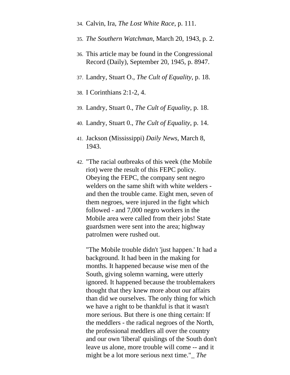- 34. Calvin, Ira, *The Lost White Race*, p. 111.
- 35. *The Southern Watchman*, March 20, 1943, p. 2.
- 36. This article may be found in the Congressional Record (Daily), September 20, 1945, p. 8947.
- 37. Landry, Stuart O., *The Cult of Equality*, p. 18.
- 38. I Corinthians 2:1-2, 4.
- 39. Landry, Stuart 0., *The Cult of Equality*, p. 18.
- 40. Landry, Stuart 0., *The Cult of Equality*, p. 14.
- 41. Jackson (Mississippi) *Daily News*, March 8, 1943.
- 42. "The racial outbreaks of this week (the Mobile riot) were the result of this FEPC policy. Obeying the FEPC, the company sent negro welders on the same shift with white welders and then the trouble came. Eight men, seven of them negroes, were injured in the fight which followed - and 7,000 negro workers in the Mobile area were called from their jobs! State guardsmen were sent into the area; highway patrolmen were rushed out.

"The Mobile trouble didn't 'just happen.' It had a background. It had been in the making for months. It happened because wise men of the South, giving solemn warning, were utterly ignored. It happened because the troublemakers thought that they knew more about our affairs than did we ourselves. The only thing for which we have a right to be thankful is that it wasn't more serious. But there is one thing certain: If the meddlers - the radical negroes of the North, the professional meddlers all over the country and our own 'liberal' quislings of the South don't leave us alone, more trouble will come -- and it might be a lot more serious next time."\_ *The*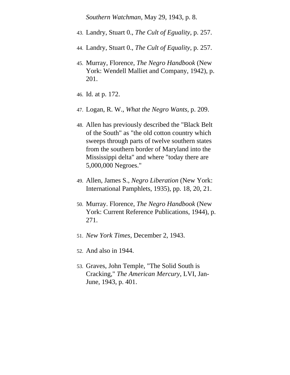*Southern Watchman*, May 29, 1943, p. 8.

- 43. Landry, Stuart 0., *The Cult of Eguality*, p. 257.
- 44. Landry, Stuart 0., *The Cult of Equality*, p. 257.
- 45. Murray, Florence, *The Negro Handbook* (New York: Wendell Malliet and Company, 1942), p. 201.
- 46. Id. at p. 172.
- 47. Logan, R. W., *What the Negro Wants*, p. 209.
- 48. Allen has previously described the "Black Belt of the South" as "the old cotton country which sweeps through parts of twelve southern states from the southern border of Maryland into the Mississippi delta" and where "today there are 5,000,000 Negroes."
- 49. Allen, James S., *Negro Liberation* (New York: International Pamphlets, 1935), pp. 18, 20, 21.
- 50. Murray. Florence, *The Negro Handbook* (New York: Current Reference Publications, 1944), p. 271.
- 51. *New York Times*, December 2, 1943.
- 52. And also in 1944.
- 53. Graves, John Temple, "The Solid South is Cracking," *The American Mercury*, LVI, Jan-June, 1943, p. 401.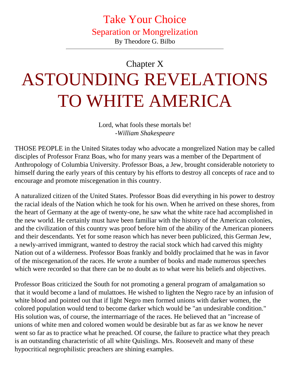## Take Your Choice Separation or Mongrelization

By Theodore G. Bilbo

Chapter X

## <span id="page-130-0"></span>ASTOUNDING REVELATIONS TO WHITE AMERICA

Lord, what fools these mortals be! -*William Shakespeare*

THOSE PEOPLE in the United Sitates today who advocate a mongrelized Nation may be called disciples of Professor Franz Boas, who for many years was a member of the Department of Anthropology of Columbia University. Professor Boas, a Jew, brought considerable notoriety to himself during the early years of this century by his efforts to destroy all concepts of race and to encourage and promote miscegenation in this country.

A naturalized citizen of the United States. Professor Boas did everything in his power to destroy the racial ideals of the Nation which he took for his own. When he arrived on these shores, from the heart of Germany at the age of twenty-one, he saw what the white race had accomplished in the new world. He certainly must have been familiar with the history of the American colonies, and the civilization of this country was proof before him of the ability of the American pioneers and their descendants. Yet for some reason which has never been publicized, this German Jew, a newly-arrived immigrant, wanted to destroy the racial stock which had carved this mighty Nation out of a wilderness. Professor Boas frankly and boldly proclaimed that he was in favor of the miscegenation.of the races. He wrote a number of books and made numerous speeches which were recorded so that there can be no doubt as to what were his beliefs and objectives.

Professor Boas criticized the South for not promoting a general program of amalgamation so that it would become a land of mulattoes. He wished to lighten the Negro race by an infusion of white blood and pointed out that if light Negro men formed unions with darker women, the colored population would tend to become darker which would be "an undesirable condition." His solution was, of course, the intermarriage of the races. He believed that an "increase of unions of white men and colored women would be desirable but as far as we know he never went so far as to practice what he preached. Of course, the failure to practice what they preach is an outstanding characteristic of all white Quislings. Mrs. Roosevelt and many of these hypocritical negrophilistic preachers are shining examples.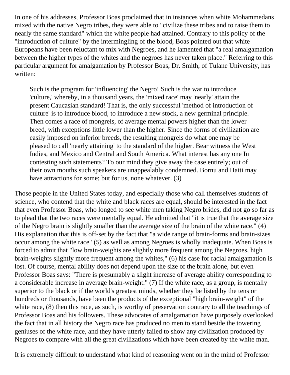In one of his addresses, Professor Boas proclaimed that in instances when white Mohammedans mixed with the native Negro tribes, they were able to "civilize these tribes and to raise them to nearly the same standard" which the white people had attained. Contrary to this policy of the "introduction of culture" by the intermingling of the blood, Boas pointed out that white Europeans have been reluctant to mix with Negroes, and he lamented that "a real amalgamation between the higher types of the whites and the negroes has never taken place." Referring to this particular argument for amalgamation by Professor Boas, Dr. Smith, of Tulane University, has written:

Such is the program for 'influencing' the Negro! Such is the war to introduce 'culture,' whereby, in a thousand years, the 'mixed race' may 'nearly' attain the present Caucasian standard! That is, the only successful 'method of introduction of culture' is to introduce blood, to introduce a new stock, a new germinal principle. Then comes a race of mongrels, of average mental powers higher than the lower breed, with exceptions little lower than the higher. Since the forms of civilization are easily imposed on inferior breeds, the resulting mongrels do what one may be pleased to call 'nearly attaining' to the standard of the higher. Bear witness the West Indies, and Mexico and Central and South America. What interest has any one In contesting such statements? To our mind they give away the case entirely; out of their own mouths such speakers are unappealably condemned. Bornu and Haiti may have attractions for some; but for us, none whatever. (3)

Those people in the United States today, and especially those who call themselves students of science, who contend that the white and black races are equal, should be interested in the fact that even Professor Boas, who longed to see white men taking Negro brides, did not go so far as to plead that the two races were mentally equal. He admitted that "it is true that the average size of the Negro brain is slightly smaller than the average size of the brain of the white race." (4) His explanation that this is off-set by the fact that "a wide range of brain-forms and brain-sizes occur among the white race" (5) as well as among Negroes is wholly inadequate. When Boas is forced to admit that "low brain-weights are slightly more frequent among the Negroes, high brain-weights slightly more frequent among the whites," (6) his case for racial amalgamation is lost. Of course, mental ability does not depend upon the size of the brain alone, but even Professor Boas says: "There is presumably a slight increase of average ability corresponding to a considerable increase in average brain-weight." (7) If the white race, as a group, is mentally superior to the black or if the world's greatest minds, whether they be listed by the tens or hundreds or thousands, have been the products of the exceptional "high brain-weight" of the white race, (8) then this race, as such, is worthy of preservation contrary to all the teachings of Professor Boas and his followers. These advocates of amalgamation have purposely overlooked the fact that in all history the Negro race has produced no men to stand beside the towering geniuses of the white race, and they have utterly failed to show any civilization produced by Negroes to compare with all the great civilizations which have been created by the white man.

It is extremely difficult to understand what kind of reasoning went on in the mind of Professor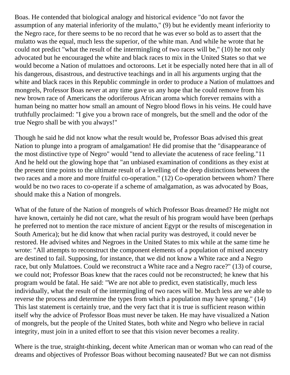Boas. He contended that biological analogy and historical evidence "do not favor the assumption of any material inferiority of the mulatto," (9) but he evidently meant inferiority to the Negro race, for there seems to be no record that he was ever so bold as to assert that the mulatto was the equal, much less the superior, of the white man. And while he wrote that he could not predict "what the result of the intermingling of two races will be," (10) he not only advocated but he encouraged the white and black races to mix in the United States so that we would become a Nation of mulattoes and octoroons. Let it be especially noted here that in all of his dangerous, disastrous, and destructive teachings and in all his arguments urging that the white and black races in this Republic commingle in order to produce a Nation of mulattoes and mongrels, Professor Boas never at any time gave us any hope that he could remove from his new brown race of Americans the odoriferous African aroma which forever remains with a human being no matter how small an amount of Negro blood flows in his veins. He could have truthfully proclaimed: "I give you a brown race of mongrels, but the smell and the odor of the true Negro shall be with you always!"

Though he said he did not know what the result would be, Professor Boas advised this great Nation to plunge into a program of amalgamation! He did promise that the "disappearance of the most distinctive type of Negro" would "tend to alleviate the acuteness of race feeling."11 And he held out the glowing hope that "an unbiased examination of conditions as they exist at the present time points to the ultimate result of a levelling of the deep distinctions between the two races and a more and more fruitful co-operation." (12) Co-operation between whom? There would be no two races to co-operate if a scheme of amalgamation, as was advocated by Boas, should make this a Nation of mongrels.

What of the future of the Nation of mongrels of which Professor Boas dreamed? He might not have known, certainly he did not care, what the result of his program would have been (perhaps he preferred not to mention the race mixture of ancient Egypt or the results of miscegenation in South America); but he did know that when racial purity was destroyed, it could never be restored. He advised whites and Negroes in the United States to mix while at the same time he wrote: "All attempts to reconstruct the component elements of a population of mixed ancestry are destined to fail. Supposing, for instance, that we did not know a White race and a Negro race, but only Mulattoes. Could we reconstruct a White race and a Negro race?" (13) of course, we could not; Professor Boas knew that the races could not be reconstructed; he knew that his program would be fatal. He said: "We are not able to predict, even statistically, much less individually, what the result of the intermingling of two races will be. Much less are we able to reverse the process and determine the types from which a population may have sprung." (14) This last statement is certainly true, and the very fact that it is true is sufficient reason within itself why the advice of Professor Boas must never be taken. He may have visualized a Nation of mongrels, but the people of the United States, both white and Negro who believe in racial integrity, must join in a united effort to see that this vision never becomes a reality.

Where is the true, straight-thinking, decent white American man or woman who can read of the dreams and objectives of Professor Boas without becoming nauseated? But we can not dismiss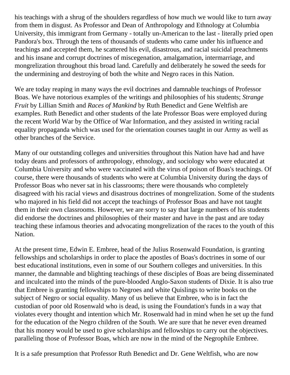his teachings with a shrug of the shoulders regardless of how much we would like to turn away from them in disgust. As Professor and Dean of Anthropology and Ethnology at Columbia University, this immigrant from Germany - totally un-American to the last - literally pried open Pandora's box. Through the tens of thousands of students who came under his influence and teachings and accepted them, he scattered his evil, disastrous, and racial suicidal preachments and his insane and corrupt doctrines of miscegenation, amalgamation, intermarriage, and mongrelization throughout this broad land. Carefully and deliberately he sowed the seeds for the undermining and destroying of both the white and Negro races in this Nation.

We are today reaping in many ways the evil doctrines and damnable teachings of Professor Boas. We have notorious examples of the writings and philosophies of his students; *Strange Fruit* by Lillian Smith and *Races of Mankind* by Ruth Benedict and Gene Weltfish are examples. Ruth Benedict and other students of the late Professor Boas were employed during the recent World War by the Office of War Information, and they assisted in writing racial equality propaganda which was used for the orientation courses taught in our Army as well as other branches of the Service.

Many of our outstanding colleges and universities throughout this Nation have had and have today deans and professors of anthropology, ethnology, and sociology who were educated at Columbia University and who were vaccinated with the virus of poison of Boas's teachings. Of course, there were thousands of students who were at Columbia University during the days of Professor Boas who never sat in his classrooms; there were thousands who completely disagreed with his racial views and disastrous doctrines of mongrelization. Some of the students who majored in his field did not accept the teachings of Professor Boas and have not taught them in their own classrooms. However, we are sorry to say that large numbers of his students did endorse the doctrines and philosophies of their master and have in the past and are today teaching these infamous theories and advocating mongrelization of the races to the youth of this Nation.

At the present time, Edwin E. Embree, head of the Julius Rosenwald Foundation, is granting fellowships and scholarships in order to place the apostles of Boas's doctrines in some of our best educational institutions, even in some of our Southern colleges and universities. In this manner, the damnable and blighting teachings of these disciples of Boas are being disseminated and inculcated into the minds of the pure-blooded Anglo-Saxon students of Dixie. It is also true that Embree is granting fellowships to Negroes and white Quislings to write books on the subject of Negro or social equality. Many of us believe that Embree, who is in fact the custodian of poor old Rosenwald who is dead, is using the Foundation's funds in a way that violates every thought and intention which Mr. Rosenwald had in mind when he set up the fund for the education of the Negro children of the South. We are sure that he never even dreamed that his money would be used to give scholarships and fellowships to carry out the objectives. paralleling those of Professor Boas, which are now in the mind of the Negrophile Embree.

It is a safe presumption that Professor Ruth Benedict and Dr. Gene Weltfish, who are now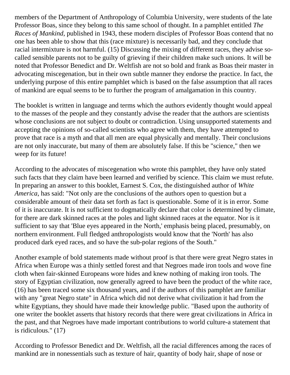members of the Department of Anthropology of Columbia University, were students of the late Professor Boas, since they belong to this same school of thought. In a pamphlet entitled *The Races of Mankind*, published in 1943, these modern disciples of Professor Boas contend that no one has been able to show that this (race mixture) is necessarily bad, and they conclude that racial intermixture is not harmful. (15) Discussing the mixing of different races, they advise socalled sensible parents not to be guilty of grieving if their children make such unions. It will be noted that Professor Benedict and Dr. Weltfish are not so bold and frank as Boas their master in advocating miscegenation, but in their own subtle manner they endorse the practice. In fact, the underlying purpose of this entire pamphlet which is based on the false assumption that all races of mankind are equal seems to be to further the program of amalgamation in this country.

The booklet is written in language and terms which the authors evidently thought would appeal to the masses of the people and they constantly advise the reader that the authors are scientists whose conclusions are not subject to doubt or contradiction. Using unsupported statements and accepting the opinions of so-called scientists who agree with them, they have attempted to prove that race is a myth and that all men are equal physically and mentally. Their conclusions are not only inaccurate, but many of them are absolutely false. If this be "science," then we weep for its future!

According to the advocates of miscegenation who wrote this pamphlet, they have only stated such facts that they claim have been learned and verified by science. This claim we must refute. In preparing an answer to this booklet, Earnest S. Cox, the distinguished author of *White America*, has said: "Not only are the conclusions of the authors open to question but a considerable amount of their data set forth as fact is questionable. Some of it is in error. Some of it is inaccurate. It is not sufficient to dogmatically declare that color is determined by climate, for there are dark skinned races at the poles and light skinned races at the equator. Nor is it sufficient to say that 'Blue eyes appeared in the North,' emphasis being placed, presumably, on northern environment. Full fledged anthropologists would know that the 'North' has also produced dark eyed races, and so have the sub-polar regions of the South."

Another example of bold statements made without proof is that there were great Negro states in Africa when Europe was a thinly settled forest and that Negroes made iron tools and wove fine cloth when fair-skinned Europeans wore hides and knew nothing of making iron tools. The story of Egyptian civilization, now generally agreed to have been the product of the white race, (16) has been traced some six thousand years, and if the authors of this pamphlet are familiar with any "great Negro state" in Africa which did not derive what civilization it had from the white Egyptians, they should have made their knowledge public. "Based upon the authority of one writer the booklet asserts that history records that there were great civilizations in Africa in the past, and that Negroes have made important contributions to world culture-a statement that is ridiculous." (17)

According to Professor Benedict and Dr. Weltfish, all the racial differences among the races of mankind are in nonessentials such as texture of hair, quantity of body hair, shape of nose or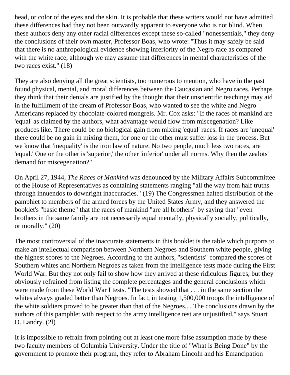head, or color of the eyes and the skin. It is probable that these writers would not have admitted these differences had they not been outwardly apparent to everyone who is not blind. When these authors deny any other racial differences except these so-called "nonessentials," they deny the conclusions of their own master, Professor Boas, who wrote: "Thus it may safely be said that there is no anthropological evidence showing inferiority of the Negro race as compared with the white race, although we may assume that differences in mental characteristics of the two races exist." (18)

They are also denying all the great scientists, too numerous to mention, who have in the past found physical, mental, and moral differences between the Caucasian and Negro races. Perhaps they think that their denials are justified by the thought that their unscientific teachings may aid in the fulfillment of the dream of Professor Boas, who wanted to see the white and Negro Americans replaced by chocolate-colored mongrels. Mr. Cox asks: "If the races of mankind are 'equal' as claimed by the authors, what advantage would flow from miscegenation? Like produces like. There could be no biological gain from mixing 'equal' races. If races are 'unequal' there could be no gain in mixing them, for one or the other must suffer loss in the process. But we know that 'inequality' is the iron law of nature. No two people, much less two races, are 'equal.' One or the other is 'superior,' the other 'inferior' under all norms. Why then the zealots' demand for miscegenation?"

On April 27, 1944, *The Races of Mankind* was denounced by the Military Affairs Subcommittee of the House of Representatives as containing statements ranging "all the way from half truths through innuendos to downright inaccuracies." (19) The Congressmen halted distribution of the pamphlet to members of the armed forces by the United States Army, and they answered the booklet's "basic theme" that the races of mankind "are all brothers" by saying that "even brothers in the same family are not necessarily equal mentally, physically socially, politically, or morally." (20)

The most controversial of the inaccurate statements in this booklet is the table which purports to make an intellectual comparison between Northern Negroes and Southern white people, giving the highest scores to the Negroes. According to the authors, "scientists" compared the scores of Southern whites and Northern Negroes as taken from the intelligence tests made during the First World War. But they not only fail to show how they arrived at these ridiculous figures, but they obviously refrained from listing the complete percentages and the general conclusions which were made from these World War I tests. "The tests showed that . . . in the same section the whites always graded better than Negroes. In fact, in testing 1,500,000 troops the intelligence of the white soldiers proved to be greater than that of the Negroes.... The conclusions drawn by the authors of this pamphlet with respect to the army intelligence test are unjustified," says Stuart O. Landry. (2l)

It is impossible to refrain from pointing out at least one more false assumption made by these two faculty members of Columbia University. Under the title of "What is Being Done" by the government to promote their program, they refer to Abraham Lincoln and his Emancipation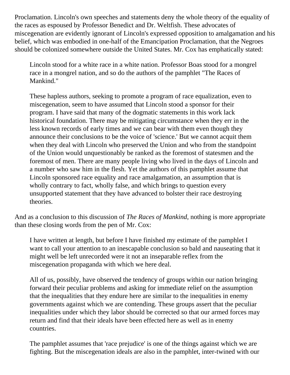Proclamation. Lincoln's own speeches and statements deny the whole theory of the equality of the races as espoused by Professor Benedict and Dr. Weltfish. These advocates of miscegenation are evidently ignorant of Lincoln's expressed opposition to amalgamation and his belief, which was embodied in one-half of the Emancipation Proclamation, that the Negroes should be colonized somewhere outside the United States. Mr. Cox has emphatically stated:

Lincoln stood for a white race in a white nation. Professor Boas stood for a mongrel race in a mongrel nation, and so do the authors of the pamphlet "The Races of Mankind."

These hapless authors, seeking to promote a program of race equalization, even to miscegenation, seem to have assumed that Lincoln stood a sponsor for their program. I have said that many of the dogmatic statements in this work lack historical foundation. There may be mitigating circumstance when they err in the less known records of early times and we can bear with them even though they announce their conclusions to be the voice of 'science.' But we cannot acquit them when they deal with Lincoln who preserved the Union and who from the standpoint of the Union would unquestionably be ranked as the foremost of statesmen and the foremost of men. There are many people living who lived in the days of Lincoln and a number who saw him in the flesh. Yet the authors of this pamphlet assume that Lincoln sponsored race equality and race amalgamation, an assumption that is wholly contrary to fact, wholly false, and which brings to question every unsupported statement that they have advanced to bolster their race destroying theories.

And as a conclusion to this discussion of *The Races of Mankind*, nothing is more appropriate than these closing words from the pen of Mr. Cox:

I have written at length, but before I have finished my estimate of the pamphlet I want to call your attention to an inescapable conclusion so bald and nauseating that it might well be left unrecorded were it not an inseparable reflex from the miscegenation propaganda with which we here deal.

All of us, possibly, have observed the tendency of groups within our nation bringing forward their peculiar problems and asking for immediate relief on the assumption that the inequalities that they endure here are similar to the inequalities in enemy governments against which we are contending. These groups assert that the peculiar inequalities under which they labor should be corrected so that our armed forces may return and find that their ideals have been effected here as well as in enemy countries.

The pamphlet assumes that 'race prejudice' is one of the things against which we are fighting. But the miscegenation ideals are also in the pamphlet, inter-twined with our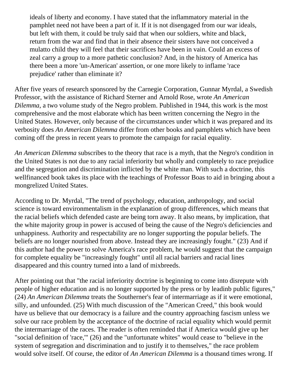ideals of liberty and economy. I have stated that the inflammatory material in the pamphlet need not have been a part of it. If it is not disengaged from our war ideals, but left with them, it could be truly said that when our soldiers, white and black, return from the war and find that in their absence their sisters have not conceived a mulatto child they will feel that their sacrifices have been in vain. Could an excess of zeal carry a group to a more pathetic conclusion? And, in the history of America has there been a more 'un-American' assertion, or one more likely to inflame 'race prejudice' rather than eliminate it?

After five years of research sponsored by the Carnegie Corporation, Gunnar Myrdal, a Swedish Professor, with the assistance of Richard Sterner and Arnold Rose, wrote *An American Dilemma*, a two volume study of the Negro problem. Published in 1944, this work is the most comprehensive and the most elaborate which has been written concerning the Negro in the United States. However, only because of the circumstances under which it was prepared and its verbosity does *An American Dilemma* differ from other books and pamphlets which have been coming off the press in recent years to promote the campaign for racial equality.

*An American Dilemma* subscribes to the theory that race is a myth, that the Negro's condition in the United States is not due to any racial inferiority but wholly and completely to race prejudice and the segregation and discrimination inflicted by the white man. With such a doctrine, this wellfinanced book takes its place with the teachings of Professor Boas to aid in bringing about a mongrelized United States.

According to Dr. Myrdal, "The trend of psychology, education, anthropology, and social science is toward environmentalism in the explanation of group differences, which means that the racial beliefs which defended caste are being torn away. It also means, by implication, that the white majority group in power is accused of being the cause of the Negro's deficiencies and unhappiness. Authority and respectability are no longer supporting the popular beliefs. The beliefs are no longer nourished from above. Instead they are increasingly fought." (23) And if this author had the power to solve America's race problem, he would suggest that the campaign for complete equality be "increasingly fought" until all racial barriers and racial lines disappeared and this country turned into a land of mixbreeds.

After pointing out that "the racial inferiority doctrine is beginning to come into disrepute with people of higher education and is no longer supported by the press or by leadinb public figures," (24) *An American Dilemma* treats the Southerner's fear of intermarriage as if it were emotional, silly, and unfounded. (25) With much discussion of the "American Creed," this book would have us believe that our democracy is a failure and the country approaching fascism unless we solve our race problem by the acceptance of the doctrine of racial equality which would permit the intermarriage of the races. The reader is often reminded that if America would give up her "social definition of 'race,'" (26) and the "unfortunate whites" would cease to "believe in the system of segregation and discrimination and to justify it to themselves," the race problem would solve itself. Of course, the editor of *An American Dilemma* is a thousand times wrong. If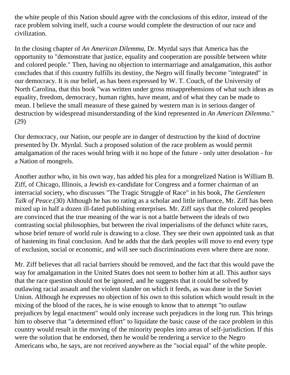the white people of this Nation should agree with the conclusions of this editor, instead of the race problem solving itself, such a course would complete the destruction of our race and civilization.

In the closing chapter of *An American Dilemma*, Dr. Myrdal says that America has the opportunity to "demonstrate that justice, equality and cooperation are possible between white and colored people." Then, having no objection to intermarriage and amalgamation, this author concludes that if this country fulfills its destiny, the Negro will finally become "integrated" in our democracy. It is our belief, as has been expressed by W. T. Couch, of the University of North Carolina, that this book "was written under gross misapprehensions of what such ideas as equality, freedom, democracy, human rights, have meant, and of what they can be made to mean. I believe the small measure of these gained by western man is in serious danger of destruction by widespread misunderstanding of the kind represented in *An American Dilemma*." (29)

Our democracy, our Nation, our people are in danger of destruction by the kind of doctrine presented by Dr. Myrdal. Such a proposed solution of the race problem as would permit amalgamation of the races would bring with it no hope of the future - only utter desolation - for a Nation of mongrels.

Another author who, in his own way, has added his plea for a mongrelized Nation is William B. Ziff, of Chicago, Illinois, a Jewish ex-candidate for Congress and a former chairman of an interracial society, who discusses "The Tragic Struggle of Race" in his book, *The Gentlemen Talk of Peace*.(30) Although he has no rating as a scholar and little influence, Mr. Ziff has been mixed up in half a dozen ill-fated publishing enterprises. Mr. Ziff says that the colored peoples are convinced that the true meaning of the war is not a battle between the ideals of two contrasting social philosophies, but between the rival imperialisms of the defunct white races, whose brief tenure of world rule is drawing to a close. They see their own appointed task as that of hastening its final conclusion. And he adds that the dark peoples will move to end every type of exclusion, social or economic, and will see such discriminations even where there are none.

Mr. Ziff believes that all racial barriers should be removed, and the fact that this would pave the way for amalgamation in the United States does not seem to bother him at all. This author says that the race question should not be ignored, and he suggests that it could be solved by outlawing racial assault and the violent slander on which it feeds, as was done in the Soviet Union. Although he expresses no objection of his own to this solution which would result in the mixing of the blood of the races, he is wise enough to know that to attempt "to outlaw prejudices by legal enactment" would only increase such prejudices in the long run. This brings him to observe that "a determined effort" to liquidate the basic cause of the race problem in this country would result in the moving of the minority peoples into areas of self-jurisdiction. If this were the solution that he endorsed, then he would be rendering a service to the Negro Americans who, he says, are not received anywhere as the "social equal" of the white people.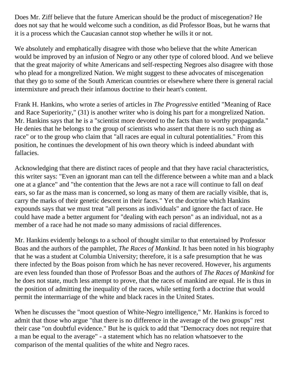Does Mr. Ziff believe that the future American should be the product of miscegenation? He does not say that he would welcome such a condition, as did Professor Boas, but he warns that it is a process which the Caucasian cannot stop whether he wills it or not.

We absolutely and emphatically disagree with those who believe that the white American would be improved by an infusion of Negro or any other type of colored blood. And we believe that the great majority of white Americans and self-respecting Negroes also disagree with those who plead for a mongrelized Nation. We might suggest to these advocates of miscegenation that they go to some of the South American countries or elsewhere where there is general racial intermixture and preach their infamous doctrine to their heart's content.

Frank H. Hankins, who wrote a series of articles in *The Progressive* entitled "Meaning of Race and Race Superiority," (31) is another writer who is doing his part for a mongrelized Nation. Mr. Hankins says that he is a "scientist more devoted to the facts than to worthy propaganda." He denies that he belongs to the group of scientists who assert that there is no such thing as race" or to the group who claim that "all races are equal in cultural potentialities." From this position, he continues the development of his own theory which is indeed abundant with fallacies.

Acknowledging that there are distinct races of people and that they have racial characteristics, this writer says: "Even an ignorant man can tell the difference between a white man and a black one at a glance" and "the contention that the Jews are not a race will continue to fall on deaf ears, so far as the mass man is concerned, so long as many of them are racially visible, that is, carry the marks of their genetic descent in their faces." Yet the doctrine which Hankins expounds says that we must treat "all persons as individuals" and ignore the fact of race. He could have made a better argument for "dealing with each person" as an individual, not as a member of a race had he not made so many admissions of racial differences.

Mr. Hankins evidently belongs to a school of thought similar to that entertained by Professor Boas and the authors of the pamphlet, *The Races of Mankind*. It has been noted in his biography that he was a student at Columbia University; therefore, it is a safe presumption that he was there infected by the Boas poison from which he has never recovered. However, his arguments are even less founded than those of Professor Boas and the authors of *The Races of Mankind* for he does not state, much less attempt to prove, that the races of mankind are equal. He is thus in the position of admitting the inequality of the races, while setting forth a doctrine that would permit the intermarriage of the white and black races in the United States.

When he discusses the "moot question of White-Negro intelligence," Mr. Hankins is forced to admit that those who argue "that there is no difference in the average of the two groups" rest their case "on doubtful evidence." But he is quick to add that "Democracy does not require that a man be equal to the average" - a statement which has no relation whatsoever to the comparison of the mental qualities of the white and Negro races.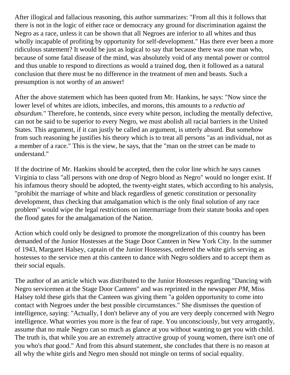After illogical and fallacious reasoning, this author summarizes: "From all this it follows that there is not in the logic of either race or democracy any ground for discrimination against the Negro as a race, unless it can be shown that all Negroes are inferior to all whites and thus wholly incapable of profiting by opportunity for self-development." Has there ever been a more ridiculous statement? It would be just as logical to say that because there was one man who, because of some fatal disease of the mind, was absolutely void of any mental power or control and thus unable to respond to directions as would a trained dog, then it followed as a natural conclusion that there must be no difference in the treatment of men and beasts. Such a presumption is not worthy of an answer!

After the above statement which has been quoted from Mr. Hankins, he says: "Now since the lower level of whites are idiots, imbeciles, and morons, this amounts to a *reductio ad absurdum*." Therefore, he contends, since every white person, including the mentally defective, can not be said to be superior to every Negro, we must abolish all racial barriers in the United States. This argument, if it can justly be called an argument, is utterly absurd. But somehow from such reasoning he justifies his theory which is to treat all persons "as an individual, not as a member of a race." This is the view, he says, that the "man on the street can be made to understand."

If the doctrine of Mr. Hankins should be accepted, then the color line which he says causes Virginia to class "all persons with one drop of Negro blood as Negro" would no longer exist. If his infamous theory should be adopted, the twenty-eight states, which according to his analysis, "prohibit the marriage of white and black regardless of genetic constitution or personality development, thus checking that amalgamation which is the only final solution of any race problem" would wipe the legal restrictions on intermarriage from their statute books and open the flood gates for the amalgamation of the Nation.

Action which could only be designed to promote the mongrelization of this country has been demanded of the Junior Hostesses at the Stage Door Canteen in New York City. In the summer of 1943, Margaret Halsey, captain of the Junior Hostesses, ordered the white girls serving as hostesses to the service men at this canteen to dance with Negro soldiers and to accept them as their social equals.

The author of an article which was distributed to the Junior Hostesses regarding "Dancing with Negro servicemen at the Stage Door Canteen" and was reprinted in the newspaper *PM*, Miss Halsey told these girls that the Canteen was giving them "a golden opportunity to come into contact with Negroes under the best possible circumstances." She dismisses the question of intelligence, saying: "Actually, I don't believe any of you are very deeply concerned with Negro intelligence. What worries you more is the fear of rape. You unconsciously, but very arrogantly, assume that no male Negro can so much as glance at you without wanting to get you with child. The truth is, that while you are an extremely attractive group of young women, there isn't one of you who's *that* good." And from this absurd statement, she concludes that there is no reason at all why the white girls and Negro men should not mingle on terms of social equality.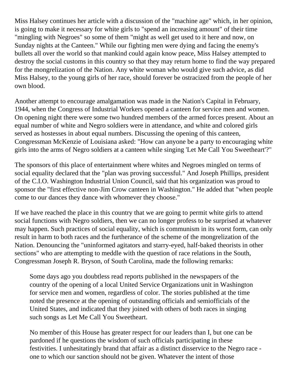Miss Halsey continues her article with a discussion of the "machine age" which, in her opinion, is going to make it necessary for white girls to "spend an increasing amount" of their time "mingling with Negroes" so some of them "might as well get used to it here and now, on Sunday nights at the Canteen." While our fighting men were dying and facing the enemy's bullets all over the world so that mankind could again know peace, Miss Halsey attempted to destroy the social customs in this country so that they may return home to find the way prepared for the mongrelization of the Nation. Any white woman who would give such advice, as did Miss Halsey, to the young girls of her race, should forever be ostracized from the people of her own blood.

Another attempt to encourage amalgamation was made in the Nation's Capital in February, 1944, when the Congress of Industrial Workers opened a canteen for service men and women. On opening night there were some two hundred members of the armed forces present. About an equal number of white and Negro soldiers were in attendance, and white and colored girls served as hostesses in about equal numbers. Discussing the opening of this canteen, Congressman McKenzie of Louisiana asked: "How can anyone be a party to encouraging white girls into the arms of Negro soldiers at a canteen while singing 'Let Me Call You Sweetheart'?"

The sponsors of this place of entertainment where whites and Negroes mingled on terms of social equality declared that the "plan was proving successful." And Joseph Phillips, president of the C.I.O. Washington Industrial Union Council, said that his organization was proud to sponsor the "first effective non-Jim Crow canteen in Washington." He added that "when people come to our dances they dance with whomever they choose."

If we have reached the place in this country that we are going to permit white girls to attend social functions with Negro soldiers, then we can no longer profess to be surprised at whatever may happen. Such practices of social equality, which is communism in its worst form, can only result in harm to both races and the furtherance of the scheme of the mongrelization of the Nation. Denouncing the "uninformed agitators and starry-eyed, half-baked theorists in other sections" who are attempting to meddle with the question of race relations in the South, Congressman Joseph R. Bryson, of South Carolina, made the following remarks:

Some days ago you doubtless read reports published in the newspapers of the country of the opening of a local United Service Organizations unit in Washington for service men and women, regardless of color. The stories published at the time noted the presence at the opening of outstanding officials and semiofficials of the United States, and indicated that they joined with others of both races in singing such songs as Let Me Call You Sweetheart.

No member of this House has greater respect for our leaders than I, but one can be pardoned if he questions the wisdom of such officials participating in these festivities. I unhesitatingly brand that affair as a distinct disservice to the Negro race one to which our sanction should not be given. Whatever the intent of those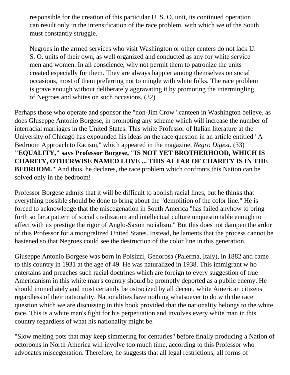responsible for the creation of this particular U. S. O. unit, its continued operation can result only in the intensification of the race problem, with which we of the South must constantly struggle.

Negroes in the armed services who visit Washington or other centers do not lack U. S. O. units of their own, as well organized and conducted as any for white service men and women. In all conscience, why not permit them to patronize the units created especially for them. They are always happier among themselves on social occasions, most of them preferring not to mingle with white folks. The race problem is grave enough without deliberately aggravating it by promoting the intermingling of Negroes and whites on such occasions. (32)

Perhaps those who operate and sponsor the "non-Jim Crow" canteen in Washington believe, as does Gluseppe Antonio Borgese, in promoting any scheme which will increase the number of interracial marriages in the United States. This white Professor of Italian literature at the University of Chicago has expounded his ideas on the race question in an article entitled "A Bedroom Approach to Racism," which appeared in the magazine, *Negro Digest*. (33) **"EQUALITY," says Professor Borgese, "IS NOT YET BROTHERHOOD, WHICH IS CHARITY, OTHERWISE NAMED LOVE ... THIS ALTAR OF CHARITY IS IN THE BEDROOM."** And thus, he declares, the race problem which confronts this Nation can be solved only in the bedroom!

Professor Borgese admits that it will be difficult to abolish racial lines, but he thinks that everything possible should be done to bring about the "demolition of the color line." He is forced to acknowledge that the miscegenation in South America "has failed anyhow to bring forth so far a pattern of social civilization and intellectual culture unquestionable enough to affect with its prestige the rigor of Anglo-Saxon racialism." But this does not dampen the ardor of this Professor for a mongrelized United States. Instead, he laments that the process cannot be hastened so that Negroes could see the destruction of the color line in this generation.

Giuseppe Antonio Borgese was born in Polsizzi, Genorosa (Palerma, Italy), in 1882 and came to this country in 1931 at the age of 49. He was naturalized in 1938. This immigrant w ho entertains and preaches such racial doctrines which are foreign to every suggestion of true Americanism in this white man's country should be promptly deported as a public enemy. He should immediately and most certainly be ostracized by all decent, white American citizens regardless of their nationality. Nationalities have nothing whatsoever to do with the race question which we are discussing in this book provided that the nationality belongs to the white race. This is a white man's fight for his perpetuation and involves every white man in this country regardless of what his nationality might be.

"Slow melting pots that may keep simmering for centuries" before finally producing a Nation of octoroons in North America will involve too much time, according to this Professor who advocates miscegenation. Therefore, he suggests that all legal restrictions, all forms of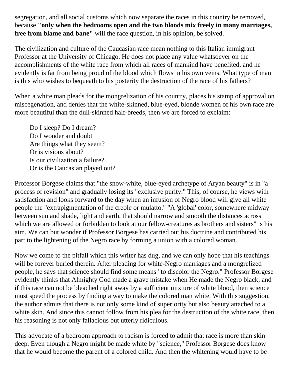segregation, and all social customs which now separate the races in this country be removed, because **"only when the bedrooms open and the two bloods mix freely in many marriages, free from blame and bane"** will the race question, in his opinion, be solved.

The civilization and culture of the Caucasian race mean nothing to this Italian immigrant Professor at the University of Chicago. He does not place any value whatsoever on the accomplishments of the white race from which all races of mankind have benefited, and he evidently is far from being proud of the blood which flows in his own veins. What type of man is this who wishes to bequeath to his posterity the destruction of the race of his fathers?

When a white man pleads for the mongrelization of his country, places his stamp of approval on miscegenation, and denies that the white-skinned, blue-eyed, blonde women of his own race are more beautiful than the dull-skinned half-breeds, then we are forced to exclaim:

Do I sleep? Do I dream? Do I wonder and doubt Are things what they seem? Or is visions about? Is our civilization a failure? Or is the Caucasian played out?

Professor Borgese claims that "the snow-white, blue-eyed archetype of Aryan beauty" is in "a process of revision" and gradually losing its "exclusive purity." This, of course, he views with satisfaction and looks forward to the day when an infusion of Negro blood will give all white people the "extrapigmentation of the creole or mulatto." "A 'global' color, somewhere midway between sun and shade, light and earth, that should narrow and smooth the distances across which we are allowed or forbidden to look at our fellow-creatures as brothers and sisters" is his aim. We can but wonder if Professor Borgese has carried out his doctrine and contributed his part to the lightening of the Negro race by forming a union with a colored woman.

Now we come to the pitfall which this writer has dug, and we can only hope that his teachings will be forever buried therein. After pleading for white-Negro marriages and a mongrelized people, he says that science should find some means "to discolor the Negro." Professor Borgese evidently thinks that Almighty God made a grave mistake when He made the Negro black; and if this race can not be bleached right away by a sufficient mixture of white blood, then science must speed the process by finding a way to make the colored man white. With this suggestion, the author admits that there is not only some kind of superiority but also beauty attached to a white skin. And since this cannot follow from his plea for the destruction of the white race, then his reasoning is not only fallacious but utterly ridiculous.

This advocate of a bedroom approach to racism is forced to admit that race is more than skin deep. Even though a Negro might be made white by "science," Professor Borgese does know that he would become the parent of a colored child. And then the whitening would have to be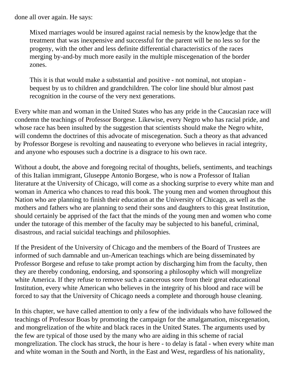done all over again. He says:

Mixed marriages would be insured against racial nemesis by the know]edge that the treatment that was inexpensive and successful for the parent will be no less so for the progeny, with the other and less definite differential characteristics of the races merging by-and-by much more easily in the multiple miscegenation of the border zones.

This it is that would make a substantial and positive - not nominal, not utopian bequest by us to children and grandchildren. The color line should blur almost past recognition in the course of the very next generations.

Every white man and woman in the United States who has any pride in the Caucasian race will condemn the teachings of Professor Borgese. Likewise, every Negro who has racial pride, and whose race has been insulted by the suggestion that scientists should make the Negro white, will condemn the doctrines of this advocate of miscegenation. Such a theory as that advanced by Professor Borgese is revolting and nauseating to everyone who believes in racial integrity, and anyone who espouses such a doctrine is a disgrace to his own race.

Without a doubt, the above and foregoing recital of thoughts, beliefs, sentiments, and teachings of this Italian immigrant, Gluseppe Antonio Borgese, who is now a Professor of Italian literature at the University of Chicago, will come as a shocking surprise to every white man and woman in America who chances to read this book. The young men and women throughout this Nation who are planning to finish their education at the University of Chicago, as well as the mothers and fathers who are planning to send their sons and daughters to this great Institution, should certainly be apprised of the fact that the minds of the young men and women who come under the tutorage of this member of the faculty may be subjected to his baneful, criminal, disastrous, and racial suicidal teachings and philosophies.

If the President of the University of Chicago and the members of the Board of Trustees are informed of such damnable and un-American teachings which are being disseminated by Professor Borgese and refuse to take prompt action by discharging him from the faculty, then they are thereby condoning, endorsing, and sponsoring a philosophy which will mongrelize white America. If they refuse to remove such a cancerous sore from their great educational Institution, every white American who believes in the integrity of his blood and race will be forced to say that the University of Chicago needs a complete and thorough house cleaning.

In this chapter, we have called attention to only a few of the individuals who have followed the teachings of Professor Boas by promoting the campaign for the amalgamation, miscegenation, and mongrelization of the white and black races in the United States. The arguments used by the few are typical of those used by the many who are aiding in this scheme of racial mongrelization. The clock has struck, the hour is here - to delay is fatal - when every white man and white woman in the South and North, in the East and West, regardless of his nationality,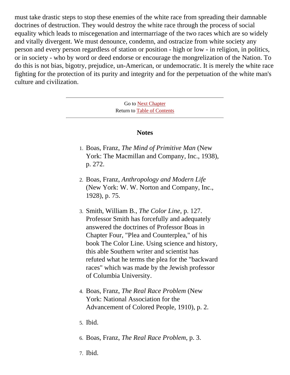must take drastic steps to stop these enemies of the white race from spreading their damnable doctrines of destruction. They would destroy the white race through the process of social equality which leads to miscegenation and intermarriage of the two races which are so widely and vitally divergent. We must denounce, condemn, and ostracize from white society any person and every person regardless of station or position - high or low - in religion, in politics, or in society - who by word or deed endorse or encourage the mongrelization of the Nation. To do this is not bias, bigotry, prejudice, un-American, or undemocratic. It is merely the white race fighting for the protection of its purity and integrity and for the perpetuation of the white man's culture and civilization.

> Go to [Next Chapter](#page-148-0) Return to [Table of Contents](#page-0-0)

#### **Notes**

- 1. Boas, Franz, *The Mind of Primitive Man* (New York: The Macmillan and Company, Inc., 1938), p. 272.
- 2. Boas, Franz, *Anthropology and Modern Life* (New York: W. W. Norton and Company, Inc., 1928), p. 75.
- 3. Smith, William B., *The Color Line*, p. 127. Professor Smith has forcefully and adequately answered the doctrines of Professor Boas in Chapter Four, "Plea and Counterplea," of his book The Color Line. Using science and history, this able Southern writer and scientist has refuted what he terms the plea for the "backward races" which was made by the Jewish professor of Columbia University.
- 4. Boas, Franz, *The Real Race Problem* (New York: National Association for the Advancement of Colored People, 1910), p. 2.
- 5. Ibid.
- 6. Boas, Franz, *The Real Race Problem*, p. 3.
- 7. Ibid.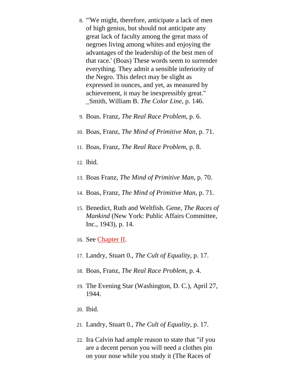- 8. "'We might, therefore, anticipate a lack of men of high genius, but should not anticipate any great lack of faculty among the great mass of negroes living among whites and enjoying the advantages of the leadership of the best men of that race.' (Boas) These words seem to surrender everything. They admit a sensible inferiority of the Negro. This defect may be slight as expressed in ounces, and yet, as measured by achievement, it may be inexpressibly great." \_Smith, William B. *The Color Line*, p. 146.
- 9. Boas. Franz, *The Real Race Problem*, p. 6.
- 10. Boas, Franz, *The Mind of Primitive Man*, p. 71.
- 11. Boas, Franz, *The Real Race Problem*, p. 8.
- 12. lbid.
- 13. Boas Franz, *The Mind of Primitive Man*, p. 70.
- 14. Boas, Franz, *The Mind of Primitive Man*, p. 71.
- 15. Benedict, Ruth and Weltfish. Gene, *The Races of Mankind* (New York: Public Affairs Committee, Inc., 1943), p. 14.
- 16. See [Chapter II.](#page-11-0)
- 17. Landry, Stuart 0., *The Cult of Equality*, p. 17.
- 18. Boas, Franz, *The Real Race Problem*, p. 4.
- 19. The Evening Star (Washington, D. C.), April 27, 1944.
- 20. Ibid.
- 21. Landry, Stuart 0., *The Cult of Equality*, p. 17.
- 22. Ira Calvin had ample reason to state that "if you are a decent person you will need a clothes pin on your nose while you study it (The Races of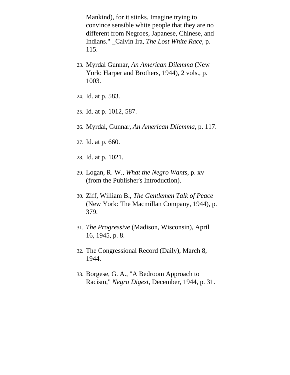Mankind), for it stinks. Imagine trying to convince sensible white people that they are no different from Negroes, Japanese, Chinese, and Indians." \_Calvin Ira, *The Lost White Race*, p. 115.

- 23. Myrdal Gunnar, *An American Dilemma* (New York: Harper and Brothers, 1944), 2 vols., p. 1003.
- 24. Id. at p. 583.
- 25. Id. at p. 1012, 587.
- 26. Myrdal, Gunnar, *An American Dilemma*, p. 117.
- 27. Id. at p. 660.
- 28. Id. at p. 1021.
- 29. Logan, R. W., *What the Negro Wants*, p. xv (from the Publisher's Introduction).
- 30. Ziff, William B., *The Gentlemen Talk of Peace* (New York: The Macmillan Company, 1944), p. 379.
- 31. *The Progressive* (Madison, Wisconsin), April 16, 1945, p. 8.
- 32. The Congressional Record (Daily), March 8, 1944.
- 33. Borgese, G. A., "A Bedroom Approach to Racism," *Negro Digest*, December, 1944, p. 31.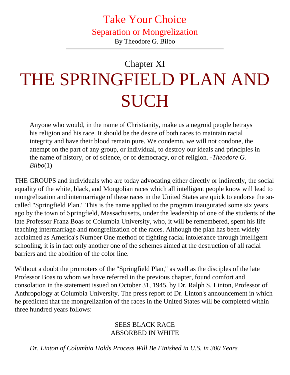### Take Your Choice Separation or Mongrelization

By Theodore G. Bilbo

# <span id="page-148-0"></span>Chapter XI THE SPRINGFIELD PLAN AND **SUCH**

Anyone who would, in the name of Christianity, make us a negroid people betrays his religion and his race. It should be the desire of both races to maintain racial integrity and have their blood remain pure. We condemn, we will not condone, the attempt on the part of any group, or individual, to destroy our ideals and principles in the name of history, or of science, or of democracy, or of religion. -*Theodore G. Bilbo*(1)

THE GROUPS and individuals who are today advocating either directly or indirectly, the social equality of the white, black, and Mongolian races which all intelligent people know will lead to mongrelization and intermarriage of these races in the United States are quick to endorse the socalled "Springfield Plan." This is the name applied to the program inaugurated some six years ago by the town of Springfield, Massachusetts, under the leadership of one of the students of the late Professor Franz Boas of Columbia University, who, it will be remembered, spent his life teaching intermarriage and mongrelization of the races. Although the plan has been widely acclaimed as America's Number One method of fighting racial intolerance through intelligent schooling, it is in fact only another one of the schemes aimed at the destruction of all racial barriers and the abolition of the color line.

Without a doubt the promoters of the "Springfield Plan," as well as the disciples of the late Professor Boas to whom we have referred in the previous chapter, found comfort and consolation in the statement issued on October 31, 1945, by Dr. Ralph S. Linton, Professor of Anthropology at Columbia University. The press report of Dr. Linton's announcement in which he predicted that the mongrelization of the races in the United States will be completed within three hundred years follows:

### SEES BLACK RACE ABSORBED IN WHITE

*Dr. Linton of Columbia Holds Process Will Be Finished in U.S. in 300 Years*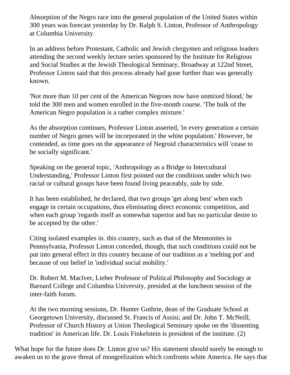Absorption of the Negro race into the general population of the United States within 300 years was forecast yesterday by Dr. Ralph S. Linton, Professor of Anthropology at Columbia University.

In an address before Protestant, Catholic and Jewish clergymen and religious leaders attending the second weekly lecture series sponsored by the Institute for Religious and Social Studies at the Jewish Theological Seminary, Broadway at 122nd Street, Professor Linton said that this process already had gone further than was generally known.

'Not more than 10 per cent of the American Negroes now have unmixed blood,' he told the 300 men and women enrolled in the five-month course. 'The bulk of the American Negro population is a rather complex mixture.'

As the absorption continues, Professor Linton asserted, 'in every generation a certain number of Negro genes will be incorporated in the white population.' However, he contended, as time goes on the appearance of Negroid characteristics will 'cease to be socially significant.'

Speaking on the general topic, 'Anthropology as a Bridge to Intercultural Understanding,' Professor Linton first pointed out the conditions under which two racial or cultural groups have been found living peaceably, side by side.

It has been established, he declared, that two groups 'get along best' when each engage in certain occupations, thus eliminating direct economic competition, and when each group 'regards itself as somewhat superior and has no particular desire to be accepted by the other.'

Citing isolated examples in. this country, such as that of the Mennonites in Pennsylvania, Professor Linton conceded, though, that such conditions could not be put into general effect in this country because of our tradition as a 'melting pot' and because of our belief in 'individual social mobility.'

Dr. Robert M. Maclver, Lieber Professor of Political Philosophy and Sociology at Barnard College and Columbia University, presided at the luncheon session of the inter-faith forum.

At the two morning sessions, Dr. Hunter Guthrie, dean of the Graduate School at Georgetown University, discussed St. Francis of Assisi; and Dr. John T. McNeill, Professor of Church History at Union Theological Seminary spoke on the 'dissenting tradition' in American life. Dr. Louis Finkelstein is president of the institute. (2)

What hope for the future does Dr. Linton give us? His statement should surely be enough to awaken us to the grave threat of mongrelization which confronts white America. He says that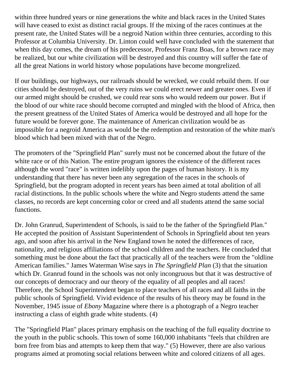within three hundred years or nine generations the white and black races in the United States will have ceased to exist as distinct racial groups. If the mixing of the races continues at the present rate, the United States will be a negroid Nation within three centuries, according to this Professor at Columbia University. Dr. Linton could well have concluded with the statement that when this day comes, the dream of his predecessor, Professor Franz Boas, for a brown race may be realized, but our white civilization will be destroyed and this country will suffer the fate of all the great Nations in world history whose populations have become mongrelized.

If our buildings, our highways, our railroads should be wrecked, we could rebuild them. If our cities should be destroyed, out of the very ruins we could erect newer and greater ones. Even if our armed might should be crushed, we could rear sons who would redeem our power. But if the blood of our white race should become corrupted and mingled with the blood of Africa, then the present greatness of the United States of America would be destroyed and all hope for the future would be forever gone. The maintenance of American civilization would be as impossible for a negroid America as would be the redemption and restoration of the white man's blood which had been mixed with that of the Negro.

The promoters of the "Springfield Plan" surely must not be concerned about the future of the white race or of this Nation. The entire program ignores the existence of the different races although the word "race" is written indelibly upon the pages of human history. It is my understanding that there has never been any segregation of the races in the schools of Springfield, but the program adopted in recent years has been aimed at total abolition of all racial distinctions. In the public schools where the white and Negro students attend the same classes, no records are kept concerning color or creed and all students attend the same social functions.

Dr. John Granrud, Superintendent of Schools, is said to be the father of the Springfield Plan." He accepted the position of Assistant Superintendent of Schools in Springfield about ten years ago, and soon after his arrival in the New England town he noted the differences of race, nationality, and religious affiliations of the school children and the teachers. He concluded that something must be done about the fact that practically all of the teachers were from the "oldline American families." James Waterman Wise says in *The Springfield Plan* (3) that the situation which Dr. Granrud found in the schools was not only incongruous but that it was destructive of our concepts of democracy and our theory of the equality of all peoples and all races! Therefore, the School Superintendent began to place teachers of all races and all faiths in the public schools of Springfield. Vivid evidence of the results of his theory may be found in the November, 1945 issue of *Ebony* Magazine where there is a photograph of a Negro teacher instructing a class of eighth grade white students. (4)

The "Springfield Plan" places primary emphasis on the teaching of the full equality doctrine to the youth in the public schools. This town of some 160,000 inhabitants "feels that children are born free from bias and attempts to keep them that way." (5) However, there are also various programs aimed at promoting social relations between white and colored citizens of all ages.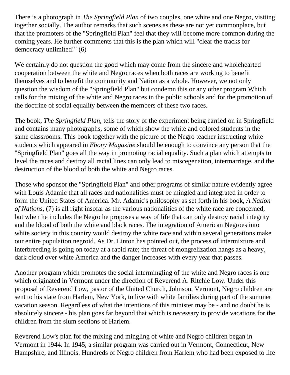There is a photograph in *The Springfield Plan* of two couples, one white and one Negro, visiting together socially. The author remarks that such scenes as these are not yet commonplace, but that the promoters of the "Springfield Plan" feel that they will become more common during the coming years. He further comments that this is the plan which will "clear the tracks for democracy unlimited!" (6)

We certainly do not question the good which may come from the sincere and wholehearted cooperation between the white and Negro races when both races are working to benefit themselves and to benefit the community and Nation as a whole. However, we not only question the wisdom of the "Springfield Plan" but condemn this or any other program Which calls for the mixing of the white and Negro races in the public schools and for the promotion of the doctrine of social equality between the members of these two races.

The book, *The Springfield Plan*, tells the story of the experiment being carried on in Springfield and contains many photographs, some of which show the white and colored students in the same classrooms. This book together with the picture of the Negro teacher instructing white students which appeared in *Ebony Magazine* should be enough to convince any person that the "Springfield Plan" goes all the way in promoting racial equality. Such a plan which attempts to level the races and destroy all racial lines can only lead to miscegenation, intermarriage, and the destruction of the blood of both the white and Negro races.

Those who sponsor the "Springfield Plan" and other programs of similar nature evidently agree with Louis Adamic that all races and nationalities must be mingled and integrated in order to form the United States of America. Mr. Adamic's philosophy as set forth in his book, *A Nation of Nations*, (7) is all right insofar as the various nationalities of the white race are concerned, but when he includes the Negro he proposes a way of life that can only destroy racial integrity and the blood of both the white and black races. The integration of American Negroes into white society in this country would destroy the white race and within several generations make our entire population negroid. As Dr. Linton has pointed out, the process of intermixture and interbreeding is going on today at a rapid rate; the threat of mongrelization hangs as a heavy, dark cloud over white America and the danger increases with every year that passes.

Another program which promotes the social intermingling of the white and Negro races is one which originated in Vermont under the direction of Reverend A. Ritchie Low. Under this proposal of Reverend Low, pastor of the United Church, Johnson, Vermont, Negro children are sent to his state from Harlem, New York, to live with white families during part of the summer vacation season. Regardless of what the intentions of this minister may be - and no doubt he is absolutely sincere - his plan goes far beyond that which is necessary to provide vacations for the children from the slum sections of Harlem.

Reverend Low's plan for the mixing and mingling of white and Negro children began in Vermont in 1944. In 1945, a similar program was carried out in Vermont, Connecticut, New Hampshire, and Illinois. Hundreds of Negro children from Harlem who had been exposed to life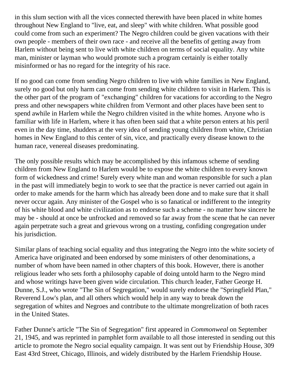in this slum section with all the vices connected therewith have been placed in white homes throughout New England to "live, eat, and sleep" with white children. What possible good could come from such an experiment? The Negro children could be given vacations with their own people - members of their own race - and receive all the benefits of getting away from Harlem without being sent to live with white children on terms of social equality. Any white man, minister or layman who would promote such a program certainly is either totally misinformed or has no regard for the integrity of his race.

If no good can come from sending Negro children to live with white families in New England, surely no good but only harm can come from sending white children to visit in Harlem. This is the other part of the program of "exchanging" children for vacations for according to the Negro press and other newspapers white children from Vermont and other places have been sent to spend awhile in Harlem while the Negro children visited in the white homes. Anyone who is familiar with life in Harlem, where it has often been said that a white person enters at his peril even in the day time, shudders at the very idea of sending young children from white, Christian homes in New England to this center of sin, vice, and practically every disease known to the human race, venereal diseases predominating.

The only possible results which may be accomplished by this infamous scheme of sending children from New England to Harlem would be to expose the white children to every known form of wickedness and crime! Surely every white man and woman responsible for such a plan in the past will immediately begin to work to see that the practice is never carried out again in order to make amends for the harm which has already been done and to make sure that it shall never occur again. Any minister of the Gospel who is so fanatical or indifferent to the integrity of his white blood and white civilization as to endorse such a scheme - no matter how sincere he may be - should at once be unfrocked and removed so far away from the scene that he can never again perpetrate such a great and grievous wrong on a trusting, confiding congregation under his jurisdiction.

Similar plans of teaching social equality and thus integrating the Negro into the white society of America have originated and been endorsed by some ministers of other denominations, a number of whom have been named in other chapters of this book. However, there is another religious leader who sets forth a philosophy capable of doing untold harm to the Negro mind and whose writings have been given wide circulation. This church leader, Father George H. Dunne, S.J., who wrote "The Sin of Segregation," would surely endorse the "Springfield Plan," Reverend Low's plan, and all others which would help in any way to break down the segregation of whites and Negroes and contribute to the ultimate mongrelization of both races in the United States.

Father Dunne's article "The Sin of Segregation" first appeared in *Commonweal* on September 21, 1945, and was reprinted in pamphlet form available to all those interested in sending out this article to promote the Negro social equality campaign. It was sent out by Friendship House, 309 East 43rd Street, Chicago, Illinois, and widely distributed by the Harlem Friendship House.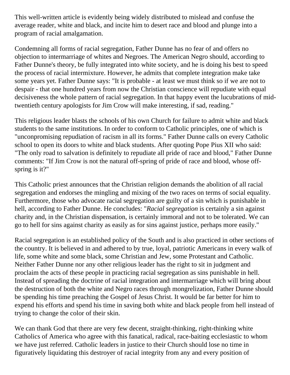This well-written article is evidently being widely distributed to mislead and confuse the average reader, white and black, and incite him to desert race and blood and plunge into a program of racial amalgamation.

Condemning all forms of racial segregation, Father Dunne has no fear of and offers no objection to intermarriage of whites and Negroes. The American Negro should, according to Father Dunne's theory, be fully integrated into white society, and he is doing his best to speed the process of racial intermixture. However, he admits that complete integration make take some years yet. Father Dunne says: "It is probable - at least we must think so if we are not to despair - that one hundred years from now the Christian conscience will repudiate with equal decisiveness the whole pattern of racial segregation. In that happy event the lucubrations of midtwentieth century apologists for Jim Crow will make interesting, if sad, reading."

This religious leader blasts the schools of his own Church for failure to admit white and black students to the same institutions. In order to conform to Catholic principles, one of which is "unconpromising repudiation of racism in all its forms." Father Dunne calls on every Catholic school to open its doors to white and black students. After quoting Pope Pius XII who said: "The only road to salvation is definitely to repudiate all pride of race and blood," Father Dunne comments: "If Jim Crow is not the natural off-spring of pride of race and blood, whose offspring is it?"

This Catholic priest announces that the Christian religion demands the abolition of all racial segregation and endorses the mingling and mixing of the two races on terms of social equality. Furthermore, those who advocate racial segregation are guilty of a sin which is punishable in hell, according to Father Dunne. He concludes: "*Racial segregation* is certainly a sin against charity and, in the Christian dispensation, is certainly immoral and not to be tolerated. We can go to hell for sins against charity as easily as for sins against justice, perhaps more easily."

Racial segregation is an established policy of the South and is also practiced in other sections of the country. It is believed in and adhered to by true, loyal, patriotic Americans in every walk of life, some white and some black, some Christian and Jew, some Protestant and Catholic. Neither Father Dunne nor any other religious leader has the right to sit in judgment and proclaim the acts of these people in practicing racial segregation as sins punishable in hell. Instead of spreading the doctrine of racial integration and intermarriage which will bring about the destruction of both the white and Negro races through mongrelization, Father Dunne should be spending his time preaching the Gospel of Jesus Christ. It would be far better for him to expend his efforts and spend his time in saving both white and black people from hell instead of trying to change the color of their skin.

We can thank God that there are very few decent, straight-thinking, right-thinking white Catholics of America who agree with this fanatical, radical, race-baiting ecclesiastic to whom we have just referred. Catholic leaders in justice to their Church should lose no time in figuratively liquidating this destroyer of racial integrity from any and every position of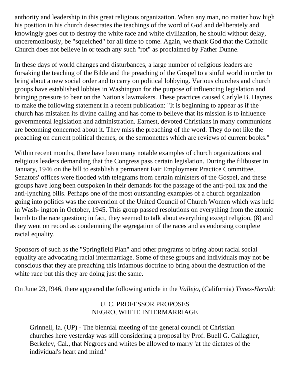anthority and leadership in this great religious organization. When any man, no matter how high his position in his church desecrates the teachings of the word of God and deliberately and knowingly goes out to destroy the white race and white civilization, he should without delay, unceremoniously, be "squelched" for all time to come. Again, we thank God that the Catholic Church does not believe in or teach any such "rot" as proclaimed by Father Dunne.

In these days of world changes and disturbances, a large number of religious leaders are forsaking the teaching of the Bible and the preaching of the Gospel to a sinful world in order to bring about a new social order and to carry on political lobbying. Various churches and church groups have established lobbies in Washington for the purpose of influencing legislation and bringing pressure to bear on the Nation's lawmakers. These practices caused Carlyle B. Haynes to make the following statement in a recent publication: "It is beginning to appear as if the church has mistaken its divine calling and has come to believe that its mission is to influence governmental legislation and administration. Earnest, devoted Christians in many communions are becoming concerned about it. They miss the preaching of the word. They do not like the preaching on current political themes, or the sermonettes which are reviews of current books."

Within recent months, there have been many notable examples of church organizations and religious leaders demanding that the Congress pass certain legislation. During the filibuster in January, 1946 on the bill to establish a permanent Fair Employment Practice Committee, Senators' offices were flooded with telegrams from certain ministers of the Gospel, and these groups have long been outspoken in their demands for the passage of the anti-poll tax and the anti-lynching bills. Perhaps one of the most outstanding examples of a church organization going into politics was the convention of the United Council of Church Women which was held in Wash- ington in October, 1945. This group passed resolutions on everything from the atomic bomb to the race question; in fact, they seemed to talk about everything except religion, (8) and they went on record as condemning the segregation of the races and as endorsing complete racial equality.

Sponsors of such as the "Springfield Plan" and other programs to bring about racial social equality are advocating racial intermarriage. Some of these groups and individuals may not be conscious that they are preaching this infamous doctrine to bring about the destruction of the white race but this they are doing just the same.

On June 23, I946, there appeared the following article in the *Vallejo*, (California) *Times-Herald*:

### U. C. PROFESSOR PROPOSES NEGRO, WHITE INTERMARRIAGE

Grinnell, Ia. (UP) - The biennial meeting of the general council of Christian churches here yesterday was still considering a proposal by Prof. Buell G. Gallagher, Berkeley, Cal., that Negroes and whites be allowed to marry 'at the dictates of the individual's heart and mind.'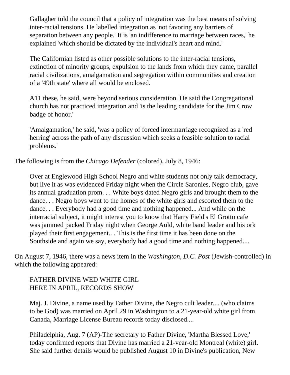Gallagher told the council that a policy of integration was the best means of solving inter-racial tensions. He labelled integration as 'not favoring any barriers of separation between any people.' It is 'an indifference to marriage between races,' he explained 'which should be dictated by the individual's heart and mind.'

The Californian listed as other possible solutions to the inter-racial tensions, extinction of minority groups, expulsion to the lands from which they came, parallel racial civilizations, amalgamation and segregation within communities and creation of a '49th state' where all would be enclosed.

A11 these, he said, were beyond serious consideration. He said the Congregational church has not practiced integration and 'is the leading candidate for the Jim Crow badge of honor.'

'Amalgamation,' he said, 'was a policy of forced intermarriage recognized as a 'red herring' across the path of any discussion which seeks a feasible solution to racial problems.'

The following is from the *Chicago Defender* (colored), July 8, 1946:

Over at Englewood High School Negro and white students not only talk democracy, but live it as was evidenced Friday night when the Circle Saronies, Negro club, gave its annual graduation prom. . . White boys dated Negro girls and brought them to the dance. . . Negro boys went to the homes of the white girls and escorted them to the dance. . . Everybody had a good time and nothing happened... And while on the interracial subject, it might interest you to know that Harry Field's El Grotto cafe was jammed packed Friday night when George Auld, white band leader and his ork played their first engagement.. . This is the first time it has been done on the Southside and again we say, everybody had a good time and nothing happened....

On August 7, 1946, there was a news item in the *Washington, D.C. Post* (Jewish-controlled) in which the following appeared:

FATHER DIVINE WED WHITE GIRL HERE IN APRIL, RECORDS SHOW

Maj. J. Divine, a name used by Father Divine, the Negro cult leader.... (who claims to be God) was married on April 29 in Washington to a 21-year-old white girl from Canada, Marriage License Bureau records today disclosed....

Philadelphia, Aug. 7 (AP)-The secretary to Father Divine, 'Martha Blessed Love,' today confirmed reports that Divine has married a 21-vear-old Montreal (white) girl. She said further details would be published August 10 in Divine's publication, New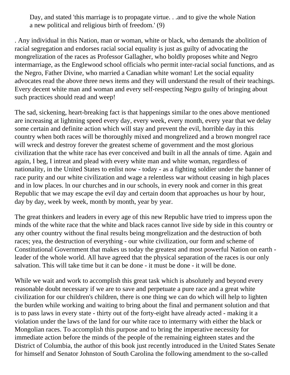Day, and stated 'this marriage is to propagate virtue. . .and to give the whole Nation a new political and religious birth of freedom.' (9)

. Any individual in this Nation, man or woman, white or black, who demands the abolition of racial segregation and endorses racial social equality is just as guilty of advocating the mongrelization of the races as Professor Gallagher, who boldly proposes white and Negro intermarriage, as the Englewood school officials who permit inter-racial social functions, and as the Negro, Father Divine, who married a Canadian white woman! Let the social equality advocates read the above three news items and they will understand the result of their teachings. Every decent white man and woman and every self-respecting Negro guilty of bringing about such practices should read and weep!

The sad, sickening, heart-breaking fact is that happenings similar to the ones above mentioned are increasing at lightning speed every day, every week, every month, every year that we delay some certain and definite action which will stay and prevent the evil, horrible day in this country when both races will be thoroughly mixed and mongrelized and a brown mongrel race will wreck and destroy forever the greatest scheme of government and the most glorious civilization that the white race has ever conceived and built in all the annals of time. Again and again, I beg, I intreat and plead with every white man and white woman, regardless of nationality, in the United States to enlist now - today - as a fighting soldier under the banner of race purity and our white civilization and wage a relentless war without ceasing in high places and in low places. ln our churches and in our schools, in every nook and corner in this great Republic that we may escape the evil day and certain doom that approaches us hour by hour, day by day, week by week, month by month, year by year.

The great thinkers and leaders in every age of this new Republic have tried to impress upon the minds of the white race that the white and black races cannot live side by side in this country or any other country without the final results being mongrelization and the destruction of both races; yea, the destruction of everything - our white civilization, our form and scheme of Constitutional Government that makes us today the greatest and most powerful Nation on earth leader of the whole world. All have agreed that the physical separation of the races is our only salvation. This will take time but it can be done - it must be done - it will be done.

While we wait and work to accomplish this great task which is absolutely and beyond every reasonable doubt necessary if we are to save and perpetuate a pure race and a great white civilization for our children's children, there is one thing we can do which will help to lighten the burden while working and waiting to bring about the final and permanent solution and that is to pass laws in every state - thirty out of the forty-eight have already acted - making it a violation under the laws of the land for our white race to intermarry with either the black or Mongolian races. To accomplish this purpose and to bring the imperative necessity for immediate action before the minds of the people of the remaining eighteen states and the District of Columbia, the author of this book just recently introduced in the United States Senate for himself and Senator Johnston of South Carolina the following amendment to the so-called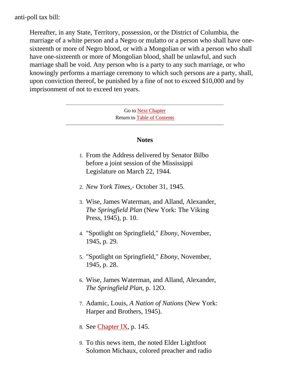Hereafter, in any State, Territory, possession, or the District of Columbia, the marriage of a white person and a Negro or mulatto or a person who shall have onesixteenth or more of Negro blood, or with a Mongolian or with a person who shall have one-sixteenth or more of Mongolian blood, shall be unlawful, and such marriage shall be void. Any person who is a party to any such marriage, or who knowingly performs a marriage ceremony to which such persons are a party, shall, upon conviction thereof, be punished by a fine of not to exceed \$10,000 and by imprisonment of not to exceed ten years.

> Go to [Next Chapter](#page-159-0) Return to [Table of Contents](#page-0-0)

#### **Notes**

- 1. From the Address delivered by Senator Bilbo before a joint session of the Mississippi Legislature on March 22, 1944.
- 2. *New York Times*,- October 31, 1945.
- 3. Wise, James Waterman, and Alland, Alexander, *The Springfield Plan* (New York: The Viking Press, 1945), p. 10.
- 4. "Spotlight on Springfield," *Ebony*, November, 1945, p. 29.
- 5. "Spotlight on Springfield," *Ebony*, November, 1945, p. 28.
- 6. Wise, James Waterman, and Alland, Alexander, *The Springfield Plan*, p. 12O.
- 7. Adamic, Louis, *A Nation of Nations* (New York: Harper and Brothers, 1945).
- 8. See [Chapter IX,](#page-97-0) p. 145.
- 9. To this news item, the noted Elder Lightfoot Solomon Michaux, colored preacher and radio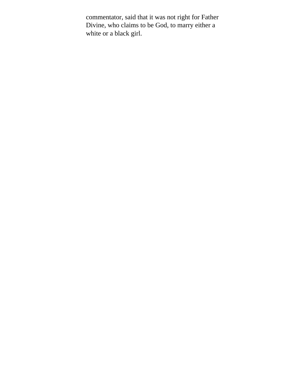commentator, said that it was not right for Father Divine, who claims to be God, to marry either a white or a black girl.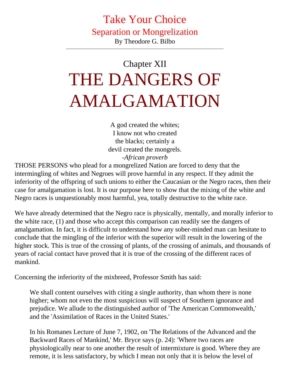### Take Your Choice Separation or Mongrelization

By Theodore G. Bilbo

# <span id="page-159-0"></span>Chapter XII THE DANGERS OF AMALGAMATION

A god created the whites; I know not who created the blacks; certainly a devil created the mongrels. -*African proverb*

THOSE PERSONS who plead for a mongrelized Nation are forced to deny that the intermingling of whites and Negroes will prove harmful in any respect. If they admit the inferiority of the offspring of such unions to either the Caucasian or the Negro races, then their case for amalgamation is lost. It is our purpose here to show that the mixing of the white and Negro races is unquestionably most harmful, yea, totally destructive to the white race.

We have already determined that the Negro race is physically, mentally, and morally inferior to the white race, (1) and those who accept this comparison can readily see the dangers of amalgamation. In fact, it is difficult to understand how any sober-minded man can hesitate to conclude that the mingling of the inferior with the superior will result in the lowering of the higher stock. This is true of the crossing of plants, of the crossing of animals, and thousands of years of racial contact have proved that it is true of the crossing of the different races of mankind.

Concerning the inferiority of the mixbreed, Professor Smith has said:

We shall content ourselves with citing a single authority, than whom there is none higher; whom not even the most suspicious will suspect of Southern ignorance and prejudice. We allude to the distinguished author of 'The American Commonwealth,' and the 'Assimilation of Races in the United States.'

In his Romanes Lecture of June 7, 1902, on 'The Relations of the Advanced and the Backward Races of Mankind,' Mr. Bryce says (p. 24): 'Where two races are physiologically near to one another the result of intermixture is good. Where they are remote, it is less satisfactory, by which I mean not only that it is below the level of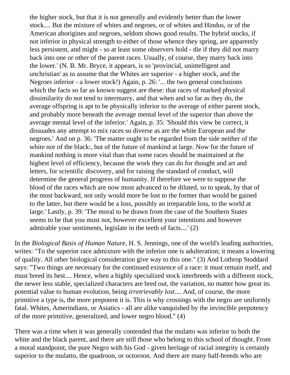the higher stock, but that it is not generally and evidently better than the lower stock.... But the mixture of whites and negroes, or of whites and Hindus, or of the American aborigines and negroes, seldom shows good results. The hybrid stocks, if not inferior in physical strength to either of those whence they spring, are apparently less persistent, and might - so at least some observers hold - die if they did not marry back into one or other of the parent races. Usually, of course, they marry back into the lower.' (N. B. Mr. Bryce, it appears, is so 'provincial, unintelligent and unchristian' as to assume that the Whites are superior - a higher stock, and the Negroes inferior - a lower stock!) Again, p. 26: '... the two general conclusions which the facts so far as known suggest are these: that races of marked physical dissimilarity do not tend to intermarry, and that when and so far as they do, the average offspring is apt to be physically inferior to the average of either parent stock, and probably more beneath the average mental level of the superior than above the average mental level of the inferior.' Again, p. 35: 'Should this view be correct, it dissuades any attempt to mix races so diverse as are the white European and the negroes.' And on p. 36: 'The matter ought to be regarded from the side neither of the white nor of the black:, but of the future of mankind at large. Now for the future of mankind nothing is more vital than that some races should be maintained at the highest level of efficiency, because the work they can do for thought and art and letters, for scientific discovery, and for raising the standard of conduct, will determine the general progress of humanity. If therefore we were to suppose the blood of the races which are now most advanced to be diluted, so to speak, by that of the most backward, not only would more be lost to the former than would be gained to the latter, but there would be a loss, possibly an irreparable loss, to the world at large.' Lastly, p. 39: 'The moral to be drawn from the case of the Southern States seems to be that you must not, however excellent your intentions and however admirable your sentiments, legislate in the teeth of facts....' (2)

In the *Biological Basis of Human Nature*, H. S. Jennings, one of the world's leading authorities, writes: "To the superior race admixture with the inferior one is adulteration; it means a lowering of quality. All other biological consideration give way to this one." (3) And Lothrop Stoddard says: "Two things are necessary for the continued existence of a race: it must remain itself, and must breed its best.... Hence, when a highly specialized stock interbreeds with a different stock, the newer less stable, specialized characters are bred out, the variation, no matter how great its potential value to human evolution, being *irretrievably lost*.... And, of course, the more primitive a type is, the more prepotent it is. This is why crossings with the negro are uniformly fatal. Whites, Amerindians, or Asiatics - all are alike vanquished by the invincible prepotency of the more primitive, generalized, and lower negro blood." (4)

There was a time when it was generally contended that the mulatto was inferior to both the white and the black parent, and there are still those who belong to this school of thought. From a moral standpoint, the pure Negro with his God - given heritage of racial integrity is certainly superior to the mulatto, the quadroon, or octoroon. And there are many half-breeds who are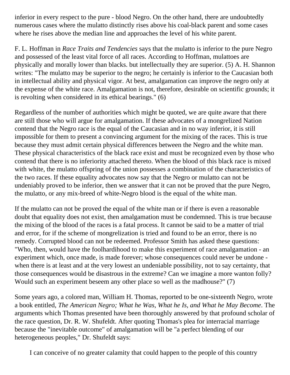inferior in every respect to the pure - blood Negro. On the other hand, there are undoubtedly numerous cases where the mulatto distinctly rises above his coal-black parent and some cases where he rises above the median line and approaches the level of his white parent.

F. L. Hoffman in *Race Traits and Tendencies* says that the mulatto is inferior to the pure Negro and possessed of the least vital force of all races. According to Hoffman, mulattoes are physically and morally lower than blacks. but intellectually they are superior. (5) A. H. Shannon writes: "The mulatto may be superior to the negro; he certainly is inferior to the Caucasian both in intellectual ability and physical vigor. At best, amalgamation can improve the negro only at the expense of the white race. Amalgamation is not, therefore, desirable on scientific grounds; it is revolting when considered in its ethical bearings." (6)

Regardless of the number of authorities which might be quoted, we are quite aware that there are still those who will argue for amalgamation. If these advocates of a mongrelized Nation contend that the Negro race is the equal of the Caucasian and in no way inferior, it is still impossible for them to present a convincing argument for the mixing of the races. This is true because they must admit certain physical differences between the Negro and the white man. These physical characteristics of the black race exist and must be recognized even by those who contend that there is no inferiority attached thereto. When the blood of this black race is mixed with white, the mulatto offspring of the union possesses a combination of the characteristics of the two races. If these equality advocates now say that the Negro or mulatto can not be undeniably proved to be inferior, then we answer that it can not be proved that the pure Negro, the mulatto, or any mix-breed of white-Negro blood is the equal of the white man.

If the mulatto can not be proved the equal of the white man or if there is even a reasonable doubt that equality does not exist, then amalgamation must be condemned. This is true because the mixing of the blood of the races is a fatal process. It cannot be said to be a matter of trial and error, for if the scheme of mongrelization is tried and found to be an error, there is no remedy. Corrupted blood can not be redeemed. Professor Smith has asked these questions: "Who, then, would have the foolhardihood to make this experiment of race amalgamation - an experiment which, once made, is made forever; whose consequences could never be undone when there is at least and at the very lowest an undeniable possibility, not to say certainty, that those consequences would be disastrous in the extreme? Can we imagine a more wanton folly? Would such an experiment beseem any other place so well as the madhouse?" (7)

Some years ago, a colored man, William H. Thomas, reported to be one-sixteenth Negro, wrote a book entitled, *The American Negro; What he Was, What he Is, and What he May Become*. The arguments which Thomas presented have been thoroughly answered by that profound scholar of the race question, Dr. R. W. Shufeldt. After quoting Thomas's plea for interracial marriage because the "inevitable outcome" of amalgamation will be "a perfect blending of our heterogeneous peoples," Dr. Shufeldt says:

I can conceive of no greater calamity that could happen to the people of this country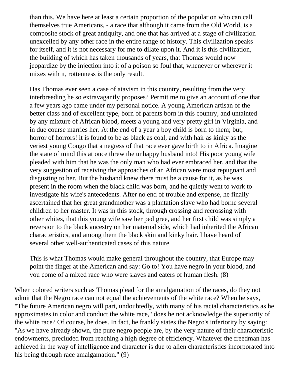than this. We have here at least a certain proportion of the population who can call themselves true Americans, - a race that although it came from the Old World, is a composite stock of great antiquity, and one that has arrived at a stage of civilization unexcelled by any other race in the entire range of history. This civilization speaks for itself, and it is not necessary for me to dilate upon it. And it is this civilization, the building of which has taken thousands of years, that Thomas would now jeopardize by the injection into it of a poison so foul that, whenever or wherever it mixes with it, rottenness is the only result.

Has Thomas ever seen a case of atavism in this country, resulting from the very interbreeding he so extravagantly proposes? Permit me to give an account of one that a few years ago came under my personal notice. A young American artisan of the better class and of excellent type, born of parents born in this country, and untainted by any mixture of African blood, meets a young and very pretty girl in Virginia, and in due course marries her. At the end of a year a boy child is born to them; but, horror of horrors! it is found to be as black as coal, and with hair as kinky as the veriest young Congo that a negress of that race ever gave birth to in Africa. Imagine the state of mind this at once threw the unhappy husband into! His poor young wife pleaded with him that he was the only man who had ever embraced her, and that the very suggestion of receiving the approaches of an African were most repugnant and disgusting to her. But the husband knew there must be a cause for it, as he was present in the room when the black child was born, and he quietly went to work to investigate his wife's antecedents. After no end of trouble and expense, he finally ascertained that her great grandmother was a plantation slave who had borne several children to her master. It was in this stock, through crossing and recrossing with other whites, that this young wife saw her pedigree, and her first child was simply a reversion to the black ancestry on her maternal side, which had inherited the African characteristics, and among them the black skin and kinky hair. I have heard of several other well-authenticated cases of this nature.

This is what Thomas would make general throughout the country, that Europe may point the finger at the American and say: Go to! You have negro in your blood, and you come of a mixed race who were slaves and eaters of human flesh. (8)

When colored writers such as Thomas plead for the amalgamation of the races, do they not admit that the Negro race can not equal the achievements of the white race? When he says, "The future American negro will part, undoubtedly, with many of his racial characteristics as he approximates in color and conduct the white race," does he not acknowledge the superiority of the white race? Of course, he does. In fact, he frankly states the Negro's inferiority by saying: "As we have already shown, the pure negro people are, by the very nature of their characteristic endowments, precluded from reaching a high degree of efficiency. Whatever the freedman has achieved in the way of intelligence and character is due to alien characteristics incorporated into his being through race amalgamation." (9)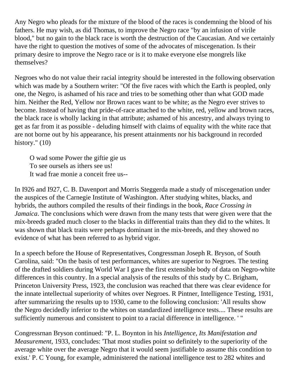Any Negro who pleads for the mixture of the blood of the races is condemning the blood of his fathers. He may wish, as did Thomas, to improve the Negro race "by an infusion of virile blood," but no gain to the black race is worth the destruction of the Caucasian. And we certainly have the right to question the motives of some of the advocates of miscegenation. Is their primary desire to improve the Negro race or is it to make everyone else mongrels like themselves?

Negroes who do not value their racial integrity should be interested in the following observation which was made by a Southern writer: "Of the five races with which the Earth is peopled, only one, the Negro, is ashamed of his race and tries to be something other than what GOD made him. Neither the Red, Yellow nor Brown races want to be white; as the Negro ever strives to become. Instead of having that pride-of-race attached to the white, red, yellow and brown races, the black race is wholly lacking in that attribute; ashamed of his ancestry, and always trying to get as far from it as possible - deluding himself with claims of equality with the white race that are not borne out by his appearance, his present attainments nor his background in recorded history." (10)

O wad some Power the giftie gie us To see oursels as ithers see us! It wad frae monie a conceit free us--

In I926 and I927, C. B. Davenport and Morris Steggerda made a study of miscegenation under the auspices of the Carnegie Institute of Washington. After studying whites, blacks, and hybrids, the authors compiled the results of their findings in the book, *Race Crossing in Jamaica*. The conclusions which were drawn from the many tests that were given were that the mix-breeds graded much closer to the blacks in differential traits than they did to the whites. It was shown that black traits were perhaps dominant in the mix-breeds, and they showed no evidence of what has been referred to as hybrid vigor.

In a speech before the House of Representatives, Congressman Joseph R. Bryson, of South Carolina, said: "On the basis of test performances, whites are superior to Negroes. The testing of the drafted soldiers during World War I gave the first extensible body of data on Negro-white differences in this country. In a special analysis of the results of this study by C. Brigham, Princeton University Press, 1923, the conclusion was reached that there was clear evidence for the innate intellectual superiority of whites over Negroes. R Pintner, Intelligence Testing, 1931, after summarizing the results up to 1930, came to the following conclusion: 'All results show the Negro decidedly inferior to the whites on standardized intelligence tests.... These results are sufficiently numerous and consistent to point to a racial difference in intelligence. ' "

Congressrnan Bryson continued: "P. L. Boynton in his *Intelligence, Its Manifestation and Measurement*, 1933, concludes: 'That most studies point so definitely to the superiority of the average white over the average Negro that it would seem justifiable to assume this condition to exist.' P. C Young, for example, administered the national intelligence test to 282 whites and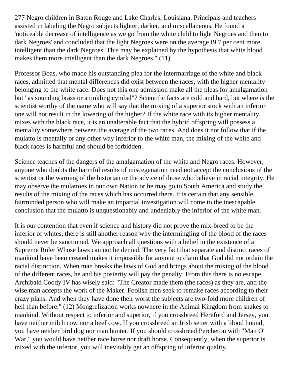277 Negro children in Baton Rouge and Lake Charles, Louisiana. Principals and teachers assisted in labeling the Negro subjects lighter, darker, and miscellaneous. He found a 'noticeable decrease of intelligence as we go from the white child to light Negroes and then to dark Negroes' and concluded that the light Negroes were on the average I9.7 per cent more intelligent than the dark Negroes. This may be explained by the hypothesis that white blood makes them more intelligent than the dark Negroes." (11)

Professor Boas, who made his outstanding plea for the intermarriage of the white and black races, admitted that mental differences did exist between the races, with the higher mentality belonging to the white race. Does not this one admission make all the pleas for amalgamation but "as sounding brass or a tinkling cymbal"? Scientific facts are cold and hard, but where is the scientist worthy of the name who will say that the mixing of a superior stock with an inferior one will not result in the lowering of the higher? If the white race with its higher mentality mixes with the black race, it is an unalterable fact that the hybrid offspring will possess a mentality somewhere between the average of the two races. And does it not follow that if the mulatto is mentally or any other way inferior to the white man, the mixing of the white and black races is harmful and should be forbidden.

Science teaches of the dangers of the amalgamation of the white and Negro races. However, anyone who doubts the harmful results of miscegenation need not accept the conclusions of the scientist or the warning of the historian or the advice of those who believe in racial integrity. He may observe the mulattoes in our own Nation or he may go to South America and study the results of the mixing of the races which has occurred there. It is certain that any sensible, fairminded person who will make an impartial investigation will come to the inescapable conclusion that the mulatto is unquestionably and undeniably the inferior of the white man.

It is our contention that even if science and history did not prove the mix-breed to be the inferior of whites, there is still another reason why the intermingling of the blood of the races should never be sanctioned. We approach all questions with a belief in the existence of a Supreme Ruler Whose laws can not be denied. The very fact that separate and distinct races of mankind have been created makes it impossible for anyone to claim that God did not ordain the racial distinction. When man breaks the laws of God and brings about the mixing of the blood of the different races, he and his posterity will pay the penalty. From this there is no escape. Archibald Coody IV has wisely said: "The Creator made them (the races) as they are, and the wise man accepts the work of the Maker. Foolish men seek to remake races according to their crazy plans. And when they have done their worst the subjects are two-fold more children of hell than before." (12) Mongrelization works nowhere in the Animal Kingdom from snakes to mankind. Without respect to inferior and superior, if you crossbreed Hereford and Jersey, you have neither milch cow nor a beef cow. If you crossbreed an Irish setter with a blood hound, you have neither bird dog nor man hunter. If you should crossbreed Percheron with "Man O' War," you would have neither race horse nor draft horse. Consequently, when the superior is mixed with the inferior, you will inevitably get an offspring of inferior quality.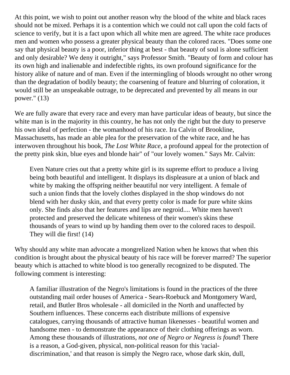At this point, we wish to point out another reason why the blood of the white and black races should not be mixed. Perhaps it is a contention which we could not call upon the cold facts of science to verify, but it is a fact upon which all white men are agreed. The white race produces men and women who possess a greater physical beauty than the colored races. "Does some one say that physical beauty is a poor, inferior thing at best - that beauty of soul is alone sufficient and only desirable? We deny it outright," says Professor Smith. "Beauty of form and colour has its own high and inalienable and indefectible rights, its own profound significance for the history alike of nature and of man. Even if the intermingling of bloods wrought no other wrong than the degradation of bodily beauty; the coarsening of feature and blurring of coloration, it would still be an unspeakable outrage, to be deprecated and prevented by all means in our power." (13)

We are fully aware that every race and every man have particular ideas of beauty, but since the white man is in the majority in this country, he has not only the right but the duty to preserve his own ideal of perfection - the womanhood of his race. Ira Calvin of Brookline, Massachusetts, has made an able plea for the preservation of the white race, and he has interwoven throughout his book, *The Lost White Race*, a profound appeal for the protection of the pretty pink skin, blue eyes and blonde hair" of "our lovely women." Says Mr. Calvin:

Even Nature cries out that a pretty white girl is its supreme effort to produce a living being both beautiful and intelligent. It displays its displeasure at a union of black and white by making the offspring neither beautiful nor very intelligent. A female of such a union finds that the lovely clothes displayed in the shop windows do not blend with her dusky skin, and that every pretty color is made for pure white skins only. She finds also that her features and lips are negroid.... White men haven't protected and preserved the delicate whiteness of their women's skins these thousands of years to wind up by handing them over to the colored races to despoil. They will die first! (14)

Why should any white man advocate a mongrelized Nation when he knows that when this condition is brought about the physical beauty of his race will be forever marred? The superior beauty which is attached to white blood is too generally recognized to be disputed. The following comment is interesting:

A familiar illustration of the Negro's limitations is found in the practices of the three outstanding mail order houses of America - Sears-Roebuck and Montgomery Ward, retail, and Butler Bros wholesale - all domiciled in the North and unaffected by Southern influences. These concerns each distribute millions of expensive catalogues, carrying thousands of attractive human likenesses - beautiful women and handsome men - to demonstrate the appearance of their clothing offerings as worn. Among these thousands of illustrations, *not one of Negro or Negress is found*! There is a reason, a God-given, physical, non-political reason for this 'racialdiscrimination,' and that reason is simply the Negro race, whose dark skin, dull,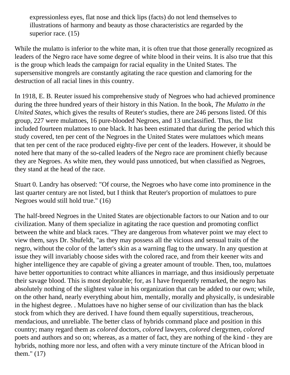expressionless eyes, flat nose and thick lips (facts) do not lend themselves to illustrations of harmony and beauty as those characteristics are regarded by the superior race. (15)

While the mulatto is inferior to the white man, it is often true that those generally recognized as leaders of the Negro race have some degree of white blood in their veins. It is also true that this is the group which leads the campaign for racial equality in the United States. The supersensitive mongrels are constantly agitating the race question and clamoring for the destruction of all racial lines in this country.

In 1918, E. B. Reuter issued his comprehensive study of Negroes who had achieved prominence during the three hundred years of their history in this Nation. In the book, *The Mulatto in the United States*, which gives the results of Reuter's studies, there are 246 persons listed. Of this group, 227 were mulattoes, 16 pure-blooded Negroes, and 13 unclassified. Thus, the list included fourteen mulattoes to one black. It has been estimated that during the period which this study covered, ten per cent of the Negroes in the United States were mulattoes which means that ten per cent of the race produced eighty-five per cent of the leaders. However, it should be noted here that many of the so-called leaders of the Negro race are prominent chiefly because they are Negroes. As white men, they would pass unnoticed, but when classified as Negroes, they stand at the head of the race.

Stuart 0. Landry has observed: "Of course, the Negroes who have come into prominence in the last quarter century are not listed, but I think that Reuter's proportion of mulattoes to pure Negroes would still hold true." (16)

The half-breed Negroes in the United States are objectionable factors to our Nation and to our civilization. Many of them specialize in agitating the race question and promoting conflict between the white and black races. "They are dangerous from whatever point we may elect to view them, says Dr. Shufeldt, "as they may possess all the vicious and sensual traits of the negro, without the color of the latter's skin as a warning flag to the unwary. In any question at issue they will invariably choose sides with the colored race, and from their keener wits and higher intelligence they are capable of giving a greater amount of trouble. Then, too, mulattoes have better opportunities to contract white alliances in marriage, and thus insidiously perpetuate their savage blood. This is most deplorable; for, as I have frequently remarked, the negro has absolutely nothing of the slightest value in his organization that can be added to our own; while, on the other hand, nearly everything about him, mentally, morally and physically, is undesirable in the highest degree. . Mulattoes have no higher sense of our civilization than has the black stock from which they are derived. I have found them equally superstitious, treacherous, mendacious, and unreliable. The better class of hybrids command place and position in this country; many regard them as *colored* doctors, *colored* lawyers, *colored* clergymen, *colored* poets and authors and so on; whereas, as a matter of fact, they are nothing of the kind - they are hybrids, nothing more nor less, and often with a very minute tincture of the African blood in them." (17)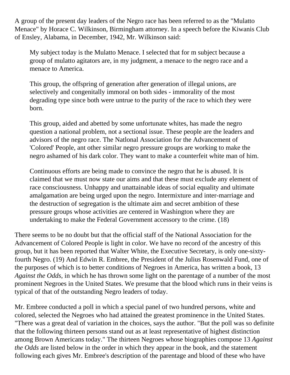A group of the present day leaders of the Negro race has been referred to as the "Mulatto Menace" by Horace C. Wilkinson, Birmingham attorney. In a speech before the Kiwanis Club of Ensley, Alabama, in December, 1942, Mr. Wilkinson said:

My subject today is the Mulatto Menace. I selected that for m subject because a group of mulatto agitators are, in my judgment, a menace to the negro race and a menace to America.

This group, the offspring of generation after generation of illegal unions, are selectively and congenitally immoral on both sides - immorality of the most degrading type since both were untrue to the purity of the race to which they were born.

This group, aided and abetted by some unfortunate whites, has made the negro question a national problem, not a sectional issue. These people are the leaders and advisors of the negro race. The Natlonal Association for the Advancement of 'Colored' People, ant other similar negro pressure groups are working to make the negro ashamed of his dark color. They want to make a counterfeit white man of him.

Continuous efforts are being made to convince the negro that he is abused. It is claimed that we must now state our aims and that these must exclude any element of race consciousness. Unhappy and unattainable ideas of social equality and ultimate amalgamation are being urged upon the negro. Intermixture and inter-marriage and the destruction of segregation is the ultimate aim and secret ambition of these pressure groups whose activities are centered in Washington where they are undertaking to make the Federal Government accessory to the crime. (18)

There seems to be no doubt but that the official staff of the National Association for the Advancement of Colored People is light in color. We have no record of the ancestry of this group, but it has been reported that Walter White, the Executive Secretary, is only one-sixtyfourth Negro. (19) And Edwin R. Embree, the President of the Julius Rosenwald Fund, one of the purposes of which is to better conditions of Negroes in America, has written a book, 13 *Against the Odds*, in which he has thrown some light on the parentage of a number of the most prominent Negroes in the United States. We presume that the blood which runs in their veins is typical of that of the outstanding Negro leaders of today.

Mr. Embree conducted a poll in which a special panel of two hundred persons, white and colored, selected the Negroes who had attained the greatest prominence in the United States. "There was a great deal of variation in the choices, says the author. "But the poll was so definite that the following thirteen persons stand out as at least representative of highest distinction among Brown Americans today." The thirteen Negroes whose biographies compose 13 *Against the Odds* are listed below in the order in which they appear in the book, and the statement following each gives Mr. Embree's description of the parentage and blood of these who have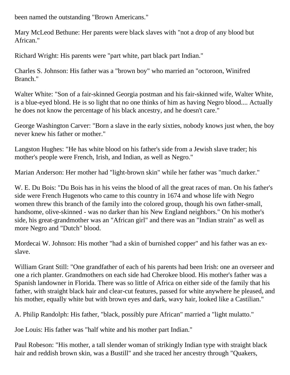been named the outstanding "Brown Americans."

Mary McLeod Bethune: Her parents were black slaves with "not a drop of any blood but African."

Richard Wright: His parents were "part white, part black part Indian."

Charles S. Johnson: His father was a "brown boy" who married an "octoroon, Winifred Branch."

Walter White: "Son of a fair-skinned Georgia postman and his fair-skinned wife, Walter White, is a blue-eyed blond. He is so light that no one thinks of him as having Negro blood.... Actually he does not know the percentage of his black ancestry, and he doesn't care."

George Washington Carver: "Born a slave in the early sixties, nobody knows just when, the boy never knew his father or mother."

Langston Hughes: "He has white blood on his father's side from a Jewish slave trader; his mother's people were French, Irish, and Indian, as well as Negro."

Marian Anderson: Her mother had "light-brown skin" while her father was "much darker."

W. E. Du Bois: "Du Bois has in his veins the blood of all the great races of man. On his father's side were French Hugenots who came to this country in 1674 and whose life with Negro women threw this branch of the family into the colored group, though his own father-small, handsome, olive-skinned - was no darker than his New England neighbors." On his mother's side, his great-grandmother was an "African girl" and there was an "Indian strain" as well as more Negro and "Dutch" blood.

Mordecai W. Johnson: His mother "had a skin of burnished copper" and his father was an exslave.

William Grant Still: "One grandfather of each of his parents had been Irish: one an overseer and one a rich planter. Grandmothers on each side had Cherokee blood. His mother's father was a Spanish landowner in Florida. There was so little of Africa on either side of the family that his father, with straight black hair and clear-cut features, passed for white anywhere he pleased, and his mother, equally white but with brown eyes and dark, wavy hair, looked like a Castilian."

A. Philip Randolph: His father, "black, possibly pure African" married a "light mulatto."

Joe Louis: His father was "half white and his mother part Indian."

Paul Robeson: "His mother, a tall slender woman of strikingly Indian type with straight black hair and reddish brown skin, was a Bustill" and she traced her ancestry through "Quakers,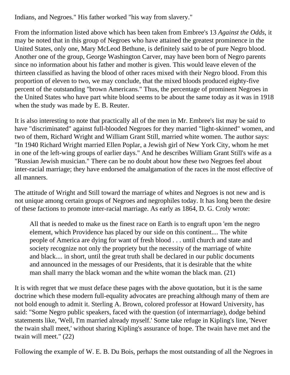Indians, and Negroes." His father worked "his way from slavery."

From the information listed above which has been taken from Embree's 13 *Against the Odds*, it may be noted that in this group of Negroes who have attained the greatest prominence in the United States, only one, Mary McLeod Bethune, is definitely said to be of pure Negro blood. Another one of the group, George Washington Carver, may have been born of Negro parents since no information about his father and mother is given. This would leave eleven of the thirteen classified as having the blood of other races mixed with their Negro blood. From this proportion of eleven to two, we may conclude, that the mixed bloods produced eighty-five percent of the outstanding "brown Americans." Thus, the percentage of prominent Negroes in the United States who have part white blood seems to be about the same today as it was in 1918 when the study was made by E. B. Reuter.

It is also interesting to note that practically all of the men in Mr. Embree's list may be said to have "discriminated" against full-blooded Negroes for they married "light-skinned" women, and two of them, Richard Wright and William Grant Still, married white women. The author says: "In 1940 Richard Wright married Ellen Poplar, a Jewish girl of New York City, whom he met in one of the left-wing groups of earlier days." And he describes William Grant Still's wife as a "Russian Jewish musician." There can be no doubt about how these two Negroes feel about inter-racial marriage; they have endorsed the amalgamation of the races in the most effective of all manners.

The attitude of Wright and Still toward the marriage of whites and Negroes is not new and is not unique among certain groups of Negroes and negrophiles today. It has long been the desire of these factions to promote inter-racial marriage. As early as 1864, D. G. Croly wrote:

All that is needed to make us the finest race on Earth is to engraft upon 'em the negro element, which Providence has placed by our side on this continent.... The white people of America are dying for want of fresh blood . . . until church and state and society recognize not only the propriety but the necessity of the marriage of white and black.... in short, until the great truth shall be declared in our public documents and announced in the messages of our Presidents, that it is desirable that the white man shall marry the black woman and the white woman the black man. (21)

It is with regret that we must deface these pages with the above quotation, but it is the same doctrine which these modern full-equality advocates are preaching although many of them are not bold enough to admit it. Sterling A. Brown, colored professor at Howard University, has said: "Some Negro public speakers, faced with the question (of intermarriage), dodge behind statements like, 'Well, I'm married already myself.' Some take refuge in Kipling's line, 'Never the twain shall meet,' without sharing Kipling's assurance of hope. The twain have met and the twain will meet." (22)

Following the example of W. E. B. Du Bois, perhaps the most outstanding of all the Negroes in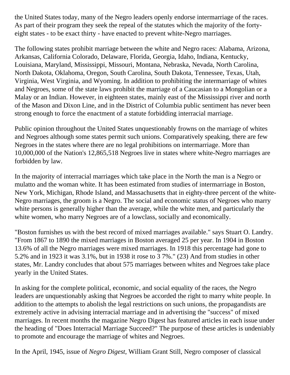the United States today, many of the Negro leaders openly endorse intermarriage of the races. As part of their program they seek the repeal of the statutes which the majority of the fortyeight states - to be exact thirty - have enacted to prevent white-Negro marriages.

The following states prohibit marriage between the white and Negro races: Alabama, Arizona, Arkansas, California Colorado, Delaware, Florida, Georgia, Idaho, Indiana, Kentucky, Louisiana, Maryland, Mississippi, Missouri, Montana, Nebraska, Nevada, North Carolina, North Dakota, Oklahoma, Oregon, South Carolina, South Dakota, Tennessee, Texas, Utah, Virginia, West Virginia, and Wyoming. In addition to prohibiting the intermarriage of whites and Negroes, some of the state laws prohibit the marriage of a Caucasian to a Mongolian or a Malay or an Indian. However, in eighteen states, mainly east of the Mississippi river and north of the Mason and Dixon Line, and in the District of Columbia public sentiment has never been strong enough to force the enactment of a statute forbidding interracial marriage.

Public opinion throughout the United States unquestionably frowns on the marriage of whites and Negroes although some states permit such unions. Comparatively speaking, there are few Negroes in the states where there are no legal prohibitions on intermarriage. More than 10,000,000 of the Nation's 12,865,518 Negroes live in states where white-Negro marriages are forbidden by law.

In the majority of interracial marriages which take place in the North the man is a Negro or mulatto and the woman white. It has been estimated from studies of intermarriage in Boston, New York, Michigan, Rhode Island, and Massachusetts that in eighty-three percent of the white-Negro marriages, the groom is a Negro. The social and economic status of Negroes who marry white persons is generally higher than the average, while the white men, and particularly the white women, who marry Negroes are of a lowclass, socially and economically.

"Boston furnishes us with the best record of mixed marriages available." says Stuart O. Landry. "From 1867 to 1890 the mixed marriages in Boston averaged 25 per year. In 1904 in Boston 13.6% of all the Negro marriages were mixed marriages. In 1918 this percentage had gone to 5.2% and in 1923 it was 3.1%, but in 1938 it rose to 3 7%." (23) And from studies in other states, Mr. Landry concludes that about 575 marriages between whites and Negroes take place yearly in the United States.

In asking for the complete political, economic, and social equality of the races, the Negro leaders are unquestionably asking that Negroes be accorded the right to marry white people. In addition to the attempts to abolish the legal restrictions on such unions, the propagandists are extremely active in advising interracial marriage and in advertising the "success" of mixed marriages. In recent months the magazine Negro Digest has featured articles in each issue under the heading of "Does Interracial Marriage Succeed?" The purpose of these articles is undeniably to promote and encourage the marriage of whites and Negroes.

In the April, 1945, issue of *Negro Digest*, William Grant Still, Negro composer of classical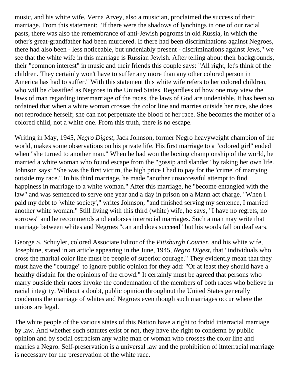music, and his white wife, Verna Arvey, also a musician, proclaimed the success of their marriage. From this statement: "If there were the shadows of lynchings in one of our racial pasts, there was also the remembrance of anti-Jewish pogroms in old Russia, in which the other's great-grandfather had been murdered. If there had been discriminations against Negroes, there had also been - less noticeable, but undeniably present - discriminations against Jews," we see that the white wife in this marriage is Russian Jewish. After telling about their backgrounds, their "common interest" in music and their friends this couple says: "All right, let's think of the children. They certainly won't have to suffer any more than any other colored person in America has had to suffer." With this statement this white wife refers to her colored children, who will be classified as Negroes in the United States. Regardless of how one may view the laws of man regarding intermarriage of the races, the laws of God are undeniable. It has been so ordained that when a white woman crosses the color line and marries outside her race, she does not reproduce herself; she can not perpetuate the blood of her race. She becomes the mother of a colored child, not a white one. From this truth, there is no escape.

Writing in May, 1945, *Negro Digest*, Jack Johnson, former Negro heavyweight champion of the world, makes some observations on his private life. His first marriage to a "colored girl" ended when "she turned to another man." When he had won the boxing championship of the world, he married a white woman who found escape from the "gossip and slander" by taking her own life. Johnson says: "She was the first victim, the high price I had to pay for the 'crime' of marrying outside my race." In his third marriage, he made "another unsuccessful attempt to find happiness in marriage to a white woman." After this marriage, he "become entangled with the law" and was sentenced to serve one year and a day in prison on a Mann act charge. "When I paid my debt to 'white society'," writes Johnson, "and finished serving my sentence, I married another white woman." Still living with this third (white) wife, he says, "I have no regrets, no sorrows" and he recommends and endorses interracial marriages. Such a man may write that marriage between whites and Negroes "can and does succeed" but his words fall on deaf ears.

George S. Schuyler, colored Associate Editor of the *Pittsburgh Courier*, and his white wife, Josephine, stated in an article appearing in the June, 1945, *Negro Digest*, that "individuals who cross the marital color line must be people of superior courage." They evidently mean that they must have the "courage" to ignore public opinion for they add: "Or at least they should have a healthy disdain for the opinions of the crowd." It certainly must be agreed that persons who marry outside their races invoke the condemnation of the members of both races who believe in racial integrity. Without a doubt, public opinion throughout the United States generally condemns the marriage of whites and Negroes even though such marriages occur where the unions are legal.

The white people of the various states of this Nation have a right to forbid interracial marriage by law. And whether such statutes exist or not, they have the right to condemn by public opinion and by social ostracism any white man or woman who crosses the color line and marries a Negro. Self-preservation is a universal law and the prohibition of itnterracial marriage is necessary for the preservation of the white race.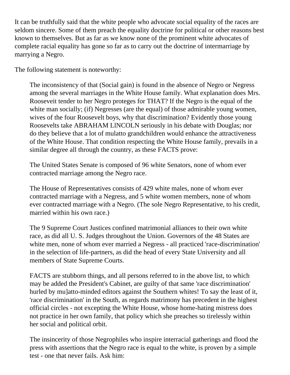It can be truthfully said that the white people who advocate social equality of the races are seldom sincere. Some of them preach the equality doctrine for political or other reasons best known to themselves. But as far as we know none of the prominent white advocates of complete racial equality has gone so far as to carry out the doctrine of intermarriage by marrying a Negro.

The following statement is noteworthy:

The inconsistency of that (Social gain) is found in the absence of Negro or Negress among the several marriages in the White House family. What explanation does Mrs. Rooseveit tender to her Negro proteges for THAT? If the Negro is the equal of the white man socially; (if) Negresses (are the equal) of those admirable young women, wives of the four Roosevelt boys, why that discrimination? Evidently those young Roosevelts take ABRAHAM LlNCOLN seriously in his debate with Douglas; nor do they believe that a lot of mulatto grandchildren would enhance the attractiveness of the White House. That condition respecting the White House family, prevails in a similar degree all through the country, as these FACTS prove:

The United States Senate is composed of 96 white Senators, none of whom ever contracted marriage among the Negro race.

The House of Representatives consists of 429 white males, none of whom ever contracted marriage with a Negress, and 5 white women members, none of whom ever contracted marriage with a Negro. (The sole Negro Representative, to his credit, married within his own race.)

The 9 Supreme Court Justices confined matrimonial alliances to their own white race, as did all U. S. Judges throughout the Union. Governors of the 48 States are white men, none of whom ever married a Negress - all practiced 'race-discrimination' in the selection of life-partners, as did the head of every State University and all members of State Supreme Courts.

FACTS are stubborn things, and all persons referred to in the above list, to which may be added the President's Cabinet, are guilty of that same 'race discrimination' hurled by mu]atto-minded editors against the Southern whites! To say the least of it, 'race discrimination' in the South, as regards matrimony has precedent in the highest official circles - not excepting the White House, whose home-hating mistress does not practice in her own family, that policy which she preaches so tirelessly within her social and political orbit.

The insincerity of those Negrophiles who inspire interracial gatherings and flood the press with assertions that the Negro race is equal to the white, is proven by a simple test - one that never fails. Ask him: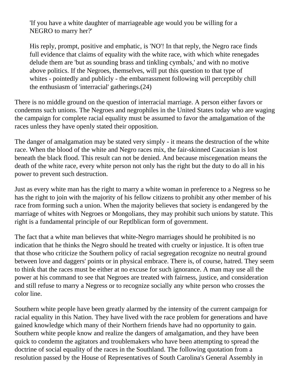'If you have a white daughter of marriageable age would you be willing for a NEGRO to marry her?'

His reply, prompt, positive and emphatic, is 'NO'! In that reply, the Negro race finds full evidence that claims of equality with the white race, with which white renegades delude them are 'but as sounding brass and tinkling cymbals,' and with no motive above politics. If the Negroes, themselves, will put this question to that type of whites - pointedly and publicly - the embarrassment following will perceptibly chill the enthusiasm of 'interracial' gatherings.(24)

There is no middle ground on the question of interracial marriage. A person either favors or condemns such unions. The Negroes and negrophiles in the United States today who are waging the campaign for complete racial equality must be assumed to favor the amalgamation of the races unless they have openly stated their opposition.

The danger of amalgamation may be stated very simply - it means the destruction of the white race. When the blood of the white and Negro races mix, the fair-skinned Caucasian is lost beneath the black flood. This result can not be denied. And because miscegenation means the death of the white race, every white person not only has the right but the duty to do all in his power to prevent such destruction.

Just as every white man has the right to marry a white woman in preference to a Negress so he has the right to join with the majority of his fellow citizens to prohibit any other member of his race from forming such a union. When the majority believes that society is endangered by the marriage of whites with Negroes or Mongolians, they may prohibit such unions by statute. This right is a fundamental principle of our Reptlblican form of government.

The fact that a white man believes that white-Negro marriages should he prohibited is no indication that he thinks the Negro should he treated with cruelty or injustice. It is often true that those who criticize the Southern policy of racial segregation recognize no neutral ground between love and daggers' points or in physical embrace. There is, of course, hatred. They seem to think that the races must be either at no excuse for such ignorance. A man may use all the power at his command to see that Negroes are treated with fairness, justice, and consideration and still refuse to marry a Negress or to recognize socially any white person who crosses the color line.

Southern white people have been greatly alarmed by the intensity of the current campaign for racial equality in this Nation. They have lived with the race problem for generations and have gained knowledge which many of their Northern friends have had no opportunity to gain. Southern white people know and realize the dangers of amalgamation, and they have been quick to condemn the agitators and troublemakers who have been attempting to spread the doctrine of social equality of the races in the Southland. The following quotation from a resolution passed by the House of Representatives of South Carolina's General Assembly in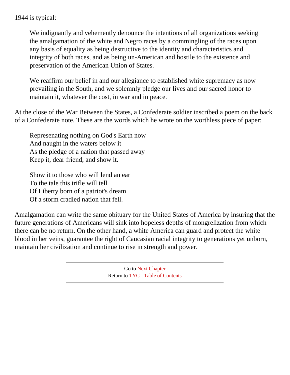### 1944 is typical:

We indignantly and vehemently denounce the intentions of all organizations seeking the amalgamation of the white and Negro races by a commingling of the races upon any basis of equality as being destructive to the identity and characteristics and integrity of both races, and as being un-American and hostile to the existence and preservation of the American Union of States.

We reaffirm our belief in and our allegiance to established white supremacy as now prevailing in the South, and we solemnly pledge our lives and our sacred honor to maintain it, whatever the cost, in war and in peace.

At the close of the War Between the States, a Confederate soldier inscribed a poem on the back of a Confederate note. These are the words which he wrote on the worthless piece of paper:

Represenating nothing on God's Earth now And naught in the waters below it As the pledge of a nation that passed away Keep it, dear friend, and show it.

Show it to those who will lend an ear To the tale this trifle will tell Of Liberty born of a patriot's dream Of a storm cradled nation that fell.

Amalgamation can write the same obituary for the United States of America by insuring that the future generations of Americans will sink into hopeless depths of mongrelization from which there can be no return. On the other hand, a white America can guard and protect the white blood in her veins, guarantee the right of Caucasian racial integrity to generations yet unborn, maintain her civilization and continue to rise in strength and power.

> Go to [Next Chapter](#page-177-0) Return to [TYC - Table of Contents](#page-0-0)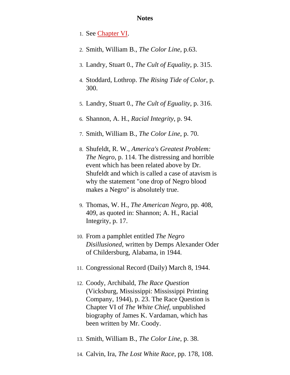#### **Notes**

- 1. See [Chapter VI.](#page-68-0)
- 2. Smith, William B., *The Color Line*, p.63.
- 3. Landry, Stuart 0., *The Cult of Equality*, p. 315.
- 4. Stoddard, Lothrop. *The Rising Tide of Color*, p. 300.
- 5. Landry, Stuart 0., *The Cult of Eguality*, p. 316.
- 6. Shannon, A. H., *Racial Integrity*, p. 94.
- 7. Smith, William B., *The Color Line*, p. 70.
- 8. Shufeldt, R. W., *America's Greatest Problem: The Negro*, p. 114. The distressing and horrible event which has been related above by Dr. Shufeldt and which is called a case of atavism is why the statement "one drop of Negro blood makes a Negro" is absolutely true.
- 9. Thomas, W. H., *The American Negro*, pp. 408, 409, as quoted in: Shannon; A. H., Racial Integrity, p. 17.
- 10. From a pamphlet entitled *The Negro Disillusioned*, written by Demps Alexander Oder of Childersburg, Alabama, in 1944.
- 11. Congressional Record (Daily) March 8, 1944.
- 12. Coody, Archibald, *The Race Question* (Vicksburg, Mississippi: Mississippi Printing Company, 1944), p. 23. The Race Question is Chapter VI of *The White Chief*, unpublished biography of James K. Vardaman, which has been written by Mr. Coody.
- 13. Smith, William B., *The Color Line*, p. 38.
- 14. Calvin, Ira, *The Lost White Race*, pp. 178, 108.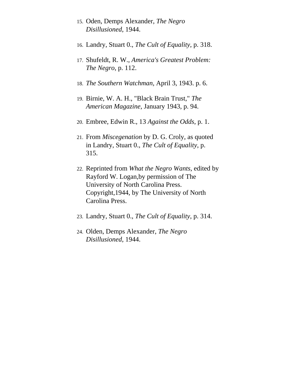- 15. Oden, Demps Alexander, *The Negro Disillusioned*, 1944.
- 16. Landry, Stuart 0., *The Cult of Equality*, p. 318.
- 17. Shufeldt, R. W., *America's Greatest Problem: The Negro*, p. 112.
- 18. *The Southern Watchman*, April 3, 1943. p. 6.
- 19. Birnie, W. A. H., "Black Brain Trust," *The American Magazine*, January 1943, p. 94.
- 20. Embree, Edwin R., 13 *Against the Odds*, p. 1.
- 21. From *Miscegenation* by D. G. Croly, as quoted in Landry, Stuart 0., *The Cult of Equality*, p. 315.
- 22. Reprinted from *What the Negro Wants*, edited by Rayford W. Logan,by permission of The University of North Carolina Press. Copyright,1944, by The University of North Carolina Press.
- 23. Landry, Stuart 0., *The Cult of Equality*, p. 314.
- 24. Olden, Demps Alexander, *The Negro Disillusioned*, 1944.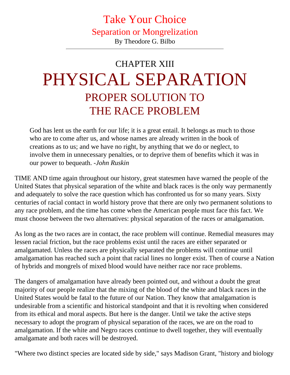### Take Your Choice Separation or Mongrelization By Theodore G. Bilbo

## <span id="page-177-0"></span>CHAPTER XIII PHYSICAL SEPARATION PROPER SOLUTION TO THE RACE PROBLEM

God has lent us the earth for our life; it is a great entail. It belongs as much to those who are to come after us, and whose names are already written in the book of creations as to us; and we have no right, by anything that we do or neglect, to involve them in unnecessary penalties, or to deprive them of benefits which it was in our power to bequeath. -*John Ruskin*

TIME AND time again throughout our history, great statesmen have warned the people of the United States that physical separation of the white and black races is the only way permanently and adequately to solve the race question which has confronted us for so many years. Sixty centuries of racial contact in world history prove that there are only two permanent solutions to any race problem, and the time has come when the American people must face this fact. We must choose between the two alternatives: physical separation of the races or amalgamation.

As long as the two races are in contact, the race problem will continue. Remedial measures may lessen racial friction, but the race problems exist until the races are either separated or amalgamated. Unless the races are physically separated the problems will continue until amalgamation has reached such a point that racial lines no longer exist. Then of course a Nation of hybrids and mongrels of mixed blood would have neither race nor race problems.

The dangers of amalgamation have already been pointed out, and without a doubt the great majority of our people realize that the mixing of the blood of the white and black races in the United States would be fatal to the future of our Nation. They know that amalgamation is undesirable from a scientific and historical standpoint and that it is revolting when considered from its ethical and moral aspects. But here is the danger. Until we take the active steps necessary to adopt the program of physical separation of the races, we are on the road to amalgamation. If the white and Negro races continue to dwell together, they will eventually amalgamate and both races will be destroyed.

"Where two distinct species are located side by side," says Madison Grant, "history and biology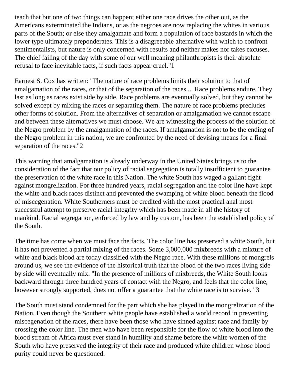teach that but one of two things can happen; either one race drives the other out, as the Americans exterminated the Indians, or as the negroes are now replacing the whites in various parts of the South; or else they amalgamate and form a population of race bastards in which the lower type ultimately preponderates. This is a disagreeable alternative with which to confront sentimentalists, but nature is only concerned with results and neither makes nor takes excuses. The chief failing of the day with some of our well meaning philanthropists is their absolute refusal to face inevitable facts, if such facts appear cruel."1

Earnest S. Cox has written: "The nature of race problems limits their solution to that of amalgamation of the races, or that of the separation of the races.... Race problems endure. They last as long as races exist side by side. Race problems are eventually solved, but they cannot be solved except by mixing the races or separating them. The nature of race problems precludes other forms of solution. From the alternatives of separation or amalgamation we cannot escape and between these alternatives we must choose. We are witnessing the process of the solution of the Negro problem by the amalgamation of the races. If amalgamation is not to be the ending of the Negro problem in this nation, we are confronted by the need of devising means for a final separation of the races."2

This warning that amalgamation is already underway in the United States brings us to the consideration of the fact that our policy of racial segregation is totally insufficient to guarantee the preservation of the white race in this Nation. The white South has waged a gallant fight against mongrelization. For three hundred years, racial segregation and the color line have kept the white and black races distinct and prevented the swamping of white blood beneath the flood of miscegenation. White Southerners must be credited with the most practical anal most successful attempt to preserve racial integrity which has been made in all the history of mankind. Racial segregation, enforced by law and by custom, has been the established policy of the South.

The time has come when we must face the facts. The color line has preserved a white South, but it has not prevented a partial mixing of the races. Some 3,000,000 mixbreeds with a mixture of white and black blood are today classified with the Negro race. With these millions of mongrels around us, we see the evidence of the historical truth that the blood of the two races living side by side will eventually mix. "In the presence of millions of mixbreeds, the White South looks backward through three hundred years of contact with the Negro, and feels that the color line, however strongly supported, does not offer a guarantee that the white race is to survive. "3

The South must stand condemned for the part which she has played in the mongrelization of the Nation. Even though the Southern white people have established a world record in preventing miscegenation of the races, there have been those who have sinned against race and family by crossing the color line. The men who have been responsible for the flow of white blood into the blood stream of Africa must ever stand in humility and shame before the white women of the South who have preserved the integrity of their race and produced white children whose blood purity could never be questioned.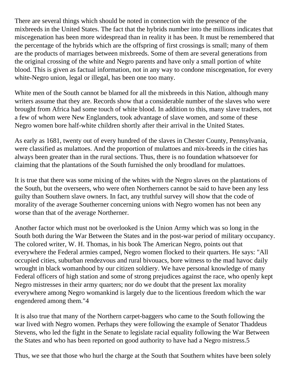There are several things which should be noted in connection with the presence of the mixbreeds in the United States. The fact that the hybrids number into the millions indicates that miscegenation has been more widespread than in reality it has been. It must be remembered that the percentage of the hybrids which are the offspring of first crossings is small; many of them are the products of marriages between mixbreeds. Some of them are several generations from the original crossing of the white and Negro parents and have only a small portion of white blood. This is given as factual information, not in any way to condone miscegenation, for every white-Negro union, legal or illegal, has been one too many.

White men of the South cannot be blamed for all the mixbreeds in this Nation, although many writers assume that they are. Records show that a considerable number of the slaves who were brought from Africa had some touch of white blood. In addition to this, many slave traders, not a few of whom were New Englanders, took advantage of slave women, and some of these Negro women bore half-white children shortly after their arrival in the United States.

As early as 1681, twenty out of every hundred of the slaves in Chester County, Pennsylvania, were classified as mulattoes. And the proportion of mulattoes and mix-breeds in the cities has always been greater than in the rural sections. Thus, there is no foundation whatsoever for claiming that the plantations of the South furnished the only broodland for mulattoes.

It is true that there was some mixing of the whites with the Negro slaves on the plantations of the South, but the overseers, who were often Northerners cannot be said to have been any less guilty than Southern slave owners. In fact, any truthful survey will show that the code of morality of the average Southerner concerning unions with Negro women has not been any worse than that of the average Northerner.

Another factor which must not be overlooked is the Union Army which was so long in the South both during the War Between the States and in the post-war period of military occupancy. The colored writer, W. H. Thomas, in his book The American Negro, points out that everywhere the Federal armies camped, Negro women flocked to their quarters. He says: "All occupied cities, suburban rendezvous and rural bivouacs, bore witness to the mad havoc daily wrought in black womanhood by our citizen soldiery. We have personal knowledge of many Federal officers of high station and some of strong prejudices against the race, who openly kept Negro mistresses in their army quarters; nor do we doubt that the present lax morality everywhere among Negro womankind is largely due to the licentious freedom which the war engendered among them."4

It is also true that many of the Northern carpet-baggers who came to the South following the war lived with Negro women. Perhaps they were following the example of Senator Thaddeus Stevens, who led the fight in the Senate to legislate racial equality following the War Between the States and who has been reported on good authority to have had a Negro mistress.5

Thus, we see that those who hurl the charge at the South that Southern whites have been solely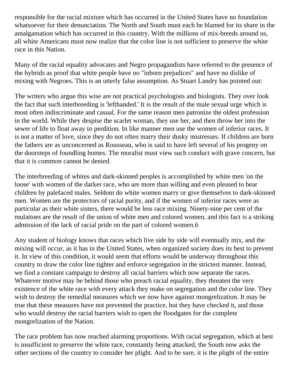responsible for the racial mixture which has occurred in the United States have no foundation whatsoever for their denunciation. The North and South must each be blamed for its share in the amalgamation which has occurred in this country. With the millions of mix-breeds around us, all white Americans must now realize that the color line is not sufficient to preserve the white race in this Nation.

Many of the racial equality advocates and Negro propagandists have referred to the presence of the hybrids as proof that white people have no "inborn prejudices" and have no dislike of mixing with Negroes. This is an utterly false assumption. As Stuart Landry has pointed out:

The writers who argue this wise are not practical psychologists and biologists. They over look the fact that such interbreeding is 'lefthanded.' It is the result of the male sexual urge which is most often indiscriminate and casual. For the same reason men patronize the oldest profession in the world. While they despise the scarlet woman, they use her, and then throw her into the sewer of life to float away to perdition. In like manner men use the women of inferior races. It is not a matter of love, since they do not often marry their dusky mistresses. If children are born the fathers are as unconcerned as Rousseau, who is said to have left several of his progeny on the doorsteps of foundling homes. The moralist must view such conduct with grave concern, but that it is common cannot be denied.

The interbreeding of whites and dark-skinned peoples is accomplished by white men 'on the loose' with women of the darker race, who are more than willing and even pleased to bear children by palefaced males. Seldom do white women marry or give themselves to dark-skinned men. Women are the protectors of racial purity, and if the women of inferior races were as particular as their white sisters, there would be less race mixing. Ninety-nine per cent of the mulattoes are the result of the union of white men and colored women, and this fact is a striking admission of the lack of racial pride on the part of colored women.6

Any student of biology knows that races which live side by side will eventually mix, and the mixing will occur, as it has in the United States, when organized society does its best to prevent it. In view of this condition, it would seem that efforts would be underway throughout this country to draw the color line tighter and enforce segregation in the strictest manner. Instead, we find a constant campaign to destroy all racial barriers which now separate the races. Whatever motive may be behind those who preach racial equality, they threaten the very existence of the white race with every attack they make on segregation and the color line. They wish to destroy the remedial measures which we now have against mongrelization. It may be true that these measures have not prevented the practice, but they have checked it, and those who would destroy the racial barriers wish to open the floodgates for the complete mongrelization of the Nation.

The race problem has now reached alarming proportions. With racial segregation, which at best is insufficient to preserve the white race, constantly being attacked, the South now asks the other sections of the country to consider her plight. And to be sure, it is the plight of the entire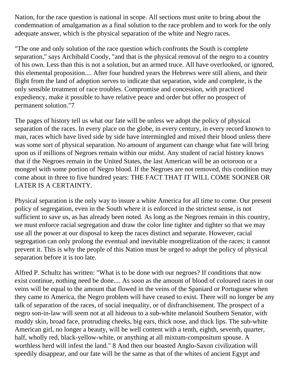Nation, for the race question is national in scope. All sections must unite to bring about the condemnation of amalgamation as a final solution to the race problem and to work for the only adequate answer, which is the physical separation of the white and Negro races.

"The one and only solution of the race question which confronts the South is complete separation," says Archibald Coody, "and that is the physical removal of the negro to a country of his own. Less than this is not a solution, but an armed truce. All have overlooked, or ignored, this elemental proposition.... After four hundred years the Hebrews were still aliens, and their flight from the land of adoption serves to indicate that separation, wide and complete, is the only sensible treatment of race troubles. Compromise and concession, with practiced expediency, make it possible to have relative peace and order but offer no prospect of permanent solution."7

The pages of history tell us what our fate will be unless we adopt the policy of physical separation of the races. In every place on the globe, in every century, in every record known to man, races which have lived side by side have intermingled and mixed their blood unless there was some sort of physical separation. No amount of argument can change what fate will bring upon us if millions of Negroes remain within our midst. Any student of racial history knows that if the Negroes remain in the United States, the last American will be an octoroon or a mongrel with some portion of Negro blood. If the Negroes are not removed, this condition may come about in three to five hundred years: THE FACT THAT IT WILL COME SOONER OR LATER IS A CERTAINTY.

Physical separation is the only way to insure a white America for all time to come. Our present policy of segregation, even in the South where it is enforced in the strictest sense, is not sufficient to save us, as has already been noted. As long as the Negroes remain in this country, we must enforce racial segregation and draw the color line tighter and tighter so that we may use all the power at our disposal to keep the races distinct and separate. However, racial segregation can only prolong the eventual and inevitable mongrelization of the races; it cannot prevent it. This is why the people of this Nation must be urged to adopt the policy of physical separation before it is too late.

Alfred P. Schultz has written: "What is to be done with our negroes? If conditions that now exist continue, nothing need be done.... As soon as the amount of blood of coloured races in our veins will be equal to the amount that flowed in the veins of the Spaniard or Portuguese when they came to America, the Negro problem will have ceased to exist. There will no longer be any talk of separation of the races, of social inequality, or of disfranchisement. The prospect of a negro son-in-law will seem not at all hideous to a sub-white melanoid Southern Senator, with muddy skin, broad face, protruding cheeks, big ears, thick nose, and thick lips. The sub-white American girl, no longer a beauty, will be well content with a tenth, eighth, seventh, quarter, half, wholly red, black-yellow-white, or anything at all mixtum-compositum spouse. A worthless herd will infest the land." 8 And then our boasted Anglo-Saxon civilization will speedily disappear, and our fate will be the same as that of the whites of ancient Egypt and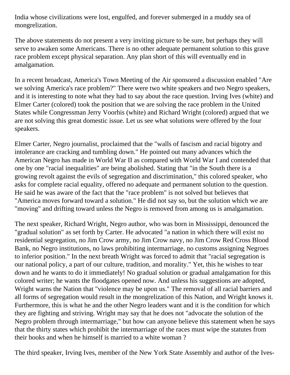India whose civilizations were lost, engulfed, and forever submerged in a muddy sea of mongrelization.

The above statements do not present a very inviting picture to be sure, but perhaps they will serve to awaken some Americans. There is no other adequate permanent solution to this grave race problem except physical separation. Any plan short of this will eventually end in amalgamation.

In a recent broadcast, America's Town Meeting of the Air sponsored a discussion enabled "Are we solving America's race problem?" There were two white speakers and two Negro speakers, and it is interesting to note what they had to say about the race question. Irving Ives (white) and Elmer Carter (colored) took the position that we are solving the race problem in the United States while Congressman Jerry Voorhis (white) and Richard Wright (colored) argued that we are not solving this great domestic issue. Let us see what solutions were offered by the four speakers.

Elmer Carter, Negro journalist, proclaimed that the "walls of fascism and racial bigotry and intolerance are cracking and tumbling down." He pointed out many advances which the American Negro has made in World War II as compared with World War I and contended that one by one "racial inequalities" are being abolished. Stating that "in the South there is a growing revolt against the evils of segregation and discrimination," this colored speaker, who asks for complete racial equality, offered no adequate and permanent solution to the question. He said he was aware of the fact that the "race problem" is not solved but believes that "America moves forward toward a solution." He did not say so, but the solution which we are "moving" and drifting toward unless the Negro is removed from among us is amalgamation.

The next speaker, Richard Wright, Negro author, who was born in Mississippi, denounced the "gradual solution" as set forth by Carter. He advocated "a nation in which there will exist no residential segregation, no Jim Crow army, no Jim Crow navy, no Jim Crow Red Cross Blood Bank, no Negro institutions, no laws prohibiting intermarriage, no customs assigning Negroes to inferior position." In the next breath Wright was forced to admit that "racial segregation is our national policy, a part of our culture, tradition, and morality." Yet, this he wishes to tear down and he wants to do it immediately! No gradual solution or gradual amalgamation for this colored writer; he wants the floodgates opened now. And unless his suggestions are adopted, Wright warns the Nation that "violence may be upon us." The removal of all racial barriers and all forms of segregation would result in the mongrelization of this Nation, and Wright knows it. Furthermore, this is what he and the other Negro leaders want and it is the condition for which they are fighting and striving. Wright may say that he does not "advocate the solution of the Negro problem through intermarriage," but how can anyone believe this statement when he says that the thirty states which prohibit the intermarriage of the races must wipe the statutes from their books and when he himself is married to a white woman ?

The third speaker, Irving Ives, member of the New York State Assembly and author of the Ives-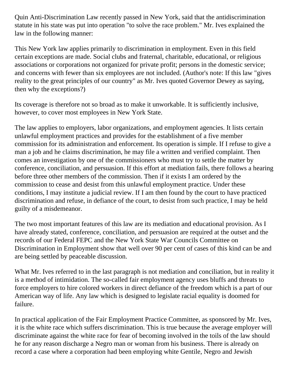Quin Anti-Discrimination Law recently passed in New York, said that the antidiscrimination statute in his state was put into operation "to solve the race problem." Mr. Ives explained the law in the following manner:

This New York law applies primarily to discrimination in employment. Even in this field certain exceptions are made. Social clubs and fraternal, charitable, educational, or religious associations or corporations not organized for private profit; persons in the domestic service; and concerns with fewer than six employees are not included. (Author's note: If this law "gives reality to the great principles of our country" as Mr. Ives quoted Governor Dewey as saying, then why the exceptions?)

Its coverage is therefore not so broad as to make it unworkable. It is sufficiently inclusive, however, to cover most employees in New York State.

The law applies to employers, labor organizations, and employment agencies. It lists certain unlawful employment practices and provides for the establishment of a five member commission for its administration and enforcement. Its operation is simple. If I refuse to give a man a job and he claims discrimination, he may file a written and verified complaint. Then comes an investigation by one of the commissioners who must try to settle the matter by conference, conciliation, and persuasion. If this effort at mediation fails, there follows a hearing before three other members of the commission. Then if it exists I am ordered by the commission to cease and desist from this unlawful employment practice. Under these conditions, I may institute a judicial review. If I am then found by the court to have practiced discrimination and refuse, in defiance of the court, to desist from such practice, I may be held guilty of a misdemeanor.

The two most important features of this law are its mediation and educational provision. As I have already stated, conference, conciliation, and persuasion are required at the outset and the records of our Federal FEPC and the New York State War Councils Committee on Discrimination in Employment show that well over 90 per cent of cases of this kind can be and are being settled by peaceable discussion.

What Mr. Ives referred to in the last paragraph is not mediation and conciliation, but in reality it is a method of intimidation. The so-called fair employment agency uses bluffs and threats to force employers to hire colored workers in direct defiance of the freedom which is a part of our American way of life. Any law which is designed to legislate racial equality is doomed for failure.

In practical application of the Fair Employment Practice Committee, as sponsored by Mr. Ives, it is the white race which suffers discrimination. This is true because the average employer will discriminate against the white race for fear of becoming involved in the toils of the law should he for any reason discharge a Negro man or woman from his business. There is already on record a case where a corporation had been employing white Gentile, Negro and Jewish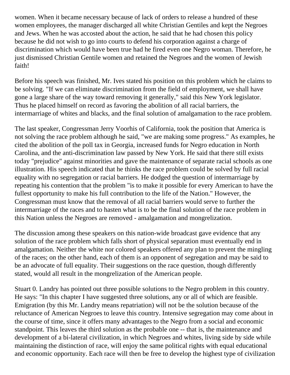women. When it became necessary because of lack of orders to release a hundred of these women employees, the manager discharged all white Christian Gentiles and kept the Negroes and Jews. When he was accosted about the action, he said that he had chosen this policy because he did not wish to go into courts to defend his corporation against a charge of discrimination which would have been true had he fired even one Negro woman. Therefore, he just dismissed Christian Gentile women and retained the Negroes and the women of Jewish faith!

Before his speech was finished, Mr. Ives stated his position on this problem which he claims to be solving. "If we can eliminate discrimination from the field of employment, we shall have gone a large share of the way toward removing it generally," said this New York legislator. Thus he placed himself on record as favoring the abolition of all racial barriers, the intermarriage of whites and blacks, and the final solution of amalgamation to the race problem.

The last speaker, Congressman Jerry Voorhis of California, took the position that America is not solving the race problem although he said, "we are making some progress." As examples, he cited the abolition of the poll tax in Georgia, increased funds for Negro education in North Carolina, and the anti-discrimination law passed by New York. He said that there still exists today "prejudice" against minorities and gave the maintenance of separate racial schools as one illustration. His speech indicated that he thinks the race problem could be solved by full racial equality with no segregation or racial barriers. He dodged the question of intermarriage by repeating his contention that the problem "is to make it possible for every American to have the fullest opportunity to make his full contribution to the life of the Nation." However, the Congressman must know that the removal of all racial barriers would serve to further the intermarriage of the races and to hasten what is to be the final solution of the race problem in this Nation unless the Negroes are removed - amalgamation and mongrelization.

The discussion among these speakers on this nation-wide broadcast gave evidence that any solution of the race problem which falls short of physical separation must eventually end in amalgamation. Neither the white nor colored speakers offered any plan to prevent the mingling of the races; on the other hand, each of them is an opponent of segregation and may be said to be an advocate of full equality. Their suggestions on the race question, though differently stated, would all result in the mongrelization of the American people.

Stuart 0. Landry has pointed out three possible solutions to the Negro problem in this country. He says: "In this chapter I have suggested three solutions, any or all of which are feasible. Emigration (by this Mr. Landry means repatriation) will not be the solution because of the reluctance of American Negroes to leave this country. Intensive segregation may come about in the course of time, since it offers many advantages to the Negro from a social and economic standpoint. This leaves the third solution as the probable one -- that is, the maintenance and development of a bi-lateral civilization, in which Negroes and whites, living side by side while maintaining the distinction of race, will enjoy the same political rights with equal educational and economic opportunity. Each race will then be free to develop the highest type of civilization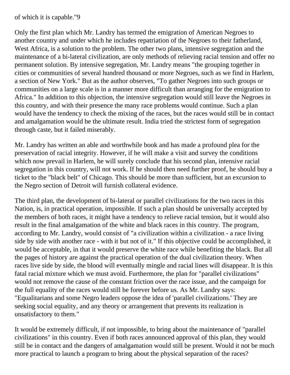of which it is capable."9

Only the first plan which Mr. Landry has termed the emigration of American Negroes to another country and under which he includes repatriation of the Negroes to their fatherland, West Africa, is a solution to the problem. The other two plans, intensive segregation and the maintenance of a bi-lateral civilization, are only methods of relieving racial tension and offer no permanent solution. By intensive segregation, Mr. Landry means "the grouping together in cities or communities of several hundred thousand or more Negroes, such as we find in Harlem, a section of New York." But as the author observes, "To gather Negroes into such groups or communities on a large scale is in a manner more difficult than arranging for the emigration to Africa." In addition to this objection, the intensive segregation would still leave the Negroes in this country, and with their presence the many race problems would continue. Such a plan would have the tendency to check the mixing of the races, but the races would still be in contact and amalgamation would be the ultimate result. India tried the strictest form of segregation through caste, but it failed miserably.

Mr. Landry has written an able and worthwhile book and has made a profound plea for the preservation of racial integrity. However, if he will make a visit and survey the conditions which now prevail in Harlem, he will surely conclude that his second plan, intensive racial segregation in this country, will not work. If he should then need further proof, he should buy a ticket to the "black belt" of Chicago. This should be more than sufficient, but an excursion to the Negro section of Detroit will furnish collateral evidence.

The third plan, the development of bi-lateral or parallel civilizations for the two races in this Nation, is, in practical operation, impossible. If such a plan should be universally accepted by the members of both races, it might have a tendency to relieve racial tension, but it would also result in the final amalgamation of the white and black races in this country. The program, according to Mr. Landry, would consist of "a civilization within a civilization - a race living side by side with another race - with it but not of it." If this objective could be accomplished, it would be acceptable, in that it would preserve the white race while benefiting the black. But all the pages of history are against the practical operation of the dual civilization theory. When races live side by side, the blood will eventually mingle and racial lines will disappear. It is this fatal racial mixture which we must avoid. Furthermore, the plan for "parallel civilizations" would not remove the cause of the constant friction over the race issue, and the campaign for the full equality of the races would still be forever before us. As Mr. Landry says: "Equalitarians and some Negro leaders oppose the idea of 'parallel civilizations.' They are seeking social equality, and any theory or arrangement that prevents its realization is unsatisfactory to them."

It would be extremely difficult, if not impossible, to bring about the maintenance of "parallel civilizations" in this country. Even if both races announced approval of this plan, they would still be in contact and the dangers of amalgamation would still be present. Would it not be much more practical to launch a program to bring about the physical separation of the races?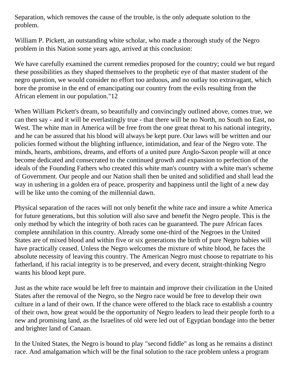Separation, which removes the cause of the trouble, is the only adequate solution to the problem.

William P. Pickett, an outstanding white scholar, who made a thorough study of the Negro problem in this Nation some years ago, arrived at this conclusion:

We have carefully examined the current remedies proposed for the country; could we but regard these possibilities as they shaped themselves to the prophetic eye of that master student of the negro question, we would consider no effort too arduous, and no outlay too extravagant, which bore the promise in the end of emancipating our country from the evils resulting from the African element in our population."12

When William Pickett's dream, so beautifully and convincingly outlined above, comes true, we can then say - and it will be everlastingly true - that there will be no North, no South no East, no West. The white man in America will be free from the one great threat to his national integrity, and he can be assured that his blood will always be kept pure. Our laws will be written and our policies formed without the blighting influence, intimidation, and fear of the Negro vote. The minds, hearts, ambitions, dreams, and efforts of a united pure Anglo-Saxon people will at once become dedicated and consecrated to the continued growth and expansion to perfection of the ideals of the Founding Fathers who created this white man's country with a white man's scheme of Government. Our people and our Nation shall then be united and solidified and shall lead the way in ushering in a golden era of peace, prosperity and happiness until the light of a new day will be like unto the coming of the millennial dawn.

Physical separation of the races will not only benefit the white race and insure a white America for future generations, but this solution will also save and benefit the Negro people. This is the only method by which the integrity of both races can be guaranteed. The pure African faces complete annihilation in this country. Already some one-third of the Negroes in the United States are of mixed blood and within five or six generations the birth of pure Negro babies will have practically ceased. Unless the Negro welcomes the mixture of white blood, he faces the absolute necessity of leaving this country. The American Negro must choose to repatriate to his fatherland, if his racial integrity is to be preserved, and every decent, straight-thinking Negro wants his blood kept pure.

Just as the white race would be left free to maintain and improve their civilization in the United States after the removal of the Negro, so the Negro race would be free to develop their own culture in a land of their own. If the chance were offered to the black race to establish a country of their own, how great would be the opportunity of Negro leaders to lead their people forth to a new and promising land, as the Israelites of old were led out of Egyptian bondage into the better and brighter land of Canaan.

In the United States, the Negro is bound to play "second fiddle" as long as he remains a distinct race. And amalgamation which will be the final solution to the race problem unless a program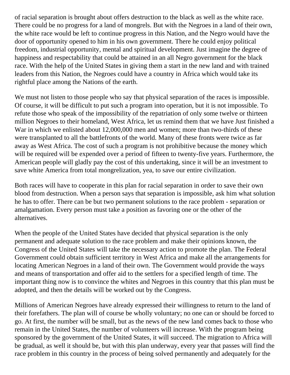of racial separation is brought about offers destruction to the black as well as the white race. There could be no progress for a land of mongrels. But with the Negroes in a land of their own, the white race would be left to continue progress in this Nation, and the Negro would have the door of opportunity opened to him in his own government. There he could enjoy political freedom, industrial opportunity, mental and spiritual development. Just imagine the degree of happiness and respectability that could be attained in an all Negro government for the black race. With the help of the United States in giving them a start in the new land and with trained leaders from this Nation, the Negroes could have a country in Africa which would take its rightful place among the Nations of the earth.

We must not listen to those people who say that physical separation of the races is impossible. Of course, it will be difficult to put such a program into operation, but it is not impossible. To refute those who speak of the impossibility of the repatriation of only some twelve or thirteen million Negroes to their homeland, West Africa, let us remind them that we have Just finished a War in which we enlisted about 12,000,000 men and women; more than two-thirds of these were transplanted to all the battlefronts of the world. Many of these fronts were twice as far away as West Africa. The cost of such a program is not prohibitive because the money which will be required will be expended over a period of fifteen to twenty-five years. Furthermore, the American people will gladly pay the cost of this undertaking, since it will be an investment to save white America from total mongrelization, yea, to save our entire civilization.

Both races will have to cooperate in this plan for racial separation in order to save their own blood from destruction. When a person says that separation is impossible, ask him what solution he has to offer. There can be but two permanent solutions to the race problem - separation or amalgamation. Every person must take a position as favoring one or the other of the alternatives.

When the people of the United States have decided that physical separation is the only permanent and adequate solution to the race problem and make their opinions known, the Congress of the United States will take the necessary action to promote the plan. The Federal Government could obtain sufficient territory in West Africa and make all the arrangements for locating American Negroes in a land of their own. The Government would provide the ways and means of transportation and offer aid to the settlers for a specified length of time. The important thing now is to convince the whites and Negroes in this country that this plan must be adopted, and then the details will be worked out by the Congress.

Millions of American Negroes have already expressed their willingness to return to the land of their forefathers. The plan will of course be wholly voluntary; no one can or should be forced to go. At first, the number will be small, but as the news of the new land comes back to those who remain in the United States, the number of volunteers will increase. With the program being sponsored by the government of the United States, it will succeed. The migration to Africa will be gradual, as well it should be, but with this plan underway, every year that passes will find the race problem in this country in the process of being solved permanently and adequately for the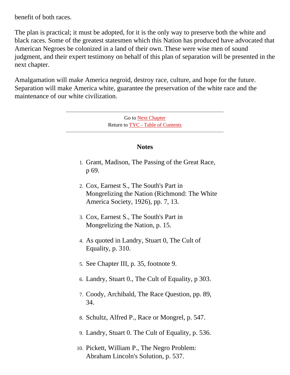benefit of both races.

The plan is practical; it must be adopted, for it is the only way to preserve both the white and black races. Some of the greatest statesmen which this Nation has produced have advocated that American Negroes be colonized in a land of their own. These were wise men of sound judgment, and their expert testimony on behalf of this plan of separation will be presented in the next chapter.

Amalgamation will make America negroid, destroy race, culture, and hope for the future. Separation will make America white, guarantee the preservation of the white race and the maintenance of our white civilization.

> Go to [Next Chapter](#page-190-0) Return to [TYC - Table of Contents](#page-0-0)

#### **Notes**

- 1. Grant, Madison, The Passing of the Great Race, p 69.
- 2. Cox, Earnest S., The South's Part in Mongrelizing the Nation (Richmond: The White America Society, 1926), pp. 7, 13.
- 3. Cox, Earnest S., The South's Part in Mongrelizing the Nation, p. 15.
- 4. As quoted in Landry, Stuart 0, The Cult of Equality, p. 310.
- 5. See Chapter III, p. 35, footnote 9.
- 6. Landry, Stuart 0., The Cult of Equality, p 303.
- 7. Coody, Archibald, The Race Question, pp. 89, 34.
- 8. Schultz, Alfred P., Race or Mongrel, p. 547.
- 9. Landry, Stuart 0. The Cult of Equality, p. 536.
- 10. Pickett, William P., The Negro Problem: Abraham Lincoln's Solution, p. 537.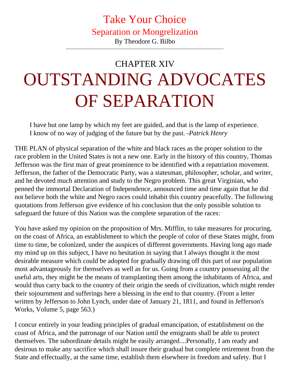## Take Your Choice Separation or Mongrelization By Theodore G. Bilbo

# <span id="page-190-0"></span>CHAPTER XIV OUTSTANDING ADVOCATES OF SEPARATION

I have but one lamp by which my feet are guided, and that is the lamp of experience. I know of no way of judging of the future but by the past. -*Patrick Henry*

THE PLAN of physical separation of the white and black races as the proper solution to the race problem in the United States is not a new one. Early in the history of this country, Thomas Jefferson was the first man of great prominence to be identified with a repatriation movement. Jefferson, the father of the Democratic Party, was a statesman, philosopher, scholar, and writer, and he devoted much attention and study to the Negro problem. This great Virginian, who penned the immortal Declaration of Independence, announced time and time again that he did not believe both the white and Negro races could inhabit this country peacefully. The following quotations from Jefferson give evidence of his conclusion that the only possible solution to safeguard the future of this Nation was the complete separation of the races:

You have asked my opinion on the proposition of Mrs. Mifflin, to take measures for procuring, on the coast of Africa, an establishment to which the people of color of these States might, from time to time, be colonized, under the auspices of different governments. Having long ago made my mind up on this subject, I have no hesitation in saying that I always thought it the most desirable measure which could be adopted for gradually drawing off this part of our population most advantageously for themselves as well as for us. Going from a country possessing all the useful arts, they might be the means of transplanting them among the inhabitants of Africa, and would thus carry back to the country of their origin the seeds of civilization, which might render their sojournment and sufferings here a blessing in the end to that country. (From a letter written by Jefferson to John Lynch, under date of January 21, 1811, and found in Jefferson's Works, Volume 5, page 563.)

I concur entirely in your leading principles of gradual emancipation, of establishment on the coast of Africa, and the patronage of our Nation until the emigrants shall be able to protect themselves. The subordinate details might be easily arranged....Personally, I am ready and desirous to make any sacrifice which shall insure their gradual but complete retirement from the State and effectually, at the same time, establish them elsewhere in freedom and safety. But I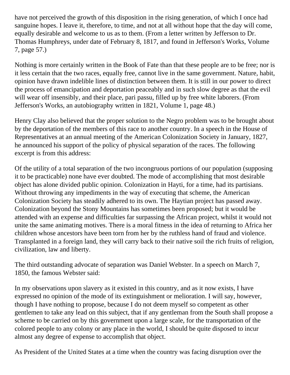have not perceived the growth of this disposition in the rising generation, of which I once had sanguine hopes. I leave it, therefore, to time, and not at all without hope that the day will come, equally desirable and welcome to us as to them. (From a letter written by Jefferson to Dr. Thomas Humphreys, under date of February 8, 1817, and found in Jefferson's Works, Volume 7, page 57.)

Nothing is more certainly written in the Book of Fate than that these people are to be free; nor is it less certain that the two races, equally free, cannot live in the same government. Nature, habit, opinion have drawn indelible lines of distinction between them. It is still in our power to direct the process of emancipation and deportation peaceably and in such slow degree as that the evil will wear off insensibly, and their place, pari passu, filled up by free white laborers. (From Jefferson's Works, an autobiography written in 1821, Volume 1, page 48.)

Henry Clay also believed that the proper solution to the Negro problem was to be brought about by the deportation of the members of this race to another country. In a speech in the House of Representatives at an annual meeting of the American Colonization Society in January, 1827, he announced his support of the policy of physical separation of the races. The following excerpt is from this address:

Of the utility of a total separation of the two incongruous portions of our population (supposing it to be practicable) none have ever doubted. The mode of accomplishing that most desirable object has alone divided public opinion. Colonization in Hayti, for a time, had its partisians. Without throwing any impediments in the way of executing that scheme, the American Colonization Society has steadily adhered to its own. The Haytian project has passed away. Colonization beyond the Stony Mountains has sometimes been proposed; but it would be attended with an expense and difficulties far surpassing the African project, whilst it would not unite the same animating motives. There is a moral fitness in the idea of returning to Africa her children whose ancestors have been torn from her by the ruthless hand of fraud and violence. Transplanted in a foreign land, they will carry back to their native soil the rich fruits of religion, civilization, law and liberty.

The third outstanding advocate of separation was Daniel Webster. In a speech on March 7, 1850, the famous Webster said:

In my observations upon slavery as it existed in this country, and as it now exists, I have expressed no opinion of the mode of its extinguishment or melioration. I will say, however, though I have nothing to propose, because I do not deem myself so competent as other gentlemen to take any lead on this subject, that if any gentleman from the South shall propose a scheme to be carried on by this government upon a large scale, for the transportation of the colored people to any colony or any place in the world, I should be quite disposed to incur almost any degree of expense to accomplish that object.

As President of the United States at a time when the country was facing disruption over the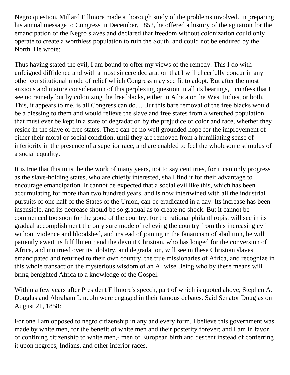Negro question, Millard Fillmore made a thorough study of the problems involved. In preparing his annual message to Congress in December, 1852, he offered a history of the agitation for the emancipation of the Negro slaves and declared that freedom without colonization could only operate to create a worthless population to ruin the South, and could not be endured by the North. He wrote:

Thus having stated the evil, I am bound to offer my views of the remedy. This I do with unfeigned diffidence and with a most sincere declaration that I will cheerfully concur in any other constitutional mode of relief which Congress may see fit to adopt. But after the most anxious and mature consideration of this perplexing question in all its bearings, I confess that I see no remedy but by colonizing the free blacks, either in Africa or the West Indies, or both. This, it appears to me, is all Congress can do.... But this bare removal of the free blacks would be a blessing to them and would relieve the slave and free states from a wretched population, that must ever be kept in a state of degradation by the prejudice of color and race, whether they reside in the slave or free states. There can be no well grounded hope for the improvement of either their moral or social condition, until they are removed from a humiliating sense of inferiority in the presence of a superior race, and are enabled to feel the wholesome stimulus of a social equality.

It is true that this must be the work of many years, not to say centuries, for it can only progress as the slave-holding states, who are chiefly interested, shall find it for their advantage to encourage emancipation. It cannot be expected that a social evil like this, which has been accumulating for more than two hundred years, and is now intertwined with all the industrial pursuits of one half of the States of the Union, can be eradicated in a day. Its increase has been insensible, and its decrease should be so gradual as to create no shock. But it cannot be commenced too soon for the good of the country; for the rational philanthropist will see in its gradual accomplishment the only sure mode of relieving the country from this increasing evil without violence and bloodshed, and instead of joining in the fanaticism of abolition, he will patiently await its fulfillment; and the devout Christian, who has longed for the conversion of Africa, and mourned over its idolatry, and degradation, will see in these Christian slaves, emancipated and returned to their own country, the true missionaries of Africa, and recognize in this whole transaction the mysterious wisdom of an Allwise Being who by these means will bring benighted Africa to a knowledge of the Gospel.

Within a few years after President Fillmore's speech, part of which is quoted above, Stephen A. Douglas and Abraham Lincoln were engaged in their famous debates. Said Senator Douglas on August 21, 1858:

For one I am opposed to negro citizenship in any and every form. I believe this government was made by white men, for the benefit of white men and their posterity forever; and I am in favor of confining citizenship to white men,- men of European birth and descent instead of conferring it upon negroes, Indians, and other inferior races.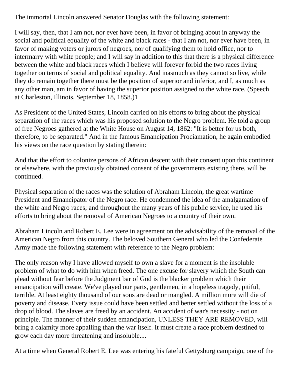The immortal Lincoln answered Senator Douglas with the following statement:

I will say, then, that I am not, nor ever have been, in favor of bringing about in anyway the social and political equality of the white and black races - that I am not, nor ever have been, in favor of making voters or jurors of negroes, nor of qualifying them to hold office, nor to intermarry with white people; and I will say in addition to this that there is a physical difference between the white and black races which I believe will forever forbid the two races living together on terms of social and political equality. And inasmuch as they cannot so live, while they do remain together there must be the position of superior and inferior, and I, as much as any other man, am in favor of having the superior position assigned to the white race. (Speech at Charleston, Illinois, September 18, 1858.)1

As President of the United States, Lincoln carried on his efforts to bring about the physical separation of the races which was his proposed solution to the Negro problem. He told a group of free Negroes gathered at the White House on August 14, 1862: "It is better for us both, therefore, to be separated." And in the famous Emancipation Prociamation, he again embodied his views on the race question by stating therein:

And that the effort to colonize persons of African descent with their consent upon this continent or elsewhere, with the previously obtained consent of the governments existing there, will be continued.

Physical separation of the races was the solution of Abraham Lincoln, the great wartime President and Emancipator of the Negro race. He condemned the idea of the amalgamation of the white and Negro races; and throughout the many years of his public service, he used his efforts to bring about the removal of American Negroes to a country of their own.

Abraham Lincoln and Robert E. Lee were in agreement on the advisability of the removal of the American Negro from this country. The beloved Southern General who led the Confederate Army made the following statement with reference to the Negro problem:

The only reason why I have allowed myself to own a slave for a moment is the insoluble problem of what to do with him when freed. The one excuse for slavery which the South can plead without fear before the Judgment bar of God is the blacker problem which their emancipation will create. We've played our parts, gentlemen, in a hopeless tragedy, pitiful, terrible. At least eighty thousand of our sons are dead or mangled. A million more will die of poverty and disease. Every issue could have been settled and better settled without the loss of a drop of blood. The slaves are freed by an accident. An accident of war's necessity - not on principle. The manner of their sudden emancipation, UNLESS THEY ARE REMOVED, will bring a calamity more appalling than the war itself. It must create a race problem destined to grow each day more threatening and insoluble....

At a time when General Robert E. Lee was entering his fateful Gettysburg campaign, one of the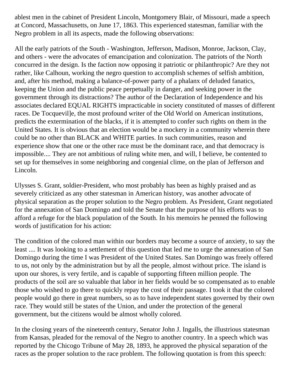ablest men in the cabinet of President Lincoln, Montgomery Blair, of Missouri, made a speech at Concord, Massachusetts, on June 17, 1863. This experienced statesman, familiar with the Negro problem in all its aspects, made the following observations:

All the early patriots of the South - Washington, Jefferson, Madison, Monroe, Jackson, Clay, and others - were the advocates of emancipation and colonization. The patriots of the North concurred in the design. Is the faction now opposing it patriotic or philanthropic? Are they not rather, like Calhoun, working the negro question to accomplish schemes of selfish ambition, and, after his method, making a balance-of-power party of a phalanx of deluded fanatics, keeping the Union and the public peace perpetually in danger, and seeking power in the government through its distractions? The author of the Declaration of Independence and his associates declared EQUAL RIGHTS impracticable in society constituted of masses of different races. De Tocquevil]e, the most profound writer of the Old World on American institutions, predicts the extermination of the blacks, if it is attempted to confer such rights on them in the United States. It is obvious that an election would be a mockery in a community wherein there could be no other than BLACK and WHITE parties. In such communities, reason and experience show that one or the other race must be the dominant race, and that democracy is impossible.... They are not ambitious of ruling white men, and will, I believe, be contented to set up for themselves in some neighboring and congenial clime, on the plan of Jefferson and Lincoln.

Ulysses S. Grant, soldier-President, who most probably has been as highly praised and as severely criticized as any other statesman in American history, was another advocate of physical separation as the proper solution to the Negro problem. As President, Grant negotiated for the annexation of San Domingo and told the Senate that the purpose of his efforts was to afford a refuge for the black population of the South. In his memoirs he penned the following words of justification for his action:

The condition of the colored man within our borders may become a source of anxiety, to say the least .... It was looking to a settlement of this question that led me to urge the annexation of San Domingo during the time I was President of the United States. San Domingo was freely offered to us, not only by the administration but by all the people, almost without price. The island is upon our shores, is very fertile, and is capable of supporting fifteen million people. The products of the soil are so valuable that labor in her fields would be so compensated as to enable those who wished to go there to quickly repay the cost of their passage. I took it that the colored people would go there in great numbers, so as to have independent states governed by their own race. They would still be states of the Union, and under the protection of the general government, but the citizens would be almost wholly colored.

In the closing years of the nineteenth century, Senator John J. Ingalls, the illustrious statesman from Kansas, pleaded for the removal of the Negro to another country. In a speech which was reported by the Chicogo Tribune of May 28, 1893, he approved the physical separation of the races as the proper solution to the race problem. The following quotation is from this speech: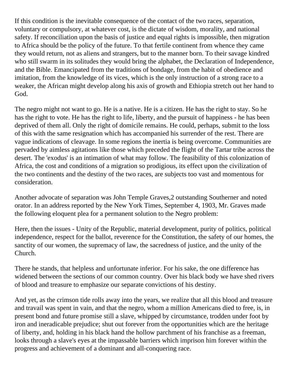If this condition is the inevitable consequence of the contact of the two races, separation, voluntary or compulsory, at whatever cost, is the dictate of wisdom, morality, and national safety. If reconciliation upon the basis of justice and equal rights is impossible, then migration to Africa should be the policy of the future. To that fertile continent from whence they came they would return, not as aliens and strangers, but to the manner born. To their savage kindred who still swarm in its solitudes they would bring the alphabet, the Declaration of Independence, and the Bible. Emancipated from the traditions of bondage, from the habit of obedience and imitation, from the knowledge of its vices, which is the only instruction of a strong race to a weaker, the African might develop along his axis of growth and Ethiopia stretch out her hand to God.

The negro might not want to go. He is a native. He is a citizen. He has the right to stay. So he has the right to vote. He has the right to life, liberty, and the pursuit of happiness - he has been deprived of them all. Only the right of domicile remains. He could, perhaps, submit to the loss of this with the same resignation which has accompanied his surrender of the rest. There are vague indications of cleavage. In some regions the inertia is being overcome. Communities are pervaded by aimless agitations like those which preceded the flight of the Tartar tribe across the desert. The 'exodus' is an intimation of what may follow. The feasibility of this colonization of Africa, the cost and conditions of a migration so prodigious, its effect upon the civilization of the two continents and the destiny of the two races, are subjects too vast and momentous for consideration.

Another advocate of separation was John Temple Graves,2 outstanding Southerner and noted orator. In an address reported by the New York Times, September 4, 1903, Mr. Graves made the following eloquent plea for a permanent solution to the Negro problem:

Here, then the issues - Unity of the Republic, material development, purity of politics, political independence, respect for the ballot, reverence for the Constitution, the safety of our homes, the sanctity of our women, the supremacy of law, the sacredness of justice, and the unity of the Church.

There he stands, that helpless and unfortunate inferior. For his sake, the one difference has widened between the sections of our common country. Over his black body we have shed rivers of blood and treasure to emphasize our separate convictions of his destiny.

And yet, as the crimson tide rolls away into the years, we realize that all this blood and treasure and travail was spent in vain, and that the negro, whom a million Americans died to free, is, in present bond and future promise still a slave, whipped by circumstance, trodden under foot by iron and ineradicable prejudice; shut out forever from the opportunities which are the heritage of liberty, and, holding in his black hand the hollow parchment of his franchise as a freeman, looks through a slave's eyes at the impassable barriers which imprison him forever within the progress and achievement of a dominant and all-conquering race.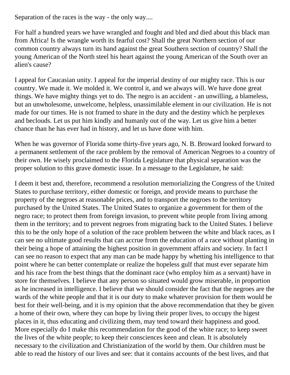Separation of the races is the way - the only way....

For half a hundred years we have wrangled and fought and bled and died about this black man from Africa! Is the wrangle worth its fearful cost? Shall the great Northern section of our common country always turn its hand against the great Southern section of country? Shall the young American of the North steel his heart against the young American of the South over an alien's cause?

I appeal for Caucasian unity. I appeal for the imperial destiny of our mighty race. This is our country. We made it. We molded it. We control it, and we always will. We have done great things. We have mighty things yet to do. The negro is an accident - an unwilling, a blameless, but an unwholesome, unwelcome, helpless, unassimilable element in our civilization. He is not made for our times. He is not framed to share in the duty and the destiny which he perplexes and beclouds. Let us put him kindly and humanly out of the way. Let us give him a better chance than he has ever had in history, and let us have done with him.

When he was governor of Florida some thirty-five years ago, N. B. Broward looked forward to a permanent settlement of the race problem by the removal of American Negroes to a country of their own. He wisely proclaimed to the Florida Legislature that physical separation was the proper solution to this grave domestic issue. In a message to the Legislature, he said:

I deem it best and, therefore, recommend a resolution memorializing the Congress of the United States to purchase territory, either domestic or foreign, and provide means to purchase the property of the negroes at reasonable prices, and to transport the negroes to the territory purchased by the United States. The United States to organize a government for them of the negro race; to protect them from foreign invasion, to prevent white people from living among them in the territory; and to prevent negroes from migrating back to the United States. I believe this to be the only hope of a solution of the race problem between the white and black races, as I can see no ultimate good results that can accrue from the education of a race without planting in their being a hope of attaining the highest position in government affairs and society. In fact I can see no reason to expect that any man can be made happy by whetting his intelligence to that point where he can better contemplate or realize the hopeless gulf that must ever separate him and his race from the best things that the dominant race (who employ him as a servant) have in store for themselves. I believe that any person so situated would grow miserable, in proportion as he increased in intelligence. I believe that we should consider the fact that the negroes are the wards of the white people and that it is our duty to make whatever provision for them would be best for their well-being, and it is my opinion that the above recommendation that they be given a home of their own, where they can hope by living their proper lives, to occupy the higest places in it, thus educating and civilizing them, may tend toward their happiness and good. More especially do I make this recommendation for the good of the white race; to keep sweet the lives of the white people; to keep their consciences keen and clean. It is absolutely necessary to the civilization and Christianization of the world by them. Our children must be able to read the history of our lives and see: that it contains accounts of the best lives, and that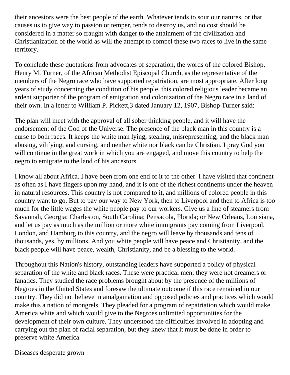their ancestors were the best people of the earth. Whatever tends to sour our natures, or that causes us to give way to passion or temper, tends to destroy us, and no cost should be considered in a matter so fraught with danger to the attainment of the civilization and Christianization of the world as will the attempt to compel these two races to live in the same territory.

To conclude these quotations from advocates of separation, the words of the colored Bishop, Henry M. Turner, of the African Methodist Episcopal Church, as the representative of the members of the Negro race who have supported repatriation, are most appropriate. After long years of study concerning the condition of his people, this colored religious leader became an ardent supporter of the program of emigration and colonization of the Negro race in a land of their own. In a letter to William P. Pickett,3 dated January 12, 1907, Bishop Turner said:

The plan will meet with the approval of all sober thinking people, and it will have the endorsement of the God of the Universe. The presence of the black man in this country is a curse to both races. It keeps the white man lying, stealing, misrepresenting, and the black man abusing, vilifying, and cursing, and neither white nor black can be Christian. I pray God you will continue in the great work in which you are engaged, and move this country to help the negro to emigrate to the land of his ancestors.

I know all about Africa. I have been from one end of it to the other. I have visited that continent as often as I have fingers upon my hand, and it is one of the richest continents under the heaven in natural resources. This country is not compared to it, and millions of colored people in this country want to go. But to pay our way to New York, then to Liverpool and then to Africa is too much for the little wages the white people pay to our workers. Give us a line of steamers from Savannah, Georgia; Charleston, South Carolina; Pensacola, Florida; or New Orleans, Louisiana, and let us pay as much as the million or more white immigrants pay coming from Liverpool, London, and Hamburg to this country, and the negro will leave by thousands and tens of thousands, yes, by millions. And you white people will have peace and Christianity, and the black people will have peace, wealth, Christianity, and be a blessing to the world.

Throughout this Nation's history, outstanding leaders have supported a policy of physical separation of the white and black races. These were practical men; they were not dreamers or fanatics. They studied the race problems brought about by the presence of the millions of Negroes in the United States and foresaw the ultimate outcome if this race remained in our country. They did not believe in amalgamation and opposed policies and practices which would make this a nation of mongrels. They pleaded for a program of repatriation which would make America white and which would give to the Negroes unlimited opportunities for the development of their own culture. They understood the difficulties involved in adopting and carrying out the plan of racial separation, but they knew that it must be done in order to preserve white America.

Diseases desperate grown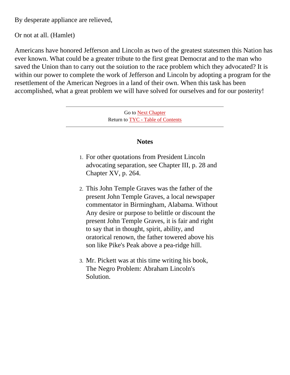By desperate appliance are relieved,

### Or not at all. (Hamlet)

Americans have honored Jefferson and Lincoln as two of the greatest statesmen this Nation has ever known. What could be a greater tribute to the first great Democrat and to the man who saved the Union than to carry out the soiution to the race problem which they advocated? It is within our power to complete the work of Jefferson and Lincoln by adopting a program for the resettlement of the American Negroes in a land of their own. When this task has been accomplished, what a great problem we will have solved for ourselves and for our posterity!

> Go to [Next Chapter](#page-190-0) Return to [TYC - Table of Contents](#page-0-0)

#### **Notes**

- 1. For other quotations from President Lincoln advocating separation, see Chapter III, p. 28 and Chapter XV, p. 264.
- 2. This John Temple Graves was the father of the present John Temple Graves, a local newspaper commentator in Birmingham, Alabama. Without Any desire or purpose to belittle or discount the present John Temple Graves, it is fair and right to say that in thought, spirit, ability, and oratorical renown, the father towered above his son like Pike's Peak above a pea-ridge hill.
- 3. Mr. Pickett was at this time writing his book, The Negro Problem: Abraham Lincoln's Solution.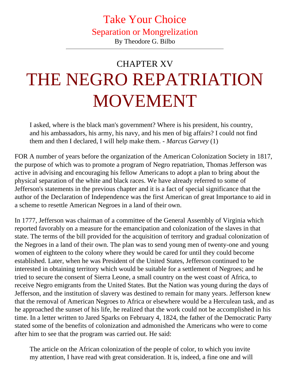## Take Your Choice Separation or Mongrelization By Theodore G. Bilbo

# CHAPTER XV THE NEGRO REPATRIATION MOVEMENT

I asked, where is the black man's government? Where is his president, his country, and his ambassadors, his army, his navy, and his men of big affairs? I could not find them and then I declared, I will help make them. - *Marcus Garvey* (1)

FOR A number of years before the organization of the American Colonization Society in 1817, the purpose of which was to promote a program of Negro repatriation, Thomas Jefferson was active in advising and encouraging his fellow Americans to adopt a plan to bring about the physical separation of the white and black races. We have already referred to some of Jefferson's statements in the previous chapter and it is a fact of special significance that the author of the Declaration of Independence was the first American of great Importance to aid in a scheme to resettle American Negroes in a land of their own.

In 1777, Jefferson was chairman of a committee of the General Assembly of Virginia which reported favorably on a measure for the emancipation and colonization of the slaves in that state. The terms of the bill provided for the acquisition of territory and gradual colonization of the Negroes in a land of their own. The plan was to send young men of twenty-one and young women of eighteen to the colony where they would be cared for until they could become established. Later, when he was President of the United States, Jefferson continued to be interested in obtaining territory which would be suitable for a settlement of Negroes; and he tried to secure the consent of Sierra Leone, a small country on the west coast of Africa, to receive Negro emigrants from the United States. But the Nation was young during the days of Jefferson, and the institution of slavery was destined to remain for many years. Jefferson knew that the removal of American Negroes to Africa or elsewhere would be a Herculean task, and as he approached the sunset of his life, he realized that the work could not be accomplished in his time. In a letter written to Jared Sparks on February 4, 1824, the father of the Democratic Party stated some of the benefits of colonization and admonished the Americans who were to come after him to see that the program was carried out. He said:

The article on the African colonization of the people of color, to which you invite my attention, I have read with great consideration. It is, indeed, a fine one and will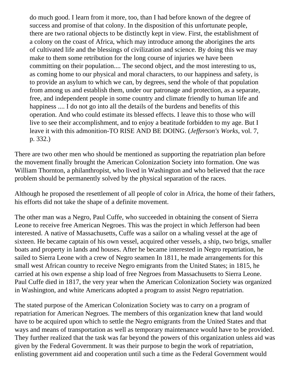do much good. I learn from it more, too, than I had before known of the degree of success and promise of that colony. In the disposition of this unfortunate people, there are two rational objects to be distinctly kept in view. First, the establishment of a colony on the coast of Africa, which may introduce among the aborigines the arts of cultivated life and the blessings of civilization and science. By doing this we may make to them some retribution for the long course of injuries we have been committing on their population.... The second object, and the most interesting to us, as coming home to our physical and moral characters, to our happiness and safety, is to provide an asylum to which we can, by degrees, send the whole of that population from among us and establish them, under our patronage and protection, as a separate, free, and independent people in some country and climate friendly to human life and happiness .... I do not go into all the details of the burdens and benefits of this operation. And who could estimate its blessed effects. I leave this to those who will live to see their accomplishment, and to enjoy a beatitude forbidden to my age. But I leave it with this admonition-TO RISE AND BE DOING. (*Jefferson's Works*, vol. 7, p. 332.)

There are two other men who should be mentioned as supporting the repatriation plan before the movement finally brought the American Colonization Society into formation. One was William Thornton, a philanthropist, who lived in Washington and who believed that the race problem should be permanently solved by the physical separation of the races.

Although he proposed the resettlement of all people of color in Africa, the home of their fathers, his efforts did not take the shape of a definite movement.

The other man was a Negro, Paul Cuffe, who succeeded in obtaining the consent of Sierra Leone to receive free American Negroes. This was the project in which Jefferson had been interested. A native of Massachusetts, Cuffe was a sailor on a whaling vessel at the age of sixteen. He became captain of his own vessel, acquired other vessels, a ship, two brigs, smaller boats and property in lands and houses. After he became interested in Negro repatriation, he sailed to Sierra Leone with a crew of Negro seamen In 1811, he made arrangements for this small west African country to receive Negro emigrants from the United States; in 1815, he carried at his own expense a ship load of free Negroes from Massachusetts to Sierra Leone. Paul Cuffe died in 1817, the very year when the American Colonization Society was organized in Washington, and white Americans adopted a program to assist Negro repatriation.

The stated purpose of the American Colonization Society was to carry on a program of repatriation for American Negroes. The members of this organization knew that land would have to be acquired upon which to settle the Negro emigrants from the United States and that ways and means of transportation as well as temporary maintenance would have to be provided. They further realized that the task was far beyond the powers of this organization unless aid was given by the Federal Government. It was their purpose to begin the work of repatriation, enlisting government aid and cooperation until such a time as the Federal Government would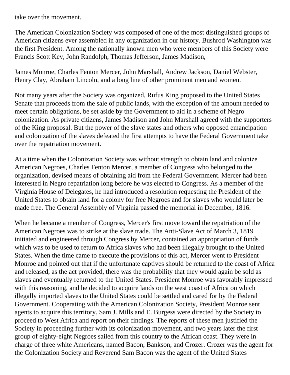take over the movement.

The American Colonization Society was composed of one of the most distinguished groups of American citizens ever assembled in any organization in our history. Bushrod Washington was the first President. Among the nationally known men who were members of this Society were Francis Scott Key, John Randolph, Thomas Jefferson, James Madison,

James Monroe, Charles Fenton Mercer, John Marshall, Andrew Jackson, Daniel Webster, Henry Clay, Abraham Lincoln, and a long line of other prominent men and women.

Not many years after the Society was organized, Rufus King proposed to the United States Senate that proceeds from the sale of public lands, with the exception of the amount needed to meet certain obligations, be set aside by the Government to aid in a scheme of Negro colonization. As private citizens, James Madison and John Marshall agreed with the supporters of the King proposal. But the power of the slave states and others who opposed emancipation and colonization of the slaves defeated the first attempts to have the Federal Government take over the repatriation movement.

At a time when the Colonization Society was without strength to obtain land and colonize American Negroes, Charles Fenton Mercer, a member of Congress who belonged to the organization, devised means of obtaining aid from the Federal Government. Mercer had been interested in Negro repatriation long before he was elected to Congress. As a member of the Virginia House of Delegates, he had introduced a resolution requesting the President of the United States to obtain land for a colony for free Negroes and for slaves who would later be made free. The General Assembly of Virginia passed the memorial in December, 1816.

When he became a member of Congress, Mercer's first move toward the repatriation of the American Negroes was to strike at the slave trade. The Anti-Slave Act of March 3, 1819 initiated and engineered through Congress by Mercer, contained an appropriation of funds which was to be used to return to Africa slaves who had been illegally brought to the United States. When the time came to execute the provisions of this act, Mercer went to President Monroe and pointed out that if the unfortunate captives should be returned to the coast of Africa and released, as the act provided, there was the probability that they would again be sold as slaves and eventually returned to the United States. President Monroe was favorably impressed with this reasoning, and he decided to acquire lands on the west coast of Africa on which illegally imported slaves to the United States could be settled and cared for by the Federal Government. Cooperating with the American Colonization Society, President Monroe sent agents to acquire this territory. Sam J. Mills and E. Burgess were directed by the Society to proceed to West Africa and report on their findings. The reports of these men justified the Society in proceeding further with its colonization movement, and two years later the first group of eighty-eight Negroes sailed from this country to the African coast. They were in charge of three white Americans, named Bacon, Bankson, and Crozer. Crozer was the agent for the Colonization Society and Reverend Sam Bacon was the agent of the United States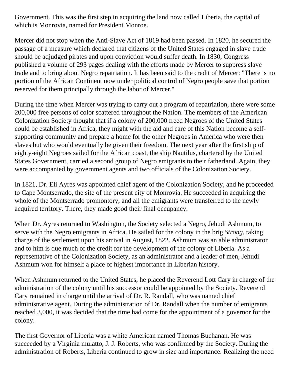Government. This was the first step in acquiring the land now called Liberia, the capital of which is Monrovia, named for President Monroe.

Mercer did not stop when the Anti-Slave Act of 1819 had been passed. In 1820, he secured the passage of a measure which declared that citizens of the United States engaged in slave trade should be adjudged pirates and upon conviction would suffer death. In 1830, Congress published a volume of 293 pages dealing with the efforts made by Mercer to suppress slave trade and to bring about Negro repatriation. It has been said to the credit of Mercer: "There is no portion of the African Continent now under political control of Negro people save that portion reserved for them principally through the labor of Mercer."

During the time when Mercer was trying to carry out a program of repatriation, there were some 200,000 free persons of color scattered throughout the Nation. The members of the American Colonization Society thought that if a colony of 200,000 freed Negroes of the United States could be established in Africa, they might with the aid and care of this Nation become a selfsupporting community and prepare a home for the other Negroes in America who were then slaves but who would eventually be given their freedom. The next year after the first ship of eighty-eight Negroes sailed for the African coast, the ship Nautilus, chartered by the United States Government, carried a second group of Negro emigrants to their fatherland. Again, they were accompanied by government agents and two officials of the Colonization Society.

In 1821, Dr. Eli Ayres was appointed chief agent of the Colonization Society, and he proceeded to Cape Montserrado, the site of the present city of Monrovia. He succeeded in acquiring the whole of the Montserrado promontory, and all the emigrants were transferred to the newly acquired territory. There, they made good their final occupancy.

When Dr. Ayres returned to Washington, the Society selected a Negro, Jehudi Ashmum, to serve with the Negro emigrants in Africa. He sailed for the colony in the brig *Strong*, taking charge of the settlement upon his arrival in August, 1822. Ashmum was an able administrator and to him is due much of the credit for the development of the colony of Liberia. As a representative of the Colonization Society, as an administrator and a leader of men, Jehudi Ashmum won for himself a place of highest importance in Liberian history.

When Ashmum returned to the United States, he placed the Reverend Lott Cary in charge of the administration of the colony until his successor could be appointed by the Society. Reverend Cary remained in charge until the arrival of Dr. R. Randall, who was named chief administrative agent. During the administration of Dr. Randall when the number of emigrants reached 3,000, it was decided that the time had come for the appointment of a governor for the colony.

The first Governor of Liberia was a white American named Thomas Buchanan. He was succeeded by a Virginia mulatto, J. J. Roberts, who was confirmed by the Society. During the administration of Roberts, Liberia continued to grow in size and importance. Realizing the need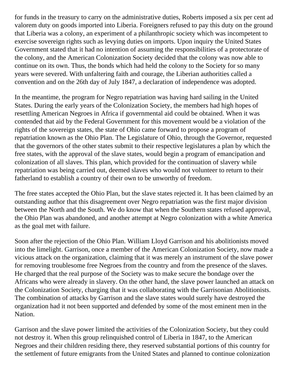for funds in the treasury to carry on the administrative duties, Roberts imposed a six per cent ad valorem duty on goods imported into Liberia. Foreigners refused to pay this duty on the ground that Liberia was a colony, an experiment of a philanthropic society which was incompetent to exercise sovereign rights such as levying duties on imports. Upon inquiry the United States Government stated that it had no intention of assuming the responsibilities of a protectorate of the colony, and the American Colonization Society decided that the colony was now able to continue on its own. Thus, the bonds which had held the colony to the Society for so many years were severed. With unfaltering faith and courage, the Liberian authorities called a convention and on the 26th day of July 1847, a declaration of independence was adopted.

In the meantime, the program for Negro repatriation was having hard sailing in the United States. During the early years of the Colonization Society, the members had high hopes of resettling American Negroes in Africa if governmental aid could be obtained. When it was contended that aid by the Federal Government for this movement would be a violation of the rights of the sovereign states, the state of Ohio came forward to propose a program of repatriation known as the Ohio Plan. The Legislature of Ohio, through the Governor, requested that the governors of the other states submit to their respective legislatures a plan by which the free states, with the approval of the slave states, would begin a program of emancipation and colonization of all slaves. This plan, which provided for the continuation of slavery while repatriation was being carried out, deemed slaves who would not volunteer to return to their fatherland to establish a country of their own to be unworthy of freedom.

The free states accepted the Ohio Plan, but the slave states rejected it. It has been claimed by an outstanding author that this disagreement over Negro repatriation was the first major division between the North and the South. We do know that when the Southern states refused approval, the Ohio Plan was abandoned, and another attempt at Negro colonization with a white America as the goal met with failure.

Soon after the rejection of the Ohio Plan. William Lloyd Garrison and his abolitionists moved into the limelight. Garrison, once a member of the American Colonization Society, now made a vicious attack on the organization, claiming that it was merely an instrument of the slave power for removing troublesome free Negroes from the country and from the presence of the slaves. He charged that the real purpose of the Society was to make secure the bondage over the Africans who were already in slavery. On the other hand, the slave power launched an attack on the Colonization Society, charging that it was collaborating with the Garrisonian Abolitionists. The combination of attacks by Garrison and the slave states would surely have destroyed the organization had it not been supported and defended by some of the most eminent men in the Nation.

Garrison and the slave power limited the activities of the Colonization Society, but they could not destroy it. When this group relinquished control of Liberia in 1847, to the American Negroes and their children residing there, they reserved substantial portions of this country for the settlement of future emigrants from the United States and planned to continue colonization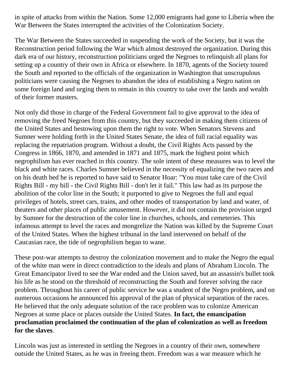in spite of attacks from within the Nation. Some 12,000 emigrants had gone to Liberia when the War Between the States interrupted the activities of the Colonization Society.

The War Between the States succeeded in suspending the work of the Society, but it was the Reconstruction period following the War which almost destroyed the organization. During this dark era of our history, reconstruction politicians urged the Negroes to relinquish all plans for setting up a country of their own in Africa or elsewhere. In 1870, agents of the Society toured the South and reported to the officials of the organization in Washington that unscrupulous politicians were causing the Negroes to abandon the idea of establishing a Negro nation on some foreign land and urging them to remain in this country to take over the lands and wealth of their former masters.

Not only did those in charge of the Federal Government fail to give approval to the idea of removing the freed Negroes from this country, but they succeeded in making them citizens of the United States and bestowing upon them the right to vote. When Senators Stevens and Sumner were holding forth in the United States Senate, the idea of full racial equality was replacing the repatriation program. Without a doubt, the Civil Rights Acts passed by the Congress in 1866, 1870, and amended in 1871 and 1875, mark the highest point which negrophilism has ever reached in this country. The sole intent of these measures was to level the black and white races. Charles Sumner believed in the necessity of equalizing the two races and on his death bed he is reported to have said to Senator Hoar: "You must take care of the Civil Rights Bill - my bill - the Civil Rights Bill - don't let it fail." This law had as its purpose the abolition of the color line in the South; it purported to give to Negroes the full and equal privileges of hotels, street cars, trains, and other modes of transportation by land and water, of theaters and other places of public amusement. However, it did not contain the provision urged by Sumner for the destruction of the color line in churches, schools, and cemeteries. This infamous attempt to level the races and mongrelize the Nation was killed by the Supreme Court of the United States. When the highest tribunal in the land intervened on behalf of the Caucasian race, the tide of negrophilism began to wane.

These post-war attempts to destroy the colonization movement and to make the Negro the equal of the white man were in direct contradiction to the ideals and plans of Abraham Lincoln. The Great Emancipator lived to see the War ended and the Union saved, but an assassin's bullet took his life as he stood on the threshold of reconstructing the South and forever solving the race problem. Throughout his career of public service he was a student of the Negro problem, and on numerous occasions he announced his approval of the plan of physical separation of the races. He believed that the only adequate solution of the race problem was to colonize American Negroes at some place or places outside the United States. **In fact, the emancipation proclamation proclaimed the continuation of the plan of colonization as well as freedom for the slaves**.

Lincoln was just as interested in settling the Negroes in a country of their own, somewhere outside the United States, as he was in freeing them. Freedom was a war measure which he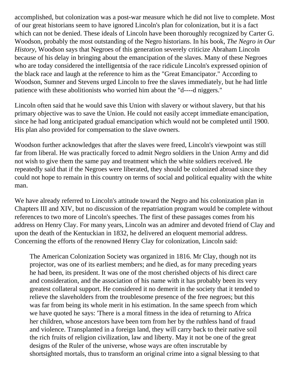accomplished, but colonization was a post-war measure which he did not live to complete. Most of our great historians seem to have ignored Lincoln's plan for colonization, but it is a fact which can not be denied. These ideals of Lincoln have been thoroughly recognized by Carter G. Woodson, probably the most outstanding of the Negro historians. In his book, *The Negro in Our History*, Woodson says that Negroes of this generation severely criticize Abraham Lincoln because of his delay in bringing about the emancipation of the slaves. Many of these Negroes who are today considered the intelligentsia of the race ridicule Lincoln's expressed opinion of the black race and laugh at the reference to him as the "Great Emancipator." According to Woodson, Sumner and Stevens urged Lincoln to free the slaves immediately, but he had little patience with these abolitionists who worried him about the "d----d niggers."

Lincoln often said that he would save this Union with slavery or without slavery, but that his primary objective was to save the Union. He could not easily accept immediate emancipation, since he had long anticipated gradual emancipation which would not be completed until 1900. His plan also provided for compensation to the slave owners.

Woodson further acknowledges that after the slaves were freed, Lincoln's viewpoint was still far from liberal. He was practically forced to admit Negro soldiers in the Union Army and did not wish to give them the same pay and treatment which the white soldiers received. He repeatedly said that if the Negroes were liberated, they should be colonized abroad since they could not hope to remain in this country on terms of social and political equality with the white man.

We have already referred to Lincoln's attitude toward the Negro and his colonization plan in Chapters III and XIV, but no discussion of the repatriation program would be complete without references to two more of Lincoln's speeches. The first of these passages comes from his address on Henry Clay. For many years, Lincoln was an admirer and devoted friend of Clay and upon the death of the Kentuckian in 1832, he delivered an eloquent memorial address. Concerning the efforts of the renowned Henry Clay for colonization, Lincoln said:

The American Colonization Society was organized in 1816. Mr Clay, though not its projector, was one of its earliest members; and he died, as for many preceding years he had been, its president. It was one of the most cherished objects of his direct care and consideration, and the association of his name with it has probably been its very greatest collateral support. He considered it no demerit in the society that it tended to relieve the slaveholders from the troublesome presence of the free negroes; but this was far from being its whole merit in his estimation. In the same speech from which we have quoted he says: 'There is a moral fitness in the idea of returning to Africa her children, whose ancestors have been torn from her by the ruthless hand of fraud and violence. Transplanted in a foreign land, they will carry back to their native soil the rich fruits of religion civilization, law and liberty. May it not be one of the great designs of the Ruler of the universe, whose ways are often inscrutable by shortsighted mortals, thus to transform an original crime into a signal blessing to that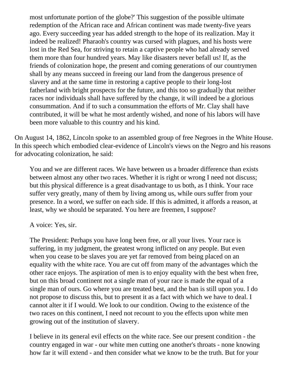most unfortunate portion of the globe?' This suggestion of the possible ultimate redemption of the African race and African continent was made twenty-five years ago. Every succeeding year has added strength to the hope of its realization. May it indeed be realized! Pharaoh's country was cursed with plagues, and his hosts were lost in the Red Sea, for striving to retain a captive people who had already served them more than four hundred years. May like disasters never befall us! If, as the friends of colonization hope, the present and coming generations of our countrymen shall by any means succeed in freeing our land from the dangerous presence of slavery and at the same time in restoring a captive people to their long-lost fatherland with bright prospects for the future, and this too so gradual]y that neither races nor individuals shall have suffered by the change, it will indeed be a glorious consummation. And if to such a consummation the efforts of Mr. Clay shall have contributed, it will be what he most ardently wished, and none of his labors will have been more valuable to this country and his kind.

On August 14, 1862, Lincoln spoke to an assembled group of free Negroes in the White House. In this speech which embodied clear-evidence of Lincoln's views on the Negro and his reasons for advocating colonization, he said:

You and we are different races. We have between us a broader difference than exists between almost any other two races. Whether it is right or wrong I need not discuss; but this physical difference is a great disadvantage to us both, as I think. Your race suffer very greatly, many of them by living among us, while ours suffer from your presence. In a word, we suffer on each side. If this is admitted, it affords a reason, at least, why we should be separated. You here are freemen, I suppose?

### A voice: Yes, sir.

The President: Perhaps you have long been free, or all your lives. Your race is suffering, in my judgment, the greatest wrong inflicted on any people. But even when you cease to be slaves you are yet far removed from being placed on an equality with the white race. You are cut off from many of the advantages which the other race enjoys. The aspiration of men is to enjoy equality with the best when free, but on this broad continent not a single man of your race is made the equal of a single man of ours. Go where you are treated best, and the ban is still upon you. I do not propose to discuss this, but to present it as a fact with which we have to deal. I cannot alter it if I would. We look to our condition. Owing to the existence of the two races on this continent, I need not recount to you the effects upon white men growing out of the institution of slavery.

I believe in its general evil effects on the white race. See our present condition - the country engaged in war - our white men cutting one another's throats - none knowing how far it will extend - and then consider what we know to be the truth. But for your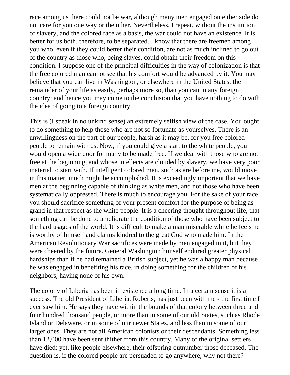race among us there could not be war, although many men engaged on either side do not care for you one way or the other. Nevertheless, I repeat, without the institution of slavery, and the colored race as a basis, the war could not have an existence. It is better for us both, therefore, to be separated. I know that there are freemen among you who, even if they could better their condition, are not as much inclined to go out of the country as those who, being slaves, could obtain their freedom on this condition. I suppose one of the principal difficulties in the way of colonization is that the free colored man cannot see that his comfort would be advanced by it. You may believe that you can live in Washington, or elsewhere in the United States, the remainder of your life as easily, perhaps more so, than you can in any foreign country; and hence you may come to the conclusion that you have nothing to do with the idea of going to a foreign country.

This is (I speak in no unkind sense) an extremely selfish view of the case. You ought to do something to help those who are not so fortunate as yourselves. There is an unwillingness on the part of our people, harsh as it may be, for you free colored people to remain with us. Now, if you could give a start to the white people, you would open a wide door for many to be made free. If we deal with those who are not free at the beginning, and whose intellects are clouded by slavery, we have very poor material to start with. If intelligent colored men, such as are before me, would move in this matter, much might be accomplished. It is exceedingly important that we have men at the beginning capable of thinking as white men, and not those who have been systematically oppressed. There is much to encourage you. For the sake of your race you should sacrifice something of your present comfort for the purpose of being as grand in that respect as the white people. It is a cheering thought throughout life, that something can be done to ameliorate the condition of those who have been subject to the hard usages of the world. It is difficult to make a man miserable while he feels he is worthy of himself and claims kindred to the great God who made him. In the American Revolutionary War sacrifices were made by men engaged in it, but they were cheered by the future. General Washington himself endured greater physical hardships than if he had remained a British subject, yet he was a happy man because he was engaged in benefiting his race, in doing something for the children of his neighbors, having none of his own.

The colony of Liberia has been in existence a long time. In a certain sense it is a success. The old President of Liberia, Roberts, has just been with me - the first time I ever saw him. He says they have within the bounds of that colony between three and four hundred thousand people, or more than in some of our old States, such as Rhode Island or Delaware, or in some of our newer States, and less than in some of our larger ones. They are not all American colonists or their descendants. Something less than 12,000 have been sent thither from this country. Many of the original settlers have died; yet, like people elsewhere, their offspring outnumber those deceased. The question is, if the colored people are persuaded to go anywhere, why not there?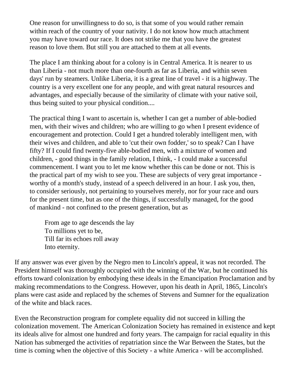One reason for unwillingness to do so, is that some of you would rather remain within reach of the country of your nativity. I do not know how much attachment you may have toward our race. It does not strike me that you have the greatest reason to love them. But still you are attached to them at all events.

The place I am thinking about for a colony is in Central America. It is nearer to us than Liberia - not much more than one-fourth as far as Liberia, and within seven days' run by steamers. Unlike Liberia, it is a great line of travel - it is a highway. The country is a very excellent one for any people, and with great natural resources and advantages, and especially because of the similarity of climate with your native soil, thus being suited to your physical condition....

The practical thing I want to ascertain is, whether I can get a number of able-bodied men, with their wives and children; who are willing to go when I present evidence of encouragement and protection. Could I get a hundred tolerably intelligent men, with their wives and children, and able to 'cut their own fodder,' so to speak? Can I have fifty? If I could find twenty-five able-bodied men, with a mixture of women and children, - good things in the family relation, I think, - I could make a successful commencement. I want you to let me know whether this can be done or not. This is the practical part of my wish to see you. These are subjects of very great importance worthy of a month's study, instead of a speech delivered in an hour. I ask you, then, to consider seriously, not pertaining to yourselves merely, nor for your race and ours for the present time, but as one of the things, if successfully managed, for the good of mankind - not confined to the present generation, but as

From age to age descends the lay To millions yet to be, Till far its echoes roll away Into eternity.

If any answer was ever given by the Negro men to Lincoln's appeal, it was not recorded. The President himself was thoroughly occupied with the winning of the War, but he continued his efforts toward colonization by embodying these ideals in the Emancipation Proclamation and by making recommendations to the Congress. However, upon his death in April, 1865, Lincoln's plans were cast aside and replaced by the schemes of Stevens and Sumner for the equalization of the white and black races.

Even the Reconstruction program for complete equality did not succeed in killing the colonization movement. The American Colonization Society has remained in existence and kept its ideals alive for almost one hundred and forty years. The campaign for racial equality in this Nation has submerged the activities of repatriation since the War Between the States, but the time is coming when the objective of this Society - a white America - will be accomplished.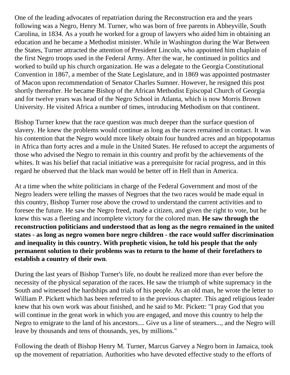One of the leading advocates of repatriation during the Reconstruction era and the years following was a Negro, Henry M. Turner, who was born of free parents in Abbeyville, South Carolina, in 1834. As a youth he worked for a group of lawyers who aided him in obtaining an education and he became a Methodist minister. While in Washington during the War Between the States, Turner attracted the attention of President Lincoln, who appointed him chaplain of the first Negro troops used in the Federal Army. After the war, he continued in politics and worked to build up his church organization. He was a delegate to the Georgia Constitutional Convention in 1867, a member of the State Legislature, and in 1869 was appointed postmaster of Macon upon recommendation of Senator Charles Sumner. However, he resigned this post shortly thereafter. He became Bishop of the African Methodist Episcopal Church of Georgia and for twelve years was head of the Negro School in Atlanta, which is now Morris Brown University. He visited Africa a number of times, introducing Methodism on that continent.

Bishop Turner knew that the race question was much deeper than the surface question of slavery. He knew the problems would continue as long as the races remained in contact. It was his contention that the Negro would more likely obtain four hundred acres and an hippopotamus in Africa than forty acres and a mule in the United States. He refused to accept the arguments of those who advised the Negro to remain in this country and profit by the achievements of the whites. It was his belief that racial initiative was a prerequisite for racial progress, and in this regard he observed that the black man would be better off in Hell than in America.

At a time when the white politicians in charge of the Federal Government and most of the Negro leaders were telling the masses of Negroes that the two races would be made equal in this country, Bishop Turner rose above the crowd to understand the current activities and to foresee the future. He saw the Negro freed, made a citizen, and given the right to vote, but he knew this was a fleeting and incomplete victory for the colored man. **He saw through the reconstruction politicians and understood that as long as the negro remained in the united states - as long as negro women bore negro children - the race would suffer discrimination and inequality in this country. With prophetic vision, he told his people that the only permanent solution to their problems was to return to the home of their forefathers to establish a country of their own**.

During the last years of Bishop Turner's life, no doubt he realized more than ever before the necessity of the physical separation of the races. He saw the triumph of white supremacy in the South and witnessed the hardships and trials of his people. As an old man, he wrote the letter to William P. Pickett which has been referred to in the previous chapter. This aged religious leader knew that his own work was about finished, and he said to Mr. Pickett: "I pray God that you will continue in the great work in which you are engaged, and move this country to help the Negro to emigrate to the land of his ancestors.... Give us a line of steamers..., and the Negro will leave by thousands and tens of thousands, yes, by millions."

Following the death of Bishop Henry M. Turner, Marcus Garvey a Negro born in Jamaica, took up the movement of repatriation. Authorities who have devoted effective study to the efforts of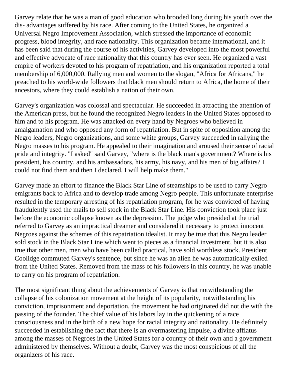Garvey relate that he was a man of good education who brooded long during his youth over the dis- advantages suffered by his race. After coming to the United States, he organized a Universal Negro Improvement Association, which stressed the importance of economic progress, blood integrity, and race nationality. This organization became international, and it has been said that during the course of his activities, Garvey developed into the most powerful and effective advocate of race nationality that this country has ever seen. He organized a vast empire of workers devoted to his program of repatriation, and his organization reported a total membership of 6,000,000. Rallying men and women to the slogan, "Africa for Africans," he preached to his world-wide followers that black men should return to Africa, the home of their ancestors, where they could establish a nation of their own.

Garvey's organization was colossal and spectacular. He succeeded in attracting the attention of the American press, but he found the recognized Negro leaders in the United States opposed to him and to his program. He was attacked on every hand by Negroes who believed in amalgamation and who opposed any form of repatriation. But in spite of opposition among the Negro leaders, Negro organizations, and some white groups, Garvey succeeded in rallying the Negro masses to his program. He appealed to their imagination and aroused their sense of racial pride and integrity. "I asked" said Garvey, "where is the black man's government? Where is his president, his country, and his ambassadors, his army, his navy, and his men of big affairs? I could not find them and then I declared, I will help make them."

Garvey made an effort to finance the Black Star Line of steamships to be used to carry Negro emigrants back to Africa and to develop trade among Negro people. This unfortunate enterprise resulted in the temporary arresting of his repatriation program, for he was convicted of having fraudulently used the mails to sell stock in the Black Star Line. His conviction took place just before the economic collapse known as the depression. The judge who presided at the trial referred to Garvey as an impractical dreamer and considered it necessary to protect innocent Negroes against the schemes of this repatriation idealist. It may be true that this Negro leader sold stock in the Black Star Line which went to pieces as a financial investment, but it is also true that other men, men who have been called practical, have sold worthless stock. President Coolidge commuted Garvey's sentence, but since he was an alien he was automatically exiled from the United States. Removed from the mass of his followers in this country, he was unable to carry on his program of repatriation.

The most significant thing about the achievements of Garvey is that notwithstanding the collapse of his colonization movement at the height of its popularity, notwithstanding his conviction, imprisonment and deportation, the movement he had originated did not die with the passing of the founder. The chief value of his labors lay in the quickening of a race consciousness and in the birth of a new hope for racial integrity and nationality. He definitely succeeded in establishing the fact that there is an overmastering impulse, a divine afflatus among the masses of Negroes in the United States for a country of their own and a government administered by themselves. Without a doubt, Garvey was the most conspicious of all the organizers of his race.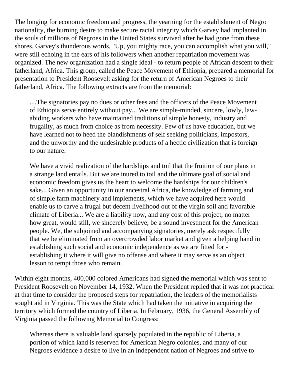The longing for economic freedom and progress, the yearning for the establishment of Negro nationality, the burning desire to make secure racial integrity which Garvey had implanted in the souls of millions of Negroes in the United States survived after he had gone from these shores. Garvey's thunderous words, "Up, you mighty race, you can accomplish what you will," were still echoing in the ears of his followers when another repatriation movement was organized. The new organization had a single ideal - to return people of African descent to their fatherland, Africa. This group, called the Peace Movement of Ethiopia, prepared a memorial for presentation to President Roosevelt asking for the return of American Negroes to their fatherland, Africa. The following extracts are from the memorial:

....The signatories pay no dues or other fees and the officers of the Peace Movement of Ethiopia serve entirely without pay... We are simple-minded, sincere, lowly, lawabiding workers who have maintained traditions of simple honesty, industry and frugality, as much from choice as from necessity. Few of us have education, but we have learned not to heed the blandishments of self seeking politicians, impostors, and the unworthy and the undesirable products of a hectic civilization that is foreign to our nature.

We have a vivid realization of the hardships and toil that the fruition of our plans in a strange land entails. But we are inured to toil and the ultimate goal of social and economic freedom gives us the heart to welcome the hardships for our children's sake... Given an opportunity in our ancestral Africa, the knowledge of farming and of simple farm machinery and implements, which we have acquired here would enable us to carve a frugal but decent livelihood out of the virgin soil and favorable climate of Liberia... We are a liability now, and any cost of this project, no matter how great, would still, we sincerely believe, be a sound investment for the American people. We, the subjoined and accompanying signatories, merely ask respectfully that we be eliminated from an overcrowded labor market and given a helping hand in establishing such social and economic independence as we are fitted for establishing it where it will give no offense and where it may serve as an object lesson to tempt those who remain.

Within eight months, 400,000 colored Americans had signed the memorial which was sent to President Roosevelt on November 14, 1932. When the President replied that it was not practical at that time to consider the proposed steps for repatriation, the leaders of the memorialists sought aid in Virginia. This was the State which had taken the initiative in acquiring the territory which formed the country of Liberia. In February, 1936, the General Assembly of Virginia passed the following Memorial to Congress:

Whereas there is valuable land sparsely populated in the republic of Liberia, a portion of which land is reserved for American Negro colonies, and many of our Negroes evidence a desire to live in an independent nation of Negroes and strive to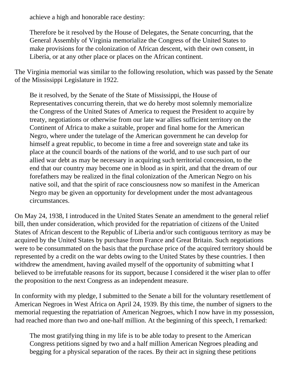achieve a high and honorable race destiny:

Therefore be it resolved by the House of Delegates, the Senate concurring, that the General Assembly of Virginia memorialize the Congress of the United States to make provisions for the colonization of African descent, with their own consent, in Liberia, or at any other place or places on the African continent.

The Virginia memorial was similar to the following resolution, which was passed by the Senate of the Mississippi Legislature in 1922.

Be it resolved, by the Senate of the State of Mississippi, the House of Representatives concurring therein, that we do hereby most solemnly memorialize the Congress of the United States of America to request the President to acquire by treaty, negotiations or otherwise from our late war allies sufficient territory on the Continent of Africa to make a suitable, proper and final home for the American Negro, where under the tutelage of the American government he can develop for himself a great republic, to become in time a free and sovereign state and take its place at the council boards of the nations of the world, and to use such part of our allied war debt as may be necessary in acquiring such territorial concession, to the end that our country may become one in blood as in spirit, and that the dream of our forefathers may be realized in the final colonization of the American Negro on his native soil, and that the spirit of race consciousness now so manifest in the American Negro may be given an opportunity for development under the most advantageous circumstances.

On May 24, 1938, I introduced in the United States Senate an amendment to the general relief bill, then under consideration, which provided for the repatriation of citizens of the United States of African descent to the Republic of Liberia and/or such contiguous territory as may be acquired by the United States by purchase from France and Great Britain. Such negotiations were to be consummated on the basis that the purchase price of the acquired territory should be represented by a credit on the war debts owing to the United States by these countries. I then withdrew the amendment, having availed myself of the opportunity of submitting what I believed to be irrefutable reasons for its support, because I considered it the wiser plan to offer the proposition to the next Congress as an independent measure.

In conformity with my pledge, I submitted to the Senate a bill for the voluntary resettlement of American Negroes in West Africa on April 24, 1939. By this time, the number of signers to the memorial requesting the repatriation of American Negroes, which I now have in my possession, had reached more than two and one-half million. At the beginning of this speech, I remarked:

The most gratifying thing in my life is to be able today to present to the American Congress petitions signed by two and a half million American Negroes pleading and begging for a physical separation of the races. By their act in signing these petitions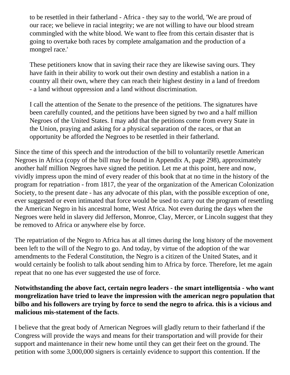to be resettled in their fatherland - Africa - they say to the world, 'We are proud of our race; we believe in racial integrity; we are not willing to have our blood stream commingled with the white blood. We want to flee from this certain disaster that is going to overtake both races by complete amalgamation and the production of a mongrel race.'

These petitioners know that in saving their race they are likewise saving ours. They have faith in their ability to work out their own destiny and establish a nation in a country all their own, where they can reach their highest destiny in a land of freedom - a land without oppression and a land without discrimination.

I call the attention of the Senate to the presence of the petitions. The signatures have been carefully counted, and the petitions have been signed by two and a half million Negroes of the United States. I may add that the petitions come from every State in the Union, praying and asking for a physical separation of the races, or that an opportunity be afforded the Negroes to be resettled in their fatherland.

Since the time of this speech and the introduction of the bill to voluntarily resettle American Negroes in Africa (copy of the bill may be found in Appendix A, page 298), approximately another half million Negroes have signed the petition. Let me at this point, here and now, vividly impress upon the mind of every reader of this book that at no time in the history of the program for repatriation - from 1817, the year of the organization of the American Colonization Society, to the present date - has any advocate of this plan, with the possible exception of one, ever suggested or even intimated that force would be used to carry out the program of resettling the American Negro in his ancestral home, West Africa. Not even during the days when the Negroes were held in slavery did Jefferson, Monroe, Clay, Mercer, or Lincoln suggest that they be removed to Africa or anywhere else by force.

The repatriation of the Negro to Africa has at all times during the long history of the movement been left to the will of the Negro to go. And today, by virtue of the adoption of the war amendments to the Federal Constitution, the Negro is a citizen of the United States, and it would certainly be foolish to talk about sending him to Africa by force. Therefore, let me again repeat that no one has ever suggested the use of force.

**Notwithstanding the above fact, certain negro leaders - the smart intelligentsia - who want mongrelization have tried to leave the impression with the american negro population that bilbo and his followers are trying by force to send the negro to africa. this is a vicious and malicious mis-statement of the facts**.

I believe that the great body of Arnerican Negroes will gladly return to their fatherland if the Congress will provide the ways and means for their transportation and will provide for their support and maintenance in their new home until they can get their feet on the ground. The petition with some 3,000,000 signers is certainly evidence to support this contention. If the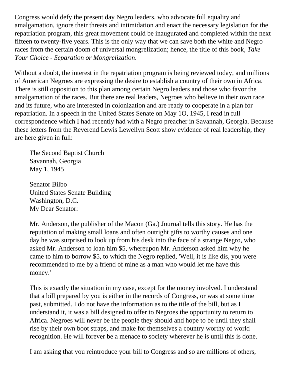Congress would defy the present day Negro leaders, who advocate full equality and amalgamation, ignore their threats and intimidation and enact the necessary legislation for the repatriation program, this great movement could be inaugurated and completed within the next fifteen to twenty-five years. This is the only way that we can save both the white and Negro races from the certain doom of universal mongrelization; hence, the title of this book, *Take Your Choice - Separation or Mongrelization*.

Without a doubt, the interest in the repatriation program is being reviewed today, and millions of American Negroes are expressing the desire to establish a country of their own in Africa. There is still opposition to this plan among certain Negro leaders and those who favor the amalgamation of the races. But there are real leaders, Negroes who believe in their own race and its future, who are interested in colonization and are ready to cooperate in a plan for repatriation. In a speech in the United States Senate on May 1O, 1945, I read in full correspondence which I had recently had with a Negro preacher in Savannah, Georgia. Because these letters from the Reverend Lewis Lewellyn Scott show evidence of real leadership, they are here given in full:

The Second Baptist Church Savannah, Georgia May 1, 1945

Senator Bilbo United States Senate Building Washington, D.C. My Dear Senator:

Mr. Anderson, the publisher of the Macon (Ga.) Journal tells this story. He has the reputation of making small loans and often outright gifts to worthy causes and one day he was surprised to look up from his desk into the face of a strange Negro, who asked Mr. Anderson to loan him \$5, whereupon Mr. Anderson asked him why he came to him to borrow \$5, to which the Negro replied, 'Well, it is like dis, you were recommended to me by a friend of mine as a man who would let me have this money.'

This is exactly the situation in my case, except for the money involved. I understand that a bill prepared by you is either in the records of Congress, or was at some time past, submitted. I do not have the information as to the title of the bill, but as I understand it, it was a bill designed to offer to Negroes the opportunity to return to Africa. Negroes will never be the people they should and hope to be until they shall rise by their own boot straps, and make for themselves a country worthy of world recognition. He will forever be a menace to society wherever he is until this is done.

I am asking that you reintroduce your bill to Congress and so are millions of others,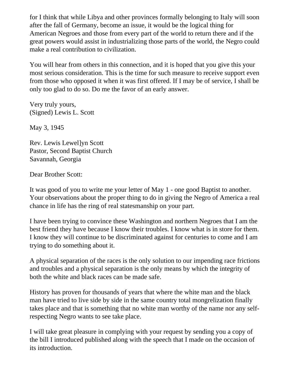for I think that while Libya and other provinces formally belonging to Italy will soon after the fall of Germany, become an issue, it would be the logical thing for American Negroes and those from every part of the world to return there and if the great powers would assist in industrializing those parts of the world, the Negro could make a real contribution to civilization.

You will hear from others in this connection, and it is hoped that you give this your most serious consideration. This is the time for such measure to receive support even from those who opposed it when it was first offered. If I may be of service, I shall be only too glad to do so. Do me the favor of an early answer.

Very truly yours, (Signed) Lewis L. Scott

May 3, 1945

Rev. Lewis Lewel]yn Scott Pastor, Second Baptist Church Savannah, Georgia

Dear Brother Scott:

It was good of you to write me your letter of May 1 - one good Baptist to another. Your observations about the proper thing to do in giving the Negro of America a real chance in life has the ring of real statesmanship on your part.

I have been trying to convince these Washington and northern Negroes that I am the best friend they have because I know their troubles. I know what is in store for them. I know they will continue to be discriminated against for centuries to come and I am trying to do something about it.

A physical separation of the races is the only solution to our impending race frictions and troubles and a physical separation is the only means by which the integrity of both the white and black races can be made safe.

History has proven for thousands of years that where the white man and the black man have tried to live side by side in the same country total mongrelization finally takes place and that is something that no white man worthy of the name nor any selfrespecting Negro wants to see take place.

I will take great pleasure in complying with your request by sending you a copy of the bill I introduced published along with the speech that I made on the occasion of its introduction.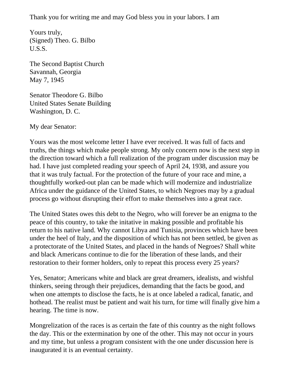Thank you for writing me and may God bless you in your labors. I am

Yours truly, (Signed) Theo. G. Bilbo U.S.S.

The Second Baptist Church Savannah, Georgia May 7, 1945

Senator Theodore G. Bilbo United States Senate Building Washington, D. C.

My dear Senator:

Yours was the most welcome letter I have ever received. It was full of facts and truths, the things which make people strong. My only concern now is the next step in the direction toward which a full realization of the program under discussion may be had. I have just completed reading your speech of April 24, 1938, and assure you that it was truly factual. For the protection of the future of your race and mine, a thoughtfully worked-out plan can be made which will modernize and industrialize Africa under the guidance of the United States, to which Negroes may by a gradual process go without disrupting their effort to make themselves into a great race.

The United States owes this debt to the Negro, who will forever be an enigma to the peace of this country, to take the initative in making possible and profitable his return to his native land. Why cannot Libya and Tunisia, provinces which have been under the heel of Italy, and the disposition of which has not been settled, be given as a protectorate of the United States, and placed in the hands of Negroes? Shall white and black Americans continue to die for the liberation of these lands, and their restoration to their former holders, only to repeat this process every 25 years?

Yes, Senator; Americans white and black are great dreamers, idealists, and wishful thinkers, seeing through their prejudices, demanding that the facts be good, and when one attempts to disclose the facts, he is at once labeled a radical, fanatic, and hothead. The realist must be patient and wait his turn, for time will finally give him a hearing. The time is now.

Mongrelization of the races is as certain the fate of this country as the night follows the day. This or the extermination by one of the other. This may not occur in yours and my time, but unless a program consistent with the one under discussion here is inaugurated it is an eventual certainty.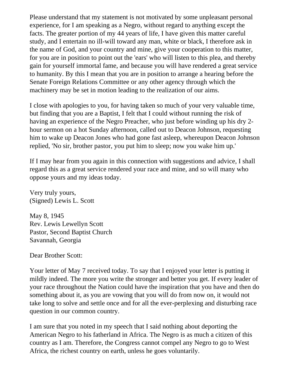Please understand that my statement is not motivated by some unpleasant personal experience, for I am speaking as a Negro, without regard to anything except the facts. The greater portion of my 44 years of life, I have given this matter careful study, and I entertain no ill-will toward any man, white or black, I therefore ask in the name of God, and your country and mine, give your cooperation to this matter, for you are in position to point out the 'ears' who will listen to this plea, and thereby gain for yourself immortal fame, and because you will have rendered a great service to humanity. By this I mean that you are in position to arrange a hearing before the Senate Foreign Relations Committee or any other agency through which the machinery may be set in motion leading to the realization of our aims.

I close with apologies to you, for having taken so much of your very valuable time, but finding that you are a Baptist, I felt that I could without running the risk of having an experience of the Negro Preacher, who just before winding up his dry 2 hour sermon on a hot Sunday afternoon, called out to Deacon Johnson, requesting him to wake up Deacon Jones who had gone fast asleep, whereupon Deacon Johnson replied, 'No sir, brother pastor, you put him to sleep; now you wake him up.'

If I may hear from you again in this connection with suggestions and advice, I shall regard this as a great service rendered your race and mine, and so will many who oppose yours and my ideas today.

Very truly yours, (Signed) Lewis L. Scott

May 8, 1945 Rev. Lewis Lewellyn Scott Pastor, Second Baptist Church Savannah, Georgia

Dear Brother Scott:

Your letter of May 7 received today. To say that I enjoyed your letter is putting it mildly indeed. The more you write the stronger and better you get. If every leader of your race throughout the Nation could have the inspiration that you have and then do something about it, as you are vowing that you will do from now on, it would not take long to solve and settle once and for all the ever-perplexing and disturbing race question in our common country.

I am sure that you noted in my speech that I said nothing about deporting the American Negro to his fatherland in Africa. The Negro is as much a citizen of this country as I am. Therefore, the Congress cannot compel any Negro to go to West Africa, the richest country on earth, unless he goes voluntarily.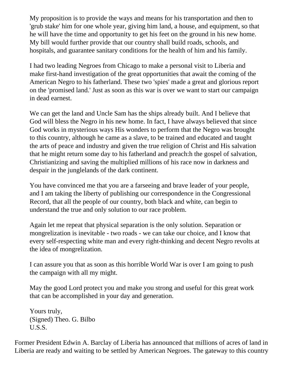My proposition is to provide the ways and means for his transportation and then to 'grub stake' him for one whole year, giving him land, a house, and equipment, so that he will have the time and opportunity to get his feet on the ground in his new home. My bill would further provide that our country shall build roads, schools, and hospitals, and guarantee sanitary conditions for the health of him and his family.

I had two leading Negroes from Chicago to make a personal visit to Liberia and make first-hand investigation of the great opportunities that await the coming of the American Negro to his fatherland. These two 'spies' made a great and glorious report on the 'promised land.' Just as soon as this war is over we want to start our campaign in dead earnest.

We can get the land and Uncle Sam has the ships already built. And I believe that God will bless the Negro in his new home. In fact, I have always believed that since God works in mysterious ways His wonders to perform that the Negro was brought to this country, although he came as a slave, to be trained and educated and taught the arts of peace and industry and given the true religion of Christ and His salvation that he might return some day to his fatherland and preach:h the gospel of salvation, Christianizing and saving the multiplied millions of his race now in darkness and despair in the junglelands of the dark continent.

You have convinced me that you are a farseeing and brave leader of your people, and I am taking the liberty of publishing our correspondence in the Congressional Record, that all the people of our country, both black and white, can begin to understand the true and only solution to our race problem.

Again let me repeat that physical separation is the only solution. Separation or mongrelization is inevitable - two roads - we can take our choice, and I know that every self-respecting white man and every right-thinking and decent Negro revolts at the idea of mongrelization.

I can assure you that as soon as this horrible World War is over I am going to push the campaign with all my might.

May the good Lord protect you and make you strong and useful for this great work that can be accomplished in your day and generation.

Yours truly, (Signed) Theo. G. Bilbo U.S.S.

Former President Edwin A. Barclay of Liberia has announced that millions of acres of land in Liberia are ready and waiting to be settled by American Negroes. The gateway to this country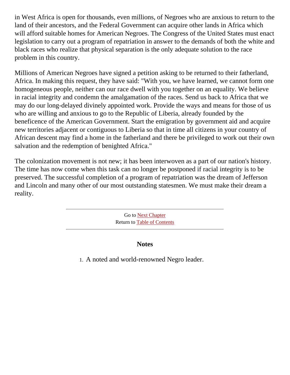in West Africa is open for thousands, even millions, of Negroes who are anxious to return to the land of their ancestors, and the Federal Government can acquire other lands in Africa which will afford suitable homes for American Negroes. The Congress of the United States must enact legislation to carry out a program of repatriation in answer to the demands of both the white and black races who realize that physical separation is the only adequate solution to the race problem in this country.

Millions of American Negroes have signed a petition asking to be returned to their fatherland, Africa. In making this request, they have said: "With you, we have learned, we cannot form one homogeneous people, neither can our race dwell with you together on an equality. We believe in racial integrity and condemn the amalgamation of the races. Send us back to Africa that we may do our long-delayed divinely appointed work. Provide the ways and means for those of us who are willing and anxious to go to the Republic of Liberia, already founded by the beneficence of the American Government. Start the emigration by government aid and acquire new territories adjacent or contiguous to Liberia so that in time all citizens in your country of African descent may find a home in the fatherland and there be privileged to work out their own salvation and the redemption of benighted Africa."

The colonization movement is not new; it has been interwoven as a part of our nation's history. The time has now come when this task can no longer be postponed if racial integrity is to be preserved. The successful completion of a program of repatriation was the dream of Jefferson and Lincoln and many other of our most outstanding statesmen. We must make their dream a reality.

> Go to **Next Chapter** Return to [Table of Contents](#page-0-0)

### **Notes**

1. A noted and world-renowned Negro leader.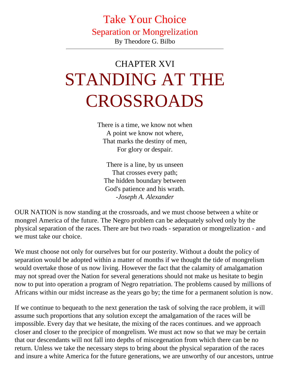# Take Your Choice Separation or Mongrelization By Theodore G. Bilbo

# CHAPTER XVI STANDING AT THE CROSSROADS

There is a time, we know not when A point we know not where, That marks the destiny of men, For glory or despair.

There is a line, by us unseen That crosses every path; The hidden boundary between God's patience and his wrath. -*Joseph A. Alexander*

OUR NATION is now standing at the crossroads, and we must choose between a white or mongrel America of the future. The Negro problem can be adequately solved only by the physical separation of the races. There are but two roads - separation or mongrelization - and we must take our choice.

We must choose not only for ourselves but for our posterity. Without a doubt the policy of separation would be adopted within a matter of months if we thought the tide of mongrelism would overtake those of us now living. However the fact that the calamity of amalgamation may not spread over the Nation for several generations should not make us hesitate to begin now to put into operation a program of Negro repatriation. The problems caused by millions of Africans within our midst increase as the years go by; the time for a permanent solution is now.

If we continue to bequeath to the next generation the task of solving the race problem, it will assume such proportions that any solution except the amalgamation of the races will be impossible. Every day that we hesitate, the mixing of the races continues. and we approach closer and closer to the precipice of mongrelism. We must act now so that we may be certain that our descendants will not fall into depths of miscegenation from which there can be no return. Unless we take the necessary steps to bring about the physical separation of the races and insure a white America for the future generations, we are unworthy of our ancestors, untrue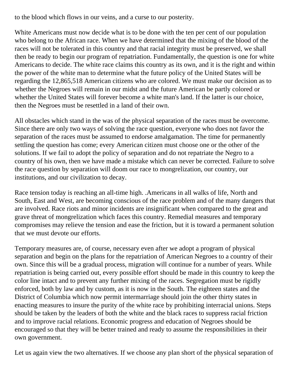to the blood which flows in our veins, and a curse to our posterity.

White Americans must now decide what is to be done with the ten per cent of our population who belong to the African race. When we have determined that the mixing of the blood of the races will not be tolerated in this country and that racial integrity must be preserved, we shall then be ready to begin our program of repatriation. Fundamentally, the question is one for white Americans to decide. The white race claims this country as its own, and it is the right and within the power of the white man to determine what the future policy of the United States will be regarding the 12,865,518 American citizens who are colored. We must make our decision as to whether the Negroes will remain in our midst and the future American be partly colored or whether the United States will forever become a white man's land. If the latter is our choice, then the Negroes must be resettled in a land of their own.

All obstacles which stand in the was of the physical separation of the races must be overcome. Since there are only two ways of solving the race question, everyone who does not favor the separation of the races must be assumed to endorse amalgamation. The time for permanently settling the question has come; every American citizen must choose one or the other of the solutions. If we fail to adopt the policy of separation and do not repatriate the Negro to a country of his own, then we have made a mistake which can never be corrected. Failure to solve the race question by separation will doom our race to mongrelization, our country, our institutions, and our civilization to decay.

Race tension today is reaching an all-time high. .Americans in all walks of life, North and South, East and West, are becoming conscious of the race problem and of the many dangers that are involved. Race riots and minor incidents are insignificant when compared to the great and grave threat of mongrelization which faces this country. Remedial measures and temporary compromises may relieve the tension and ease the friction, but it is toward a permanent solution that we must devote our efforts.

Temporary measures are, of course, necessary even after we adopt a program of physical separation and begin on the plans for the repatriation of American Negroes to a country of their own. Since this will be a gradual process, migration will continue for a number of years. While repatriation is being carried out, every possible effort should be made in this country to keep the color line intact and to prevent any further mixing of the races. Segregation must be rigidly enforced, both by law and by custom, as it is now in the South. The eighteen states and the District of Columbia which now permit intermarriage should join the other thirty states in enacting measures to insure the purity of the white race by prohibiting interracial unions. Steps should be taken by the leaders of both the white and the black races to suppress racial friction and to improve racial relations. Economic progress and education of Negroes should be encouraged so that they will be better trained and ready to assume the responsibilities in their own government.

Let us again view the two alternatives. If we choose any plan short of the physical separation of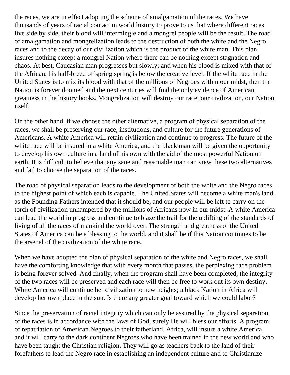the races, we are in effect adopting the scheme of amalgamation of the races. We have thousands of years of racial contact in world history to prove to us that where different races live side by side, their blood will intermingle and a mongrel people will be the result. The road of amalgamation and mongrelization leads to the destruction of both the white and the Negro races and to the decay of our civilization which is the product of the white man. This plan insures nothing except a mongrel Nation where there can be nothing except stagnation and chaos. At best, Caucasian man progresses but slowly; and when his blood is mixed with that of the African, his half-breed offspring spring is below the creative level. If the white race in the United States is to mix its blood with that of the millions of Negroes within our midst, then the Nation is forever doomed and the next centuries will find the only evidence of American greatness in the history books. Mongrelization will destroy our race, our civilization, our Nation itself.

On the other hand, if we choose the other alternative, a program of physical separation of the races, we shall be preserving our race, institutions, and culture for the future generations of Americans. A white America will retain civilization and continue to progress. The future of the white race will be insured in a white America, and the black man will be given the opportunity to develop his own culture in a land of his own with the aid of the most powerful Nation on earth. It is difficult to believe that any sane and reasonable man can view these two alternatives and fail to choose the separation of the races.

The road of physical separation leads to the development of both the white and the Negro races to the highest point of which each is capable. The United States will become a white man's land, as the Founding Fathers intended that it should be, and our people will be left to carry on the torch of civilization unhampered by the millions of Africans now in our midst. A white America can lead the world in progress and continue to blaze the trail for the uplifting of the standards of living of all the races of mankind the world over. The strength and greatness of the United States of America can be a blessing to the world, and it shall be if this Nation continues to be the arsenal of the civilization of the white race.

When we have adopted the plan of physical separation of the white and Negro races, we shall have the comforting knowledge that with every month that passes, the perplexing race problem is being forever solved. And finally, when the program shall have been completed, the integrity of the two races will be preserved and each race will then be free to work out its own destiny. White America will continue her civilization to new heights; a black Nation in Africa will develop her own place in the sun. Is there any greater goal toward which we could labor?

Since the preservation of racial integrity which can only be assured by the physical separation of the races is in accordance with the laws of God, surely He will bless our efforts. A program of repatriation of American Negroes to their fatherland, Africa, will insure a white America, and it will carry to the dark continent Negroes who have been trained in the new world and who have been taught the Christian religion. They will go as teachers back to the land of their forefathers to lead the Negro race in establishing an independent culture and to Christianize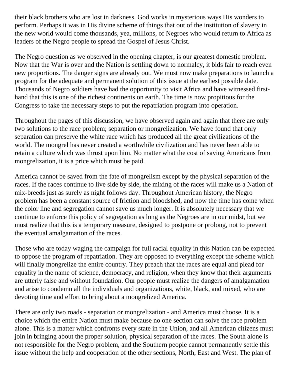their black brothers who are lost in darkness. God works in mysterious ways His wonders to perform. Perhaps it was in His divine scheme of things that out of the institution of slavery in the new world would come thousands, yea, millions, of Negroes who would return to Africa as leaders of the Negro people to spread the Gospel of Jesus Christ.

The Negro question as we observed in the opening chapter, is our greatest domestic problem. Now that the War is over and the Nation is settling down to normalcy, it bids fair to reach even new proportions. The danger signs are already out. We must now make preparations to launch a program for the adequate and permanent solution of this issue at the earliest possible date. Thousands of Negro soldiers have had the opportunity to visit Africa and have witnessed firsthand that this is one of the richest continents on earth. The time is now propitious for the Congress to take the necessary steps to put the repatriation program into operation.

Throughout the pages of this discussion, we have observed again and again that there are only two solutions to the race problem; separation or mongrelization. We have found that only separation can preserve the white race which has produced all the great civilizations of the world. The mongrel has never created a worthwhile civilization and has never been able to retain a culture which was thrust upon him. No matter what the cost of saving Americans from mongrelization, it is a price which must be paid.

America cannot be saved from the fate of mongrelism except by the physical separation of the races. If the races continue to live side by side, the mixing of the races will make us a Nation of mix-breeds just as surely as night follows day. Throughout American history, the Negro problem has been a constant source of friction and bloodshed, and now the time has come when the color line and segregation cannot save us much longer. It is absolutely necessary that we continue to enforce this policy of segregation as long as the Negroes are in our midst, but we must realize that this is a temporary measure, designed to postpone or prolong, not to prevent the eventual amalgamation of the races.

Those who are today waging the campaign for full racial equality in this Nation can be expected to oppose the program of repatriation. They are opposed to everything except the scheme which will finally mongrelize the entire country. They preach that the races are equal and plead for equality in the name of science, democracy, and religion, when they know that their arguments are utterly false and without foundation. Our people must realize the dangers of amalgamation and arise to condemn all the individuals and organizations, white, black, and mixed, who are devoting time and effort to bring about a mongrelized America.

There are only two roads - separation or mongrelization - and America must choose. It is a choice which the entire Nation must make because no one section can solve the race problem alone. This is a matter which confronts every state in the Union, and all American citizens must join in bringing about the proper solution, physical separation of the races. The South alone is not responsible for the Negro problem, and the Southern people cannot permanently settle this issue without the help and cooperation of the other sections, North, East and West. The plan of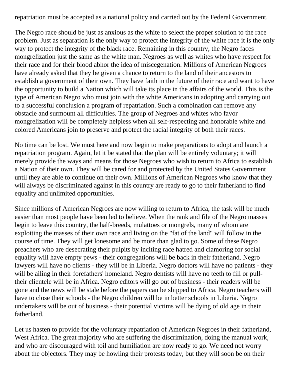repatriation must be accepted as a national policy and carried out by the Federal Government.

The Negro race should be just as anxious as the white to select the proper solution to the race problem. Just as separation is the only way to protect the integrity of the white race it is the only way to protect the integrity of the black race. Remaining in this country, the Negro faces mongrelization just the same as the white man. Negroes as well as whites who have respect for their race and for their blood abhor the idea of miscegenation. Millions of American Negroes have already asked that they be given a chance to return to the land of their ancestors to establish a government of their own. They have faith in the future of their race and want to have the opportunity to build a Nation which will take its place in the affairs of the world. This is the type of American Negro who must join with the white Americans in adopting and carrying out to a successful conclusion a program of repatriation. Such a combination can remove any obstacle and surmount all difficulties. The group of Negroes and whites who favor mongrelization will be completely helpless when all self-respecting and honorable white and colored Americans join to preserve and protect the racial integrity of both their races.

No time can be lost. We must here and now begin to make preparations to adopt and launch a repatriation program. Again, let it be stated that the plan will be entirely voluntary; it will merely provide the ways and means for those Negroes who wish to return to Africa to establish a Nation of their own. They will be cared for and protected by the United States Government until they are able to continue on their own. Millions of American Negroes who know that they will always be discriminated against in this country are ready to go to their fatherland to find equality and unlimited opportunities.

Since millions of American Negroes are now willing to return to Africa, the task will be much easier than most people have been led to believe. When the rank and file of the Negro masses begin to leave this country, the half-breeds, mulattoes or mongrels, many of whom are exploiting the masses of their own race and living on the "fat of the land" will follow in the course of time. They will get lonesome and be more than glad to go. Some of these Negro preachers who are desecrating their pulpits by inciting race hatred and clamoring for social equality will have empty pews - their congregations will be back in their fatherland. Negro lawyers will have no clients - they will be in Liberia. Negro doctors will have no patients - they will be ailing in their forefathers' homeland. Negro dentists will have no teeth to fill or pulltheir clientele will be in Africa. Negro editors will go out of business - their readers will be gone and the news will be stale before the papers can be shipped to Africa. Negro teachers will have to close their schools - the Negro children will be in better schools in Liberia. Negro undertakers will be out of business - their potential victims will be dying of old age in their fatherland.

Let us hasten to provide for the voluntary repatriation of American Negroes in their fatherland, West Africa. The great majority who are suffering the discrimination, doing the manual work, and who are discouraged with toil and humiliation are now ready to go. We need not worry about the objectors. They may be howling their protests today, but they will soon be on their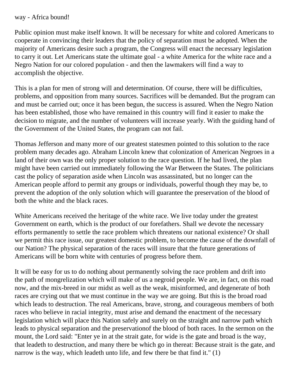#### way - Africa bound!

Public opinion must make itself known. It will be necessary for white and colored Americans to cooperate in convincing their leaders that the policy of separation must be adopted. When the majority of Americans desire such a program, the Congress will enact the necessary legislation to carry it out. Let Americans state the ultimate goal - a white America for the white race and a Negro Nation for our colored population - and then the lawmakers will find a way to accomplish the objective.

This is a plan for men of strong will and determination. Of course, there will be difficulties, problems, and opposition from many sources. Sacrifices will be demanded. But the program can and must be carried out; once it has been begun, the success is assured. When the Negro Nation has been established, those who have remained in this country will find it easier to make the decision to migrate, and the number of volunteers will increase yearly. With the guiding hand of the Government of the United States, the program can not fail.

Thomas Jefferson and many more of our greatest statesmen pointed to this solution to the race problem many decades ago. Abraham Lincoln knew that colonization of American Negroes in a land of their own was the only proper solution to the race question. If he had lived, the plan might have been carried out immediately following the War Between the States. The politicians cast the policy of separation aside when Lincoln was assassinated, but no longer can the American people afford to permit any groups or individuals, powerful though they may be, to prevent the adoption of the only solution which will guarantee the preservation of the blood of both the white and the black races.

White Americans received the heritage of the white race. We live today under the greatest Government on earth, which is the product of our forefathers. Shall we devote the necessary efforts permanently to settle the race problem which threatens our national existence? Or shall we permit this race issue, our greatest domestic problem, to become the cause of the downfall of our Nation? The physical separation of the races will insure that the future generations of Americans will be born white with centuries of progress before them.

It will be easy for us to do nothing about permanently solving the race problem and drift into the path of mongrelization which will make of us a negroid people. We are, in fact, on this road now, and the mix-breed in our midst as well as the weak, misinformed, and degenerate of both races are crying out that we must continue in the way we are going. But this is the broad road which leads to destruction. The real Americans, brave, strong, and courageous members of both races who believe in racial integrity, must arise and demand the enactment of the necessary legislation which will place this Nation safely and surely on the straight and narrow path which leads to physical separation and the preservationof the blood of both races. In the sermon on the mount, the Lord said: "Enter ye in at the strait gate, for wide is the gate and broad is the way, that leadeth to destruction, and many there be which go in thereat: Because strait is the gate, and narrow is the way, which leadeth unto life, and few there be that find it." (1)